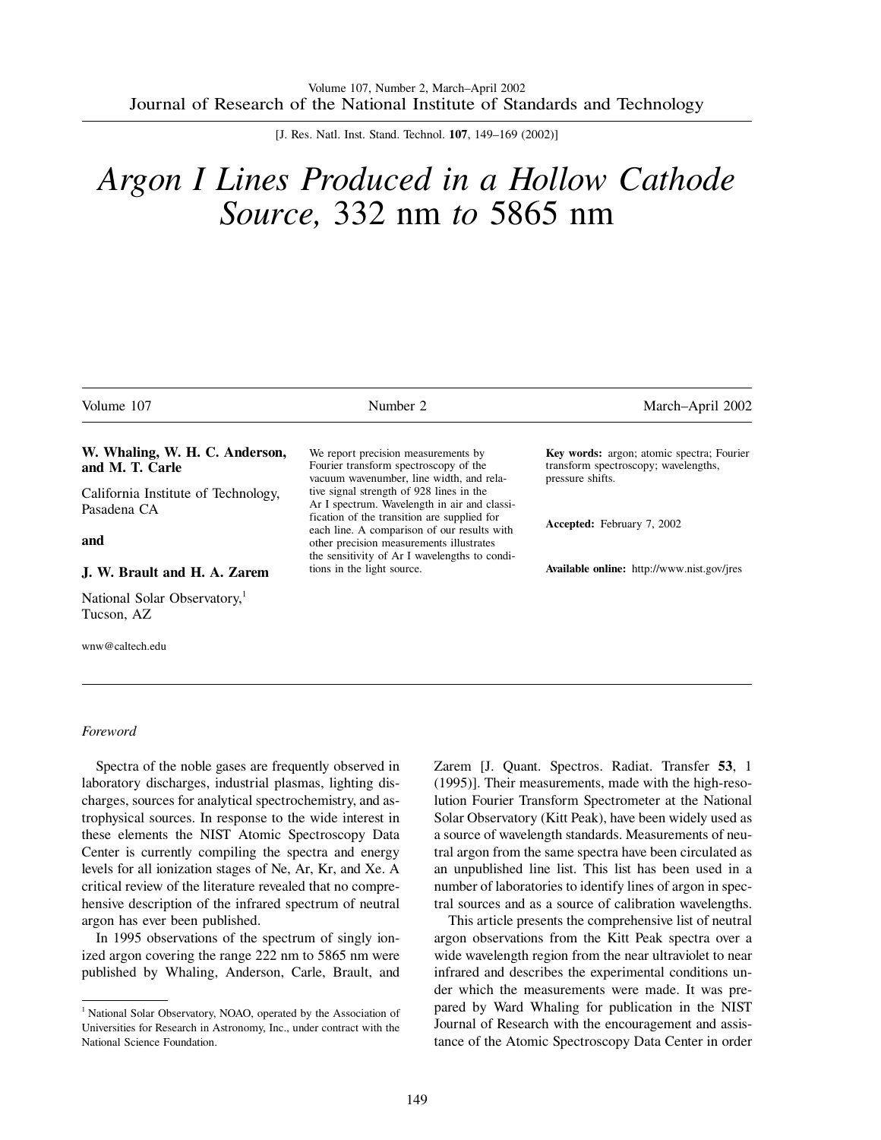[J. Res. Natl. Inst. Stand. Technol. **107**, 149–169 (2002)]

# *Argon I Lines Produced in a Hollow Cathode Source,* 332 nm *to* 5865 nm

| Volume 107                                         | Number 2                                                                                                                                 | March-April 2002                                                                                             |
|----------------------------------------------------|------------------------------------------------------------------------------------------------------------------------------------------|--------------------------------------------------------------------------------------------------------------|
| W. Whaling, W. H. C. Anderson,<br>and M. T. Carle  | We report precision measurements by<br>Fourier transform spectroscopy of the<br>vacuum wavenumber, line width, and rela-                 | <b>Key words:</b> argon; atomic spectra; Fourier<br>transform spectroscopy; wavelengths,<br>pressure shifts. |
| California Institute of Technology,<br>Pasadena CA | tive signal strength of 928 lines in the<br>Ar I spectrum. Wavelength in air and classi-<br>fication of the transition are supplied for  |                                                                                                              |
| and                                                | each line. A comparison of our results with<br>other precision measurements illustrates<br>the sensitivity of Ar I wavelengths to condi- | <b>Accepted:</b> February 7, 2002                                                                            |
| J. W. Brault and H. A. Zarem                       | tions in the light source.                                                                                                               | <b>Available online:</b> http://www.nist.gov/jres                                                            |
| National Solar Observatory,<br>Tucson, AZ          |                                                                                                                                          |                                                                                                              |
| wnw@caltech.edu                                    |                                                                                                                                          |                                                                                                              |

#### *Foreword*

Spectra of the noble gases are frequently observed in laboratory discharges, industrial plasmas, lighting discharges, sources for analytical spectrochemistry, and astrophysical sources. In response to the wide interest in these elements the NIST Atomic Spectroscopy Data Center is currently compiling the spectra and energy levels for all ionization stages of Ne, Ar, Kr, and Xe. A critical review of the literature revealed that no comprehensive description of the infrared spectrum of neutral argon has ever been published.

In 1995 observations of the spectrum of singly ionized argon covering the range 222 nm to 5865 nm were published by Whaling, Anderson, Carle, Brault, and Zarem [J. Quant. Spectros. Radiat. Transfer **53**, 1 (1995)]. Their measurements, made with the high-resolution Fourier Transform Spectrometer at the National Solar Observatory (Kitt Peak), have been widely used as a source of wavelength standards. Measurements of neutral argon from the same spectra have been circulated as an unpublished line list. This list has been used in a number of laboratories to identify lines of argon in spectral sources and as a source of calibration wavelengths.

This article presents the comprehensive list of neutral argon observations from the Kitt Peak spectra over a wide wavelength region from the near ultraviolet to near infrared and describes the experimental conditions under which the measurements were made. It was prepared by Ward Whaling for publication in the NIST Journal of Research with the encouragement and assistance of the Atomic Spectroscopy Data Center in order

<sup>&</sup>lt;sup>1</sup> National Solar Observatory, NOAO, operated by the Association of Universities for Research in Astronomy, Inc., under contract with the National Science Foundation.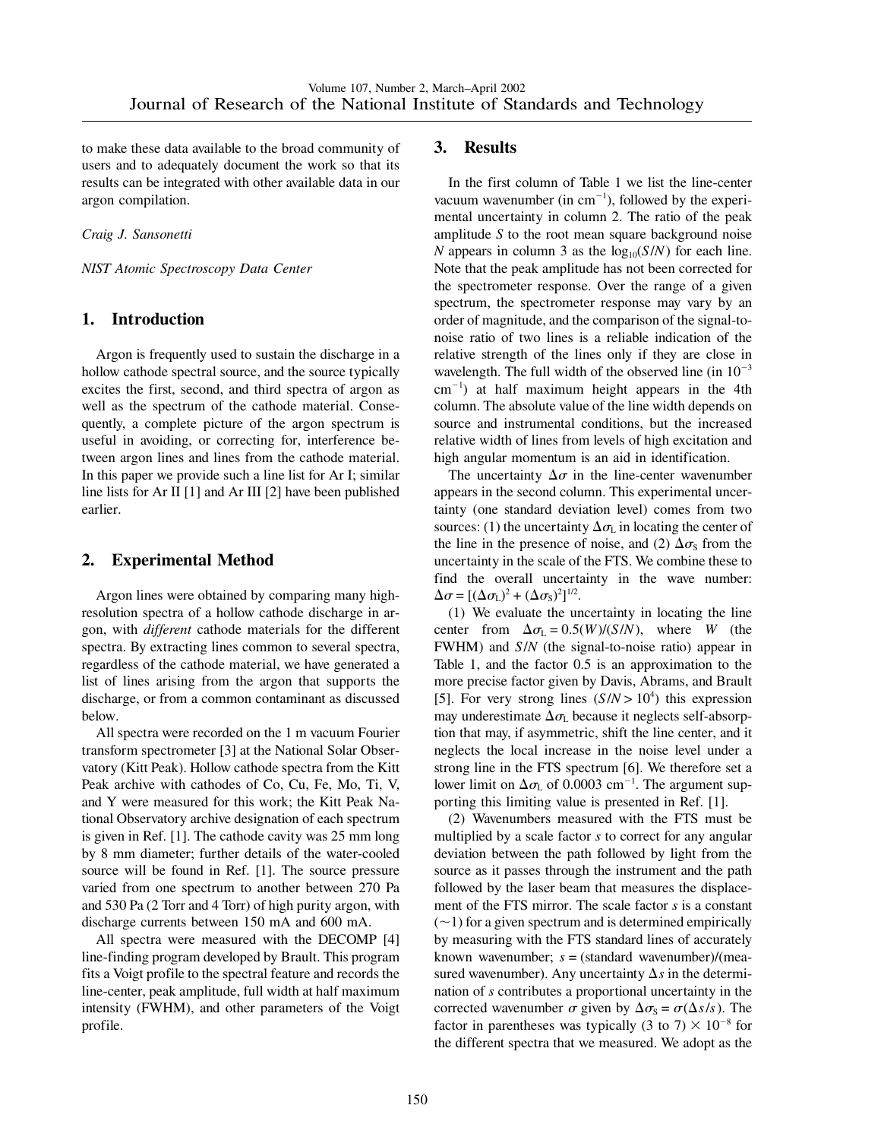to make these data available to the broad community of users and to adequately document the work so that its results can be integrated with other available data in our argon compilation.

*Craig J. Sansonetti*

*NIST Atomic Spectroscopy Data Center*

## **1. Introduction**

Argon is frequently used to sustain the discharge in a hollow cathode spectral source, and the source typically excites the first, second, and third spectra of argon as well as the spectrum of the cathode material. Consequently, a complete picture of the argon spectrum is useful in avoiding, or correcting for, interference between argon lines and lines from the cathode material. In this paper we provide such a line list for Ar I; similar line lists for Ar II [1] and Ar III [2] have been published earlier.

# **2. Experimental Method**

Argon lines were obtained by comparing many highresolution spectra of a hollow cathode discharge in argon, with *different* cathode materials for the different spectra. By extracting lines common to several spectra, regardless of the cathode material, we have generated a list of lines arising from the argon that supports the discharge, or from a common contaminant as discussed below.

All spectra were recorded on the 1 m vacuum Fourier transform spectrometer [3] at the National Solar Observatory (Kitt Peak). Hollow cathode spectra from the Kitt Peak archive with cathodes of Co, Cu, Fe, Mo, Ti, V, and Y were measured for this work; the Kitt Peak National Observatory archive designation of each spectrum is given in Ref. [1]. The cathode cavity was 25 mm long by 8 mm diameter; further details of the water-cooled source will be found in Ref. [1]. The source pressure varied from one spectrum to another between 270 Pa and 530 Pa (2 Torr and 4 Torr) of high purity argon, with discharge currents between 150 mA and 600 mA.

All spectra were measured with the DECOMP [4] line-finding program developed by Brault. This program fits a Voigt profile to the spectral feature and records the line-center, peak amplitude, full width at half maximum intensity (FWHM), and other parameters of the Voigt profile.

### **3. Results**

In the first column of Table 1 we list the line-center vacuum wavenumber (in  $cm^{-1}$ ), followed by the experimental uncertainty in column 2. The ratio of the peak amplitude *S* to the root mean square background noise *N* appears in column 3 as the  $log_{10}(S/N)$  for each line. Note that the peak amplitude has not been corrected for the spectrometer response. Over the range of a given spectrum, the spectrometer response may vary by an order of magnitude, and the comparison of the signal-tonoise ratio of two lines is a reliable indication of the relative strength of the lines only if they are close in wavelength. The full width of the observed line (in  $10^{-3}$ )  $cm^{-1}$ ) at half maximum height appears in the 4th column. The absolute value of the line width depends on source and instrumental conditions, but the increased relative width of lines from levels of high excitation and high angular momentum is an aid in identification.

The uncertainty  $\Delta \sigma$  in the line-center wavenumber appears in the second column. This experimental uncertainty (one standard deviation level) comes from two sources: (1) the uncertainty  $\Delta \sigma_{\rm L}$  in locating the center of the line in the presence of noise, and (2)  $\Delta \sigma_s$  from the uncertainty in the scale of the FTS. We combine these to find the overall uncertainty in the wave number:  $\Delta \sigma = [(\Delta \sigma_{\rm L})^2 + (\Delta \sigma_{\rm S})^2]^{1/2}.$ 

(1) We evaluate the uncertainty in locating the line center from  $\Delta \sigma_{\rm L} = 0.5(W)/(S/N)$ , where *W* (the FWHM) and *S*/*N* (the signal-to-noise ratio) appear in Table 1, and the factor 0.5 is an approximation to the more precise factor given by Davis, Abrams, and Brault [5]. For very strong lines  $(S/N > 10^4)$  this expression may underestimate  $\Delta \sigma_{\rm L}$  because it neglects self-absorption that may, if asymmetric, shift the line center, and it neglects the local increase in the noise level under a strong line in the FTS spectrum [6]. We therefore set a lower limit on  $\Delta \sigma_{\rm L}$  of 0.0003 cm<sup>-1</sup>. The argument supporting this limiting value is presented in Ref. [1].

(2) Wavenumbers measured with the FTS must be multiplied by a scale factor *s* to correct for any angular deviation between the path followed by light from the source as it passes through the instrument and the path followed by the laser beam that measures the displacement of the FTS mirror. The scale factor *s* is a constant  $(\sim)$  for a given spectrum and is determined empirically by measuring with the FTS standard lines of accurately known wavenumber; *s* = (standard wavenumber)/(measured wavenumber). Any uncertainty  $\Delta s$  in the determination of *s* contributes a proportional uncertainty in the corrected wavenumber  $\sigma$  given by  $\Delta \sigma_s = \sigma(\Delta s/s)$ . The factor in parentheses was typically (3 to 7)  $\times$  10<sup>-8</sup> for the different spectra that we measured. We adopt as the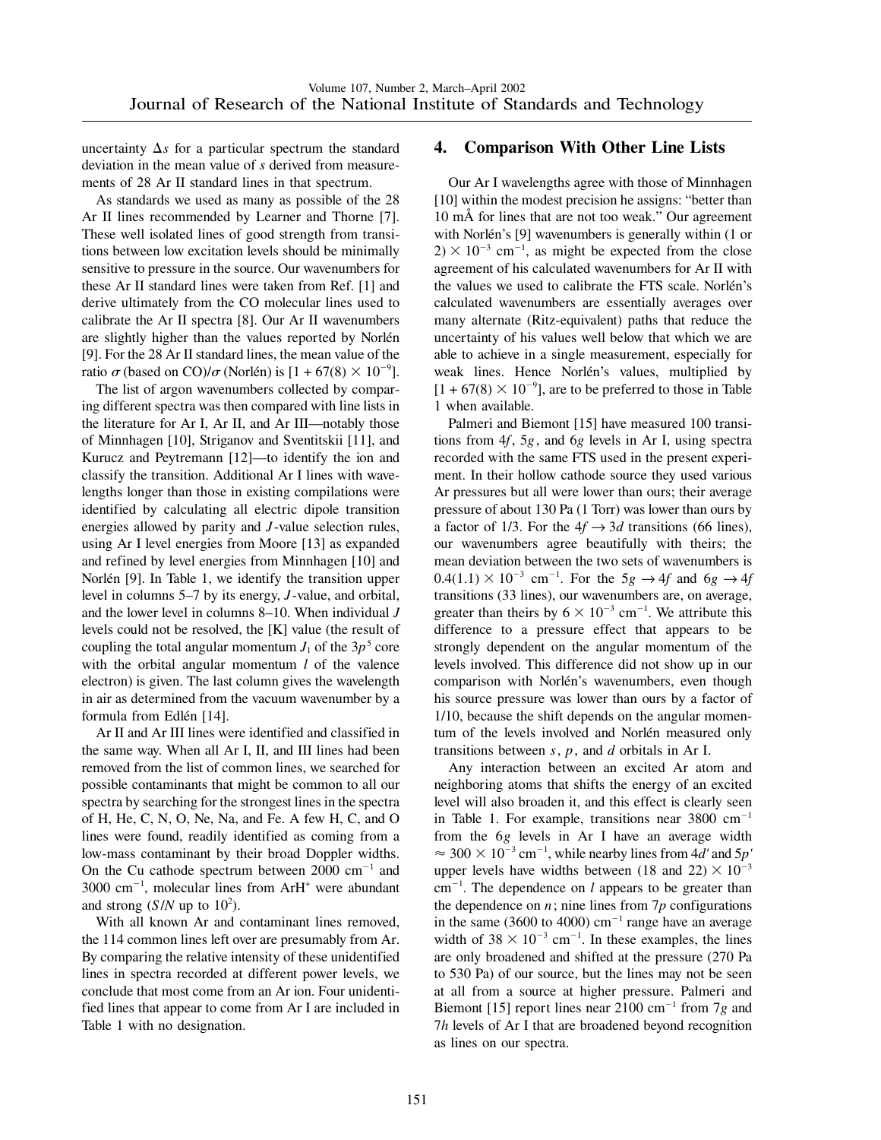uncertainty  $\Delta s$  for a particular spectrum the standard deviation in the mean value of *s* derived from measurements of 28 Ar II standard lines in that spectrum.

As standards we used as many as possible of the 28 Ar II lines recommended by Learner and Thorne [7]. These well isolated lines of good strength from transitions between low excitation levels should be minimally sensitive to pressure in the source. Our wavenumbers for these Ar II standard lines were taken from Ref. [1] and derive ultimately from the CO molecular lines used to calibrate the Ar II spectra [8]. Our Ar II wavenumbers are slightly higher than the values reported by Norlén [9]. For the 28 Ar II standard lines, the mean value of the ratio  $\sigma$  (based on CO)/ $\sigma$  (Norlén) is  $[1 + 67(8) \times 10^{-9}]$ .

The list of argon wavenumbers collected by comparing different spectra was then compared with line lists in the literature for Ar I, Ar II, and Ar III—notably those of Minnhagen [10], Striganov and Sventitskii [11], and Kurucz and Peytremann [12]—to identify the ion and classify the transition. Additional Ar I lines with wavelengths longer than those in existing compilations were identified by calculating all electric dipole transition energies allowed by parity and *J* -value selection rules, using Ar I level energies from Moore [13] as expanded and refined by level energies from Minnhagen [10] and Norlén [9]. In Table 1, we identify the transition upper level in columns 5–7 by its energy, *J* -value, and orbital, and the lower level in columns 8–10. When individual *J* levels could not be resolved, the [K] value (the result of coupling the total angular momentum  $J_1$  of the  $3p^5$  core with the orbital angular momentum *l* of the valence electron) is given. The last column gives the wavelength in air as determined from the vacuum wavenumber by a formula from Edlén [14].

Ar II and Ar III lines were identified and classified in the same way. When all Ar I, II, and III lines had been removed from the list of common lines, we searched for possible contaminants that might be common to all our spectra by searching for the strongest lines in the spectra of H, He, C, N, O, Ne, Na, and Fe. A few H, C, and O lines were found, readily identified as coming from a low-mass contaminant by their broad Doppler widths. On the Cu cathode spectrum between  $2000 \text{ cm}^{-1}$  and  $3000 \text{ cm}^{-1}$ , molecular lines from ArH<sup>+</sup> were abundant and strong  $(S/N$  up to  $10<sup>2</sup>$ ).

With all known Ar and contaminant lines removed, the 114 common lines left over are presumably from Ar. By comparing the relative intensity of these unidentified lines in spectra recorded at different power levels, we conclude that most come from an Ar ion. Four unidentified lines that appear to come from Ar I are included in Table 1 with no designation.

#### **4. Comparison With Other Line Lists**

Our Ar I wavelengths agree with those of Minnhagen [10] within the modest precision he assigns: "better than 10 mÅ for lines that are not too weak." Our agreement with Norlén's [9] wavenumbers is generally within (1 or  $2) \times 10^{-3}$  cm<sup>-1</sup>, as might be expected from the close agreement of his calculated wavenumbers for Ar II with the values we used to calibrate the FTS scale. Norlén's calculated wavenumbers are essentially averages over many alternate (Ritz-equivalent) paths that reduce the uncertainty of his values well below that which we are able to achieve in a single measurement, especially for weak lines. Hence Norlén's values, multiplied by  $[1 + 67(8) \times 10^{-9}]$ , are to be preferred to those in Table 1 when available.

Palmeri and Biemont [15] have measured 100 transitions from 4*f*, 5*g*, and 6*g* levels in Ar I, using spectra recorded with the same FTS used in the present experiment. In their hollow cathode source they used various Ar pressures but all were lower than ours; their average pressure of about 130 Pa (1 Torr) was lower than ours by a factor of 1/3. For the  $4f \rightarrow 3d$  transitions (66 lines), our wavenumbers agree beautifully with theirs; the mean deviation between the two sets of wavenumbers is  $0.4(1.1) \times 10^{-3}$  cm<sup>-1</sup>. For the 5*g*  $\rightarrow$  4*f* and 6*g*  $\rightarrow$  4*f* transitions (33 lines), our wavenumbers are, on average, greater than theirs by  $6 \times 10^{-3}$  cm<sup>-1</sup>. We attribute this difference to a pressure effect that appears to be strongly dependent on the angular momentum of the levels involved. This difference did not show up in our comparison with Norlén's wavenumbers, even though his source pressure was lower than ours by a factor of 1/10, because the shift depends on the angular momentum of the levels involved and Norlén measured only transitions between *s*, *p*, and *d* orbitals in Ar I.

Any interaction between an excited Ar atom and neighboring atoms that shifts the energy of an excited level will also broaden it, and this effect is clearly seen in Table 1. For example, transitions near  $3800 \text{ cm}^{-1}$ from the 6*g* levels in Ar I have an average width  $\approx 300 \times 10^{-3}$  cm<sup>-1</sup>, while nearby lines from 4*d'* and 5*p'* upper levels have widths between (18 and 22)  $\times$  10<sup>-3</sup>  $cm^{-1}$ . The dependence on *l* appears to be greater than the dependence on  $n$ ; nine lines from  $7p$  configurations in the same (3600 to 4000)  $cm^{-1}$  range have an average width of  $38 \times 10^{-3}$  cm<sup>-1</sup>. In these examples, the lines are only broadened and shifted at the pressure (270 Pa to 530 Pa) of our source, but the lines may not be seen at all from a source at higher pressure. Palmeri and Biemont [15] report lines near 2100 cm<sup>-1</sup> from  $7g$  and 7*h* levels of Ar I that are broadened beyond recognition as lines on our spectra.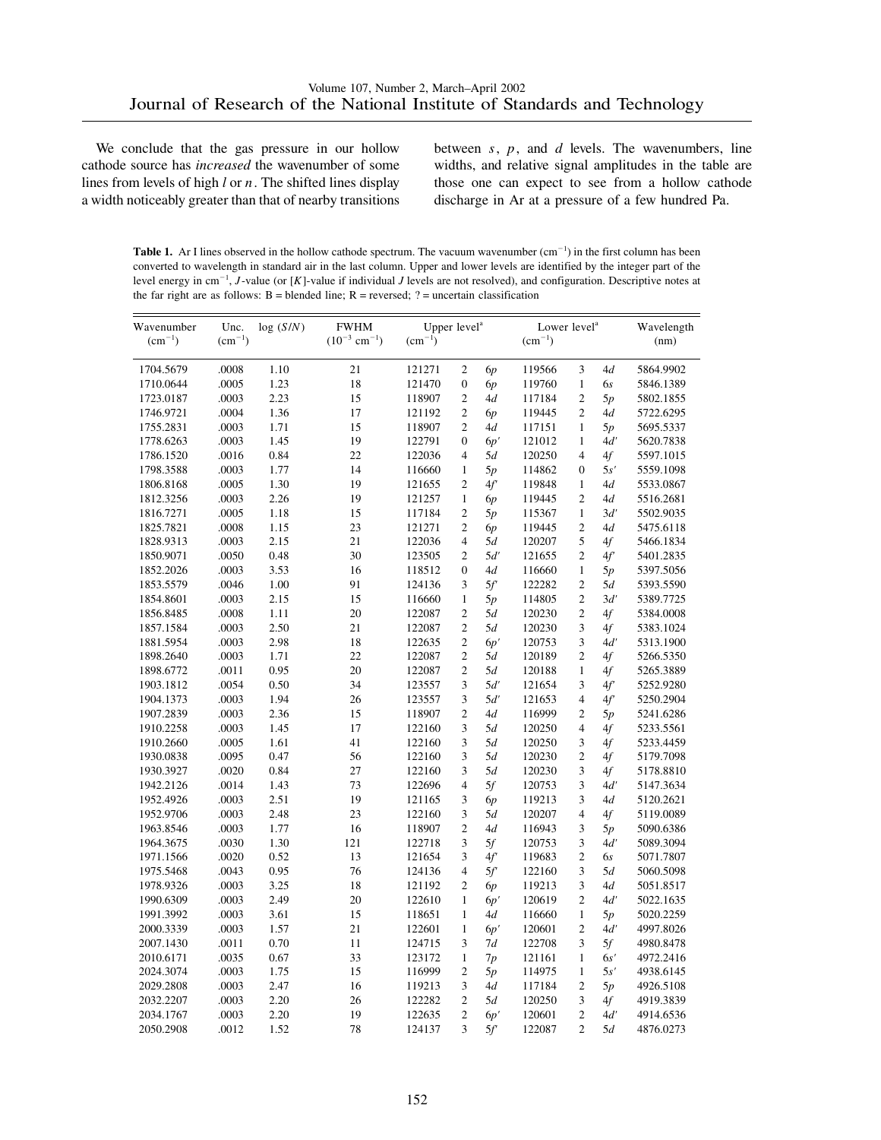We conclude that the gas pressure in our hollow cathode source has *increased* the wavenumber of some lines from levels of high *l* or *n*. The shifted lines display a width noticeably greater than that of nearby transitions between *s*, *p*, and *d* levels. The wavenumbers, line widths, and relative signal amplitudes in the table are those one can expect to see from a hollow cathode discharge in Ar at a pressure of a few hundred Pa.

**Table 1.** Ar I lines observed in the hollow cathode spectrum. The vacuum wavenumber  $(cm^{-1})$  in the first column has been converted to wavelength in standard air in the last column. Upper and lower levels are identified by the integer part of the level energy in cm<sup>-1</sup>, *J*-value (or [K]-value if individual *J* levels are not resolved), and configuration. Descriptive notes at the far right are as follows:  $B =$  blended line;  $R =$  reversed;  $? =$  uncertain classification

| Wavenumber<br>$\rm (cm^{-1})$ | Unc.<br>$\rm (cm^{-1})$ | log(S/N)     | <b>FWHM</b><br>$(10^{-3}$ cm <sup>-1</sup> ) | Upper level <sup>a</sup><br>$\rm (cm^{-1})$ |                                  |     | Lower level <sup>a</sup><br>$\rm (cm^{-1})$ |                     |           | Wavelength<br>(nm) |
|-------------------------------|-------------------------|--------------|----------------------------------------------|---------------------------------------------|----------------------------------|-----|---------------------------------------------|---------------------|-----------|--------------------|
|                               |                         |              |                                              |                                             |                                  |     |                                             |                     |           |                    |
| 1704.5679                     | .0008                   | 1.10         | 21                                           | 121271                                      | $\mathfrak{2}$                   | 6p  | 119566                                      | 3                   | 4d        | 5864.9902          |
| 1710.0644                     | .0005                   | 1.23         | 18                                           | 121470                                      | $\boldsymbol{0}$                 | 6p  | 119760                                      | $\mathbf{1}$        | 6s        | 5846.1389          |
| 1723.0187                     | .0003                   | 2.23         | 15                                           | 118907                                      | $\mathfrak{2}$                   | 4d  | 117184                                      | $\overline{c}$      | 5p        | 5802.1855          |
| 1746.9721                     | .0004                   | 1.36         | 17                                           | 121192                                      | $\mathfrak{2}$                   | 6p  | 119445                                      | $\overline{c}$      | 4d        | 5722.6295          |
| 1755.2831                     | .0003                   | 1.71         | 15                                           | 118907                                      | $\overline{c}$                   | 4d  | 117151                                      | $\mathbf{1}$        | 5p        | 5695.5337          |
| 1778.6263                     | .0003                   | 1.45         | 19                                           | 122791                                      | $\Omega$                         | 6p' | 121012                                      | $\mathbf{1}$        | 4d'       | 5620.7838          |
| 1786.1520                     | .0016                   | 0.84         | 22                                           | 122036                                      | $\overline{4}$                   | 5d  | 120250                                      | $\overline{4}$      | 4f        | 5597.1015          |
| 1798.3588                     | .0003                   | 1.77         | 14                                           | 116660                                      | $\mathbf{1}$                     | 5p  | 114862                                      | $\overline{0}$      | 5s'       | 5559.1098          |
| 1806.8168                     | .0005                   | 1.30         | 19                                           | 121655                                      | $\overline{c}$                   | 4f  | 119848                                      | $\mathbf{1}$        | 4d        | 5533.0867          |
| 1812.3256                     | .0003                   | 2.26         | 19                                           | 121257                                      | $\mathbf{1}$                     | 6p  | 119445                                      | $\overline{c}$      | 4d        | 5516.2681          |
| 1816.7271                     | .0005                   | 1.18         | 15                                           | 117184                                      | $\mathfrak{2}$                   | 5p  | 115367                                      | $\mathbf{1}$        | 3d'       | 5502.9035          |
| 1825.7821                     | .0008                   | 1.15         | 23                                           | 121271                                      | $\overline{c}$                   | 6p  | 119445                                      | $\overline{c}$      | 4d        | 5475.6118          |
| 1828.9313                     | .0003                   | 2.15         | 21                                           | 122036                                      | $\overline{4}$                   | 5d  | 120207                                      | 5                   | 4f        | 5466.1834          |
| 1850.9071                     | .0050                   | 0.48         | 30                                           | 123505                                      | $\overline{c}$                   | 5d' | 121655                                      | $\overline{c}$      | 4f'       | 5401.2835          |
| 1852.2026                     | .0003                   | 3.53         | 16                                           | 118512                                      | $\overline{0}$                   | 4d  | 116660                                      | $\mathbf{1}$        | 5p        | 5397.5056          |
| 1853.5579                     | .0046                   | 1.00         | 91                                           | 124136                                      | 3                                | 5f' | 122282                                      | $\overline{c}$      | 5d        | 5393.5590          |
| 1854.8601                     | .0003                   | 2.15         | 15                                           | 116660                                      | $\mathbf{1}$                     | 5p  | 114805                                      | $\overline{c}$      | 3d'       | 5389.7725          |
| 1856.8485                     | .0008                   | 1.11         | 20                                           | 122087                                      | $\mathfrak{2}$                   | 5d  | 120230                                      | $\mathbf{2}$        | 4f        | 5384.0008          |
| 1857.1584                     | .0003                   | 2.50         | 21                                           | 122087                                      | $\overline{c}$                   | 5d  | 120230                                      | 3                   | 4f        | 5383.1024          |
| 1881.5954                     | .0003                   | 2.98         | 18                                           | 122635                                      | $\overline{c}$                   | 6p' | 120753                                      | 3                   | 4d'       | 5313.1900          |
| 1898.2640                     | .0003                   | 1.71         | 22                                           | 122087                                      | $\overline{c}$                   | 5d  | 120189                                      | $\overline{c}$      | 4f        | 5266.5350          |
| 1898.6772                     | .0011                   | 0.95         | 20                                           | 122087                                      | $\overline{c}$                   | 5d  | 120188                                      | $\mathbf{1}$        | 4f        | 5265.3889          |
| 1903.1812                     | .0054                   | 0.50         | 34                                           | 123557                                      | 3                                | 5d' | 121654                                      | 3                   | 4f'       | 5252.9280          |
| 1904.1373                     | .0003                   | 1.94         | 26                                           | 123557                                      | 3                                | 5d' | 121653                                      | 4                   | 4f        | 5250.2904          |
| 1907.2839                     | .0003                   | 2.36         | 15                                           | 118907                                      | $\overline{c}$                   | 4d  | 116999                                      | $\overline{c}$      | 5p        | 5241.6286          |
| 1910.2258                     | .0003                   | 1.45         | 17                                           | 122160                                      | 3                                | 5d  | 120250                                      | $\overline{4}$      | 4f        | 5233.5561          |
| 1910.2660                     | .0005                   | 1.61         | 41                                           | 122160                                      | 3                                | 5d  | 120250                                      | 3                   | 4f        | 5233.4459          |
| 1930.0838                     | .0095                   | 0.47         | 56                                           | 122160                                      | 3                                | 5d  | 120230                                      | $\overline{c}$      | 4f        | 5179.7098          |
| 1930.3927                     | .0020                   | 0.84         | 27                                           | 122160                                      | 3                                | 5d  | 120230                                      | 3                   | 4f        | 5178.8810          |
| 1942.2126                     | .0014                   | 1.43         | 73                                           | 122696                                      | $\overline{4}$                   | 5f  | 120753                                      | 3                   | 4d'       | 5147.3634          |
| 1952.4926                     | .0003                   | 2.51         | 19                                           | 121165                                      | 3                                | 6p  | 119213                                      | 3                   | 4d        | 5120.2621          |
| 1952.9706                     | .0003                   | 2.48         | 23                                           | 122160                                      | 3                                | 5d  | 120207                                      | $\overline{4}$      | 4f        | 5119.0089          |
| 1963.8546                     | .0003                   | 1.77         | 16                                           | 118907                                      | $\overline{c}$                   | 4d  | 116943                                      | 3                   | 5p        | 5090.6386          |
| 1964.3675                     | .0030                   | 1.30         | 121                                          | 122718                                      | 3                                | 5f  | 120753                                      | 3                   | 4d'       | 5089.3094          |
| 1971.1566                     | .0020                   | 0.52         | 13                                           | 121654                                      | 3                                | 4f' | 119683                                      | $\overline{c}$      | 6s        | 5071.7807          |
| 1975.5468                     | .0043                   | 0.95         | 76                                           | 124136                                      | $\overline{4}$                   | 5f' | 122160                                      | 3                   | 5d        | 5060.5098          |
| 1978.9326                     | .0003                   | 3.25         | 18                                           | 121192                                      | $\overline{c}$                   | 6p  | 119213                                      | 3                   | 4d        | 5051.8517          |
| 1990.6309                     | .0003                   | 2.49         | 20                                           | 122610                                      | $\mathbf{1}$                     | 6p' | 120619                                      | $\overline{c}$      | 4d'       | 5022.1635          |
| 1991.3992                     | .0003                   | 3.61         | 15                                           | 118651                                      | $\mathbf{1}$                     | 4d  | 116660                                      | $\mathbf{1}$        |           | 5020.2259          |
| 2000.3339                     | .0003                   | 1.57         | 21                                           | 122601                                      | $\mathbf{1}$                     | 6p' | 120601                                      | $\overline{2}$      | 5p<br>4d' | 4997.8026          |
| 2007.1430                     | .0011                   | 0.70         | 11                                           | 124715                                      | 3                                | 7d  | 122708                                      | 3                   | 5f        |                    |
|                               | .0035                   |              | 33                                           |                                             |                                  |     |                                             | $\mathbf{1}$        |           | 4980.8478          |
| 2010.6171                     |                         | 0.67         |                                              | 123172                                      | $\mathbf{1}$                     | 7p  | 121161                                      |                     | 6s'       | 4972.2416          |
| 2024.3074                     | .0003                   | 1.75         | 15                                           | 116999                                      | $\mathfrak{2}$                   | 5p  | 114975                                      | $\mathbf{1}$        | 5s'       | 4938.6145          |
| 2029.2808                     | .0003                   | 2.47         | 16                                           | 119213                                      | 3                                | 4d  | 117184                                      | $\boldsymbol{2}$    | 5p        | 4926.5108          |
| 2032.2207                     | .0003<br>.0003          | 2.20<br>2.20 | 26<br>19                                     | 122282                                      | $\overline{c}$<br>$\overline{c}$ | 5d  | 120250                                      | 3<br>$\overline{c}$ | 4f<br>4d' | 4919.3839          |
| 2034.1767                     |                         |              |                                              | 122635                                      |                                  | 6p' | 120601                                      |                     |           | 4914.6536          |
| 2050.2908                     | .0012                   | 1.52         | 78                                           | 124137                                      | 3                                | 5f' | 122087                                      | $\overline{c}$      | 5d        | 4876.0273          |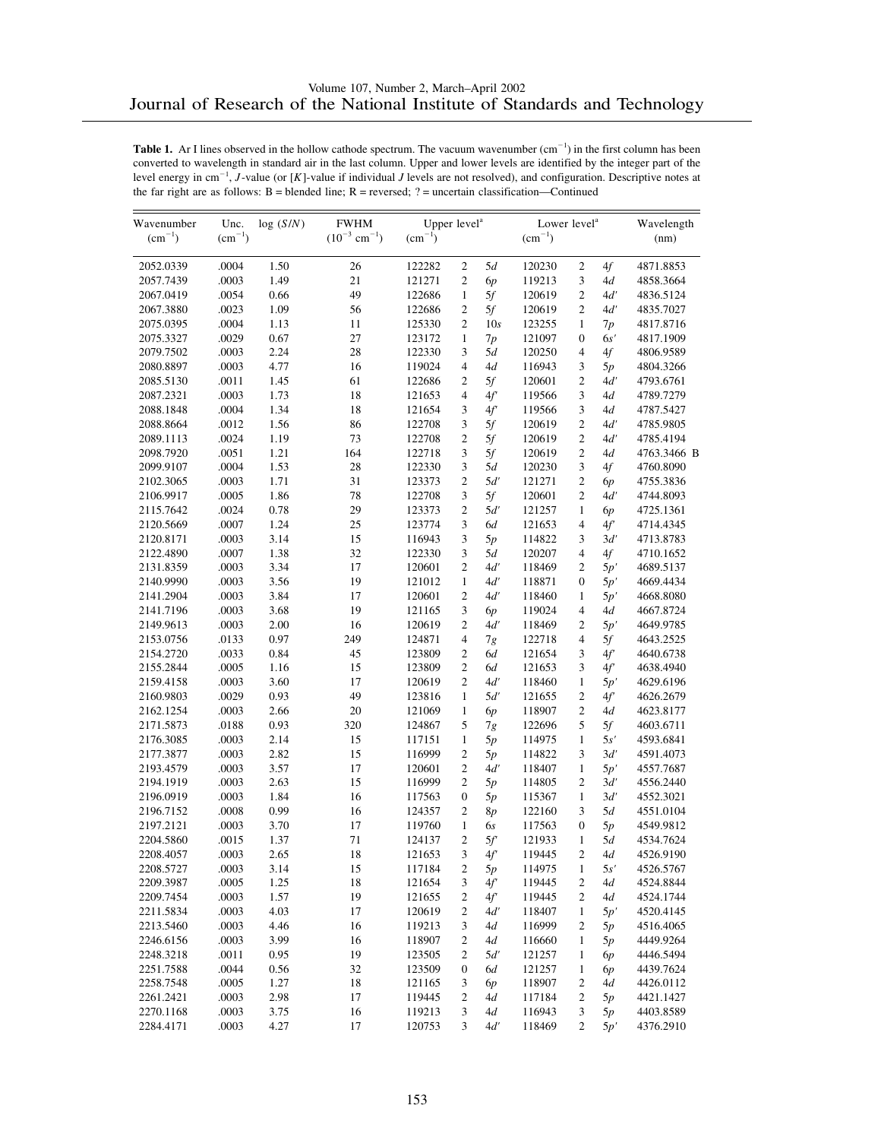| Wavenumber  | Unc.        | log(S/N) | <b>FWHM</b>                   | Upper level <sup>a</sup> |                  |                          | Lower level <sup>a</sup> |                  |     | Wavelength  |
|-------------|-------------|----------|-------------------------------|--------------------------|------------------|--------------------------|--------------------------|------------------|-----|-------------|
| $(cm^{-1})$ | $(cm^{-1})$ |          | $(10^{-3}$ cm <sup>-1</sup> ) | $(cm^{-1})$              |                  |                          | $\rm (cm^{-1})$          |                  |     | (nm)        |
| 2052.0339   | .0004       | 1.50     | 26                            | 122282                   | $\mathbf{2}$     | 5d                       | 120230                   | $\mathfrak{2}$   | 4f  | 4871.8853   |
| 2057.7439   | .0003       | 1.49     | 21                            | 121271                   | $\overline{c}$   | 6p                       | 119213                   | 3                | 4d  | 4858.3664   |
| 2067.0419   | .0054       | 0.66     | 49                            | 122686                   | $\mathbf{1}$     | 5f                       | 120619                   | $\overline{c}$   | 4d' | 4836.5124   |
| 2067.3880   | .0023       | 1.09     | 56                            | 122686                   | $\overline{c}$   | 5f                       | 120619                   | $\overline{c}$   | 4d' | 4835.7027   |
| 2075.0395   | .0004       | 1.13     | 11                            | 125330                   | $\overline{c}$   | 10s                      | 123255                   | $\mathbf{1}$     | 7p  | 4817.8716   |
| 2075.3327   | .0029       | 0.67     | 27                            | 123172                   | $\mathbf{1}$     | 7p                       | 121097                   | $\boldsymbol{0}$ | 6s' | 4817.1909   |
| 2079.7502   | .0003       | 2.24     | 28                            | 122330                   | 3                | 5d                       | 120250                   | $\overline{4}$   | 4f  | 4806.9589   |
| 2080.8897   | .0003       | 4.77     | 16                            | 119024                   | $\overline{4}$   | 4d                       | 116943                   | 3                | 5p  | 4804.3266   |
| 2085.5130   | .0011       | 1.45     | 61                            | 122686                   | $\mathfrak{2}$   | 5f                       | 120601                   | $\mathfrak{2}$   | 4ď  | 4793.6761   |
| 2087.2321   | .0003       | 1.73     | 18                            | 121653                   | $\overline{4}$   | 4f'                      | 119566                   | 3                | 4d  | 4789.7279   |
| 2088.1848   | .0004       | 1.34     | 18                            | 121654                   | 3                | 4f'                      | 119566                   | 3                | 4d  | 4787.5427   |
| 2088.8664   | .0012       | 1.56     | 86                            | 122708                   | 3                | 5f                       | 120619                   | $\mathfrak{2}$   | 4d' | 4785.9805   |
| 2089.1113   | .0024       | 1.19     | 73                            | 122708                   | $\overline{2}$   | 5f                       | 120619                   | $\overline{c}$   | 4ď  | 4785.4194   |
| 2098.7920   | .0051       | 1.21     | 164                           | 122718                   | 3                | 5f                       | 120619                   | $\mathfrak{2}$   | 4d  | 4763.3466 B |
| 2099.9107   | .0004       | 1.53     | 28                            | 122330                   | 3                | 5d                       | 120230                   | 3                | 4f  | 4760.8090   |
| 2102.3065   | .0003       | 1.71     | 31                            | 123373                   | $\overline{c}$   | 5d'                      | 121271                   | $\overline{c}$   | 6p  | 4755.3836   |
| 2106.9917   | .0005       | 1.86     | 78                            | 122708                   | 3                | 5f                       | 120601                   | 2                | 4d' | 4744.8093   |
| 2115.7642   | .0024       | 0.78     | 29                            | 123373                   | 2                | 5d'                      | 121257                   | $\mathbf{1}$     | 6р  | 4725.1361   |
| 2120.5669   | .0007       | 1.24     | 25                            | 123774                   | 3                | 6d                       | 121653                   | 4                | 4f' | 4714.4345   |
| 2120.8171   | .0003       | 3.14     | 15                            | 116943                   | 3                | 5p                       | 114822                   | 3                | 3d' | 4713.8783   |
| 2122.4890   | .0007       | 1.38     | 32                            | 122330                   | 3                | 5d                       | 120207                   | 4                | 4f  | 4710.1652   |
| 2131.8359   | .0003       | 3.34     | 17                            | 120601                   | $\overline{c}$   | 4d'                      | 118469                   | $\overline{c}$   | 5p' | 4689.5137   |
| 2140.9990   | .0003       | 3.56     | 19                            | 121012                   | $\mathbf{1}$     | 4d'                      | 118871                   | $\overline{0}$   | 5p' | 4669.4434   |
| 2141.2904   | .0003       | 3.84     | 17                            | 120601                   | $\overline{2}$   | 4d'                      | 118460                   | $\mathbf{1}$     | 5p' | 4668.8080   |
| 2141.7196   | .0003       | 3.68     | 19                            | 121165                   | 3                | 6p                       | 119024                   | $\overline{4}$   | 4d  | 4667.8724   |
| 2149.9613   | .0003       | 2.00     | 16                            | 120619                   | $\mathfrak{2}$   | 4d'                      | 118469                   | 2                | 5p' | 4649.9785   |
| 2153.0756   | .0133       | 0.97     | 249                           | 124871                   | $\overline{4}$   | 7g                       | 122718                   | 4                | 5f  | 4643.2525   |
| 2154.2720   | .0033       | 0.84     | 45                            | 123809                   | $\overline{c}$   | 6d                       | 121654                   | 3                | 4f' | 4640.6738   |
| 2155.2844   | .0005       | 1.16     | 15                            | 123809                   | $\overline{c}$   | 6d                       | 121653                   | 3                | 4f  | 4638.4940   |
| 2159.4158   | .0003       | 3.60     | 17                            | 120619                   | $\overline{c}$   | 4d'                      | 118460                   | $\mathbf{1}$     | 5p' | 4629.6196   |
| 2160.9803   | .0029       | 0.93     | 49                            | 123816                   | $\mathbf{1}$     | 5d'                      | 121655                   | $\overline{c}$   | 4f' | 4626.2679   |
| 2162.1254   | .0003       | 2.66     | 20                            | 121069                   | $\mathbf{1}$     | 6p                       | 118907                   | $\mathfrak{2}$   | 4d  | 4623.8177   |
| 2171.5873   | .0188       | 0.93     | 320                           | 124867                   | 5                | 7g                       | 122696                   | 5                | 5f  | 4603.6711   |
| 2176.3085   | .0003       | 2.14     | 15                            | 117151                   | $\mathbf{1}$     | 5p                       | 114975                   | $\mathbf{1}$     | 5s' | 4593.6841   |
| 2177.3877   | .0003       | 2.82     | 15                            | 116999                   | $\mathfrak{2}$   | 5p                       | 114822                   | 3                | 3d' | 4591.4073   |
| 2193.4579   | .0003       | 3.57     | 17                            | 120601                   | $\overline{c}$   | 4d'                      | 118407                   | $\mathbf{1}$     | 5p' | 4557.7687   |
| 2194.1919   | .0003       | 2.63     | 15                            | 116999                   | $\mathfrak{2}$   | 5p                       | 114805                   | 2                | 3d' | 4556.2440   |
| 2196.0919   | .0003       | 1.84     | 16                            | 117563                   | $\mathbf{0}$     | 5p                       | 115367                   | $\mathbf{1}$     | 3d' | 4552.3021   |
| 2196.7152   | .0008       | 0.99     | 16                            | 124357                   | 2                | 8p                       | 122160                   | 3                | 5d  | 4551.0104   |
| 2197.2121   | .0003       | 3.70     | 17                            | 119760                   | $\mathbf{1}$     | 6s                       | 117563                   | $\boldsymbol{0}$ | 5p  | 4549.9812   |
| 2204.5860   | .0015       | 1.37     | 71                            | 124137                   | $\overline{c}$   | 5f                       | 121933                   | 1                | 5d  | 4534.7624   |
|             | .0003       |          | 18                            |                          |                  |                          |                          | $\sqrt{2}$       |     |             |
| 2208.4057   |             | 2.65     |                               | 121653<br>117184         | $\mathfrak{Z}$   | $4\ensuremath{f^\prime}$ | 119445                   |                  | 4d  | 4526.9190   |
| 2208.5727   | .0003       | 3.14     | 15                            |                          | 2                | 5p                       | 114975                   | 1                | 5s' | 4526.5767   |
| 2209.3987   | .0005       | 1.25     | 18                            | 121654                   | 3                | 4f'                      | 119445                   | 2                | 4d  | 4524.8844   |
| 2209.7454   | .0003       | 1.57     | 19                            | 121655                   | $\sqrt{2}$       | 4f'                      | 119445                   | 2                | 4d  | 4524.1744   |
| 2211.5834   | .0003       | 4.03     | 17                            | 120619                   | $\sqrt{2}$       | 4d'                      | 118407                   | $\mathbf{1}$     | 5p' | 4520.4145   |
| 2213.5460   | .0003       | 4.46     | 16                            | 119213                   | 3                | 4d                       | 116999                   | 2                | 5p  | 4516.4065   |
| 2246.6156   | .0003       | 3.99     | 16                            | 118907                   | 2                | 4d                       | 116660                   | $\mathbf{1}$     | 5p  | 4449.9264   |
| 2248.3218   | .0011       | 0.95     | 19                            | 123505                   | 2                | 5d'                      | 121257                   | 1                | 6р  | 4446.5494   |
| 2251.7588   | .0044       | 0.56     | 32                            | 123509                   | $\boldsymbol{0}$ | 6d                       | 121257                   | 1                | 6р  | 4439.7624   |
| 2258.7548   | .0005       | 1.27     | 18                            | 121165                   | 3                | 6p                       | 118907                   | 2                | 4d  | 4426.0112   |
| 2261.2421   | .0003       | 2.98     | 17                            | 119445                   | 2                | 4d                       | 117184                   | 2                | 5p  | 4421.1427   |
| 2270.1168   | .0003       | 3.75     | 16                            | 119213                   | 3                | 4d                       | 116943                   | 3                | 5p  | 4403.8589   |
| 2284.4171   | .0003       | 4.27     | 17                            | 120753                   | 3                | 4d'                      | 118469                   | $\mathfrak{2}$   | 5p' | 4376.2910   |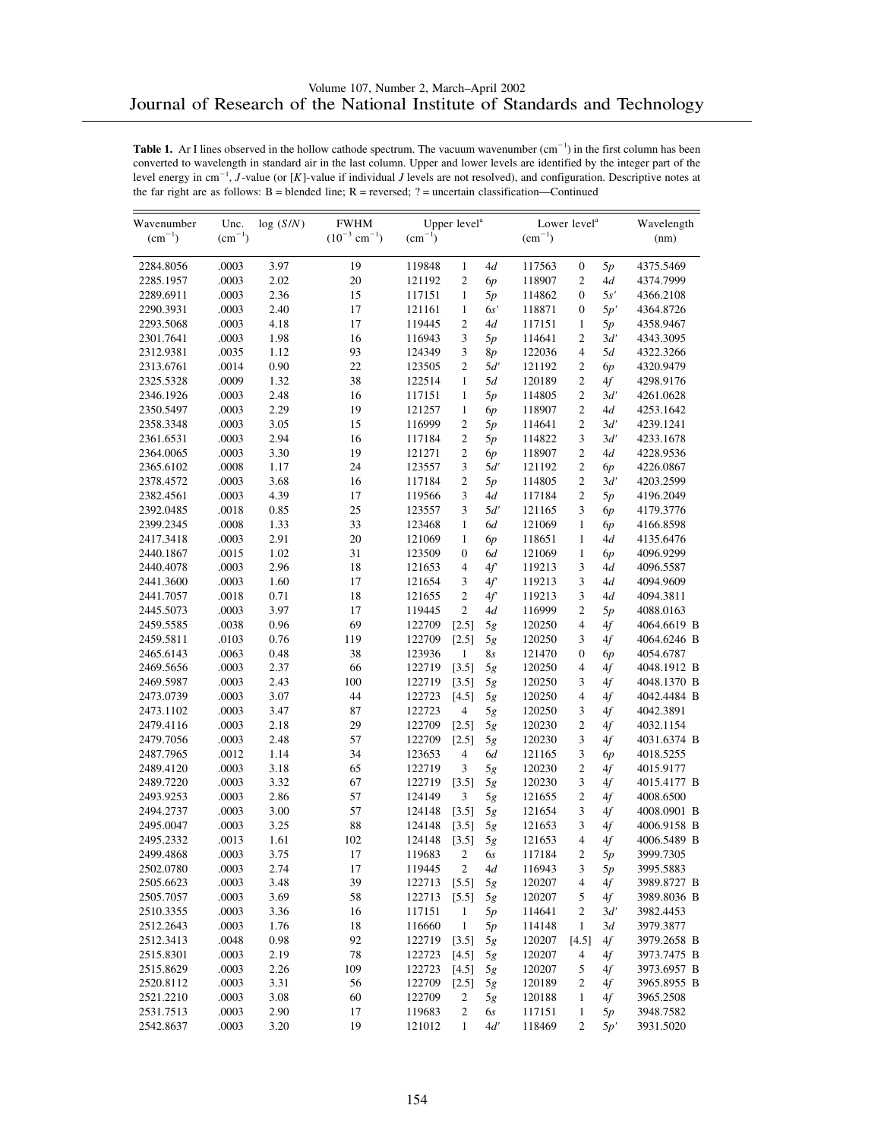| Wavenumber  | Unc.        | log(S/N) | <b>FWHM</b>                   |             | Upper level <sup>a</sup> |     |                 | Lower level <sup>a</sup> |     | Wavelength  |
|-------------|-------------|----------|-------------------------------|-------------|--------------------------|-----|-----------------|--------------------------|-----|-------------|
| $(cm^{-1})$ | $(cm^{-1})$ |          | $(10^{-3}$ cm <sup>-1</sup> ) | $(cm^{-1})$ |                          |     | $\rm (cm^{-1})$ |                          |     | (nm)        |
| 2284.8056   | .0003       | 3.97     | 19                            | 119848      | $\mathbf{1}$             | 4d  | 117563          | $\boldsymbol{0}$         | 5p  | 4375.5469   |
| 2285.1957   | .0003       | 2.02     | 20                            | 121192      | $\overline{c}$           | 6p  | 118907          | $\overline{2}$           | 4d  | 4374.7999   |
| 2289.6911   | .0003       | 2.36     | 15                            | 117151      | $\mathbf{1}$             | 5p  | 114862          | $\boldsymbol{0}$         | 5s' | 4366.2108   |
| 2290.3931   | .0003       | 2.40     | 17                            | 121161      | $\mathbf{1}$             | 6s' | 118871          | $\boldsymbol{0}$         | 5p' | 4364.8726   |
| 2293.5068   | .0003       | 4.18     | 17                            | 119445      | $\overline{c}$           | 4d  | 117151          | $\mathbf{1}$             | 5p  | 4358.9467   |
| 2301.7641   | .0003       | 1.98     | 16                            | 116943      | 3                        | 5p  | 114641          | $\overline{2}$           | 3d' | 4343.3095   |
| 2312.9381   | .0035       | 1.12     | 93                            | 124349      | 3                        | 8p  | 122036          | $\overline{4}$           | 5d  | 4322.3266   |
| 2313.6761   | .0014       | 0.90     | 22                            | 123505      | $\overline{c}$           | 5d' | 121192          | $\overline{2}$           | 6p  | 4320.9479   |
| 2325.5328   | .0009       | 1.32     | 38                            | 122514      | 1                        | 5d  | 120189          | $\mathfrak{2}$           | 4f  | 4298.9176   |
| 2346.1926   | .0003       | 2.48     | 16                            | 117151      | $\mathbf{1}$             | 5p  | 114805          | $\overline{2}$           | 3d' | 4261.0628   |
| 2350.5497   | .0003       | 2.29     | 19                            | 121257      | $\mathbf{1}$             | 6p  | 118907          | $\overline{2}$           | 4d  | 4253.1642   |
| 2358.3348   | .0003       | 3.05     | 15                            | 116999      | 2                        | 5p  | 114641          | $\mathfrak{2}$           | 3d' | 4239.1241   |
| 2361.6531   | .0003       | 2.94     | 16                            | 117184      | 2                        | 5p  | 114822          | 3                        | 3d' | 4233.1678   |
| 2364.0065   | .0003       | 3.30     | 19                            | 121271      | 2                        | 6р  | 118907          | $\mathfrak{2}$           | 4d  | 4228.9536   |
| 2365.6102   | .0008       | 1.17     | 24                            | 123557      | 3                        | 5d' | 121192          | $\mathfrak{2}$           | 6p  | 4226.0867   |
| 2378.4572   | .0003       | 3.68     | 16                            | 117184      | $\overline{c}$           | 5p  | 114805          | $\overline{c}$           | 3d' | 4203.2599   |
| 2382.4561   | .0003       | 4.39     | 17                            | 119566      | 3                        | 4d  | 117184          | $\mathfrak{2}$           | 5p  | 4196.2049   |
| 2392.0485   | .0018       | 0.85     | 25                            | 123557      | 3                        | 5d' | 121165          | 3                        | 6p  | 4179.3776   |
| 2399.2345   | .0008       | 1.33     | 33                            | 123468      | $\mathbf{1}$             | 6d  | 121069          | $\mathbf{1}$             | 6p  | 4166.8598   |
| 2417.3418   | .0003       | 2.91     | 20                            | 121069      | $\mathbf{1}$             | 6p  | 118651          | 1                        | 4d  | 4135.6476   |
| 2440.1867   | .0015       | 1.02     | 31                            | 123509      | $\boldsymbol{0}$         | 6d  | 121069          | $\mathbf{1}$             | 6p  | 4096.9299   |
| 2440.4078   | .0003       | 2.96     | 18                            | 121653      | $\overline{4}$           | 4f' | 119213          | 3                        | 4d  | 4096.5587   |
| 2441.3600   | .0003       | 1.60     | 17                            | 121654      | 3                        | 4f' | 119213          | 3                        | 4d  | 4094.9609   |
| 2441.7057   | .0018       | 0.71     | 18                            | 121655      | $\overline{c}$           | 4f' | 119213          | 3                        | 4d  | 4094.3811   |
| 2445.5073   | .0003       | 3.97     | 17                            | 119445      | $\overline{c}$           | 4d  | 116999          | $\mathfrak{2}$           | 5p  | 4088.0163   |
| 2459.5585   | .0038       | 0.96     | 69                            | 122709      | [2.5]                    | 5g  | 120250          | $\overline{4}$           | 4f  | 4064.6619 B |
| 2459.5811   | .0103       | 0.76     | 119                           | 122709      | [2.5]                    | 5g  | 120250          | $\mathfrak{Z}$           | 4f  | 4064.6246 B |
| 2465.6143   | .0063       | 0.48     | 38                            | 123936      | $\mathbf{1}$             | 8s  | 121470          | $\mathbf{0}$             | 6p  | 4054.6787   |
| 2469.5656   | .0003       | 2.37     | 66                            | 122719      | [3.5]                    | 5g  | 120250          | $\overline{4}$           | 4f  | 4048.1912 B |
| 2469.5987   | .0003       | 2.43     | 100                           | 122719      | [3.5]                    | 5g  | 120250          | 3                        | 4f  | 4048.1370 B |
| 2473.0739   | .0003       | 3.07     | 44                            | 122723      | [4.5]                    | 5g  | 120250          | $\overline{4}$           | 4f  | 4042.4484 B |
| 2473.1102   | .0003       | 3.47     | 87                            | 122723      | 4                        | 5g  | 120250          | 3                        | 4f  | 4042.3891   |
| 2479.4116   | .0003       | 2.18     | 29                            | 122709      | [2.5]                    | 5g  | 120230          | $\mathfrak{2}$           | 4f  | 4032.1154   |
| 2479.7056   | .0003       | 2.48     | 57                            | 122709      | [2.5]                    | 5g  | 120230          | 3                        | 4f  | 4031.6374 B |
| 2487.7965   | .0012       | 1.14     | 34                            | 123653      | $\overline{4}$           | 6d  | 121165          | 3                        | 6p  | 4018.5255   |
| 2489.4120   | .0003       | 3.18     | 65                            | 122719      | 3                        | 5g  | 120230          | $\overline{2}$           | 4f  | 4015.9177   |
| 2489.7220   | .0003       | 3.32     | 67                            | 122719      | [3.5]                    | 5g  | 120230          | 3                        | 4f  | 4015.4177 B |
| 2493.9253   | .0003       | 2.86     | 57                            | 124149      | 3                        | 5g  | 121655          | $\overline{2}$           | 4f  | 4008.6500   |
| 2494.2737   | .0003       | 3.00     | 57                            | 124148      | [3.5]                    | 5g  | 121654          | 3                        | 4f  | 4008.0901 B |
| 2495.0047   | .0003       | 3.25     | 88                            | 124148      | [3.5]                    | 5g  | 121653          | 3                        | 4f  | 4006.9158 B |
| 2495.2332   | .0013       | 1.61     | 102                           | 124148      | [3.5]                    | 5g  | 121653          | $\overline{4}$           | 4f  | 4006.5489 B |
| 2499.4868   | .0003       | 3.75     | 17                            | 119683      | 2                        | 6s  | 117184          | $\sqrt{2}$               | 5p  | 3999.7305   |
| 2502.0780   | .0003       | 2.74     | 17                            | 119445      | 2                        | 4d  | 116943          | 3                        | 5p  | 3995.5883   |
| 2505.6623   | .0003       | 3.48     | 39                            | 122713      | [5.5]                    | 5g  | 120207          | 4                        | 4f  | 3989.8727 B |
| 2505.7057   | .0003       | 3.69     | 58                            | 122713      | [5.5]                    | 5g  | 120207          | 5                        | 4f  | 3989.8036 B |
| 2510.3355   | .0003       | 3.36     | 16                            | 117151      | $\mathbf{1}$             | 5p  | 114641          | 2                        | 3d' | 3982.4453   |
| 2512.2643   | .0003       | 1.76     | 18                            | 116660      | 1                        | 5p  | 114148          | 1                        | 3d  | 3979.3877   |
| 2512.3413   | .0048       | 0.98     | 92                            | 122719      | [3.5]                    | 5g  | 120207          | [4.5]                    | 4f  | 3979.2658 B |
| 2515.8301   | .0003       | 2.19     | 78                            | 122723      | [4.5]                    | 5g  | 120207          | $\overline{4}$           | 4f  | 3973.7475 B |
| 2515.8629   | .0003       | 2.26     | 109                           | 122723      | [4.5]                    | 5g  | 120207          | 5                        | 4f  | 3973.6957 B |
| 2520.8112   | .0003       | 3.31     | 56                            | 122709      | [2.5]                    | 5g  | 120189          | 2                        | 4f  | 3965.8955 B |
| 2521.2210   | .0003       | 3.08     | 60                            | 122709      | 2                        | 5g  | 120188          | $\mathbf{1}$             | 4f  | 3965.2508   |
| 2531.7513   | .0003       | 2.90     | 17                            | 119683      | 2                        | 6s  | 117151          | 1                        | 5p  | 3948.7582   |
| 2542.8637   | .0003       | 3.20     | 19                            | 121012      | $\mathbf{1}$             | 4d' | 118469          | $\overline{c}$           | 5p' | 3931.5020   |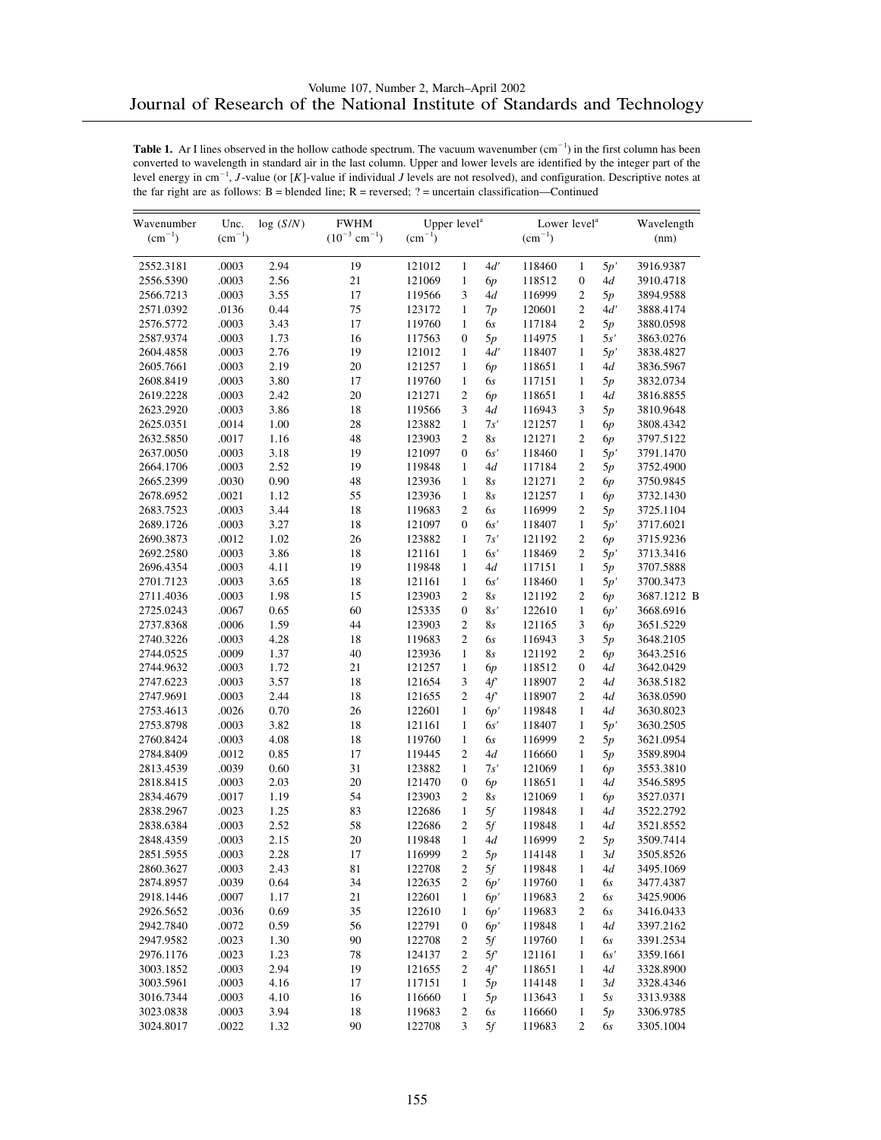| Wavenumber  | Unc.        | log(S/N) | <b>FWHM</b>                   | Upper level <sup>a</sup> |                  |          | Lower level <sup>a</sup> |                  |          | Wavelength  |
|-------------|-------------|----------|-------------------------------|--------------------------|------------------|----------|--------------------------|------------------|----------|-------------|
| $(cm^{-1})$ | $(cm^{-1})$ |          | $(10^{-3}$ cm <sup>-1</sup> ) | $\rm (cm^{-1})$          |                  |          | $\rm (cm^{-1})$          |                  |          | (nm)        |
| 2552.3181   | .0003       | 2.94     | 19                            | 121012                   | $\mathbf{1}$     | 4d'      | 118460                   | $\mathbf{1}$     | 5p'      | 3916.9387   |
| 2556.5390   | .0003       | 2.56     | 21                            | 121069                   | $\mathbf{1}$     | 6p       | 118512                   | $\boldsymbol{0}$ | 4d       | 3910.4718   |
| 2566.7213   | .0003       | 3.55     | 17                            | 119566                   | 3                | 4d       | 116999                   | $\mathfrak{2}$   | 5p       | 3894.9588   |
| 2571.0392   | .0136       | 0.44     | 75                            | 123172                   | $\mathbf{1}$     | 7p       | 120601                   | $\mathfrak{2}$   | 4d'      | 3888.4174   |
| 2576.5772   | .0003       | 3.43     | 17                            | 119760                   | $\mathbf{1}$     | 6s       | 117184                   | $\overline{c}$   | 5p       | 3880.0598   |
| 2587.9374   | .0003       | 1.73     | 16                            | 117563                   | $\boldsymbol{0}$ | 5p       | 114975                   | 1                | 5s'      | 3863.0276   |
| 2604.4858   | .0003       | 2.76     | 19                            | 121012                   | $\mathbf{1}$     | 4d'      | 118407                   | $\mathbf{1}$     | 5p'      | 3838.4827   |
| 2605.7661   | .0003       | 2.19     | 20                            | 121257                   | $\mathbf{1}$     | 6p       | 118651                   | $\mathbf{1}$     | 4d       | 3836.5967   |
| 2608.8419   | .0003       | 3.80     | 17                            | 119760                   | $\mathbf{1}$     | 6s       | 117151                   | $\mathbf{1}$     | 5p       | 3832.0734   |
| 2619.2228   | .0003       | 2.42     | 20                            | 121271                   | $\mathfrak{2}$   | 6p       | 118651                   | $\mathbf{1}$     | 4d       | 3816.8855   |
| 2623.2920   | .0003       | 3.86     | 18                            | 119566                   | 3                | 4d       | 116943                   | 3                | 5p       | 3810.9648   |
| 2625.0351   | .0014       | 1.00     | 28                            | 123882                   | $\mathbf{1}$     | 7s'      | 121257                   | $\mathbf{1}$     | 6р       | 3808.4342   |
| 2632.5850   | .0017       | 1.16     | 48                            | 123903                   | $\overline{c}$   | 8s       | 121271                   | $\mathfrak{2}$   | 6p       | 3797.5122   |
| 2637.0050   | .0003       | 3.18     | 19                            | 121097                   | $\mathbf{0}$     | 6s'      | 118460                   | $\mathbf{1}$     | 5p'      | 3791.1470   |
| 2664.1706   | .0003       | 2.52     | 19                            | 119848                   | $\mathbf{1}$     | 4d       | 117184                   | $\mathfrak{2}$   | 5p       | 3752.4900   |
| 2665.2399   | .0030       | 0.90     | 48                            | 123936                   | $\mathbf{1}$     | 8s       | 121271                   | $\overline{c}$   | 6р       | 3750.9845   |
| 2678.6952   | .0021       | 1.12     | 55                            | 123936                   | $\mathbf{1}$     | 8s       | 121257                   | $\mathbf{1}$     | 6р       | 3732.1430   |
| 2683.7523   | .0003       | 3.44     | 18                            | 119683                   | $\overline{c}$   | 6s       | 116999                   | $\mathfrak{2}$   | 5p       | 3725.1104   |
| 2689.1726   | .0003       | 3.27     | 18                            | 121097                   | $\mathbf{0}$     | 6s'      | 118407                   | $\mathbf{1}$     | 5p'      | 3717.6021   |
| 2690.3873   | .0012       | 1.02     | 26                            | 123882                   | $\mathbf{1}$     | 7s'      | 121192                   | $\mathfrak{2}$   | 6р       | 3715.9236   |
| 2692.2580   | .0003       | 3.86     | 18                            | 121161                   | $\mathbf{1}$     | 6s'      | 118469                   | $\mathfrak{2}$   | 5p'      | 3713.3416   |
| 2696.4354   | .0003       | 4.11     | 19                            | 119848                   | $\mathbf{1}$     | 4d       | 117151                   | $\mathbf{1}$     | 5p       | 3707.5888   |
| 2701.7123   | .0003       | 3.65     | 18                            | 121161                   | $\mathbf{1}$     | 6s'      | 118460                   | $\mathbf{1}$     | 5p'      | 3700.3473   |
| 2711.4036   | .0003       | 1.98     | 15                            | 123903                   | $\overline{c}$   | 8s       | 121192                   | $\mathfrak{2}$   | 6р       | 3687.1212 B |
| 2725.0243   | .0067       | 0.65     | 60                            | 125335                   | $\boldsymbol{0}$ | 8s'      | 122610                   | $\mathbf{1}$     | 6p'      | 3668.6916   |
| 2737.8368   | .0006       | 1.59     | 44                            | 123903                   | $\mathfrak{2}$   | 8s       | 121165                   | 3                | 6р       | 3651.5229   |
| 2740.3226   | .0003       | 4.28     | 18                            | 119683                   | $\mathfrak{2}$   | 6s       | 116943                   | 3                | 5p       | 3648.2105   |
| 2744.0525   | .0009       | 1.37     | 40                            | 123936                   | $\mathbf{1}$     | 8s       | 121192                   | $\overline{c}$   | 6p       | 3643.2516   |
| 2744.9632   | .0003       | 1.72     | 21                            | 121257                   | $\mathbf{1}$     | 6p       | 118512                   | $\boldsymbol{0}$ | 4d       | 3642.0429   |
| 2747.6223   | .0003       | 3.57     | 18                            | 121654                   | 3                | 4f'      | 118907                   | $\mathfrak{2}$   | 4d       | 3638.5182   |
| 2747.9691   | .0003       | 2.44     | 18                            | 121655                   | $\overline{c}$   | 4f'      | 118907                   | $\overline{c}$   | 4d       | 3638.0590   |
| 2753.4613   | .0026       | 0.70     | 26                            | 122601                   | $\mathbf{1}$     | 6p'      | 119848                   | $\mathbf{1}$     | 4d       | 3630.8023   |
| 2753.8798   | .0003       | 3.82     | 18                            | 121161                   | $\mathbf{1}$     | 6s'      | 118407                   | $\mathbf{1}$     | 5p'      | 3630.2505   |
| 2760.8424   | .0003       | 4.08     | 18                            | 119760                   | $\mathbf{1}$     | 6s       | 116999                   | $\overline{2}$   | 5p       | 3621.0954   |
| 2784.8409   | .0012       | 0.85     | 17                            | 119445                   | $\overline{c}$   | 4d       | 116660                   | $\mathbf{1}$     | 5p       | 3589.8904   |
| 2813.4539   | .0039       | 0.60     | 31                            | 123882                   | $\mathbf{1}$     | 7s'      | 121069                   | $\mathbf{1}$     |          | 3553.3810   |
| 2818.8415   | .0003       | 2.03     | 20                            | 121470                   | $\boldsymbol{0}$ |          | 118651                   | $\mathbf{1}$     | 6р<br>4d | 3546.5895   |
| 2834.4679   | .0017       | 1.19     | 54                            | 123903                   | $\overline{2}$   | 6p<br>8s | 121069                   | $\mathbf{1}$     |          | 3527.0371   |
| 2838.2967   | .0023       | 1.25     | 83                            | 122686                   | $\mathbf{1}$     | 5f       | 119848                   | $\mathbf{1}$     | 6р<br>4d | 3522.2792   |
| 2838.6384   | .0003       | 2.52     | 58                            | 122686                   | $\overline{c}$   | 5f       | 119848                   | $\mathbf{1}$     | 4d       | 3521.8552   |
| 2848.4359   | .0003       | 2.15     | 20                            | 119848                   | $\mathbf{1}$     | 4d       | 116999                   | 2                |          | 3509.7414   |
|             |             | 2.28     | 17                            |                          | $\sqrt{2}$       |          |                          | $\mathbf{1}$     | 5p       |             |
| 2851.5955   | .0003       |          |                               | 116999                   |                  | 5p       | 114148<br>119848         |                  | 3d       | 3505.8526   |
| 2860.3627   | .0003       | 2.43     | 81                            | 122708                   | $\overline{c}$   | 5f       |                          | $\mathbf{1}$     | 4d       | 3495.1069   |
| 2874.8957   | .0039       | 0.64     | 34                            | 122635                   | 2                | 6p'      | 119760                   | 1                | 6s       | 3477.4387   |
| 2918.1446   | .0007       | 1.17     | 21                            | 122601                   | $\mathbf{1}$     | 6p'      | 119683                   | 2                | 6s       | 3425.9006   |
| 2926.5652   | .0036       | 0.69     | 35                            | 122610                   | $\mathbf{1}$     | 6p'      | 119683                   | 2                | 6s       | 3416.0433   |
| 2942.7840   | .0072       | 0.59     | 56                            | 122791                   | $\boldsymbol{0}$ | 6p'      | 119848                   | 1                | 4d       | 3397.2162   |
| 2947.9582   | .0023       | 1.30     | 90                            | 122708                   | 2                | 5f       | 119760                   | $\mathbf{1}$     | 6s       | 3391.2534   |
| 2976.1176   | .0023       | 1.23     | 78                            | 124137                   | $\sqrt{2}$       | 5f'      | 121161                   | $\mathbf{1}$     | 6s'      | 3359.1661   |
| 3003.1852   | .0003       | 2.94     | 19                            | 121655                   | 2                | 4f'      | 118651                   | 1                | 4d       | 3328.8900   |
| 3003.5961   | .0003       | 4.16     | 17                            | 117151                   | $\mathbf{1}$     | 5p       | 114148                   | $\mathbf{1}$     | 3d       | 3328.4346   |
| 3016.7344   | .0003       | 4.10     | 16                            | 116660                   | $\mathbf{1}$     | 5p       | 113643                   | $\mathbf{1}$     | 5s       | 3313.9388   |
| 3023.0838   | .0003       | 3.94     | 18                            | 119683                   | 2                | 6s       | 116660                   | 1                | 5p       | 3306.9785   |
| 3024.8017   | .0022       | 1.32     | 90                            | 122708                   | 3                | 5f       | 119683                   | $\boldsymbol{2}$ | 6s       | 3305.1004   |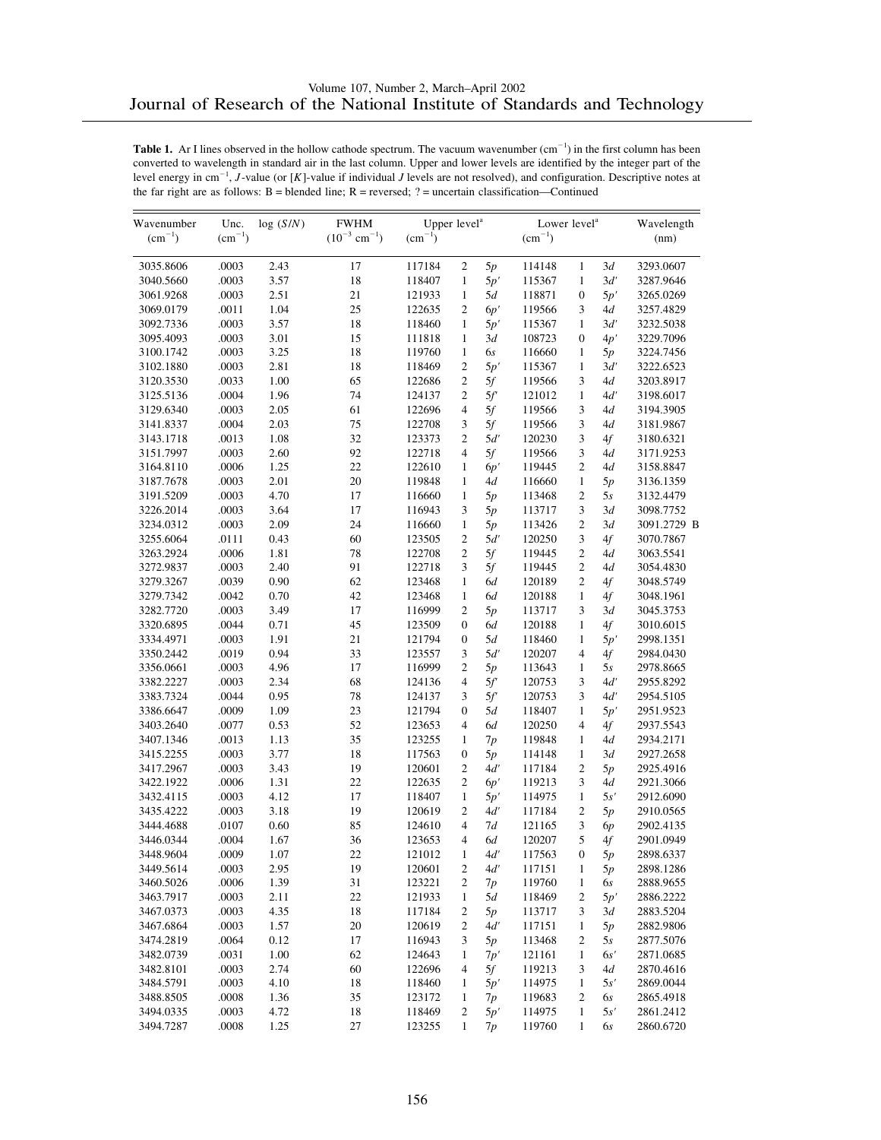| Wavenumber  | Unc.            | log(S/N) | <b>FWHM</b>                   | Upper level <sup>a</sup> |                          |     | Lower level <sup>a</sup> |                  |      | Wavelength  |
|-------------|-----------------|----------|-------------------------------|--------------------------|--------------------------|-----|--------------------------|------------------|------|-------------|
| $(cm^{-1})$ | $\rm (cm^{-1})$ |          | $(10^{-3}$ cm <sup>-1</sup> ) | $(cm^{-1})$              |                          |     | $(cm^{-1})$              |                  |      | (nm)        |
| 3035.8606   | .0003           | 2.43     | 17                            | 117184                   | $\mathfrak{2}$           | 5p  | 114148                   | $\mathbf{1}$     | 3d   | 3293.0607   |
| 3040.5660   | .0003           | 3.57     | 18                            | 118407                   | $\mathbf{1}$             | 5p' | 115367                   | $\mathbf{1}$     | 3d'  | 3287.9646   |
| 3061.9268   | .0003           | 2.51     | 21                            | 121933                   | $\mathbf{1}$             | 5d  | 118871                   | $\boldsymbol{0}$ | 5p'  | 3265.0269   |
| 3069.0179   | .0011           | 1.04     | 25                            | 122635                   | $\overline{c}$           | 6p' | 119566                   | 3                | 4d   | 3257.4829   |
| 3092.7336   | .0003           | 3.57     | 18                            | 118460                   | $\mathbf{1}$             | 5p' | 115367                   | $\mathbf{1}$     | 3d'  | 3232.5038   |
| 3095.4093   | .0003           | 3.01     | 15                            | 111818                   | $\mathbf{1}$             | 3d  | 108723                   | $\boldsymbol{0}$ | 4p'  | 3229.7096   |
| 3100.1742   | .0003           | 3.25     | 18                            | 119760                   | $\mathbf{1}$             | 6s  | 116660                   | $\mathbf{1}$     | 5p   | 3224.7456   |
| 3102.1880   | .0003           | 2.81     | 18                            | 118469                   | $\overline{c}$           | 5p' | 115367                   | $\mathbf{1}$     | 3d'  | 3222.6523   |
| 3120.3530   | .0033           | 1.00     | 65                            | 122686                   | 2                        | 5f  | 119566                   | 3                | 4d   | 3203.8917   |
| 3125.5136   | .0004           | 1.96     | 74                            | 124137                   | $\overline{c}$           | 5f  | 121012                   | $\mathbf{1}$     | 4d'  | 3198.6017   |
| 3129.6340   | .0003           | 2.05     | 61                            | 122696                   | $\overline{4}$           | 5f  | 119566                   | 3                | 4d   | 3194.3905   |
| 3141.8337   | .0004           | 2.03     | 75                            | 122708                   | 3                        | 5f  | 119566                   | 3                | 4d   | 3181.9867   |
| 3143.1718   | .0013           | 1.08     | 32                            | 123373                   | $\overline{c}$           | 5d' | 120230                   | 3                | 4f   | 3180.6321   |
| 3151.7997   | .0003           | 2.60     | 92                            | 122718                   | 4                        | 5f  | 119566                   | 3                | 4d   | 3171.9253   |
| 3164.8110   | .0006           | 1.25     | 22                            | 122610                   | $\mathbf{1}$             | 6p' | 119445                   | $\overline{c}$   | 4d   | 3158.8847   |
| 3187.7678   | .0003           | 2.01     | 20                            | 119848                   | $\mathbf{1}$             | 4d  | 116660                   | $\mathbf{1}$     | 5p   | 3136.1359   |
| 3191.5209   | .0003           | 4.70     | 17                            | 116660                   | $\mathbf{1}$             | 5p  | 113468                   | 2                | 5s   | 3132.4479   |
| 3226.2014   | .0003           | 3.64     | 17                            | 116943                   | 3                        | 5p  | 113717                   | 3                | 3d   | 3098.7752   |
| 3234.0312   | .0003           | 2.09     | 24                            | 116660                   | $\mathbf{1}$             | 5p  | 113426                   | $\overline{c}$   | 3d   | 3091.2729 B |
| 3255.6064   | .0111           | 0.43     | 60                            | 123505                   | 2                        | 5d' | 120250                   | 3                | 4f   | 3070.7867   |
| 3263.2924   | .0006           | 1.81     | 78                            | 122708                   | $\overline{c}$           | 5f  | 119445                   | $\overline{c}$   | 4d   | 3063.5541   |
| 3272.9837   | .0003           | 2.40     | 91                            | 122718                   | 3                        | 5f  | 119445                   | $\overline{c}$   | 4d   | 3054.4830   |
| 3279.3267   | .0039           | 0.90     | 62                            | 123468                   | $\mathbf{1}$             | 6d  | 120189                   | 2                | 4f   | 3048.5749   |
| 3279.7342   | .0042           | 0.70     | 42                            | 123468                   | $\mathbf{1}$             | 6d  | 120188                   | $\mathbf{1}$     | 4f   | 3048.1961   |
| 3282.7720   | .0003           | 3.49     | 17                            | 116999                   | $\overline{c}$           | 5p  | 113717                   | 3                | 3d   | 3045.3753   |
| 3320.6895   | .0044           | 0.71     | 45                            | 123509                   | 0                        | 6d  | 120188                   | 1                | 4f   | 3010.6015   |
| 3334.4971   | .0003           | 1.91     | 21                            | 121794                   | $\boldsymbol{0}$         | 5d  | 118460                   | 1                | 5p'  | 2998.1351   |
| 3350.2442   | .0019           | 0.94     | 33                            | 123557                   | 3                        | 5d' | 120207                   | 4                | 4f   | 2984.0430   |
| 3356.0661   | .0003           | 4.96     | 17                            | 116999                   | 2                        | 5p  | 113643                   | $\mathbf{1}$     | 5s   | 2978.8665   |
| 3382.2227   | .0003           | 2.34     | 68                            | 124136                   | 4                        | 5f  | 120753                   | 3                | 4d'  | 2955.8292   |
| 3383.7324   | .0044           | 0.95     | 78                            | 124137                   | 3                        | 5f  | 120753                   | 3                | 4d'  | 2954.5105   |
| 3386.6647   | .0009           | 1.09     | 23                            | 121794                   | 0                        | 5d  | 118407                   | $\mathbf{1}$     | 5p'  | 2951.9523   |
| 3403.2640   | .0077           | 0.53     | 52                            | 123653                   | 4                        | 6d  | 120250                   | $\overline{4}$   | 4f   | 2937.5543   |
| 3407.1346   | .0013           | 1.13     | 35                            | 123255                   | $\mathbf{1}$             | 7p  | 119848                   | $\mathbf{1}$     | 4d   | 2934.2171   |
| 3415.2255   | .0003           | 3.77     | 18                            | 117563                   | 0                        | 5p  | 114148                   | 1                | 3d   | 2927.2658   |
| 3417.2967   | .0003           | 3.43     | 19                            | 120601                   | $\overline{c}$           | 4d' | 117184                   | 2                | 5p   | 2925.4916   |
| 3422.1922   | .0006           | 1.31     | 22                            | 122635                   | 2                        | 6p' | 119213                   | 3                | 4d   | 2921.3066   |
| 3432.4115   | .0003           | 4.12     | 17                            | 118407                   | $\mathbf{1}$             | 5p' | 114975                   | $\mathbf{1}$     | 5s'  | 2912.6090   |
| 3435.4222   | .0003           | 3.18     | 19                            | 120619                   | $\overline{c}$           | 4d' | 117184                   | 2                | 5p   | 2910.0565   |
| 3444.4688   | .0107           | 0.60     | 85                            | 124610                   | $\overline{\mathcal{L}}$ | 7d  | 121165                   | 3                | 6p   | 2902.4135   |
| 3446.0344   | .0004           | 1.67     | 36                            | 123653                   | 4                        | 6d  | 120207                   | 5                | 4f   | 2901.0949   |
| 3448.9604   | .0009           | 1.07     | 22                            | 121012                   | $\mathbf{1}$             | 4d' | 117563                   | $\mathbf{0}$     | $5p$ | 2898.6337   |
| 3449.5614   | .0003           | 2.95     | 19                            | 120601                   | 2                        | 4d' | 117151                   | 1                | 5p   | 2898.1286   |
| 3460.5026   | .0006           | 1.39     | 31                            | 123221                   | $\mathfrak{2}$           | 7p  | 119760                   | 1                | 6s   | 2888.9655   |
| 3463.7917   | .0003           | 2.11     | 22                            | 121933                   | $\mathbf{1}$             | 5d  | 118469                   | 2                | 5p'  | 2886.2222   |
| 3467.0373   | .0003           | 4.35     | 18                            | 117184                   | 2                        | 5p  | 113717                   | 3                | 3d   | 2883.5204   |
| 3467.6864   | .0003           | 1.57     | 20                            | 120619                   | 2                        | 4d' | 117151                   | 1                | 5p   | 2882.9806   |
| 3474.2819   | .0064           | 0.12     | 17                            | 116943                   | 3                        | 5p  | 113468                   | 2                | 5s   | 2877.5076   |
| 3482.0739   | .0031           | 1.00     | 62                            | 124643                   | $\mathbf{1}$             | 7p' | 121161                   | $\mathbf{1}$     | 6s'  | 2871.0685   |
| 3482.8101   | .0003           | 2.74     | 60                            | 122696                   | 4                        | 5f  | 119213                   | 3                | 4d   | 2870.4616   |
| 3484.5791   | .0003           | 4.10     | 18                            | 118460                   | 1                        | 5p' | 114975                   | $\mathbf{1}$     | 5s'  | 2869.0044   |
| 3488.8505   | .0008           | 1.36     | 35                            | 123172                   | 1                        | 7p  | 119683                   | 2                | 6s   | 2865.4918   |
| 3494.0335   | .0003           | 4.72     | 18                            | 118469                   | $\mathfrak{2}$           | 5p' | 114975                   | $\mathbf{1}$     | 5s'  | 2861.2412   |
| 3494.7287   | .0008           | 1.25     | 27                            | 123255                   | $\mathbf{1}$             | 7p  | 119760                   | $\mathbf{1}$     | 6s   | 2860.6720   |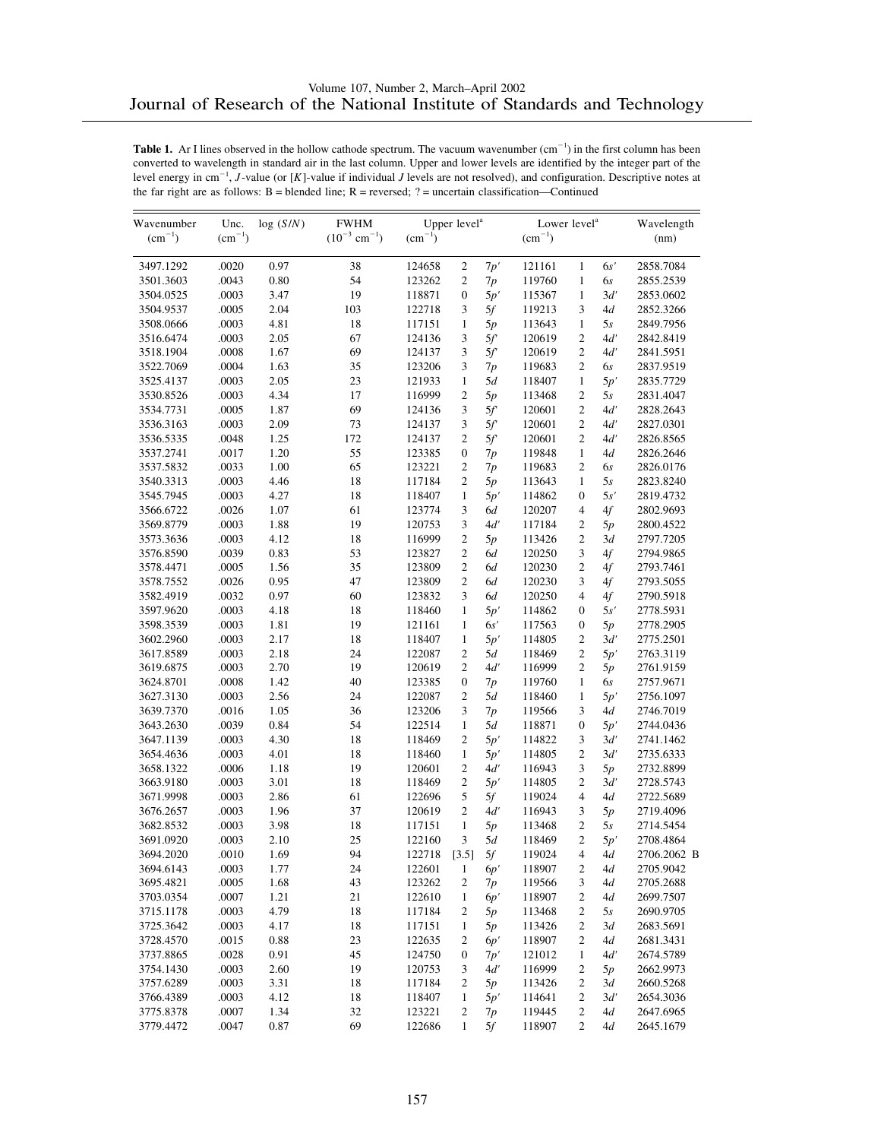| $(10^{-3}$ cm <sup>-1</sup> )<br>$(cm^{-1})$<br>$(cm^{-1})$<br>$(cm^{-1})$<br>$\rm (cm^{-1})$<br>(nm)<br>3497.1292<br>.0020<br>0.97<br>38<br>$\sqrt{2}$<br>7p'<br>121161<br>$\mathbf{1}$<br>6s'<br>2858.7084<br>124658<br>.0043<br>0.80<br>54<br>123262<br>$\mathfrak{2}$<br>119760<br>$\mathbf{1}$<br>2855.2539<br>3501.3603<br>7p<br>6s<br>19<br>.0003<br>3.47<br>118871<br>5p'<br>3d'<br>3504.0525<br>$\boldsymbol{0}$<br>115367<br>$\mathbf{1}$<br>2853.0602<br>.0005<br>2.04<br>3<br>5f<br>3<br>3504.9537<br>103<br>122718<br>119213<br>4d<br>2852.3266<br>.0003<br>4.81<br>18<br>117151<br>$\mathbf{1}$<br>$\mathbf{1}$<br>2849.7956<br>3508.0666<br>5p<br>113643<br>5s<br>.0003<br>2.05<br>67<br>124136<br>3<br>5f<br>120619<br>$\mathfrak{2}$<br>4d'<br>3516.6474<br>2842.8419<br>69<br>$\overline{2}$<br>.0008<br>1.67<br>124137<br>3<br>5f<br>3518.1904<br>120619<br>4ď<br>2841.5951<br>3522.7069<br>.0004<br>1.63<br>35<br>123206<br>3<br>$\mathfrak{2}$<br>7p<br>119683<br>6s<br>2837.9519<br>2.05<br>23<br>5d<br>3525.4137<br>.0003<br>121933<br>$\mathbf{1}$<br>118407<br>$\mathbf{1}$<br>5p'<br>2835.7729<br>4.34<br>17<br>$\mathfrak{2}$<br>$\mathfrak{2}$<br>3530.8526<br>.0003<br>116999<br>5p<br>113468<br>5s<br>2831.4047<br>69<br>.0005<br>1.87<br>3<br>5f<br>$\mathfrak{2}$<br>4d'<br>2828.2643<br>3534.7731<br>124136<br>120601<br>.0003<br>2.09<br>73<br>3<br>120601<br>$\mathfrak{2}$<br>4d'<br>3536.3163<br>124137<br>5f<br>2827.0301<br>.0048<br>1.25<br>172<br>$\mathfrak{2}$<br>5f<br>$\mathfrak{2}$<br>4d'<br>3536.5335<br>124137<br>120601<br>2826.8565<br>.0017<br>1.20<br>55<br>123385<br>3537.2741<br>$\boldsymbol{0}$<br>7p<br>119848<br>$\mathbf{1}$<br>4d<br>2826.2646<br>65<br>1.00<br>$\mathfrak{2}$<br>$\overline{2}$<br>3537.5832<br>.0033<br>123221<br>7p<br>119683<br>6s<br>2826.0176<br>.0003<br>4.46<br>18<br>$\overline{c}$<br>$\mathbf{1}$<br>3540.3313<br>117184<br>5p<br>113643<br>5s<br>2823.8240<br>.0003<br>4.27<br>18<br>3545.7945<br>118407<br>$\mathbf{1}$<br>5p'<br>114862<br>$\mathbf{0}$<br>5s'<br>2819.4732<br>.0026<br>1.07<br>61<br>3<br>4<br>4f<br>3566.6722<br>123774<br>6d<br>120207<br>2802.9693<br>.0003<br>1.88<br>19<br>120753<br>3<br>4d'<br>$\mathfrak{2}$<br>3569.8779<br>117184<br>5p<br>2800.4522<br>3573.3636<br>.0003<br>4.12<br>18<br>116999<br>$\overline{c}$<br>$\mathfrak{2}$<br>2797.7205<br>5p<br>113426<br>3d<br>$\overline{2}$<br>3<br>.0039<br>0.83<br>53<br>4f<br>3576.8590<br>123827<br>6d<br>120250<br>2794.9865<br>$\overline{c}$<br>$\overline{2}$<br>.0005<br>1.56<br>35<br>123809<br>4f<br>3578.4471<br>6d<br>120230<br>2793.7461<br>0.95<br>47<br>123809<br>$\mathfrak{2}$<br>3<br>3578.7552<br>.0026<br>6d<br>120230<br>4f<br>2793.5055<br>3<br>.0032<br>0.97<br>60<br>123832<br>6d<br>120250<br>$\overline{4}$<br>3582.4919<br>4f<br>2790.5918<br>.0003<br>4.18<br>18<br>118460<br>3597.9620<br>$\mathbf{1}$<br>5p'<br>114862<br>$\mathbf{0}$<br>5s'<br>2778.5931<br>19<br>6s'<br>3598.3539<br>.0003<br>1.81<br>121161<br>$\mathbf{1}$<br>117563<br>$\boldsymbol{0}$<br>2778.2905<br>5p<br>.0003<br>2.17<br>18<br>$\mathbf{1}$<br>$\mathfrak{2}$<br>3602.2960<br>118407<br>5p'<br>114805<br>3d'<br>2775.2501<br>$\overline{2}$<br>.0003<br>2.18<br>24<br>122087<br>$\overline{c}$<br>3617.8589<br>5d<br>118469<br>5p'<br>2763.3119<br>2.70<br>19<br>$\mathfrak{2}$<br>4d'<br>$\mathfrak{2}$<br>3619.6875<br>.0003<br>120619<br>116999<br>2761.9159<br>5p<br>.0008<br>1.42<br>40<br>123385<br>$\boldsymbol{0}$<br>$\mathbf{1}$<br>3624.8701<br>7p<br>119760<br>6s<br>2757.9671<br>2.56<br>.0003<br>24<br>122087<br>$\overline{c}$<br>5d<br>118460<br>3627.3130<br>$\mathbf{1}$<br>5p'<br>2756.1097<br>1.05<br>36<br>3<br>3639.7370<br>.0016<br>123206<br>3<br>7p<br>119566<br>4d<br>2746.7019<br>0.84<br>54<br>.0039<br>122514<br>$\mathbf{1}$<br>5d<br>$\boldsymbol{0}$<br>3643.2630<br>118871<br>5p'<br>2744.0436<br>4.30<br>18<br>118469<br>$\overline{c}$<br>3<br>3647.1139<br>.0003<br>5p'<br>114822<br>3d'<br>2741.1462<br>.0003<br>4.01<br>18<br>5p'<br>$\mathfrak{2}$<br>3654.4636<br>118460<br>$\mathbf{1}$<br>114805<br>3d'<br>2735.6333<br>.0006<br>1.18<br>19<br>120601<br>$\mathfrak{2}$<br>4d'<br>116943<br>$\mathfrak{Z}$<br>3658.1322<br>5p<br>2732.8899<br>.0003<br>3.01<br>18<br>$\mathfrak{2}$<br>$\mathfrak{2}$<br>3663.9180<br>118469<br>5p'<br>114805<br>3d'<br>2728.5743<br>2.86<br>61<br>5<br>4<br>3671.9998<br>.0003<br>122696<br>5f<br>119024<br>4d<br>2722.5689<br>1.96<br>37<br>$\overline{c}$<br>3<br>3676.2657<br>.0003<br>120619<br>4d'<br>116943<br>5p<br>2719.4096<br>3.98<br>18<br>$\mathbf{1}$<br>$\mathfrak{2}$<br>3682.8532<br>.0003<br>117151<br>5p<br>113468<br>5s<br>2714.5454<br>2.10<br>25<br>3<br>$\overline{2}$<br>3691.0920<br>.0003<br>122160<br>5d<br>118469<br>5p'<br>2708.4864<br>[3.5]<br>$5\!f$<br>3694.2020<br>.0010<br>1.69<br>94<br>122718<br>119024<br>$\overline{4}$<br>4d<br>2706.2062 B<br>3694.6143<br>.0003<br>24<br>122601<br>2705.9042<br>1.77<br>$\mathbf{1}$<br>118907<br>2<br>4d<br>6p'<br>.0005<br>1.68<br>43<br>123262<br>3695.4821<br>2<br>7p<br>119566<br>3<br>4d<br>2705.2688<br>.0007<br>1.21<br>21<br>122610<br>$\mathbf{1}$<br>3703.0354<br>6p'<br>118907<br>2<br>4d<br>2699.7507<br>4.79<br>18<br>3715.1178<br>.0003<br>117184<br>2<br>113468<br>2<br>2690.9705<br>5p<br>5s | Wavenumber | Unc. | log(S/N) | <b>FWHM</b> | Upper level <sup>a</sup> | Lower level <sup>a</sup> |  | Wavelength |
|----------------------------------------------------------------------------------------------------------------------------------------------------------------------------------------------------------------------------------------------------------------------------------------------------------------------------------------------------------------------------------------------------------------------------------------------------------------------------------------------------------------------------------------------------------------------------------------------------------------------------------------------------------------------------------------------------------------------------------------------------------------------------------------------------------------------------------------------------------------------------------------------------------------------------------------------------------------------------------------------------------------------------------------------------------------------------------------------------------------------------------------------------------------------------------------------------------------------------------------------------------------------------------------------------------------------------------------------------------------------------------------------------------------------------------------------------------------------------------------------------------------------------------------------------------------------------------------------------------------------------------------------------------------------------------------------------------------------------------------------------------------------------------------------------------------------------------------------------------------------------------------------------------------------------------------------------------------------------------------------------------------------------------------------------------------------------------------------------------------------------------------------------------------------------------------------------------------------------------------------------------------------------------------------------------------------------------------------------------------------------------------------------------------------------------------------------------------------------------------------------------------------------------------------------------------------------------------------------------------------------------------------------------------------------------------------------------------------------------------------------------------------------------------------------------------------------------------------------------------------------------------------------------------------------------------------------------------------------------------------------------------------------------------------------------------------------------------------------------------------------------------------------------------------------------------------------------------------------------------------------------------------------------------------------------------------------------------------------------------------------------------------------------------------------------------------------------------------------------------------------------------------------------------------------------------------------------------------------------------------------------------------------------------------------------------------------------------------------------------------------------------------------------------------------------------------------------------------------------------------------------------------------------------------------------------------------------------------------------------------------------------------------------------------------------------------------------------------------------------------------------------------------------------------------------------------------------------------------------------------------------------------------------------------------------------------------------------------------------------------------------------------------------------------------------------------------------------------------------------------------------------------------------------------------------------------------------------------------------------------------------------------------------------------------------------------------------------------------------------------------------------------------------------------------------------------------------------------------------------------------------------------------------------------------------------------------------------------------------------------------------------------------------------------------------------------------------------------------------------------------------------------------------------------------------------------------------------------------------------------------------------------------------------------------------------------------------------------------|------------|------|----------|-------------|--------------------------|--------------------------|--|------------|
|                                                                                                                                                                                                                                                                                                                                                                                                                                                                                                                                                                                                                                                                                                                                                                                                                                                                                                                                                                                                                                                                                                                                                                                                                                                                                                                                                                                                                                                                                                                                                                                                                                                                                                                                                                                                                                                                                                                                                                                                                                                                                                                                                                                                                                                                                                                                                                                                                                                                                                                                                                                                                                                                                                                                                                                                                                                                                                                                                                                                                                                                                                                                                                                                                                                                                                                                                                                                                                                                                                                                                                                                                                                                                                                                                                                                                                                                                                                                                                                                                                                                                                                                                                                                                                                                                                                                                                                                                                                                                                                                                                                                                                                                                                                                                                                                                                                                                                                                                                                                                                                                                                                                                                                                                                                                                                                                                    |            |      |          |             |                          |                          |  |            |
|                                                                                                                                                                                                                                                                                                                                                                                                                                                                                                                                                                                                                                                                                                                                                                                                                                                                                                                                                                                                                                                                                                                                                                                                                                                                                                                                                                                                                                                                                                                                                                                                                                                                                                                                                                                                                                                                                                                                                                                                                                                                                                                                                                                                                                                                                                                                                                                                                                                                                                                                                                                                                                                                                                                                                                                                                                                                                                                                                                                                                                                                                                                                                                                                                                                                                                                                                                                                                                                                                                                                                                                                                                                                                                                                                                                                                                                                                                                                                                                                                                                                                                                                                                                                                                                                                                                                                                                                                                                                                                                                                                                                                                                                                                                                                                                                                                                                                                                                                                                                                                                                                                                                                                                                                                                                                                                                                    |            |      |          |             |                          |                          |  |            |
|                                                                                                                                                                                                                                                                                                                                                                                                                                                                                                                                                                                                                                                                                                                                                                                                                                                                                                                                                                                                                                                                                                                                                                                                                                                                                                                                                                                                                                                                                                                                                                                                                                                                                                                                                                                                                                                                                                                                                                                                                                                                                                                                                                                                                                                                                                                                                                                                                                                                                                                                                                                                                                                                                                                                                                                                                                                                                                                                                                                                                                                                                                                                                                                                                                                                                                                                                                                                                                                                                                                                                                                                                                                                                                                                                                                                                                                                                                                                                                                                                                                                                                                                                                                                                                                                                                                                                                                                                                                                                                                                                                                                                                                                                                                                                                                                                                                                                                                                                                                                                                                                                                                                                                                                                                                                                                                                                    |            |      |          |             |                          |                          |  |            |
|                                                                                                                                                                                                                                                                                                                                                                                                                                                                                                                                                                                                                                                                                                                                                                                                                                                                                                                                                                                                                                                                                                                                                                                                                                                                                                                                                                                                                                                                                                                                                                                                                                                                                                                                                                                                                                                                                                                                                                                                                                                                                                                                                                                                                                                                                                                                                                                                                                                                                                                                                                                                                                                                                                                                                                                                                                                                                                                                                                                                                                                                                                                                                                                                                                                                                                                                                                                                                                                                                                                                                                                                                                                                                                                                                                                                                                                                                                                                                                                                                                                                                                                                                                                                                                                                                                                                                                                                                                                                                                                                                                                                                                                                                                                                                                                                                                                                                                                                                                                                                                                                                                                                                                                                                                                                                                                                                    |            |      |          |             |                          |                          |  |            |
|                                                                                                                                                                                                                                                                                                                                                                                                                                                                                                                                                                                                                                                                                                                                                                                                                                                                                                                                                                                                                                                                                                                                                                                                                                                                                                                                                                                                                                                                                                                                                                                                                                                                                                                                                                                                                                                                                                                                                                                                                                                                                                                                                                                                                                                                                                                                                                                                                                                                                                                                                                                                                                                                                                                                                                                                                                                                                                                                                                                                                                                                                                                                                                                                                                                                                                                                                                                                                                                                                                                                                                                                                                                                                                                                                                                                                                                                                                                                                                                                                                                                                                                                                                                                                                                                                                                                                                                                                                                                                                                                                                                                                                                                                                                                                                                                                                                                                                                                                                                                                                                                                                                                                                                                                                                                                                                                                    |            |      |          |             |                          |                          |  |            |
|                                                                                                                                                                                                                                                                                                                                                                                                                                                                                                                                                                                                                                                                                                                                                                                                                                                                                                                                                                                                                                                                                                                                                                                                                                                                                                                                                                                                                                                                                                                                                                                                                                                                                                                                                                                                                                                                                                                                                                                                                                                                                                                                                                                                                                                                                                                                                                                                                                                                                                                                                                                                                                                                                                                                                                                                                                                                                                                                                                                                                                                                                                                                                                                                                                                                                                                                                                                                                                                                                                                                                                                                                                                                                                                                                                                                                                                                                                                                                                                                                                                                                                                                                                                                                                                                                                                                                                                                                                                                                                                                                                                                                                                                                                                                                                                                                                                                                                                                                                                                                                                                                                                                                                                                                                                                                                                                                    |            |      |          |             |                          |                          |  |            |
|                                                                                                                                                                                                                                                                                                                                                                                                                                                                                                                                                                                                                                                                                                                                                                                                                                                                                                                                                                                                                                                                                                                                                                                                                                                                                                                                                                                                                                                                                                                                                                                                                                                                                                                                                                                                                                                                                                                                                                                                                                                                                                                                                                                                                                                                                                                                                                                                                                                                                                                                                                                                                                                                                                                                                                                                                                                                                                                                                                                                                                                                                                                                                                                                                                                                                                                                                                                                                                                                                                                                                                                                                                                                                                                                                                                                                                                                                                                                                                                                                                                                                                                                                                                                                                                                                                                                                                                                                                                                                                                                                                                                                                                                                                                                                                                                                                                                                                                                                                                                                                                                                                                                                                                                                                                                                                                                                    |            |      |          |             |                          |                          |  |            |
|                                                                                                                                                                                                                                                                                                                                                                                                                                                                                                                                                                                                                                                                                                                                                                                                                                                                                                                                                                                                                                                                                                                                                                                                                                                                                                                                                                                                                                                                                                                                                                                                                                                                                                                                                                                                                                                                                                                                                                                                                                                                                                                                                                                                                                                                                                                                                                                                                                                                                                                                                                                                                                                                                                                                                                                                                                                                                                                                                                                                                                                                                                                                                                                                                                                                                                                                                                                                                                                                                                                                                                                                                                                                                                                                                                                                                                                                                                                                                                                                                                                                                                                                                                                                                                                                                                                                                                                                                                                                                                                                                                                                                                                                                                                                                                                                                                                                                                                                                                                                                                                                                                                                                                                                                                                                                                                                                    |            |      |          |             |                          |                          |  |            |
|                                                                                                                                                                                                                                                                                                                                                                                                                                                                                                                                                                                                                                                                                                                                                                                                                                                                                                                                                                                                                                                                                                                                                                                                                                                                                                                                                                                                                                                                                                                                                                                                                                                                                                                                                                                                                                                                                                                                                                                                                                                                                                                                                                                                                                                                                                                                                                                                                                                                                                                                                                                                                                                                                                                                                                                                                                                                                                                                                                                                                                                                                                                                                                                                                                                                                                                                                                                                                                                                                                                                                                                                                                                                                                                                                                                                                                                                                                                                                                                                                                                                                                                                                                                                                                                                                                                                                                                                                                                                                                                                                                                                                                                                                                                                                                                                                                                                                                                                                                                                                                                                                                                                                                                                                                                                                                                                                    |            |      |          |             |                          |                          |  |            |
|                                                                                                                                                                                                                                                                                                                                                                                                                                                                                                                                                                                                                                                                                                                                                                                                                                                                                                                                                                                                                                                                                                                                                                                                                                                                                                                                                                                                                                                                                                                                                                                                                                                                                                                                                                                                                                                                                                                                                                                                                                                                                                                                                                                                                                                                                                                                                                                                                                                                                                                                                                                                                                                                                                                                                                                                                                                                                                                                                                                                                                                                                                                                                                                                                                                                                                                                                                                                                                                                                                                                                                                                                                                                                                                                                                                                                                                                                                                                                                                                                                                                                                                                                                                                                                                                                                                                                                                                                                                                                                                                                                                                                                                                                                                                                                                                                                                                                                                                                                                                                                                                                                                                                                                                                                                                                                                                                    |            |      |          |             |                          |                          |  |            |
|                                                                                                                                                                                                                                                                                                                                                                                                                                                                                                                                                                                                                                                                                                                                                                                                                                                                                                                                                                                                                                                                                                                                                                                                                                                                                                                                                                                                                                                                                                                                                                                                                                                                                                                                                                                                                                                                                                                                                                                                                                                                                                                                                                                                                                                                                                                                                                                                                                                                                                                                                                                                                                                                                                                                                                                                                                                                                                                                                                                                                                                                                                                                                                                                                                                                                                                                                                                                                                                                                                                                                                                                                                                                                                                                                                                                                                                                                                                                                                                                                                                                                                                                                                                                                                                                                                                                                                                                                                                                                                                                                                                                                                                                                                                                                                                                                                                                                                                                                                                                                                                                                                                                                                                                                                                                                                                                                    |            |      |          |             |                          |                          |  |            |
|                                                                                                                                                                                                                                                                                                                                                                                                                                                                                                                                                                                                                                                                                                                                                                                                                                                                                                                                                                                                                                                                                                                                                                                                                                                                                                                                                                                                                                                                                                                                                                                                                                                                                                                                                                                                                                                                                                                                                                                                                                                                                                                                                                                                                                                                                                                                                                                                                                                                                                                                                                                                                                                                                                                                                                                                                                                                                                                                                                                                                                                                                                                                                                                                                                                                                                                                                                                                                                                                                                                                                                                                                                                                                                                                                                                                                                                                                                                                                                                                                                                                                                                                                                                                                                                                                                                                                                                                                                                                                                                                                                                                                                                                                                                                                                                                                                                                                                                                                                                                                                                                                                                                                                                                                                                                                                                                                    |            |      |          |             |                          |                          |  |            |
|                                                                                                                                                                                                                                                                                                                                                                                                                                                                                                                                                                                                                                                                                                                                                                                                                                                                                                                                                                                                                                                                                                                                                                                                                                                                                                                                                                                                                                                                                                                                                                                                                                                                                                                                                                                                                                                                                                                                                                                                                                                                                                                                                                                                                                                                                                                                                                                                                                                                                                                                                                                                                                                                                                                                                                                                                                                                                                                                                                                                                                                                                                                                                                                                                                                                                                                                                                                                                                                                                                                                                                                                                                                                                                                                                                                                                                                                                                                                                                                                                                                                                                                                                                                                                                                                                                                                                                                                                                                                                                                                                                                                                                                                                                                                                                                                                                                                                                                                                                                                                                                                                                                                                                                                                                                                                                                                                    |            |      |          |             |                          |                          |  |            |
|                                                                                                                                                                                                                                                                                                                                                                                                                                                                                                                                                                                                                                                                                                                                                                                                                                                                                                                                                                                                                                                                                                                                                                                                                                                                                                                                                                                                                                                                                                                                                                                                                                                                                                                                                                                                                                                                                                                                                                                                                                                                                                                                                                                                                                                                                                                                                                                                                                                                                                                                                                                                                                                                                                                                                                                                                                                                                                                                                                                                                                                                                                                                                                                                                                                                                                                                                                                                                                                                                                                                                                                                                                                                                                                                                                                                                                                                                                                                                                                                                                                                                                                                                                                                                                                                                                                                                                                                                                                                                                                                                                                                                                                                                                                                                                                                                                                                                                                                                                                                                                                                                                                                                                                                                                                                                                                                                    |            |      |          |             |                          |                          |  |            |
|                                                                                                                                                                                                                                                                                                                                                                                                                                                                                                                                                                                                                                                                                                                                                                                                                                                                                                                                                                                                                                                                                                                                                                                                                                                                                                                                                                                                                                                                                                                                                                                                                                                                                                                                                                                                                                                                                                                                                                                                                                                                                                                                                                                                                                                                                                                                                                                                                                                                                                                                                                                                                                                                                                                                                                                                                                                                                                                                                                                                                                                                                                                                                                                                                                                                                                                                                                                                                                                                                                                                                                                                                                                                                                                                                                                                                                                                                                                                                                                                                                                                                                                                                                                                                                                                                                                                                                                                                                                                                                                                                                                                                                                                                                                                                                                                                                                                                                                                                                                                                                                                                                                                                                                                                                                                                                                                                    |            |      |          |             |                          |                          |  |            |
|                                                                                                                                                                                                                                                                                                                                                                                                                                                                                                                                                                                                                                                                                                                                                                                                                                                                                                                                                                                                                                                                                                                                                                                                                                                                                                                                                                                                                                                                                                                                                                                                                                                                                                                                                                                                                                                                                                                                                                                                                                                                                                                                                                                                                                                                                                                                                                                                                                                                                                                                                                                                                                                                                                                                                                                                                                                                                                                                                                                                                                                                                                                                                                                                                                                                                                                                                                                                                                                                                                                                                                                                                                                                                                                                                                                                                                                                                                                                                                                                                                                                                                                                                                                                                                                                                                                                                                                                                                                                                                                                                                                                                                                                                                                                                                                                                                                                                                                                                                                                                                                                                                                                                                                                                                                                                                                                                    |            |      |          |             |                          |                          |  |            |
|                                                                                                                                                                                                                                                                                                                                                                                                                                                                                                                                                                                                                                                                                                                                                                                                                                                                                                                                                                                                                                                                                                                                                                                                                                                                                                                                                                                                                                                                                                                                                                                                                                                                                                                                                                                                                                                                                                                                                                                                                                                                                                                                                                                                                                                                                                                                                                                                                                                                                                                                                                                                                                                                                                                                                                                                                                                                                                                                                                                                                                                                                                                                                                                                                                                                                                                                                                                                                                                                                                                                                                                                                                                                                                                                                                                                                                                                                                                                                                                                                                                                                                                                                                                                                                                                                                                                                                                                                                                                                                                                                                                                                                                                                                                                                                                                                                                                                                                                                                                                                                                                                                                                                                                                                                                                                                                                                    |            |      |          |             |                          |                          |  |            |
|                                                                                                                                                                                                                                                                                                                                                                                                                                                                                                                                                                                                                                                                                                                                                                                                                                                                                                                                                                                                                                                                                                                                                                                                                                                                                                                                                                                                                                                                                                                                                                                                                                                                                                                                                                                                                                                                                                                                                                                                                                                                                                                                                                                                                                                                                                                                                                                                                                                                                                                                                                                                                                                                                                                                                                                                                                                                                                                                                                                                                                                                                                                                                                                                                                                                                                                                                                                                                                                                                                                                                                                                                                                                                                                                                                                                                                                                                                                                                                                                                                                                                                                                                                                                                                                                                                                                                                                                                                                                                                                                                                                                                                                                                                                                                                                                                                                                                                                                                                                                                                                                                                                                                                                                                                                                                                                                                    |            |      |          |             |                          |                          |  |            |
|                                                                                                                                                                                                                                                                                                                                                                                                                                                                                                                                                                                                                                                                                                                                                                                                                                                                                                                                                                                                                                                                                                                                                                                                                                                                                                                                                                                                                                                                                                                                                                                                                                                                                                                                                                                                                                                                                                                                                                                                                                                                                                                                                                                                                                                                                                                                                                                                                                                                                                                                                                                                                                                                                                                                                                                                                                                                                                                                                                                                                                                                                                                                                                                                                                                                                                                                                                                                                                                                                                                                                                                                                                                                                                                                                                                                                                                                                                                                                                                                                                                                                                                                                                                                                                                                                                                                                                                                                                                                                                                                                                                                                                                                                                                                                                                                                                                                                                                                                                                                                                                                                                                                                                                                                                                                                                                                                    |            |      |          |             |                          |                          |  |            |
|                                                                                                                                                                                                                                                                                                                                                                                                                                                                                                                                                                                                                                                                                                                                                                                                                                                                                                                                                                                                                                                                                                                                                                                                                                                                                                                                                                                                                                                                                                                                                                                                                                                                                                                                                                                                                                                                                                                                                                                                                                                                                                                                                                                                                                                                                                                                                                                                                                                                                                                                                                                                                                                                                                                                                                                                                                                                                                                                                                                                                                                                                                                                                                                                                                                                                                                                                                                                                                                                                                                                                                                                                                                                                                                                                                                                                                                                                                                                                                                                                                                                                                                                                                                                                                                                                                                                                                                                                                                                                                                                                                                                                                                                                                                                                                                                                                                                                                                                                                                                                                                                                                                                                                                                                                                                                                                                                    |            |      |          |             |                          |                          |  |            |
|                                                                                                                                                                                                                                                                                                                                                                                                                                                                                                                                                                                                                                                                                                                                                                                                                                                                                                                                                                                                                                                                                                                                                                                                                                                                                                                                                                                                                                                                                                                                                                                                                                                                                                                                                                                                                                                                                                                                                                                                                                                                                                                                                                                                                                                                                                                                                                                                                                                                                                                                                                                                                                                                                                                                                                                                                                                                                                                                                                                                                                                                                                                                                                                                                                                                                                                                                                                                                                                                                                                                                                                                                                                                                                                                                                                                                                                                                                                                                                                                                                                                                                                                                                                                                                                                                                                                                                                                                                                                                                                                                                                                                                                                                                                                                                                                                                                                                                                                                                                                                                                                                                                                                                                                                                                                                                                                                    |            |      |          |             |                          |                          |  |            |
|                                                                                                                                                                                                                                                                                                                                                                                                                                                                                                                                                                                                                                                                                                                                                                                                                                                                                                                                                                                                                                                                                                                                                                                                                                                                                                                                                                                                                                                                                                                                                                                                                                                                                                                                                                                                                                                                                                                                                                                                                                                                                                                                                                                                                                                                                                                                                                                                                                                                                                                                                                                                                                                                                                                                                                                                                                                                                                                                                                                                                                                                                                                                                                                                                                                                                                                                                                                                                                                                                                                                                                                                                                                                                                                                                                                                                                                                                                                                                                                                                                                                                                                                                                                                                                                                                                                                                                                                                                                                                                                                                                                                                                                                                                                                                                                                                                                                                                                                                                                                                                                                                                                                                                                                                                                                                                                                                    |            |      |          |             |                          |                          |  |            |
|                                                                                                                                                                                                                                                                                                                                                                                                                                                                                                                                                                                                                                                                                                                                                                                                                                                                                                                                                                                                                                                                                                                                                                                                                                                                                                                                                                                                                                                                                                                                                                                                                                                                                                                                                                                                                                                                                                                                                                                                                                                                                                                                                                                                                                                                                                                                                                                                                                                                                                                                                                                                                                                                                                                                                                                                                                                                                                                                                                                                                                                                                                                                                                                                                                                                                                                                                                                                                                                                                                                                                                                                                                                                                                                                                                                                                                                                                                                                                                                                                                                                                                                                                                                                                                                                                                                                                                                                                                                                                                                                                                                                                                                                                                                                                                                                                                                                                                                                                                                                                                                                                                                                                                                                                                                                                                                                                    |            |      |          |             |                          |                          |  |            |
|                                                                                                                                                                                                                                                                                                                                                                                                                                                                                                                                                                                                                                                                                                                                                                                                                                                                                                                                                                                                                                                                                                                                                                                                                                                                                                                                                                                                                                                                                                                                                                                                                                                                                                                                                                                                                                                                                                                                                                                                                                                                                                                                                                                                                                                                                                                                                                                                                                                                                                                                                                                                                                                                                                                                                                                                                                                                                                                                                                                                                                                                                                                                                                                                                                                                                                                                                                                                                                                                                                                                                                                                                                                                                                                                                                                                                                                                                                                                                                                                                                                                                                                                                                                                                                                                                                                                                                                                                                                                                                                                                                                                                                                                                                                                                                                                                                                                                                                                                                                                                                                                                                                                                                                                                                                                                                                                                    |            |      |          |             |                          |                          |  |            |
|                                                                                                                                                                                                                                                                                                                                                                                                                                                                                                                                                                                                                                                                                                                                                                                                                                                                                                                                                                                                                                                                                                                                                                                                                                                                                                                                                                                                                                                                                                                                                                                                                                                                                                                                                                                                                                                                                                                                                                                                                                                                                                                                                                                                                                                                                                                                                                                                                                                                                                                                                                                                                                                                                                                                                                                                                                                                                                                                                                                                                                                                                                                                                                                                                                                                                                                                                                                                                                                                                                                                                                                                                                                                                                                                                                                                                                                                                                                                                                                                                                                                                                                                                                                                                                                                                                                                                                                                                                                                                                                                                                                                                                                                                                                                                                                                                                                                                                                                                                                                                                                                                                                                                                                                                                                                                                                                                    |            |      |          |             |                          |                          |  |            |
|                                                                                                                                                                                                                                                                                                                                                                                                                                                                                                                                                                                                                                                                                                                                                                                                                                                                                                                                                                                                                                                                                                                                                                                                                                                                                                                                                                                                                                                                                                                                                                                                                                                                                                                                                                                                                                                                                                                                                                                                                                                                                                                                                                                                                                                                                                                                                                                                                                                                                                                                                                                                                                                                                                                                                                                                                                                                                                                                                                                                                                                                                                                                                                                                                                                                                                                                                                                                                                                                                                                                                                                                                                                                                                                                                                                                                                                                                                                                                                                                                                                                                                                                                                                                                                                                                                                                                                                                                                                                                                                                                                                                                                                                                                                                                                                                                                                                                                                                                                                                                                                                                                                                                                                                                                                                                                                                                    |            |      |          |             |                          |                          |  |            |
|                                                                                                                                                                                                                                                                                                                                                                                                                                                                                                                                                                                                                                                                                                                                                                                                                                                                                                                                                                                                                                                                                                                                                                                                                                                                                                                                                                                                                                                                                                                                                                                                                                                                                                                                                                                                                                                                                                                                                                                                                                                                                                                                                                                                                                                                                                                                                                                                                                                                                                                                                                                                                                                                                                                                                                                                                                                                                                                                                                                                                                                                                                                                                                                                                                                                                                                                                                                                                                                                                                                                                                                                                                                                                                                                                                                                                                                                                                                                                                                                                                                                                                                                                                                                                                                                                                                                                                                                                                                                                                                                                                                                                                                                                                                                                                                                                                                                                                                                                                                                                                                                                                                                                                                                                                                                                                                                                    |            |      |          |             |                          |                          |  |            |
|                                                                                                                                                                                                                                                                                                                                                                                                                                                                                                                                                                                                                                                                                                                                                                                                                                                                                                                                                                                                                                                                                                                                                                                                                                                                                                                                                                                                                                                                                                                                                                                                                                                                                                                                                                                                                                                                                                                                                                                                                                                                                                                                                                                                                                                                                                                                                                                                                                                                                                                                                                                                                                                                                                                                                                                                                                                                                                                                                                                                                                                                                                                                                                                                                                                                                                                                                                                                                                                                                                                                                                                                                                                                                                                                                                                                                                                                                                                                                                                                                                                                                                                                                                                                                                                                                                                                                                                                                                                                                                                                                                                                                                                                                                                                                                                                                                                                                                                                                                                                                                                                                                                                                                                                                                                                                                                                                    |            |      |          |             |                          |                          |  |            |
|                                                                                                                                                                                                                                                                                                                                                                                                                                                                                                                                                                                                                                                                                                                                                                                                                                                                                                                                                                                                                                                                                                                                                                                                                                                                                                                                                                                                                                                                                                                                                                                                                                                                                                                                                                                                                                                                                                                                                                                                                                                                                                                                                                                                                                                                                                                                                                                                                                                                                                                                                                                                                                                                                                                                                                                                                                                                                                                                                                                                                                                                                                                                                                                                                                                                                                                                                                                                                                                                                                                                                                                                                                                                                                                                                                                                                                                                                                                                                                                                                                                                                                                                                                                                                                                                                                                                                                                                                                                                                                                                                                                                                                                                                                                                                                                                                                                                                                                                                                                                                                                                                                                                                                                                                                                                                                                                                    |            |      |          |             |                          |                          |  |            |
|                                                                                                                                                                                                                                                                                                                                                                                                                                                                                                                                                                                                                                                                                                                                                                                                                                                                                                                                                                                                                                                                                                                                                                                                                                                                                                                                                                                                                                                                                                                                                                                                                                                                                                                                                                                                                                                                                                                                                                                                                                                                                                                                                                                                                                                                                                                                                                                                                                                                                                                                                                                                                                                                                                                                                                                                                                                                                                                                                                                                                                                                                                                                                                                                                                                                                                                                                                                                                                                                                                                                                                                                                                                                                                                                                                                                                                                                                                                                                                                                                                                                                                                                                                                                                                                                                                                                                                                                                                                                                                                                                                                                                                                                                                                                                                                                                                                                                                                                                                                                                                                                                                                                                                                                                                                                                                                                                    |            |      |          |             |                          |                          |  |            |
|                                                                                                                                                                                                                                                                                                                                                                                                                                                                                                                                                                                                                                                                                                                                                                                                                                                                                                                                                                                                                                                                                                                                                                                                                                                                                                                                                                                                                                                                                                                                                                                                                                                                                                                                                                                                                                                                                                                                                                                                                                                                                                                                                                                                                                                                                                                                                                                                                                                                                                                                                                                                                                                                                                                                                                                                                                                                                                                                                                                                                                                                                                                                                                                                                                                                                                                                                                                                                                                                                                                                                                                                                                                                                                                                                                                                                                                                                                                                                                                                                                                                                                                                                                                                                                                                                                                                                                                                                                                                                                                                                                                                                                                                                                                                                                                                                                                                                                                                                                                                                                                                                                                                                                                                                                                                                                                                                    |            |      |          |             |                          |                          |  |            |
|                                                                                                                                                                                                                                                                                                                                                                                                                                                                                                                                                                                                                                                                                                                                                                                                                                                                                                                                                                                                                                                                                                                                                                                                                                                                                                                                                                                                                                                                                                                                                                                                                                                                                                                                                                                                                                                                                                                                                                                                                                                                                                                                                                                                                                                                                                                                                                                                                                                                                                                                                                                                                                                                                                                                                                                                                                                                                                                                                                                                                                                                                                                                                                                                                                                                                                                                                                                                                                                                                                                                                                                                                                                                                                                                                                                                                                                                                                                                                                                                                                                                                                                                                                                                                                                                                                                                                                                                                                                                                                                                                                                                                                                                                                                                                                                                                                                                                                                                                                                                                                                                                                                                                                                                                                                                                                                                                    |            |      |          |             |                          |                          |  |            |
|                                                                                                                                                                                                                                                                                                                                                                                                                                                                                                                                                                                                                                                                                                                                                                                                                                                                                                                                                                                                                                                                                                                                                                                                                                                                                                                                                                                                                                                                                                                                                                                                                                                                                                                                                                                                                                                                                                                                                                                                                                                                                                                                                                                                                                                                                                                                                                                                                                                                                                                                                                                                                                                                                                                                                                                                                                                                                                                                                                                                                                                                                                                                                                                                                                                                                                                                                                                                                                                                                                                                                                                                                                                                                                                                                                                                                                                                                                                                                                                                                                                                                                                                                                                                                                                                                                                                                                                                                                                                                                                                                                                                                                                                                                                                                                                                                                                                                                                                                                                                                                                                                                                                                                                                                                                                                                                                                    |            |      |          |             |                          |                          |  |            |
|                                                                                                                                                                                                                                                                                                                                                                                                                                                                                                                                                                                                                                                                                                                                                                                                                                                                                                                                                                                                                                                                                                                                                                                                                                                                                                                                                                                                                                                                                                                                                                                                                                                                                                                                                                                                                                                                                                                                                                                                                                                                                                                                                                                                                                                                                                                                                                                                                                                                                                                                                                                                                                                                                                                                                                                                                                                                                                                                                                                                                                                                                                                                                                                                                                                                                                                                                                                                                                                                                                                                                                                                                                                                                                                                                                                                                                                                                                                                                                                                                                                                                                                                                                                                                                                                                                                                                                                                                                                                                                                                                                                                                                                                                                                                                                                                                                                                                                                                                                                                                                                                                                                                                                                                                                                                                                                                                    |            |      |          |             |                          |                          |  |            |
|                                                                                                                                                                                                                                                                                                                                                                                                                                                                                                                                                                                                                                                                                                                                                                                                                                                                                                                                                                                                                                                                                                                                                                                                                                                                                                                                                                                                                                                                                                                                                                                                                                                                                                                                                                                                                                                                                                                                                                                                                                                                                                                                                                                                                                                                                                                                                                                                                                                                                                                                                                                                                                                                                                                                                                                                                                                                                                                                                                                                                                                                                                                                                                                                                                                                                                                                                                                                                                                                                                                                                                                                                                                                                                                                                                                                                                                                                                                                                                                                                                                                                                                                                                                                                                                                                                                                                                                                                                                                                                                                                                                                                                                                                                                                                                                                                                                                                                                                                                                                                                                                                                                                                                                                                                                                                                                                                    |            |      |          |             |                          |                          |  |            |
|                                                                                                                                                                                                                                                                                                                                                                                                                                                                                                                                                                                                                                                                                                                                                                                                                                                                                                                                                                                                                                                                                                                                                                                                                                                                                                                                                                                                                                                                                                                                                                                                                                                                                                                                                                                                                                                                                                                                                                                                                                                                                                                                                                                                                                                                                                                                                                                                                                                                                                                                                                                                                                                                                                                                                                                                                                                                                                                                                                                                                                                                                                                                                                                                                                                                                                                                                                                                                                                                                                                                                                                                                                                                                                                                                                                                                                                                                                                                                                                                                                                                                                                                                                                                                                                                                                                                                                                                                                                                                                                                                                                                                                                                                                                                                                                                                                                                                                                                                                                                                                                                                                                                                                                                                                                                                                                                                    |            |      |          |             |                          |                          |  |            |
|                                                                                                                                                                                                                                                                                                                                                                                                                                                                                                                                                                                                                                                                                                                                                                                                                                                                                                                                                                                                                                                                                                                                                                                                                                                                                                                                                                                                                                                                                                                                                                                                                                                                                                                                                                                                                                                                                                                                                                                                                                                                                                                                                                                                                                                                                                                                                                                                                                                                                                                                                                                                                                                                                                                                                                                                                                                                                                                                                                                                                                                                                                                                                                                                                                                                                                                                                                                                                                                                                                                                                                                                                                                                                                                                                                                                                                                                                                                                                                                                                                                                                                                                                                                                                                                                                                                                                                                                                                                                                                                                                                                                                                                                                                                                                                                                                                                                                                                                                                                                                                                                                                                                                                                                                                                                                                                                                    |            |      |          |             |                          |                          |  |            |
|                                                                                                                                                                                                                                                                                                                                                                                                                                                                                                                                                                                                                                                                                                                                                                                                                                                                                                                                                                                                                                                                                                                                                                                                                                                                                                                                                                                                                                                                                                                                                                                                                                                                                                                                                                                                                                                                                                                                                                                                                                                                                                                                                                                                                                                                                                                                                                                                                                                                                                                                                                                                                                                                                                                                                                                                                                                                                                                                                                                                                                                                                                                                                                                                                                                                                                                                                                                                                                                                                                                                                                                                                                                                                                                                                                                                                                                                                                                                                                                                                                                                                                                                                                                                                                                                                                                                                                                                                                                                                                                                                                                                                                                                                                                                                                                                                                                                                                                                                                                                                                                                                                                                                                                                                                                                                                                                                    |            |      |          |             |                          |                          |  |            |
|                                                                                                                                                                                                                                                                                                                                                                                                                                                                                                                                                                                                                                                                                                                                                                                                                                                                                                                                                                                                                                                                                                                                                                                                                                                                                                                                                                                                                                                                                                                                                                                                                                                                                                                                                                                                                                                                                                                                                                                                                                                                                                                                                                                                                                                                                                                                                                                                                                                                                                                                                                                                                                                                                                                                                                                                                                                                                                                                                                                                                                                                                                                                                                                                                                                                                                                                                                                                                                                                                                                                                                                                                                                                                                                                                                                                                                                                                                                                                                                                                                                                                                                                                                                                                                                                                                                                                                                                                                                                                                                                                                                                                                                                                                                                                                                                                                                                                                                                                                                                                                                                                                                                                                                                                                                                                                                                                    |            |      |          |             |                          |                          |  |            |
|                                                                                                                                                                                                                                                                                                                                                                                                                                                                                                                                                                                                                                                                                                                                                                                                                                                                                                                                                                                                                                                                                                                                                                                                                                                                                                                                                                                                                                                                                                                                                                                                                                                                                                                                                                                                                                                                                                                                                                                                                                                                                                                                                                                                                                                                                                                                                                                                                                                                                                                                                                                                                                                                                                                                                                                                                                                                                                                                                                                                                                                                                                                                                                                                                                                                                                                                                                                                                                                                                                                                                                                                                                                                                                                                                                                                                                                                                                                                                                                                                                                                                                                                                                                                                                                                                                                                                                                                                                                                                                                                                                                                                                                                                                                                                                                                                                                                                                                                                                                                                                                                                                                                                                                                                                                                                                                                                    |            |      |          |             |                          |                          |  |            |
|                                                                                                                                                                                                                                                                                                                                                                                                                                                                                                                                                                                                                                                                                                                                                                                                                                                                                                                                                                                                                                                                                                                                                                                                                                                                                                                                                                                                                                                                                                                                                                                                                                                                                                                                                                                                                                                                                                                                                                                                                                                                                                                                                                                                                                                                                                                                                                                                                                                                                                                                                                                                                                                                                                                                                                                                                                                                                                                                                                                                                                                                                                                                                                                                                                                                                                                                                                                                                                                                                                                                                                                                                                                                                                                                                                                                                                                                                                                                                                                                                                                                                                                                                                                                                                                                                                                                                                                                                                                                                                                                                                                                                                                                                                                                                                                                                                                                                                                                                                                                                                                                                                                                                                                                                                                                                                                                                    |            |      |          |             |                          |                          |  |            |
|                                                                                                                                                                                                                                                                                                                                                                                                                                                                                                                                                                                                                                                                                                                                                                                                                                                                                                                                                                                                                                                                                                                                                                                                                                                                                                                                                                                                                                                                                                                                                                                                                                                                                                                                                                                                                                                                                                                                                                                                                                                                                                                                                                                                                                                                                                                                                                                                                                                                                                                                                                                                                                                                                                                                                                                                                                                                                                                                                                                                                                                                                                                                                                                                                                                                                                                                                                                                                                                                                                                                                                                                                                                                                                                                                                                                                                                                                                                                                                                                                                                                                                                                                                                                                                                                                                                                                                                                                                                                                                                                                                                                                                                                                                                                                                                                                                                                                                                                                                                                                                                                                                                                                                                                                                                                                                                                                    |            |      |          |             |                          |                          |  |            |
|                                                                                                                                                                                                                                                                                                                                                                                                                                                                                                                                                                                                                                                                                                                                                                                                                                                                                                                                                                                                                                                                                                                                                                                                                                                                                                                                                                                                                                                                                                                                                                                                                                                                                                                                                                                                                                                                                                                                                                                                                                                                                                                                                                                                                                                                                                                                                                                                                                                                                                                                                                                                                                                                                                                                                                                                                                                                                                                                                                                                                                                                                                                                                                                                                                                                                                                                                                                                                                                                                                                                                                                                                                                                                                                                                                                                                                                                                                                                                                                                                                                                                                                                                                                                                                                                                                                                                                                                                                                                                                                                                                                                                                                                                                                                                                                                                                                                                                                                                                                                                                                                                                                                                                                                                                                                                                                                                    |            |      |          |             |                          |                          |  |            |
|                                                                                                                                                                                                                                                                                                                                                                                                                                                                                                                                                                                                                                                                                                                                                                                                                                                                                                                                                                                                                                                                                                                                                                                                                                                                                                                                                                                                                                                                                                                                                                                                                                                                                                                                                                                                                                                                                                                                                                                                                                                                                                                                                                                                                                                                                                                                                                                                                                                                                                                                                                                                                                                                                                                                                                                                                                                                                                                                                                                                                                                                                                                                                                                                                                                                                                                                                                                                                                                                                                                                                                                                                                                                                                                                                                                                                                                                                                                                                                                                                                                                                                                                                                                                                                                                                                                                                                                                                                                                                                                                                                                                                                                                                                                                                                                                                                                                                                                                                                                                                                                                                                                                                                                                                                                                                                                                                    |            |      |          |             |                          |                          |  |            |
|                                                                                                                                                                                                                                                                                                                                                                                                                                                                                                                                                                                                                                                                                                                                                                                                                                                                                                                                                                                                                                                                                                                                                                                                                                                                                                                                                                                                                                                                                                                                                                                                                                                                                                                                                                                                                                                                                                                                                                                                                                                                                                                                                                                                                                                                                                                                                                                                                                                                                                                                                                                                                                                                                                                                                                                                                                                                                                                                                                                                                                                                                                                                                                                                                                                                                                                                                                                                                                                                                                                                                                                                                                                                                                                                                                                                                                                                                                                                                                                                                                                                                                                                                                                                                                                                                                                                                                                                                                                                                                                                                                                                                                                                                                                                                                                                                                                                                                                                                                                                                                                                                                                                                                                                                                                                                                                                                    |            |      |          |             |                          |                          |  |            |
|                                                                                                                                                                                                                                                                                                                                                                                                                                                                                                                                                                                                                                                                                                                                                                                                                                                                                                                                                                                                                                                                                                                                                                                                                                                                                                                                                                                                                                                                                                                                                                                                                                                                                                                                                                                                                                                                                                                                                                                                                                                                                                                                                                                                                                                                                                                                                                                                                                                                                                                                                                                                                                                                                                                                                                                                                                                                                                                                                                                                                                                                                                                                                                                                                                                                                                                                                                                                                                                                                                                                                                                                                                                                                                                                                                                                                                                                                                                                                                                                                                                                                                                                                                                                                                                                                                                                                                                                                                                                                                                                                                                                                                                                                                                                                                                                                                                                                                                                                                                                                                                                                                                                                                                                                                                                                                                                                    |            |      |          |             |                          |                          |  |            |
| 3725.3642<br>.0003<br>117151<br>5p<br>113426<br>2<br>3d<br>2683.5691<br>1                                                                                                                                                                                                                                                                                                                                                                                                                                                                                                                                                                                                                                                                                                                                                                                                                                                                                                                                                                                                                                                                                                                                                                                                                                                                                                                                                                                                                                                                                                                                                                                                                                                                                                                                                                                                                                                                                                                                                                                                                                                                                                                                                                                                                                                                                                                                                                                                                                                                                                                                                                                                                                                                                                                                                                                                                                                                                                                                                                                                                                                                                                                                                                                                                                                                                                                                                                                                                                                                                                                                                                                                                                                                                                                                                                                                                                                                                                                                                                                                                                                                                                                                                                                                                                                                                                                                                                                                                                                                                                                                                                                                                                                                                                                                                                                                                                                                                                                                                                                                                                                                                                                                                                                                                                                                          |            |      | 4.17     | 18          |                          |                          |  |            |
| 23<br>3728.4570<br>.0015<br>0.88<br>122635<br>2<br>6p'<br>118907<br>2<br>4d<br>2681.3431                                                                                                                                                                                                                                                                                                                                                                                                                                                                                                                                                                                                                                                                                                                                                                                                                                                                                                                                                                                                                                                                                                                                                                                                                                                                                                                                                                                                                                                                                                                                                                                                                                                                                                                                                                                                                                                                                                                                                                                                                                                                                                                                                                                                                                                                                                                                                                                                                                                                                                                                                                                                                                                                                                                                                                                                                                                                                                                                                                                                                                                                                                                                                                                                                                                                                                                                                                                                                                                                                                                                                                                                                                                                                                                                                                                                                                                                                                                                                                                                                                                                                                                                                                                                                                                                                                                                                                                                                                                                                                                                                                                                                                                                                                                                                                                                                                                                                                                                                                                                                                                                                                                                                                                                                                                           |            |      |          |             |                          |                          |  |            |
| 0.91<br>45<br>3737.8865<br>.0028<br>124750<br>$\boldsymbol{0}$<br>121012<br>4d'<br>2674.5789<br>7p'<br>$\mathbf{1}$                                                                                                                                                                                                                                                                                                                                                                                                                                                                                                                                                                                                                                                                                                                                                                                                                                                                                                                                                                                                                                                                                                                                                                                                                                                                                                                                                                                                                                                                                                                                                                                                                                                                                                                                                                                                                                                                                                                                                                                                                                                                                                                                                                                                                                                                                                                                                                                                                                                                                                                                                                                                                                                                                                                                                                                                                                                                                                                                                                                                                                                                                                                                                                                                                                                                                                                                                                                                                                                                                                                                                                                                                                                                                                                                                                                                                                                                                                                                                                                                                                                                                                                                                                                                                                                                                                                                                                                                                                                                                                                                                                                                                                                                                                                                                                                                                                                                                                                                                                                                                                                                                                                                                                                                                                |            |      |          |             |                          |                          |  |            |
| .0003<br>2.60<br>19<br>3754.1430<br>120753<br>3<br>4d'<br>116999<br>2<br>2662.9973<br>5p                                                                                                                                                                                                                                                                                                                                                                                                                                                                                                                                                                                                                                                                                                                                                                                                                                                                                                                                                                                                                                                                                                                                                                                                                                                                                                                                                                                                                                                                                                                                                                                                                                                                                                                                                                                                                                                                                                                                                                                                                                                                                                                                                                                                                                                                                                                                                                                                                                                                                                                                                                                                                                                                                                                                                                                                                                                                                                                                                                                                                                                                                                                                                                                                                                                                                                                                                                                                                                                                                                                                                                                                                                                                                                                                                                                                                                                                                                                                                                                                                                                                                                                                                                                                                                                                                                                                                                                                                                                                                                                                                                                                                                                                                                                                                                                                                                                                                                                                                                                                                                                                                                                                                                                                                                                           |            |      |          |             |                          |                          |  |            |
| 3.31<br>3757.6289<br>.0003<br>18<br>117184<br>2<br>5p<br>113426<br>2<br>3d<br>2660.5268                                                                                                                                                                                                                                                                                                                                                                                                                                                                                                                                                                                                                                                                                                                                                                                                                                                                                                                                                                                                                                                                                                                                                                                                                                                                                                                                                                                                                                                                                                                                                                                                                                                                                                                                                                                                                                                                                                                                                                                                                                                                                                                                                                                                                                                                                                                                                                                                                                                                                                                                                                                                                                                                                                                                                                                                                                                                                                                                                                                                                                                                                                                                                                                                                                                                                                                                                                                                                                                                                                                                                                                                                                                                                                                                                                                                                                                                                                                                                                                                                                                                                                                                                                                                                                                                                                                                                                                                                                                                                                                                                                                                                                                                                                                                                                                                                                                                                                                                                                                                                                                                                                                                                                                                                                                            |            |      |          |             |                          |                          |  |            |
| 4.12<br>3766.4389<br>.0003<br>18<br>118407<br>$\mathbf{1}$<br>5p'<br>114641<br>2<br>3d'<br>2654.3036                                                                                                                                                                                                                                                                                                                                                                                                                                                                                                                                                                                                                                                                                                                                                                                                                                                                                                                                                                                                                                                                                                                                                                                                                                                                                                                                                                                                                                                                                                                                                                                                                                                                                                                                                                                                                                                                                                                                                                                                                                                                                                                                                                                                                                                                                                                                                                                                                                                                                                                                                                                                                                                                                                                                                                                                                                                                                                                                                                                                                                                                                                                                                                                                                                                                                                                                                                                                                                                                                                                                                                                                                                                                                                                                                                                                                                                                                                                                                                                                                                                                                                                                                                                                                                                                                                                                                                                                                                                                                                                                                                                                                                                                                                                                                                                                                                                                                                                                                                                                                                                                                                                                                                                                                                               |            |      |          |             |                          |                          |  |            |
| 1.34<br>32<br>$\sqrt{2}$<br>3775.8378<br>.0007<br>123221<br>2<br>119445<br>4d<br>2647.6965<br>7p                                                                                                                                                                                                                                                                                                                                                                                                                                                                                                                                                                                                                                                                                                                                                                                                                                                                                                                                                                                                                                                                                                                                                                                                                                                                                                                                                                                                                                                                                                                                                                                                                                                                                                                                                                                                                                                                                                                                                                                                                                                                                                                                                                                                                                                                                                                                                                                                                                                                                                                                                                                                                                                                                                                                                                                                                                                                                                                                                                                                                                                                                                                                                                                                                                                                                                                                                                                                                                                                                                                                                                                                                                                                                                                                                                                                                                                                                                                                                                                                                                                                                                                                                                                                                                                                                                                                                                                                                                                                                                                                                                                                                                                                                                                                                                                                                                                                                                                                                                                                                                                                                                                                                                                                                                                   |            |      |          |             |                          |                          |  |            |
| 0.87<br>69<br>$\overline{c}$<br>4d<br>3779.4472<br>.0047<br>122686<br>$\mathbf{1}$<br>5f<br>118907<br>2645.1679                                                                                                                                                                                                                                                                                                                                                                                                                                                                                                                                                                                                                                                                                                                                                                                                                                                                                                                                                                                                                                                                                                                                                                                                                                                                                                                                                                                                                                                                                                                                                                                                                                                                                                                                                                                                                                                                                                                                                                                                                                                                                                                                                                                                                                                                                                                                                                                                                                                                                                                                                                                                                                                                                                                                                                                                                                                                                                                                                                                                                                                                                                                                                                                                                                                                                                                                                                                                                                                                                                                                                                                                                                                                                                                                                                                                                                                                                                                                                                                                                                                                                                                                                                                                                                                                                                                                                                                                                                                                                                                                                                                                                                                                                                                                                                                                                                                                                                                                                                                                                                                                                                                                                                                                                                    |            |      |          |             |                          |                          |  |            |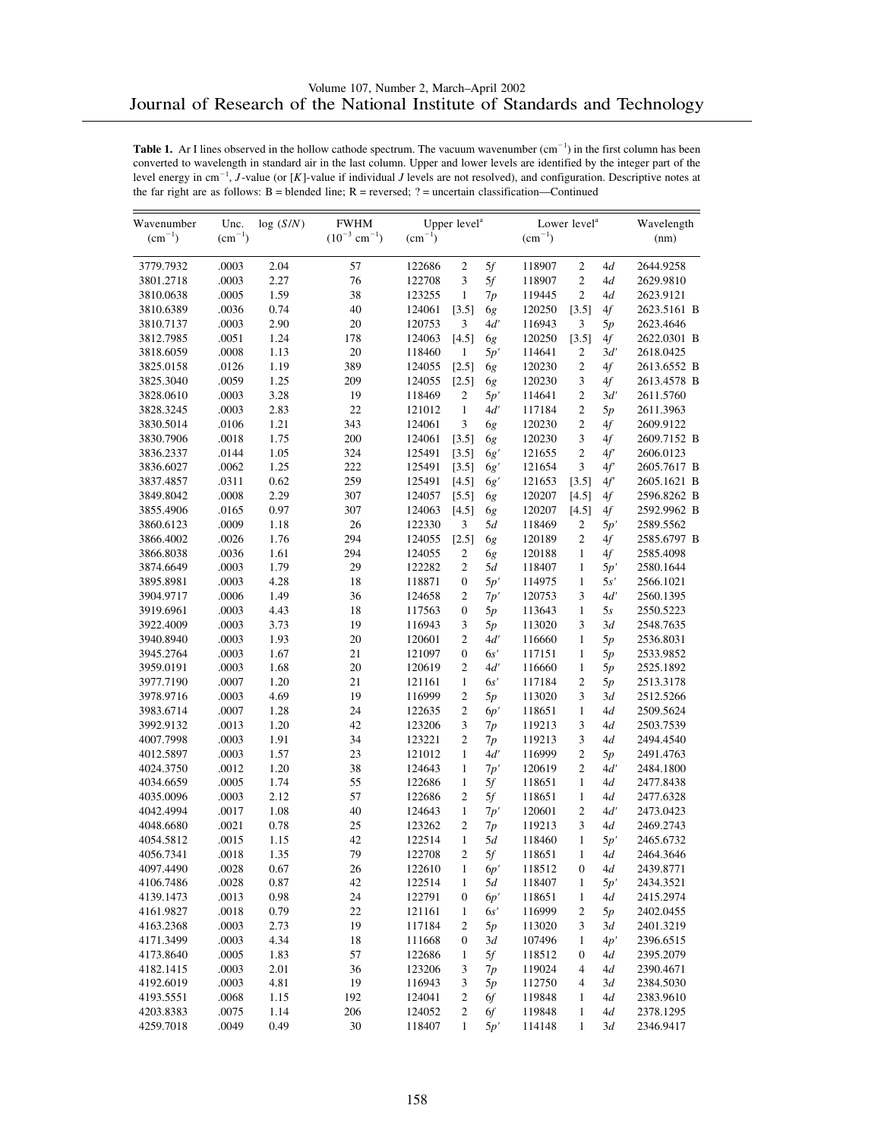| Wavenumber             | Unc.           | log(S/N)     | <b>FWHM</b>                   |                  | Upper level <sup>a</sup> |           |                  | Lower level <sup>a</sup> |          | Wavelength             |
|------------------------|----------------|--------------|-------------------------------|------------------|--------------------------|-----------|------------------|--------------------------|----------|------------------------|
| $(cm^{-1})$            | $(cm^{-1})$    |              | $(10^{-3}$ cm <sup>-1</sup> ) | $(cm^{-1})$      |                          |           | $\rm (cm^{-1})$  |                          |          | (nm)                   |
| 3779.7932              | .0003          | 2.04         | 57                            | 122686           | $\sqrt{2}$               | 5f        | 118907           | $\mathfrak{2}$           | 4d       | 2644.9258              |
| 3801.2718              | .0003          | 2.27         | 76                            | 122708           | 3                        | 5f        | 118907           | $\overline{c}$           | 4d       | 2629.9810              |
| 3810.0638              | .0005          | 1.59         | 38                            | 123255           | $\mathbf{1}$             | 7p        | 119445           | $\overline{c}$           | 4d       | 2623.9121              |
| 3810.6389              | .0036          | 0.74         | 40                            | 124061           | [3.5]                    | 6g        | 120250           | [3.5]                    | 4f       | 2623.5161 B            |
| 3810.7137              | .0003          | 2.90         | 20                            | 120753           | 3                        | 4d'       | 116943           | 3                        | 5p       | 2623.4646              |
| 3812.7985              | .0051          | 1.24         | 178                           | 124063           | [4.5]                    | 6g        | 120250           | [3.5]                    | 4f       | 2622.0301 B            |
| 3818.6059              | .0008          | 1.13         | 20                            | 118460           | $\mathbf{1}$             | 5p'       | 114641           | 2                        | 3d'      | 2618.0425              |
| 3825.0158              | .0126          | 1.19         | 389                           | 124055           | [2.5]                    | 6g        | 120230           | $\mathfrak{2}$           | 4f       | 2613.6552 B            |
| 3825.3040              | .0059          | 1.25         | 209                           | 124055           | $[2.5]$                  | 6g        | 120230           | $\mathfrak{Z}$           | 4f       | 2613.4578 B            |
| 3828.0610              | .0003          | 3.28         | 19                            | 118469           | 2                        | 5p'       | 114641           | $\mathfrak{2}$           | 3d'      | 2611.5760              |
| 3828.3245              | .0003          | 2.83         | 22                            | 121012           | $\mathbf{1}$             | 4d'       | 117184           | $\overline{c}$           | 5p       | 2611.3963              |
| 3830.5014              | .0106          | 1.21         | 343                           | 124061           | 3                        | 6g        | 120230           | $\mathfrak{2}$           | 4f       | 2609.9122              |
| 3830.7906              | .0018          | 1.75         | 200                           | 124061           | [3.5]                    | 6g        | 120230           | 3                        | 4f       | 2609.7152 B            |
| 3836.2337              | .0144          | 1.05         | 324                           | 125491           | [3.5]                    | 6g'       | 121655           | $\overline{c}$           | 4f       | 2606.0123              |
| 3836.6027              | .0062          | 1.25         | 222                           | 125491           | [3.5]                    | 6g'       | 121654           | 3                        | 4f'      | 2605.7617 B            |
| 3837.4857              | .0311          | 0.62         | 259                           | 125491           | [4.5]                    | 6g'       | 121653           | [3.5]                    | 4f'      | 2605.1621 B            |
| 3849.8042              | .0008          | 2.29         | 307                           | 124057           | [5.5]                    | 6g        | 120207           | [4.5]                    | 4f       | 2596.8262 B            |
| 3855.4906              | .0165          | 0.97         | 307                           | 124063           | [4.5]                    | 6g        | 120207           | [4.5]                    | 4f       | 2592.9962 B            |
| 3860.6123              | .0009          | 1.18         | 26                            | 122330           | 3                        | 5d        | 118469           | 2                        | 5p'      | 2589.5562              |
| 3866.4002              | .0026          | 1.76         | 294                           | 124055           | [2.5]                    | 6g        | 120189           | $\mathfrak{2}$           | 4f       | 2585.6797 B            |
| 3866.8038              | .0036          | 1.61         | 294                           | 124055           | 2                        | 6g        | 120188           | 1                        | 4f       | 2585.4098              |
| 3874.6649              | .0003          | 1.79         | 29                            | 122282           | $\overline{c}$           | 5d        | 118407           | 1                        | 5p'      | 2580.1644              |
| 3895.8981              | .0003          | 4.28         | 18                            | 118871           | $\boldsymbol{0}$         | 5p'       | 114975           | $\mathbf{1}$             | 5s'      | 2566.1021              |
| 3904.9717              | .0006          | 1.49         | 36                            | 124658           | 2                        | 7p'       | 120753           | 3<br>$\mathbf{1}$        | 4ď       | 2560.1395              |
| 3919.6961              | .0003          | 4.43         | 18                            | 117563           | $\boldsymbol{0}$         | 5p        | 113643           | 3                        | 5s       | 2550.5223              |
| 3922.4009              | .0003          | 3.73<br>1.93 | 19<br>20                      | 116943           | 3<br>$\mathfrak{2}$      | 5p<br>4d' | 113020           | $\mathbf{1}$             | 3d       | 2548.7635              |
| 3940.8940              | .0003<br>.0003 | 1.67         | 21                            | 120601<br>121097 | $\boldsymbol{0}$         | 6s'       | 116660<br>117151 | $\mathbf{1}$             | 5p       | 2536.8031              |
| 3945.2764<br>3959.0191 | .0003          | 1.68         | 20                            | 120619           | $\overline{2}$           | 4d'       | 116660           | 1                        | 5p       | 2533.9852<br>2525.1892 |
| 3977.7190              | .0007          | 1.20         | 21                            | 121161           | $\mathbf{1}$             | 6s'       | 117184           | $\mathfrak{2}$           | 5p<br>5p | 2513.3178              |
| 3978.9716              | .0003          | 4.69         | 19                            | 116999           | $\overline{2}$           | 5p        | 113020           | 3                        | 3d       | 2512.5266              |
| 3983.6714              | .0007          | 1.28         | 24                            | 122635           | 2                        | 6p'       | 118651           | $\mathbf{1}$             | 4d       | 2509.5624              |
| 3992.9132              | .0013          | 1.20         | 42                            | 123206           | 3                        | 7p        | 119213           | 3                        | 4d       | 2503.7539              |
| 4007.7998              | .0003          | 1.91         | 34                            | 123221           | $\overline{c}$           | 7p        | 119213           | 3                        | 4d       | 2494.4540              |
| 4012.5897              | .0003          | 1.57         | 23                            | 121012           | $\mathbf{1}$             | 4d'       | 116999           | $\mathfrak{2}$           | 5p       | 2491.4763              |
| 4024.3750              | .0012          | 1.20         | 38                            | 124643           | $\mathbf{1}$             | 7p'       | 120619           | $\mathfrak{2}$           | 4d'      | 2484.1800              |
| 4034.6659              | .0005          | 1.74         | 55                            | 122686           | $\mathbf{1}$             | 5f        | 118651           | $\mathbf{1}$             | 4d       | 2477.8438              |
| 4035.0096              | .0003          | 2.12         | 57                            | 122686           | 2                        | 5f        | 118651           | $\mathbf{1}$             | 4d       | 2477.6328              |
| 4042.4994              | .0017          | 1.08         | 40                            | 124643           | $\mathbf{1}$             | 7p'       | 120601           | $\overline{c}$           | 4d'      | 2473.0423              |
| 4048.6680              | .0021          | 0.78         | 25                            | 123262           | $\overline{c}$           | 7p        | 119213           | 3                        | 4d       | 2469.2743              |
| 4054.5812              | .0015          | 1.15         | 42                            | 122514           | $\mathbf{1}$             | 5d        | 118460           | 1                        | 5p'      | 2465.6732              |
| 4056.7341              | .0018          | 1.35         | 79                            | 122708           | $\overline{c}$           | $5f$      | 118651           | $\mathbf{1}$             | 4d       | 2464.3646              |
| 4097.4490              | .0028          | 0.67         | 26                            | 122610           | $\mathbf{1}$             | 6p'       | 118512           | 0                        | 4d       | 2439.8771              |
| 4106.7486              | .0028          | 0.87         | 42                            | 122514           | 1                        | 5d        | 118407           | 1                        | 5p'      | 2434.3521              |
| 4139.1473              | .0013          | 0.98         | 24                            | 122791           | $\mathbf{0}$             | 6p'       | 118651           | $\mathbf{1}$             | 4d       | 2415.2974              |
| 4161.9827              | .0018          | 0.79         | 22                            | 121161           | 1                        | 6s'       | 116999           | 2                        | 5p       | 2402.0455              |
| 4163.2368              | .0003          | 2.73         | 19                            | 117184           | 2                        | 5p        | 113020           | 3                        | 3d       | 2401.3219              |
| 4171.3499              | .0003          | 4.34         | 18                            | 111668           | $\boldsymbol{0}$         | 3d        | 107496           | $\mathbf{1}$             | 4p'      | 2396.6515              |
| 4173.8640              | .0005          | 1.83         | 57                            | 122686           | $\mathbf{1}$             | 5f        | 118512           | $\boldsymbol{0}$         | 4d       | 2395.2079              |
| 4182.1415              | .0003          | 2.01         | 36                            | 123206           | 3                        | 7p        | 119024           | 4                        | 4d       | 2390.4671              |
| 4192.6019              | .0003          | 4.81         | 19                            | 116943           | 3                        | 5p        | 112750           | 4                        | 3d       | 2384.5030              |
| 4193.5551              | .0068          | 1.15         | 192                           | 124041           | 2                        | 6f        | 119848           | 1                        | 4d       | 2383.9610              |
| 4203.8383              | .0075          | 1.14         | 206                           | 124052           | 2                        | 6f        | 119848           | 1                        | 4d       | 2378.1295              |
| 4259.7018              | .0049          | 0.49         | 30                            | 118407           | $\mathbf{1}$             | 5p'       | 114148           | $\mathbf{1}$             | 3d       | 2346.9417              |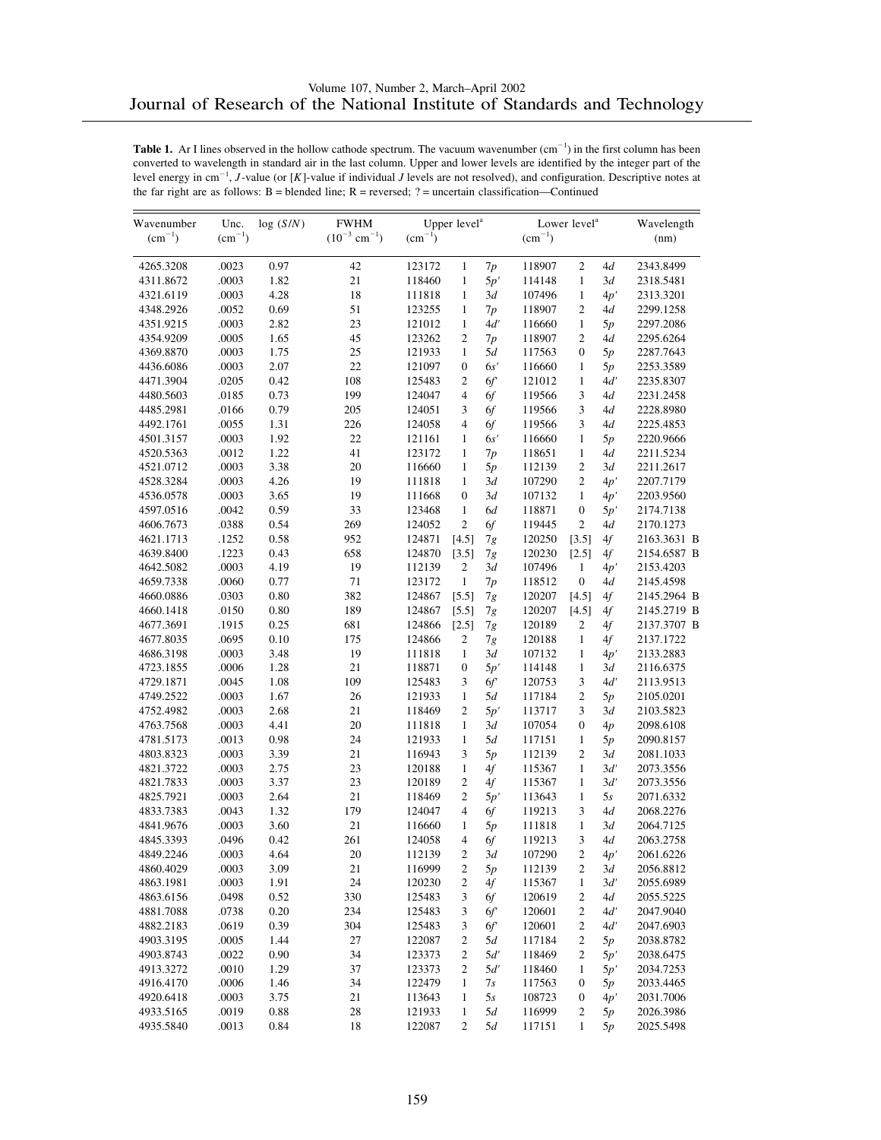| $(10^{-3}$ cm <sup>-1</sup> )<br>$(cm^{-1})$<br>$(cm^{-1})$<br>$(cm^{-1})$<br>$(cm^{-1})$<br>(nm)<br>.0023<br>0.97<br>$\mathbf{1}$<br>$\mathfrak{2}$<br>4d<br>2343.8499<br>4265.3208<br>42<br>123172<br>7p<br>118907<br>4311.8672<br>.0003<br>1.82<br>21<br>$\mathbf{1}$<br>5p'<br>$\mathbf{1}$<br>118460<br>114148<br>3d<br>2318.5481<br>.0003<br>4.28<br>18<br>111818<br>3d<br>4321.6119<br>$\mathbf{1}$<br>107496<br>$\mathbf{1}$<br>4p'<br>2313.3201<br>51<br>.0052<br>0.69<br>$\mathbf{1}$<br>$\overline{c}$<br>4348.2926<br>123255<br>7p<br>118907<br>4d<br>2299.1258<br>.0003<br>2.82<br>23<br>121012<br>$\mathbf{1}$<br>4d'<br>$\mathbf{1}$<br>2297.2086<br>4351.9215<br>116660<br>5p<br>.0005<br>1.65<br>45<br>123262<br>$\overline{2}$<br>$\overline{c}$<br>2295.6264<br>4354.9209<br>7p<br>118907<br>4d<br>25<br>.0003<br>1.75<br>$\mathbf{1}$<br>5d<br>4369.8870<br>121933<br>117563<br>$\boldsymbol{0}$<br>5p<br>2287.7643<br>22<br>.0003<br>2.07<br>121097<br>4436.6086<br>$\mathbf{0}$<br>6s'<br>116660<br>1<br>2253.3589<br>5p<br>0.42<br>108<br>$\overline{c}$<br>6f<br>4471.3904<br>.0205<br>125483<br>121012<br>$\mathbf{1}$<br>4ď<br>2235.8307<br>0.73<br>199<br>$\overline{4}$<br>3<br>4480.5603<br>.0185<br>124047<br>6f<br>119566<br>4d<br>2231.2458<br>4485.2981<br>.0166<br>0.79<br>205<br>124051<br>119566<br>3<br>2228.8980<br>3<br>6f<br>4d<br>.0055<br>1.31<br>226<br>$\overline{4}$<br>3<br>4492.1761<br>124058<br>6f<br>119566<br>4d<br>2225.4853<br>22<br>.0003<br>1.92<br>4501.3157<br>121161<br>$\mathbf{1}$<br>6s'<br>116660<br>1<br>5p<br>2220.9666<br>1.22<br>41<br>123172<br>4520.5363<br>.0012<br>1<br>118651<br>$\mathbf{1}$<br>4d<br>2211.5234<br>7p<br>.0003<br>3.38<br>20<br>$\mathfrak{2}$<br>4521.0712<br>116660<br>$\mathbf{1}$<br>5p<br>112139<br>3d<br>2211.2617<br>.0003<br>4.26<br>19<br>111818<br>$\mathbf{1}$<br>$\overline{c}$<br>4528.3284<br>3d<br>107290<br>4p'<br>2207.7179<br>.0003<br>3.65<br>19<br>3d<br>4536.0578<br>111668<br>$\mathbf{0}$<br>107132<br>$\mathbf{1}$<br>4p'<br>2203.9560<br>.0042<br>0.59<br>33<br>123468<br>$\mathbf{1}$<br>6d<br>118871<br>4597.0516<br>$\boldsymbol{0}$<br>2174.7138<br>5p'<br>$\overline{c}$<br>.0388<br>0.54<br>269<br>124052<br>$\overline{c}$<br>6f<br>2170.1273<br>4606.7673<br>119445<br>4d<br>.1252<br>0.58<br>952<br>124871<br>2163.3631 B<br>4621.1713<br>[4.5]<br>7g<br>120250<br>[3.5]<br>4f<br>.1223<br>0.43<br>658<br>124870<br>2154.6587 B<br>4639.8400<br>[3.5]<br>120230<br>[2.5]<br>4f<br>7g<br>19<br>.0003<br>4.19<br>112139<br>2<br>107496<br>2153.4203<br>4642.5082<br>3d<br>$\mathbf{1}$<br>4p'<br>0.77<br>71<br>4659.7338<br>.0060<br>123172<br>$\mathbf{1}$<br>7p<br>118512<br>$\boldsymbol{0}$<br>4d<br>2145.4598<br>.0303<br>0.80<br>382<br>124867<br>2145.2964 B<br>4660.0886<br>[5.5]<br>120207<br>[4.5]<br>4f<br>7g<br>.0150<br>0.80<br>189<br>2145.2719 B<br>4660.1418<br>124867<br>$[5.5]$<br>120207<br>[4.5]<br>4f<br>7g<br>0.25<br>681<br>4677.3691<br>.1915<br>124866<br>[2.5]<br>7g<br>120189<br>2<br>2137.3707 B<br>4f<br>.0695<br>0.10<br>175<br>124866<br>4677.8035<br>2<br>120188<br>1<br>4f<br>2137.1722<br>7g<br>.0003<br>3.48<br>19<br>$\mathbf{1}$<br>3d<br>4686.3198<br>111818<br>107132<br>$\mathbf{1}$<br>4p'<br>2133.2883<br>1.28<br>21<br>5p'<br>4723.1855<br>.0006<br>118871<br>$\boldsymbol{0}$<br>114148<br>$\mathbf{1}$<br>3d<br>2116.6375<br>.0045<br>1.08<br>109<br>125483<br>3<br>6f<br>3<br>4d'<br>4729.1871<br>120753<br>2113.9513<br>$\overline{c}$<br>.0003<br>1.67<br>26<br>121933<br>4749.2522<br>$\mathbf{1}$<br>5d<br>117184<br>5p<br>2105.0201<br>2.68<br>21<br>$\overline{c}$<br>4752.4982<br>.0003<br>118469<br>5p'<br>113717<br>3<br>3d<br>2103.5823<br>4.41<br>20<br>111818<br>$\mathbf{1}$<br>3d<br>$\boldsymbol{0}$<br>4763.7568<br>.0003<br>107054<br>4p<br>2098.6108<br>0.98<br>24<br>4781.5173<br>.0013<br>121933<br>$\mathbf{1}$<br>5d<br>117151<br>$\mathbf{1}$<br>2090.8157<br>5p<br>3.39<br>21<br>$\overline{c}$<br>4803.8323<br>.0003<br>116943<br>3<br>5p<br>112139<br>3d<br>2081.1033<br>.0003<br>2.75<br>23<br>120188<br>$\mathbf{1}$<br>4f<br>$\mathbf{1}$<br>3d'<br>4821.3722<br>115367<br>2073.3556<br>.0003<br>3.37<br>23<br>$\overline{c}$<br>4821.7833<br>120189<br>4f<br>115367<br>$\mathbf{1}$<br>3d'<br>2073.3556<br>2.64<br>21<br>4825.7921<br>.0003<br>118469<br>2<br>5p'<br>113643<br>$\mathbf{1}$<br>5s<br>2071.6332<br>1.32<br>179<br>$\overline{4}$<br>3<br>4833.7383<br>.0043<br>124047<br>6f<br>119213<br>4d<br>2068.2276<br>.0003<br>3.60<br>21<br>4841.9676<br>116660<br>$\mathbf{1}$<br>5p<br>111818<br>$\mathbf{1}$<br>3d<br>2064.7125<br>261<br>3<br>4845.3393<br>.0496<br>0.42<br>124058<br>4<br>6f<br>119213<br>4d<br>2063.2758<br>20<br>4849.2246<br>.0003<br>4.64<br>112139<br>$\sqrt{2}$<br>$3d$<br>107290<br>$\boldsymbol{2}$<br>4p'<br>2061.6226<br>4860.4029<br>.0003<br>3.09<br>21<br>116999<br>2<br>2056.8812<br>5p<br>112139<br>2<br>3d<br>$24\,$<br>4863.1981<br>.0003<br>1.91<br>120230<br>2<br>4f<br>115367<br>3d'<br>2055.6989<br>1<br>.0498<br>0.52<br>330<br>3<br>4863.6156<br>125483<br>6f<br>120619<br>2<br>4d<br>2055.5225<br>$0.20\,$<br>4881.7088<br>.0738<br>234<br>125483<br>3<br>6f<br>120601<br>2<br>4d'<br>2047.9040<br>.0619<br>0.39<br>304<br>125483<br>120601<br>$\mathfrak{2}$<br>4d'<br>4882.2183<br>3<br>6f<br>2047.6903<br>1.44<br>27<br>$\sqrt{2}$<br>4903.3195<br>.0005<br>122087<br>2<br>5d<br>117184<br>5p<br>2038.8782<br>34<br>.0022<br>0.90<br>123373<br>$\sqrt{2}$<br>$\mathfrak{2}$<br>4903.8743<br>5d'<br>118469<br>2038.6475<br>5p'<br>.0010<br>1.29<br>37<br>123373<br>5d'<br>4913.3272<br>2<br>118460<br>2034.7253<br>1<br>5p'<br>1.46<br>34<br>4916.4170<br>.0006<br>122479<br>$\mathbf{1}$<br>7s<br>117563<br>$\boldsymbol{0}$<br>5p<br>2033.4465<br>3.75<br>21<br>108723<br>4920.6418<br>.0003<br>113643<br>1<br>5s<br>$\boldsymbol{0}$<br>2031.7006<br>4p'<br>.0019<br>0.88<br>28<br>5d<br>4933.5165<br>121933<br>$\mathbf{1}$<br>116999<br>2<br>2026.3986<br>5p | Wavenumber | Unc.  | log(S/N) | <b>FWHM</b> |        | Upper level <sup>a</sup> |    |        | Lower level <sup>a</sup> |    | Wavelength |
|----------------------------------------------------------------------------------------------------------------------------------------------------------------------------------------------------------------------------------------------------------------------------------------------------------------------------------------------------------------------------------------------------------------------------------------------------------------------------------------------------------------------------------------------------------------------------------------------------------------------------------------------------------------------------------------------------------------------------------------------------------------------------------------------------------------------------------------------------------------------------------------------------------------------------------------------------------------------------------------------------------------------------------------------------------------------------------------------------------------------------------------------------------------------------------------------------------------------------------------------------------------------------------------------------------------------------------------------------------------------------------------------------------------------------------------------------------------------------------------------------------------------------------------------------------------------------------------------------------------------------------------------------------------------------------------------------------------------------------------------------------------------------------------------------------------------------------------------------------------------------------------------------------------------------------------------------------------------------------------------------------------------------------------------------------------------------------------------------------------------------------------------------------------------------------------------------------------------------------------------------------------------------------------------------------------------------------------------------------------------------------------------------------------------------------------------------------------------------------------------------------------------------------------------------------------------------------------------------------------------------------------------------------------------------------------------------------------------------------------------------------------------------------------------------------------------------------------------------------------------------------------------------------------------------------------------------------------------------------------------------------------------------------------------------------------------------------------------------------------------------------------------------------------------------------------------------------------------------------------------------------------------------------------------------------------------------------------------------------------------------------------------------------------------------------------------------------------------------------------------------------------------------------------------------------------------------------------------------------------------------------------------------------------------------------------------------------------------------------------------------------------------------------------------------------------------------------------------------------------------------------------------------------------------------------------------------------------------------------------------------------------------------------------------------------------------------------------------------------------------------------------------------------------------------------------------------------------------------------------------------------------------------------------------------------------------------------------------------------------------------------------------------------------------------------------------------------------------------------------------------------------------------------------------------------------------------------------------------------------------------------------------------------------------------------------------------------------------------------------------------------------------------------------------------------------------------------------------------------------------------------------------------------------------------------------------------------------------------------------------------------------------------------------------------------------------------------------------------------------------------------------------------------------------------------------------------------------------------------------------------------------------------------------------------------------------------------------------------------------------------------------------------------------------------------------------------------------------------------------------------------------------------------------------------------------------------------------------------------------------------------------------------------------------------------------------------------------------------------------------------------------------------------------------------------------------------------------------------------------------------------------------------------------------------------------------------------------------------------------------------------------------------|------------|-------|----------|-------------|--------|--------------------------|----|--------|--------------------------|----|------------|
|                                                                                                                                                                                                                                                                                                                                                                                                                                                                                                                                                                                                                                                                                                                                                                                                                                                                                                                                                                                                                                                                                                                                                                                                                                                                                                                                                                                                                                                                                                                                                                                                                                                                                                                                                                                                                                                                                                                                                                                                                                                                                                                                                                                                                                                                                                                                                                                                                                                                                                                                                                                                                                                                                                                                                                                                                                                                                                                                                                                                                                                                                                                                                                                                                                                                                                                                                                                                                                                                                                                                                                                                                                                                                                                                                                                                                                                                                                                                                                                                                                                                                                                                                                                                                                                                                                                                                                                                                                                                                                                                                                                                                                                                                                                                                                                                                                                                                                                                                                                                                                                                                                                                                                                                                                                                                                                                                                                                                                                                                                                                                                                                                                                                                                                                                                                                                                                                                                                                                                                                                            |            |       |          |             |        |                          |    |        |                          |    |            |
|                                                                                                                                                                                                                                                                                                                                                                                                                                                                                                                                                                                                                                                                                                                                                                                                                                                                                                                                                                                                                                                                                                                                                                                                                                                                                                                                                                                                                                                                                                                                                                                                                                                                                                                                                                                                                                                                                                                                                                                                                                                                                                                                                                                                                                                                                                                                                                                                                                                                                                                                                                                                                                                                                                                                                                                                                                                                                                                                                                                                                                                                                                                                                                                                                                                                                                                                                                                                                                                                                                                                                                                                                                                                                                                                                                                                                                                                                                                                                                                                                                                                                                                                                                                                                                                                                                                                                                                                                                                                                                                                                                                                                                                                                                                                                                                                                                                                                                                                                                                                                                                                                                                                                                                                                                                                                                                                                                                                                                                                                                                                                                                                                                                                                                                                                                                                                                                                                                                                                                                                                            |            |       |          |             |        |                          |    |        |                          |    |            |
|                                                                                                                                                                                                                                                                                                                                                                                                                                                                                                                                                                                                                                                                                                                                                                                                                                                                                                                                                                                                                                                                                                                                                                                                                                                                                                                                                                                                                                                                                                                                                                                                                                                                                                                                                                                                                                                                                                                                                                                                                                                                                                                                                                                                                                                                                                                                                                                                                                                                                                                                                                                                                                                                                                                                                                                                                                                                                                                                                                                                                                                                                                                                                                                                                                                                                                                                                                                                                                                                                                                                                                                                                                                                                                                                                                                                                                                                                                                                                                                                                                                                                                                                                                                                                                                                                                                                                                                                                                                                                                                                                                                                                                                                                                                                                                                                                                                                                                                                                                                                                                                                                                                                                                                                                                                                                                                                                                                                                                                                                                                                                                                                                                                                                                                                                                                                                                                                                                                                                                                                                            |            |       |          |             |        |                          |    |        |                          |    |            |
|                                                                                                                                                                                                                                                                                                                                                                                                                                                                                                                                                                                                                                                                                                                                                                                                                                                                                                                                                                                                                                                                                                                                                                                                                                                                                                                                                                                                                                                                                                                                                                                                                                                                                                                                                                                                                                                                                                                                                                                                                                                                                                                                                                                                                                                                                                                                                                                                                                                                                                                                                                                                                                                                                                                                                                                                                                                                                                                                                                                                                                                                                                                                                                                                                                                                                                                                                                                                                                                                                                                                                                                                                                                                                                                                                                                                                                                                                                                                                                                                                                                                                                                                                                                                                                                                                                                                                                                                                                                                                                                                                                                                                                                                                                                                                                                                                                                                                                                                                                                                                                                                                                                                                                                                                                                                                                                                                                                                                                                                                                                                                                                                                                                                                                                                                                                                                                                                                                                                                                                                                            |            |       |          |             |        |                          |    |        |                          |    |            |
|                                                                                                                                                                                                                                                                                                                                                                                                                                                                                                                                                                                                                                                                                                                                                                                                                                                                                                                                                                                                                                                                                                                                                                                                                                                                                                                                                                                                                                                                                                                                                                                                                                                                                                                                                                                                                                                                                                                                                                                                                                                                                                                                                                                                                                                                                                                                                                                                                                                                                                                                                                                                                                                                                                                                                                                                                                                                                                                                                                                                                                                                                                                                                                                                                                                                                                                                                                                                                                                                                                                                                                                                                                                                                                                                                                                                                                                                                                                                                                                                                                                                                                                                                                                                                                                                                                                                                                                                                                                                                                                                                                                                                                                                                                                                                                                                                                                                                                                                                                                                                                                                                                                                                                                                                                                                                                                                                                                                                                                                                                                                                                                                                                                                                                                                                                                                                                                                                                                                                                                                                            |            |       |          |             |        |                          |    |        |                          |    |            |
|                                                                                                                                                                                                                                                                                                                                                                                                                                                                                                                                                                                                                                                                                                                                                                                                                                                                                                                                                                                                                                                                                                                                                                                                                                                                                                                                                                                                                                                                                                                                                                                                                                                                                                                                                                                                                                                                                                                                                                                                                                                                                                                                                                                                                                                                                                                                                                                                                                                                                                                                                                                                                                                                                                                                                                                                                                                                                                                                                                                                                                                                                                                                                                                                                                                                                                                                                                                                                                                                                                                                                                                                                                                                                                                                                                                                                                                                                                                                                                                                                                                                                                                                                                                                                                                                                                                                                                                                                                                                                                                                                                                                                                                                                                                                                                                                                                                                                                                                                                                                                                                                                                                                                                                                                                                                                                                                                                                                                                                                                                                                                                                                                                                                                                                                                                                                                                                                                                                                                                                                                            |            |       |          |             |        |                          |    |        |                          |    |            |
|                                                                                                                                                                                                                                                                                                                                                                                                                                                                                                                                                                                                                                                                                                                                                                                                                                                                                                                                                                                                                                                                                                                                                                                                                                                                                                                                                                                                                                                                                                                                                                                                                                                                                                                                                                                                                                                                                                                                                                                                                                                                                                                                                                                                                                                                                                                                                                                                                                                                                                                                                                                                                                                                                                                                                                                                                                                                                                                                                                                                                                                                                                                                                                                                                                                                                                                                                                                                                                                                                                                                                                                                                                                                                                                                                                                                                                                                                                                                                                                                                                                                                                                                                                                                                                                                                                                                                                                                                                                                                                                                                                                                                                                                                                                                                                                                                                                                                                                                                                                                                                                                                                                                                                                                                                                                                                                                                                                                                                                                                                                                                                                                                                                                                                                                                                                                                                                                                                                                                                                                                            |            |       |          |             |        |                          |    |        |                          |    |            |
|                                                                                                                                                                                                                                                                                                                                                                                                                                                                                                                                                                                                                                                                                                                                                                                                                                                                                                                                                                                                                                                                                                                                                                                                                                                                                                                                                                                                                                                                                                                                                                                                                                                                                                                                                                                                                                                                                                                                                                                                                                                                                                                                                                                                                                                                                                                                                                                                                                                                                                                                                                                                                                                                                                                                                                                                                                                                                                                                                                                                                                                                                                                                                                                                                                                                                                                                                                                                                                                                                                                                                                                                                                                                                                                                                                                                                                                                                                                                                                                                                                                                                                                                                                                                                                                                                                                                                                                                                                                                                                                                                                                                                                                                                                                                                                                                                                                                                                                                                                                                                                                                                                                                                                                                                                                                                                                                                                                                                                                                                                                                                                                                                                                                                                                                                                                                                                                                                                                                                                                                                            |            |       |          |             |        |                          |    |        |                          |    |            |
|                                                                                                                                                                                                                                                                                                                                                                                                                                                                                                                                                                                                                                                                                                                                                                                                                                                                                                                                                                                                                                                                                                                                                                                                                                                                                                                                                                                                                                                                                                                                                                                                                                                                                                                                                                                                                                                                                                                                                                                                                                                                                                                                                                                                                                                                                                                                                                                                                                                                                                                                                                                                                                                                                                                                                                                                                                                                                                                                                                                                                                                                                                                                                                                                                                                                                                                                                                                                                                                                                                                                                                                                                                                                                                                                                                                                                                                                                                                                                                                                                                                                                                                                                                                                                                                                                                                                                                                                                                                                                                                                                                                                                                                                                                                                                                                                                                                                                                                                                                                                                                                                                                                                                                                                                                                                                                                                                                                                                                                                                                                                                                                                                                                                                                                                                                                                                                                                                                                                                                                                                            |            |       |          |             |        |                          |    |        |                          |    |            |
|                                                                                                                                                                                                                                                                                                                                                                                                                                                                                                                                                                                                                                                                                                                                                                                                                                                                                                                                                                                                                                                                                                                                                                                                                                                                                                                                                                                                                                                                                                                                                                                                                                                                                                                                                                                                                                                                                                                                                                                                                                                                                                                                                                                                                                                                                                                                                                                                                                                                                                                                                                                                                                                                                                                                                                                                                                                                                                                                                                                                                                                                                                                                                                                                                                                                                                                                                                                                                                                                                                                                                                                                                                                                                                                                                                                                                                                                                                                                                                                                                                                                                                                                                                                                                                                                                                                                                                                                                                                                                                                                                                                                                                                                                                                                                                                                                                                                                                                                                                                                                                                                                                                                                                                                                                                                                                                                                                                                                                                                                                                                                                                                                                                                                                                                                                                                                                                                                                                                                                                                                            |            |       |          |             |        |                          |    |        |                          |    |            |
|                                                                                                                                                                                                                                                                                                                                                                                                                                                                                                                                                                                                                                                                                                                                                                                                                                                                                                                                                                                                                                                                                                                                                                                                                                                                                                                                                                                                                                                                                                                                                                                                                                                                                                                                                                                                                                                                                                                                                                                                                                                                                                                                                                                                                                                                                                                                                                                                                                                                                                                                                                                                                                                                                                                                                                                                                                                                                                                                                                                                                                                                                                                                                                                                                                                                                                                                                                                                                                                                                                                                                                                                                                                                                                                                                                                                                                                                                                                                                                                                                                                                                                                                                                                                                                                                                                                                                                                                                                                                                                                                                                                                                                                                                                                                                                                                                                                                                                                                                                                                                                                                                                                                                                                                                                                                                                                                                                                                                                                                                                                                                                                                                                                                                                                                                                                                                                                                                                                                                                                                                            |            |       |          |             |        |                          |    |        |                          |    |            |
|                                                                                                                                                                                                                                                                                                                                                                                                                                                                                                                                                                                                                                                                                                                                                                                                                                                                                                                                                                                                                                                                                                                                                                                                                                                                                                                                                                                                                                                                                                                                                                                                                                                                                                                                                                                                                                                                                                                                                                                                                                                                                                                                                                                                                                                                                                                                                                                                                                                                                                                                                                                                                                                                                                                                                                                                                                                                                                                                                                                                                                                                                                                                                                                                                                                                                                                                                                                                                                                                                                                                                                                                                                                                                                                                                                                                                                                                                                                                                                                                                                                                                                                                                                                                                                                                                                                                                                                                                                                                                                                                                                                                                                                                                                                                                                                                                                                                                                                                                                                                                                                                                                                                                                                                                                                                                                                                                                                                                                                                                                                                                                                                                                                                                                                                                                                                                                                                                                                                                                                                                            |            |       |          |             |        |                          |    |        |                          |    |            |
|                                                                                                                                                                                                                                                                                                                                                                                                                                                                                                                                                                                                                                                                                                                                                                                                                                                                                                                                                                                                                                                                                                                                                                                                                                                                                                                                                                                                                                                                                                                                                                                                                                                                                                                                                                                                                                                                                                                                                                                                                                                                                                                                                                                                                                                                                                                                                                                                                                                                                                                                                                                                                                                                                                                                                                                                                                                                                                                                                                                                                                                                                                                                                                                                                                                                                                                                                                                                                                                                                                                                                                                                                                                                                                                                                                                                                                                                                                                                                                                                                                                                                                                                                                                                                                                                                                                                                                                                                                                                                                                                                                                                                                                                                                                                                                                                                                                                                                                                                                                                                                                                                                                                                                                                                                                                                                                                                                                                                                                                                                                                                                                                                                                                                                                                                                                                                                                                                                                                                                                                                            |            |       |          |             |        |                          |    |        |                          |    |            |
|                                                                                                                                                                                                                                                                                                                                                                                                                                                                                                                                                                                                                                                                                                                                                                                                                                                                                                                                                                                                                                                                                                                                                                                                                                                                                                                                                                                                                                                                                                                                                                                                                                                                                                                                                                                                                                                                                                                                                                                                                                                                                                                                                                                                                                                                                                                                                                                                                                                                                                                                                                                                                                                                                                                                                                                                                                                                                                                                                                                                                                                                                                                                                                                                                                                                                                                                                                                                                                                                                                                                                                                                                                                                                                                                                                                                                                                                                                                                                                                                                                                                                                                                                                                                                                                                                                                                                                                                                                                                                                                                                                                                                                                                                                                                                                                                                                                                                                                                                                                                                                                                                                                                                                                                                                                                                                                                                                                                                                                                                                                                                                                                                                                                                                                                                                                                                                                                                                                                                                                                                            |            |       |          |             |        |                          |    |        |                          |    |            |
|                                                                                                                                                                                                                                                                                                                                                                                                                                                                                                                                                                                                                                                                                                                                                                                                                                                                                                                                                                                                                                                                                                                                                                                                                                                                                                                                                                                                                                                                                                                                                                                                                                                                                                                                                                                                                                                                                                                                                                                                                                                                                                                                                                                                                                                                                                                                                                                                                                                                                                                                                                                                                                                                                                                                                                                                                                                                                                                                                                                                                                                                                                                                                                                                                                                                                                                                                                                                                                                                                                                                                                                                                                                                                                                                                                                                                                                                                                                                                                                                                                                                                                                                                                                                                                                                                                                                                                                                                                                                                                                                                                                                                                                                                                                                                                                                                                                                                                                                                                                                                                                                                                                                                                                                                                                                                                                                                                                                                                                                                                                                                                                                                                                                                                                                                                                                                                                                                                                                                                                                                            |            |       |          |             |        |                          |    |        |                          |    |            |
|                                                                                                                                                                                                                                                                                                                                                                                                                                                                                                                                                                                                                                                                                                                                                                                                                                                                                                                                                                                                                                                                                                                                                                                                                                                                                                                                                                                                                                                                                                                                                                                                                                                                                                                                                                                                                                                                                                                                                                                                                                                                                                                                                                                                                                                                                                                                                                                                                                                                                                                                                                                                                                                                                                                                                                                                                                                                                                                                                                                                                                                                                                                                                                                                                                                                                                                                                                                                                                                                                                                                                                                                                                                                                                                                                                                                                                                                                                                                                                                                                                                                                                                                                                                                                                                                                                                                                                                                                                                                                                                                                                                                                                                                                                                                                                                                                                                                                                                                                                                                                                                                                                                                                                                                                                                                                                                                                                                                                                                                                                                                                                                                                                                                                                                                                                                                                                                                                                                                                                                                                            |            |       |          |             |        |                          |    |        |                          |    |            |
|                                                                                                                                                                                                                                                                                                                                                                                                                                                                                                                                                                                                                                                                                                                                                                                                                                                                                                                                                                                                                                                                                                                                                                                                                                                                                                                                                                                                                                                                                                                                                                                                                                                                                                                                                                                                                                                                                                                                                                                                                                                                                                                                                                                                                                                                                                                                                                                                                                                                                                                                                                                                                                                                                                                                                                                                                                                                                                                                                                                                                                                                                                                                                                                                                                                                                                                                                                                                                                                                                                                                                                                                                                                                                                                                                                                                                                                                                                                                                                                                                                                                                                                                                                                                                                                                                                                                                                                                                                                                                                                                                                                                                                                                                                                                                                                                                                                                                                                                                                                                                                                                                                                                                                                                                                                                                                                                                                                                                                                                                                                                                                                                                                                                                                                                                                                                                                                                                                                                                                                                                            |            |       |          |             |        |                          |    |        |                          |    |            |
|                                                                                                                                                                                                                                                                                                                                                                                                                                                                                                                                                                                                                                                                                                                                                                                                                                                                                                                                                                                                                                                                                                                                                                                                                                                                                                                                                                                                                                                                                                                                                                                                                                                                                                                                                                                                                                                                                                                                                                                                                                                                                                                                                                                                                                                                                                                                                                                                                                                                                                                                                                                                                                                                                                                                                                                                                                                                                                                                                                                                                                                                                                                                                                                                                                                                                                                                                                                                                                                                                                                                                                                                                                                                                                                                                                                                                                                                                                                                                                                                                                                                                                                                                                                                                                                                                                                                                                                                                                                                                                                                                                                                                                                                                                                                                                                                                                                                                                                                                                                                                                                                                                                                                                                                                                                                                                                                                                                                                                                                                                                                                                                                                                                                                                                                                                                                                                                                                                                                                                                                                            |            |       |          |             |        |                          |    |        |                          |    |            |
|                                                                                                                                                                                                                                                                                                                                                                                                                                                                                                                                                                                                                                                                                                                                                                                                                                                                                                                                                                                                                                                                                                                                                                                                                                                                                                                                                                                                                                                                                                                                                                                                                                                                                                                                                                                                                                                                                                                                                                                                                                                                                                                                                                                                                                                                                                                                                                                                                                                                                                                                                                                                                                                                                                                                                                                                                                                                                                                                                                                                                                                                                                                                                                                                                                                                                                                                                                                                                                                                                                                                                                                                                                                                                                                                                                                                                                                                                                                                                                                                                                                                                                                                                                                                                                                                                                                                                                                                                                                                                                                                                                                                                                                                                                                                                                                                                                                                                                                                                                                                                                                                                                                                                                                                                                                                                                                                                                                                                                                                                                                                                                                                                                                                                                                                                                                                                                                                                                                                                                                                                            |            |       |          |             |        |                          |    |        |                          |    |            |
|                                                                                                                                                                                                                                                                                                                                                                                                                                                                                                                                                                                                                                                                                                                                                                                                                                                                                                                                                                                                                                                                                                                                                                                                                                                                                                                                                                                                                                                                                                                                                                                                                                                                                                                                                                                                                                                                                                                                                                                                                                                                                                                                                                                                                                                                                                                                                                                                                                                                                                                                                                                                                                                                                                                                                                                                                                                                                                                                                                                                                                                                                                                                                                                                                                                                                                                                                                                                                                                                                                                                                                                                                                                                                                                                                                                                                                                                                                                                                                                                                                                                                                                                                                                                                                                                                                                                                                                                                                                                                                                                                                                                                                                                                                                                                                                                                                                                                                                                                                                                                                                                                                                                                                                                                                                                                                                                                                                                                                                                                                                                                                                                                                                                                                                                                                                                                                                                                                                                                                                                                            |            |       |          |             |        |                          |    |        |                          |    |            |
|                                                                                                                                                                                                                                                                                                                                                                                                                                                                                                                                                                                                                                                                                                                                                                                                                                                                                                                                                                                                                                                                                                                                                                                                                                                                                                                                                                                                                                                                                                                                                                                                                                                                                                                                                                                                                                                                                                                                                                                                                                                                                                                                                                                                                                                                                                                                                                                                                                                                                                                                                                                                                                                                                                                                                                                                                                                                                                                                                                                                                                                                                                                                                                                                                                                                                                                                                                                                                                                                                                                                                                                                                                                                                                                                                                                                                                                                                                                                                                                                                                                                                                                                                                                                                                                                                                                                                                                                                                                                                                                                                                                                                                                                                                                                                                                                                                                                                                                                                                                                                                                                                                                                                                                                                                                                                                                                                                                                                                                                                                                                                                                                                                                                                                                                                                                                                                                                                                                                                                                                                            |            |       |          |             |        |                          |    |        |                          |    |            |
|                                                                                                                                                                                                                                                                                                                                                                                                                                                                                                                                                                                                                                                                                                                                                                                                                                                                                                                                                                                                                                                                                                                                                                                                                                                                                                                                                                                                                                                                                                                                                                                                                                                                                                                                                                                                                                                                                                                                                                                                                                                                                                                                                                                                                                                                                                                                                                                                                                                                                                                                                                                                                                                                                                                                                                                                                                                                                                                                                                                                                                                                                                                                                                                                                                                                                                                                                                                                                                                                                                                                                                                                                                                                                                                                                                                                                                                                                                                                                                                                                                                                                                                                                                                                                                                                                                                                                                                                                                                                                                                                                                                                                                                                                                                                                                                                                                                                                                                                                                                                                                                                                                                                                                                                                                                                                                                                                                                                                                                                                                                                                                                                                                                                                                                                                                                                                                                                                                                                                                                                                            |            |       |          |             |        |                          |    |        |                          |    |            |
|                                                                                                                                                                                                                                                                                                                                                                                                                                                                                                                                                                                                                                                                                                                                                                                                                                                                                                                                                                                                                                                                                                                                                                                                                                                                                                                                                                                                                                                                                                                                                                                                                                                                                                                                                                                                                                                                                                                                                                                                                                                                                                                                                                                                                                                                                                                                                                                                                                                                                                                                                                                                                                                                                                                                                                                                                                                                                                                                                                                                                                                                                                                                                                                                                                                                                                                                                                                                                                                                                                                                                                                                                                                                                                                                                                                                                                                                                                                                                                                                                                                                                                                                                                                                                                                                                                                                                                                                                                                                                                                                                                                                                                                                                                                                                                                                                                                                                                                                                                                                                                                                                                                                                                                                                                                                                                                                                                                                                                                                                                                                                                                                                                                                                                                                                                                                                                                                                                                                                                                                                            |            |       |          |             |        |                          |    |        |                          |    |            |
|                                                                                                                                                                                                                                                                                                                                                                                                                                                                                                                                                                                                                                                                                                                                                                                                                                                                                                                                                                                                                                                                                                                                                                                                                                                                                                                                                                                                                                                                                                                                                                                                                                                                                                                                                                                                                                                                                                                                                                                                                                                                                                                                                                                                                                                                                                                                                                                                                                                                                                                                                                                                                                                                                                                                                                                                                                                                                                                                                                                                                                                                                                                                                                                                                                                                                                                                                                                                                                                                                                                                                                                                                                                                                                                                                                                                                                                                                                                                                                                                                                                                                                                                                                                                                                                                                                                                                                                                                                                                                                                                                                                                                                                                                                                                                                                                                                                                                                                                                                                                                                                                                                                                                                                                                                                                                                                                                                                                                                                                                                                                                                                                                                                                                                                                                                                                                                                                                                                                                                                                                            |            |       |          |             |        |                          |    |        |                          |    |            |
|                                                                                                                                                                                                                                                                                                                                                                                                                                                                                                                                                                                                                                                                                                                                                                                                                                                                                                                                                                                                                                                                                                                                                                                                                                                                                                                                                                                                                                                                                                                                                                                                                                                                                                                                                                                                                                                                                                                                                                                                                                                                                                                                                                                                                                                                                                                                                                                                                                                                                                                                                                                                                                                                                                                                                                                                                                                                                                                                                                                                                                                                                                                                                                                                                                                                                                                                                                                                                                                                                                                                                                                                                                                                                                                                                                                                                                                                                                                                                                                                                                                                                                                                                                                                                                                                                                                                                                                                                                                                                                                                                                                                                                                                                                                                                                                                                                                                                                                                                                                                                                                                                                                                                                                                                                                                                                                                                                                                                                                                                                                                                                                                                                                                                                                                                                                                                                                                                                                                                                                                                            |            |       |          |             |        |                          |    |        |                          |    |            |
|                                                                                                                                                                                                                                                                                                                                                                                                                                                                                                                                                                                                                                                                                                                                                                                                                                                                                                                                                                                                                                                                                                                                                                                                                                                                                                                                                                                                                                                                                                                                                                                                                                                                                                                                                                                                                                                                                                                                                                                                                                                                                                                                                                                                                                                                                                                                                                                                                                                                                                                                                                                                                                                                                                                                                                                                                                                                                                                                                                                                                                                                                                                                                                                                                                                                                                                                                                                                                                                                                                                                                                                                                                                                                                                                                                                                                                                                                                                                                                                                                                                                                                                                                                                                                                                                                                                                                                                                                                                                                                                                                                                                                                                                                                                                                                                                                                                                                                                                                                                                                                                                                                                                                                                                                                                                                                                                                                                                                                                                                                                                                                                                                                                                                                                                                                                                                                                                                                                                                                                                                            |            |       |          |             |        |                          |    |        |                          |    |            |
|                                                                                                                                                                                                                                                                                                                                                                                                                                                                                                                                                                                                                                                                                                                                                                                                                                                                                                                                                                                                                                                                                                                                                                                                                                                                                                                                                                                                                                                                                                                                                                                                                                                                                                                                                                                                                                                                                                                                                                                                                                                                                                                                                                                                                                                                                                                                                                                                                                                                                                                                                                                                                                                                                                                                                                                                                                                                                                                                                                                                                                                                                                                                                                                                                                                                                                                                                                                                                                                                                                                                                                                                                                                                                                                                                                                                                                                                                                                                                                                                                                                                                                                                                                                                                                                                                                                                                                                                                                                                                                                                                                                                                                                                                                                                                                                                                                                                                                                                                                                                                                                                                                                                                                                                                                                                                                                                                                                                                                                                                                                                                                                                                                                                                                                                                                                                                                                                                                                                                                                                                            |            |       |          |             |        |                          |    |        |                          |    |            |
|                                                                                                                                                                                                                                                                                                                                                                                                                                                                                                                                                                                                                                                                                                                                                                                                                                                                                                                                                                                                                                                                                                                                                                                                                                                                                                                                                                                                                                                                                                                                                                                                                                                                                                                                                                                                                                                                                                                                                                                                                                                                                                                                                                                                                                                                                                                                                                                                                                                                                                                                                                                                                                                                                                                                                                                                                                                                                                                                                                                                                                                                                                                                                                                                                                                                                                                                                                                                                                                                                                                                                                                                                                                                                                                                                                                                                                                                                                                                                                                                                                                                                                                                                                                                                                                                                                                                                                                                                                                                                                                                                                                                                                                                                                                                                                                                                                                                                                                                                                                                                                                                                                                                                                                                                                                                                                                                                                                                                                                                                                                                                                                                                                                                                                                                                                                                                                                                                                                                                                                                                            |            |       |          |             |        |                          |    |        |                          |    |            |
|                                                                                                                                                                                                                                                                                                                                                                                                                                                                                                                                                                                                                                                                                                                                                                                                                                                                                                                                                                                                                                                                                                                                                                                                                                                                                                                                                                                                                                                                                                                                                                                                                                                                                                                                                                                                                                                                                                                                                                                                                                                                                                                                                                                                                                                                                                                                                                                                                                                                                                                                                                                                                                                                                                                                                                                                                                                                                                                                                                                                                                                                                                                                                                                                                                                                                                                                                                                                                                                                                                                                                                                                                                                                                                                                                                                                                                                                                                                                                                                                                                                                                                                                                                                                                                                                                                                                                                                                                                                                                                                                                                                                                                                                                                                                                                                                                                                                                                                                                                                                                                                                                                                                                                                                                                                                                                                                                                                                                                                                                                                                                                                                                                                                                                                                                                                                                                                                                                                                                                                                                            |            |       |          |             |        |                          |    |        |                          |    |            |
|                                                                                                                                                                                                                                                                                                                                                                                                                                                                                                                                                                                                                                                                                                                                                                                                                                                                                                                                                                                                                                                                                                                                                                                                                                                                                                                                                                                                                                                                                                                                                                                                                                                                                                                                                                                                                                                                                                                                                                                                                                                                                                                                                                                                                                                                                                                                                                                                                                                                                                                                                                                                                                                                                                                                                                                                                                                                                                                                                                                                                                                                                                                                                                                                                                                                                                                                                                                                                                                                                                                                                                                                                                                                                                                                                                                                                                                                                                                                                                                                                                                                                                                                                                                                                                                                                                                                                                                                                                                                                                                                                                                                                                                                                                                                                                                                                                                                                                                                                                                                                                                                                                                                                                                                                                                                                                                                                                                                                                                                                                                                                                                                                                                                                                                                                                                                                                                                                                                                                                                                                            |            |       |          |             |        |                          |    |        |                          |    |            |
|                                                                                                                                                                                                                                                                                                                                                                                                                                                                                                                                                                                                                                                                                                                                                                                                                                                                                                                                                                                                                                                                                                                                                                                                                                                                                                                                                                                                                                                                                                                                                                                                                                                                                                                                                                                                                                                                                                                                                                                                                                                                                                                                                                                                                                                                                                                                                                                                                                                                                                                                                                                                                                                                                                                                                                                                                                                                                                                                                                                                                                                                                                                                                                                                                                                                                                                                                                                                                                                                                                                                                                                                                                                                                                                                                                                                                                                                                                                                                                                                                                                                                                                                                                                                                                                                                                                                                                                                                                                                                                                                                                                                                                                                                                                                                                                                                                                                                                                                                                                                                                                                                                                                                                                                                                                                                                                                                                                                                                                                                                                                                                                                                                                                                                                                                                                                                                                                                                                                                                                                                            |            |       |          |             |        |                          |    |        |                          |    |            |
|                                                                                                                                                                                                                                                                                                                                                                                                                                                                                                                                                                                                                                                                                                                                                                                                                                                                                                                                                                                                                                                                                                                                                                                                                                                                                                                                                                                                                                                                                                                                                                                                                                                                                                                                                                                                                                                                                                                                                                                                                                                                                                                                                                                                                                                                                                                                                                                                                                                                                                                                                                                                                                                                                                                                                                                                                                                                                                                                                                                                                                                                                                                                                                                                                                                                                                                                                                                                                                                                                                                                                                                                                                                                                                                                                                                                                                                                                                                                                                                                                                                                                                                                                                                                                                                                                                                                                                                                                                                                                                                                                                                                                                                                                                                                                                                                                                                                                                                                                                                                                                                                                                                                                                                                                                                                                                                                                                                                                                                                                                                                                                                                                                                                                                                                                                                                                                                                                                                                                                                                                            |            |       |          |             |        |                          |    |        |                          |    |            |
|                                                                                                                                                                                                                                                                                                                                                                                                                                                                                                                                                                                                                                                                                                                                                                                                                                                                                                                                                                                                                                                                                                                                                                                                                                                                                                                                                                                                                                                                                                                                                                                                                                                                                                                                                                                                                                                                                                                                                                                                                                                                                                                                                                                                                                                                                                                                                                                                                                                                                                                                                                                                                                                                                                                                                                                                                                                                                                                                                                                                                                                                                                                                                                                                                                                                                                                                                                                                                                                                                                                                                                                                                                                                                                                                                                                                                                                                                                                                                                                                                                                                                                                                                                                                                                                                                                                                                                                                                                                                                                                                                                                                                                                                                                                                                                                                                                                                                                                                                                                                                                                                                                                                                                                                                                                                                                                                                                                                                                                                                                                                                                                                                                                                                                                                                                                                                                                                                                                                                                                                                            |            |       |          |             |        |                          |    |        |                          |    |            |
|                                                                                                                                                                                                                                                                                                                                                                                                                                                                                                                                                                                                                                                                                                                                                                                                                                                                                                                                                                                                                                                                                                                                                                                                                                                                                                                                                                                                                                                                                                                                                                                                                                                                                                                                                                                                                                                                                                                                                                                                                                                                                                                                                                                                                                                                                                                                                                                                                                                                                                                                                                                                                                                                                                                                                                                                                                                                                                                                                                                                                                                                                                                                                                                                                                                                                                                                                                                                                                                                                                                                                                                                                                                                                                                                                                                                                                                                                                                                                                                                                                                                                                                                                                                                                                                                                                                                                                                                                                                                                                                                                                                                                                                                                                                                                                                                                                                                                                                                                                                                                                                                                                                                                                                                                                                                                                                                                                                                                                                                                                                                                                                                                                                                                                                                                                                                                                                                                                                                                                                                                            |            |       |          |             |        |                          |    |        |                          |    |            |
|                                                                                                                                                                                                                                                                                                                                                                                                                                                                                                                                                                                                                                                                                                                                                                                                                                                                                                                                                                                                                                                                                                                                                                                                                                                                                                                                                                                                                                                                                                                                                                                                                                                                                                                                                                                                                                                                                                                                                                                                                                                                                                                                                                                                                                                                                                                                                                                                                                                                                                                                                                                                                                                                                                                                                                                                                                                                                                                                                                                                                                                                                                                                                                                                                                                                                                                                                                                                                                                                                                                                                                                                                                                                                                                                                                                                                                                                                                                                                                                                                                                                                                                                                                                                                                                                                                                                                                                                                                                                                                                                                                                                                                                                                                                                                                                                                                                                                                                                                                                                                                                                                                                                                                                                                                                                                                                                                                                                                                                                                                                                                                                                                                                                                                                                                                                                                                                                                                                                                                                                                            |            |       |          |             |        |                          |    |        |                          |    |            |
|                                                                                                                                                                                                                                                                                                                                                                                                                                                                                                                                                                                                                                                                                                                                                                                                                                                                                                                                                                                                                                                                                                                                                                                                                                                                                                                                                                                                                                                                                                                                                                                                                                                                                                                                                                                                                                                                                                                                                                                                                                                                                                                                                                                                                                                                                                                                                                                                                                                                                                                                                                                                                                                                                                                                                                                                                                                                                                                                                                                                                                                                                                                                                                                                                                                                                                                                                                                                                                                                                                                                                                                                                                                                                                                                                                                                                                                                                                                                                                                                                                                                                                                                                                                                                                                                                                                                                                                                                                                                                                                                                                                                                                                                                                                                                                                                                                                                                                                                                                                                                                                                                                                                                                                                                                                                                                                                                                                                                                                                                                                                                                                                                                                                                                                                                                                                                                                                                                                                                                                                                            |            |       |          |             |        |                          |    |        |                          |    |            |
|                                                                                                                                                                                                                                                                                                                                                                                                                                                                                                                                                                                                                                                                                                                                                                                                                                                                                                                                                                                                                                                                                                                                                                                                                                                                                                                                                                                                                                                                                                                                                                                                                                                                                                                                                                                                                                                                                                                                                                                                                                                                                                                                                                                                                                                                                                                                                                                                                                                                                                                                                                                                                                                                                                                                                                                                                                                                                                                                                                                                                                                                                                                                                                                                                                                                                                                                                                                                                                                                                                                                                                                                                                                                                                                                                                                                                                                                                                                                                                                                                                                                                                                                                                                                                                                                                                                                                                                                                                                                                                                                                                                                                                                                                                                                                                                                                                                                                                                                                                                                                                                                                                                                                                                                                                                                                                                                                                                                                                                                                                                                                                                                                                                                                                                                                                                                                                                                                                                                                                                                                            |            |       |          |             |        |                          |    |        |                          |    |            |
|                                                                                                                                                                                                                                                                                                                                                                                                                                                                                                                                                                                                                                                                                                                                                                                                                                                                                                                                                                                                                                                                                                                                                                                                                                                                                                                                                                                                                                                                                                                                                                                                                                                                                                                                                                                                                                                                                                                                                                                                                                                                                                                                                                                                                                                                                                                                                                                                                                                                                                                                                                                                                                                                                                                                                                                                                                                                                                                                                                                                                                                                                                                                                                                                                                                                                                                                                                                                                                                                                                                                                                                                                                                                                                                                                                                                                                                                                                                                                                                                                                                                                                                                                                                                                                                                                                                                                                                                                                                                                                                                                                                                                                                                                                                                                                                                                                                                                                                                                                                                                                                                                                                                                                                                                                                                                                                                                                                                                                                                                                                                                                                                                                                                                                                                                                                                                                                                                                                                                                                                                            |            |       |          |             |        |                          |    |        |                          |    |            |
|                                                                                                                                                                                                                                                                                                                                                                                                                                                                                                                                                                                                                                                                                                                                                                                                                                                                                                                                                                                                                                                                                                                                                                                                                                                                                                                                                                                                                                                                                                                                                                                                                                                                                                                                                                                                                                                                                                                                                                                                                                                                                                                                                                                                                                                                                                                                                                                                                                                                                                                                                                                                                                                                                                                                                                                                                                                                                                                                                                                                                                                                                                                                                                                                                                                                                                                                                                                                                                                                                                                                                                                                                                                                                                                                                                                                                                                                                                                                                                                                                                                                                                                                                                                                                                                                                                                                                                                                                                                                                                                                                                                                                                                                                                                                                                                                                                                                                                                                                                                                                                                                                                                                                                                                                                                                                                                                                                                                                                                                                                                                                                                                                                                                                                                                                                                                                                                                                                                                                                                                                            |            |       |          |             |        |                          |    |        |                          |    |            |
|                                                                                                                                                                                                                                                                                                                                                                                                                                                                                                                                                                                                                                                                                                                                                                                                                                                                                                                                                                                                                                                                                                                                                                                                                                                                                                                                                                                                                                                                                                                                                                                                                                                                                                                                                                                                                                                                                                                                                                                                                                                                                                                                                                                                                                                                                                                                                                                                                                                                                                                                                                                                                                                                                                                                                                                                                                                                                                                                                                                                                                                                                                                                                                                                                                                                                                                                                                                                                                                                                                                                                                                                                                                                                                                                                                                                                                                                                                                                                                                                                                                                                                                                                                                                                                                                                                                                                                                                                                                                                                                                                                                                                                                                                                                                                                                                                                                                                                                                                                                                                                                                                                                                                                                                                                                                                                                                                                                                                                                                                                                                                                                                                                                                                                                                                                                                                                                                                                                                                                                                                            |            |       |          |             |        |                          |    |        |                          |    |            |
|                                                                                                                                                                                                                                                                                                                                                                                                                                                                                                                                                                                                                                                                                                                                                                                                                                                                                                                                                                                                                                                                                                                                                                                                                                                                                                                                                                                                                                                                                                                                                                                                                                                                                                                                                                                                                                                                                                                                                                                                                                                                                                                                                                                                                                                                                                                                                                                                                                                                                                                                                                                                                                                                                                                                                                                                                                                                                                                                                                                                                                                                                                                                                                                                                                                                                                                                                                                                                                                                                                                                                                                                                                                                                                                                                                                                                                                                                                                                                                                                                                                                                                                                                                                                                                                                                                                                                                                                                                                                                                                                                                                                                                                                                                                                                                                                                                                                                                                                                                                                                                                                                                                                                                                                                                                                                                                                                                                                                                                                                                                                                                                                                                                                                                                                                                                                                                                                                                                                                                                                                            |            |       |          |             |        |                          |    |        |                          |    |            |
|                                                                                                                                                                                                                                                                                                                                                                                                                                                                                                                                                                                                                                                                                                                                                                                                                                                                                                                                                                                                                                                                                                                                                                                                                                                                                                                                                                                                                                                                                                                                                                                                                                                                                                                                                                                                                                                                                                                                                                                                                                                                                                                                                                                                                                                                                                                                                                                                                                                                                                                                                                                                                                                                                                                                                                                                                                                                                                                                                                                                                                                                                                                                                                                                                                                                                                                                                                                                                                                                                                                                                                                                                                                                                                                                                                                                                                                                                                                                                                                                                                                                                                                                                                                                                                                                                                                                                                                                                                                                                                                                                                                                                                                                                                                                                                                                                                                                                                                                                                                                                                                                                                                                                                                                                                                                                                                                                                                                                                                                                                                                                                                                                                                                                                                                                                                                                                                                                                                                                                                                                            |            |       |          |             |        |                          |    |        |                          |    |            |
|                                                                                                                                                                                                                                                                                                                                                                                                                                                                                                                                                                                                                                                                                                                                                                                                                                                                                                                                                                                                                                                                                                                                                                                                                                                                                                                                                                                                                                                                                                                                                                                                                                                                                                                                                                                                                                                                                                                                                                                                                                                                                                                                                                                                                                                                                                                                                                                                                                                                                                                                                                                                                                                                                                                                                                                                                                                                                                                                                                                                                                                                                                                                                                                                                                                                                                                                                                                                                                                                                                                                                                                                                                                                                                                                                                                                                                                                                                                                                                                                                                                                                                                                                                                                                                                                                                                                                                                                                                                                                                                                                                                                                                                                                                                                                                                                                                                                                                                                                                                                                                                                                                                                                                                                                                                                                                                                                                                                                                                                                                                                                                                                                                                                                                                                                                                                                                                                                                                                                                                                                            |            |       |          |             |        |                          |    |        |                          |    |            |
|                                                                                                                                                                                                                                                                                                                                                                                                                                                                                                                                                                                                                                                                                                                                                                                                                                                                                                                                                                                                                                                                                                                                                                                                                                                                                                                                                                                                                                                                                                                                                                                                                                                                                                                                                                                                                                                                                                                                                                                                                                                                                                                                                                                                                                                                                                                                                                                                                                                                                                                                                                                                                                                                                                                                                                                                                                                                                                                                                                                                                                                                                                                                                                                                                                                                                                                                                                                                                                                                                                                                                                                                                                                                                                                                                                                                                                                                                                                                                                                                                                                                                                                                                                                                                                                                                                                                                                                                                                                                                                                                                                                                                                                                                                                                                                                                                                                                                                                                                                                                                                                                                                                                                                                                                                                                                                                                                                                                                                                                                                                                                                                                                                                                                                                                                                                                                                                                                                                                                                                                                            |            |       |          |             |        |                          |    |        |                          |    |            |
|                                                                                                                                                                                                                                                                                                                                                                                                                                                                                                                                                                                                                                                                                                                                                                                                                                                                                                                                                                                                                                                                                                                                                                                                                                                                                                                                                                                                                                                                                                                                                                                                                                                                                                                                                                                                                                                                                                                                                                                                                                                                                                                                                                                                                                                                                                                                                                                                                                                                                                                                                                                                                                                                                                                                                                                                                                                                                                                                                                                                                                                                                                                                                                                                                                                                                                                                                                                                                                                                                                                                                                                                                                                                                                                                                                                                                                                                                                                                                                                                                                                                                                                                                                                                                                                                                                                                                                                                                                                                                                                                                                                                                                                                                                                                                                                                                                                                                                                                                                                                                                                                                                                                                                                                                                                                                                                                                                                                                                                                                                                                                                                                                                                                                                                                                                                                                                                                                                                                                                                                                            |            |       |          |             |        |                          |    |        |                          |    |            |
|                                                                                                                                                                                                                                                                                                                                                                                                                                                                                                                                                                                                                                                                                                                                                                                                                                                                                                                                                                                                                                                                                                                                                                                                                                                                                                                                                                                                                                                                                                                                                                                                                                                                                                                                                                                                                                                                                                                                                                                                                                                                                                                                                                                                                                                                                                                                                                                                                                                                                                                                                                                                                                                                                                                                                                                                                                                                                                                                                                                                                                                                                                                                                                                                                                                                                                                                                                                                                                                                                                                                                                                                                                                                                                                                                                                                                                                                                                                                                                                                                                                                                                                                                                                                                                                                                                                                                                                                                                                                                                                                                                                                                                                                                                                                                                                                                                                                                                                                                                                                                                                                                                                                                                                                                                                                                                                                                                                                                                                                                                                                                                                                                                                                                                                                                                                                                                                                                                                                                                                                                            |            |       |          |             |        |                          |    |        |                          |    |            |
|                                                                                                                                                                                                                                                                                                                                                                                                                                                                                                                                                                                                                                                                                                                                                                                                                                                                                                                                                                                                                                                                                                                                                                                                                                                                                                                                                                                                                                                                                                                                                                                                                                                                                                                                                                                                                                                                                                                                                                                                                                                                                                                                                                                                                                                                                                                                                                                                                                                                                                                                                                                                                                                                                                                                                                                                                                                                                                                                                                                                                                                                                                                                                                                                                                                                                                                                                                                                                                                                                                                                                                                                                                                                                                                                                                                                                                                                                                                                                                                                                                                                                                                                                                                                                                                                                                                                                                                                                                                                                                                                                                                                                                                                                                                                                                                                                                                                                                                                                                                                                                                                                                                                                                                                                                                                                                                                                                                                                                                                                                                                                                                                                                                                                                                                                                                                                                                                                                                                                                                                                            |            |       |          |             |        |                          |    |        |                          |    |            |
|                                                                                                                                                                                                                                                                                                                                                                                                                                                                                                                                                                                                                                                                                                                                                                                                                                                                                                                                                                                                                                                                                                                                                                                                                                                                                                                                                                                                                                                                                                                                                                                                                                                                                                                                                                                                                                                                                                                                                                                                                                                                                                                                                                                                                                                                                                                                                                                                                                                                                                                                                                                                                                                                                                                                                                                                                                                                                                                                                                                                                                                                                                                                                                                                                                                                                                                                                                                                                                                                                                                                                                                                                                                                                                                                                                                                                                                                                                                                                                                                                                                                                                                                                                                                                                                                                                                                                                                                                                                                                                                                                                                                                                                                                                                                                                                                                                                                                                                                                                                                                                                                                                                                                                                                                                                                                                                                                                                                                                                                                                                                                                                                                                                                                                                                                                                                                                                                                                                                                                                                                            |            |       |          |             |        |                          |    |        |                          |    |            |
|                                                                                                                                                                                                                                                                                                                                                                                                                                                                                                                                                                                                                                                                                                                                                                                                                                                                                                                                                                                                                                                                                                                                                                                                                                                                                                                                                                                                                                                                                                                                                                                                                                                                                                                                                                                                                                                                                                                                                                                                                                                                                                                                                                                                                                                                                                                                                                                                                                                                                                                                                                                                                                                                                                                                                                                                                                                                                                                                                                                                                                                                                                                                                                                                                                                                                                                                                                                                                                                                                                                                                                                                                                                                                                                                                                                                                                                                                                                                                                                                                                                                                                                                                                                                                                                                                                                                                                                                                                                                                                                                                                                                                                                                                                                                                                                                                                                                                                                                                                                                                                                                                                                                                                                                                                                                                                                                                                                                                                                                                                                                                                                                                                                                                                                                                                                                                                                                                                                                                                                                                            |            |       |          |             |        |                          |    |        |                          |    |            |
|                                                                                                                                                                                                                                                                                                                                                                                                                                                                                                                                                                                                                                                                                                                                                                                                                                                                                                                                                                                                                                                                                                                                                                                                                                                                                                                                                                                                                                                                                                                                                                                                                                                                                                                                                                                                                                                                                                                                                                                                                                                                                                                                                                                                                                                                                                                                                                                                                                                                                                                                                                                                                                                                                                                                                                                                                                                                                                                                                                                                                                                                                                                                                                                                                                                                                                                                                                                                                                                                                                                                                                                                                                                                                                                                                                                                                                                                                                                                                                                                                                                                                                                                                                                                                                                                                                                                                                                                                                                                                                                                                                                                                                                                                                                                                                                                                                                                                                                                                                                                                                                                                                                                                                                                                                                                                                                                                                                                                                                                                                                                                                                                                                                                                                                                                                                                                                                                                                                                                                                                                            |            |       |          |             |        |                          |    |        |                          |    |            |
|                                                                                                                                                                                                                                                                                                                                                                                                                                                                                                                                                                                                                                                                                                                                                                                                                                                                                                                                                                                                                                                                                                                                                                                                                                                                                                                                                                                                                                                                                                                                                                                                                                                                                                                                                                                                                                                                                                                                                                                                                                                                                                                                                                                                                                                                                                                                                                                                                                                                                                                                                                                                                                                                                                                                                                                                                                                                                                                                                                                                                                                                                                                                                                                                                                                                                                                                                                                                                                                                                                                                                                                                                                                                                                                                                                                                                                                                                                                                                                                                                                                                                                                                                                                                                                                                                                                                                                                                                                                                                                                                                                                                                                                                                                                                                                                                                                                                                                                                                                                                                                                                                                                                                                                                                                                                                                                                                                                                                                                                                                                                                                                                                                                                                                                                                                                                                                                                                                                                                                                                                            |            |       |          |             |        |                          |    |        |                          |    |            |
|                                                                                                                                                                                                                                                                                                                                                                                                                                                                                                                                                                                                                                                                                                                                                                                                                                                                                                                                                                                                                                                                                                                                                                                                                                                                                                                                                                                                                                                                                                                                                                                                                                                                                                                                                                                                                                                                                                                                                                                                                                                                                                                                                                                                                                                                                                                                                                                                                                                                                                                                                                                                                                                                                                                                                                                                                                                                                                                                                                                                                                                                                                                                                                                                                                                                                                                                                                                                                                                                                                                                                                                                                                                                                                                                                                                                                                                                                                                                                                                                                                                                                                                                                                                                                                                                                                                                                                                                                                                                                                                                                                                                                                                                                                                                                                                                                                                                                                                                                                                                                                                                                                                                                                                                                                                                                                                                                                                                                                                                                                                                                                                                                                                                                                                                                                                                                                                                                                                                                                                                                            |            |       |          |             |        |                          |    |        |                          |    |            |
|                                                                                                                                                                                                                                                                                                                                                                                                                                                                                                                                                                                                                                                                                                                                                                                                                                                                                                                                                                                                                                                                                                                                                                                                                                                                                                                                                                                                                                                                                                                                                                                                                                                                                                                                                                                                                                                                                                                                                                                                                                                                                                                                                                                                                                                                                                                                                                                                                                                                                                                                                                                                                                                                                                                                                                                                                                                                                                                                                                                                                                                                                                                                                                                                                                                                                                                                                                                                                                                                                                                                                                                                                                                                                                                                                                                                                                                                                                                                                                                                                                                                                                                                                                                                                                                                                                                                                                                                                                                                                                                                                                                                                                                                                                                                                                                                                                                                                                                                                                                                                                                                                                                                                                                                                                                                                                                                                                                                                                                                                                                                                                                                                                                                                                                                                                                                                                                                                                                                                                                                                            |            |       |          |             |        |                          |    |        |                          |    |            |
|                                                                                                                                                                                                                                                                                                                                                                                                                                                                                                                                                                                                                                                                                                                                                                                                                                                                                                                                                                                                                                                                                                                                                                                                                                                                                                                                                                                                                                                                                                                                                                                                                                                                                                                                                                                                                                                                                                                                                                                                                                                                                                                                                                                                                                                                                                                                                                                                                                                                                                                                                                                                                                                                                                                                                                                                                                                                                                                                                                                                                                                                                                                                                                                                                                                                                                                                                                                                                                                                                                                                                                                                                                                                                                                                                                                                                                                                                                                                                                                                                                                                                                                                                                                                                                                                                                                                                                                                                                                                                                                                                                                                                                                                                                                                                                                                                                                                                                                                                                                                                                                                                                                                                                                                                                                                                                                                                                                                                                                                                                                                                                                                                                                                                                                                                                                                                                                                                                                                                                                                                            | 4935.5840  | .0013 | 0.84     | 18          | 122087 | $\mathbf{2}$             | 5d | 117151 | $\mathbf{1}$             | 5p | 2025.5498  |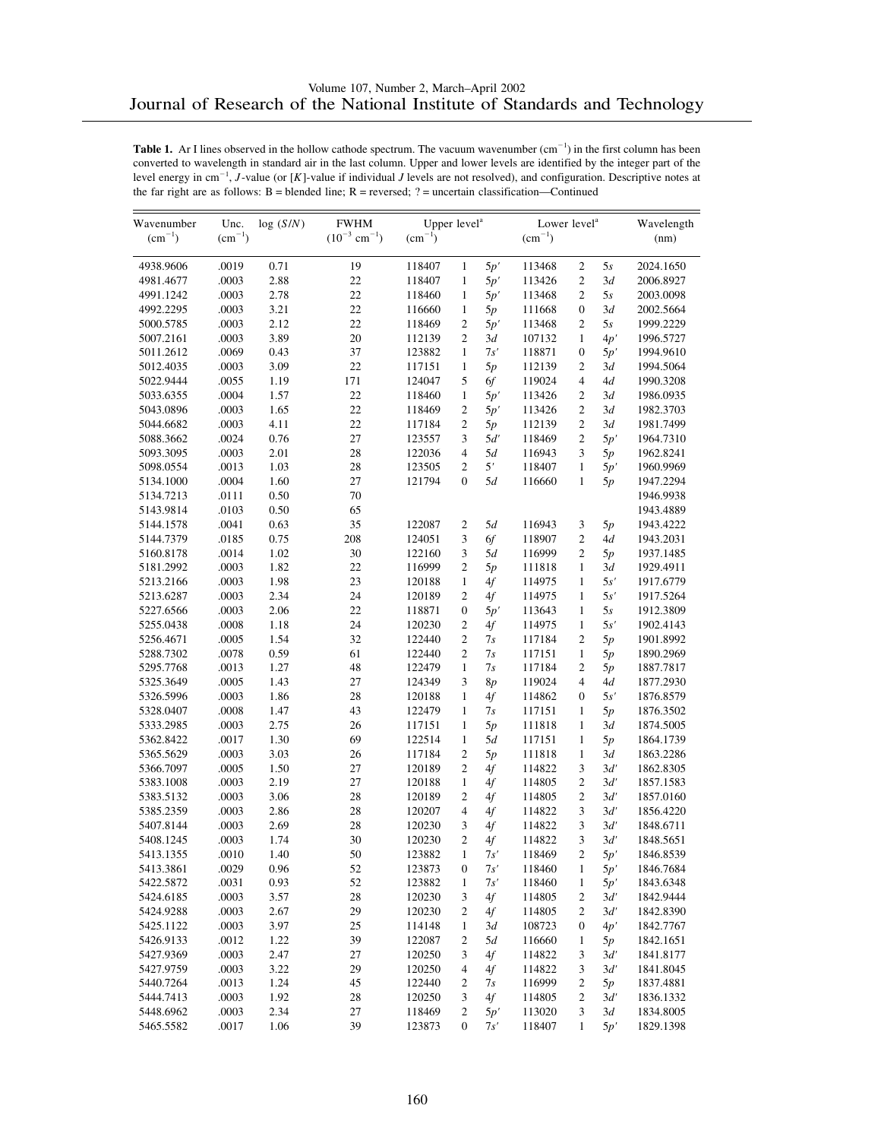| Wavenumber<br>$(cm^{-1})$ | Unc.<br>$(cm^{-1})$ | log(S/N) | <b>FWHM</b><br>$(10^{-3}$ cm <sup>-1</sup> ) | Upper level <sup>a</sup><br>$(cm^{-1})$ |                  |     | Lower level <sup>a</sup><br>$(cm^{-1})$ |                  |     | Wavelength<br>(nm) |
|---------------------------|---------------------|----------|----------------------------------------------|-----------------------------------------|------------------|-----|-----------------------------------------|------------------|-----|--------------------|
|                           |                     |          |                                              |                                         |                  |     |                                         |                  |     |                    |
| 4938.9606                 | .0019               | 0.71     | 19                                           | 118407                                  | $\mathbf{1}$     | 5p' | 113468                                  | $\mathfrak{2}$   | 5s  | 2024.1650          |
| 4981.4677                 | .0003               | 2.88     | 22                                           | 118407                                  | $\mathbf{1}$     | 5p' | 113426                                  | $\overline{c}$   | 3d  | 2006.8927          |
| 4991.1242                 | .0003               | 2.78     | 22                                           | 118460                                  | $\mathbf{1}$     | 5p' | 113468                                  | $\overline{c}$   | 5s  | 2003.0098          |
| 4992.2295                 | .0003               | 3.21     | 22                                           | 116660                                  | $\mathbf{1}$     | 5p  | 111668                                  | $\boldsymbol{0}$ | 3d  | 2002.5664          |
| 5000.5785                 | .0003               | 2.12     | 22                                           | 118469                                  | $\overline{c}$   | 5p' | 113468                                  | $\overline{c}$   | 5s  | 1999.2229          |
| 5007.2161                 | .0003               | 3.89     | 20                                           | 112139                                  | $\overline{c}$   | 3d  | 107132                                  | $\mathbf{1}$     | 4p' | 1996.5727          |
| 5011.2612                 | .0069               | 0.43     | 37                                           | 123882                                  | 1                | 7s' | 118871                                  | $\boldsymbol{0}$ | 5p' | 1994.9610          |
| 5012.4035                 | .0003               | 3.09     | 22                                           | 117151                                  | $\mathbf{1}$     | 5p  | 112139                                  | $\overline{c}$   | 3d  | 1994.5064          |
| 5022.9444                 | .0055               | 1.19     | 171                                          | 124047                                  | 5                | 6f  | 119024                                  | 4                | 4d  | 1990.3208          |
| 5033.6355                 | .0004               | 1.57     | 22                                           | 118460                                  | $\mathbf{1}$     | 5p' | 113426                                  | $\mathfrak{2}$   | 3d  | 1986.0935          |
| 5043.0896                 | .0003               | 1.65     | 22                                           | 118469                                  | $\overline{c}$   | 5p' | 113426                                  | $\overline{c}$   | 3d  | 1982.3703          |
| 5044.6682                 | .0003               | 4.11     | 22                                           | 117184                                  | $\overline{c}$   | 5p  | 112139                                  | $\overline{c}$   | 3d  | 1981.7499          |
| 5088.3662                 | .0024               | 0.76     | 27                                           | 123557                                  | 3                | 5d' | 118469                                  | $\overline{c}$   | 5p' | 1964.7310          |
| 5093.3095                 | .0003               | 2.01     | 28                                           | 122036                                  | $\overline{4}$   | 5d  | 116943                                  | 3                | 5p  | 1962.8241          |
| 5098.0554                 | .0013               | 1.03     | 28                                           | 123505                                  | $\overline{c}$   | 5'  | 118407                                  | $\mathbf{1}$     | 5p' | 1960.9969          |
| 5134.1000                 | .0004               | 1.60     | 27                                           | 121794                                  | $\mathbf{0}$     | 5d  | 116660                                  | $\mathbf{1}$     | 5p  | 1947.2294          |
| 5134.7213                 | .0111               | 0.50     | 70                                           |                                         |                  |     |                                         |                  |     | 1946.9938          |
| 5143.9814                 | .0103               | 0.50     | 65                                           |                                         |                  |     |                                         |                  |     | 1943.4889          |
| 5144.1578                 | .0041               | 0.63     | 35                                           | 122087                                  | $\overline{c}$   | 5d  | 116943                                  | $\mathfrak{Z}$   | 5p  | 1943.4222          |
| 5144.7379                 | .0185               | 0.75     | 208                                          | 124051                                  | 3                | 6f  | 118907                                  | $\overline{c}$   | 4d  | 1943.2031          |
| 5160.8178                 | .0014               | 1.02     | 30                                           | 122160                                  | 3                | 5d  | 116999                                  | $\mathfrak{2}$   | 5p  | 1937.1485          |
| 5181.2992                 | .0003               | 1.82     | 22                                           | 116999                                  | $\overline{c}$   | 5p  | 111818                                  | $\mathbf{1}$     | 3d  | 1929.4911          |
| 5213.2166                 | .0003               | 1.98     | 23                                           | 120188                                  | $\mathbf{1}$     | 4f  | 114975                                  | $\mathbf{1}$     | 5s' | 1917.6779          |
| 5213.6287                 | .0003               | 2.34     | 24                                           | 120189                                  | $\overline{c}$   | 4f  | 114975                                  | $\mathbf{1}$     | 5s' | 1917.5264          |
| 5227.6566                 | .0003               | 2.06     | 22                                           | 118871                                  | $\boldsymbol{0}$ | 5p' | 113643                                  | $\mathbf{1}$     | 5s  | 1912.3809          |
| 5255.0438                 | .0008               | 1.18     | 24                                           | 120230                                  | $\overline{c}$   | 4f  | 114975                                  | $\mathbf{1}$     | 5s' | 1902.4143          |
| 5256.4671                 | .0005               | 1.54     | 32                                           | 122440                                  | $\overline{c}$   | 7s  | 117184                                  | $\mathfrak{2}$   | 5p  | 1901.8992          |
| 5288.7302                 | .0078               | 0.59     | 61                                           | 122440                                  | $\overline{c}$   | 7s  | 117151                                  | $\mathbf{1}$     | 5p  | 1890.2969          |
| 5295.7768                 | .0013               | 1.27     | 48                                           | 122479                                  | $\mathbf{1}$     | 7s  | 117184                                  | $\overline{c}$   | 5p  | 1887.7817          |
| 5325.3649                 | .0005               | 1.43     | 27                                           | 124349                                  | 3                | 8p  | 119024                                  | $\overline{4}$   | 4d  | 1877.2930          |
| 5326.5996                 | .0003               | 1.86     | 28                                           | 120188                                  | $\mathbf{1}$     | 4f  | 114862                                  | $\boldsymbol{0}$ | 5s' | 1876.8579          |
| 5328.0407                 | .0008               | 1.47     | 43                                           | 122479                                  | 1                | 7s  | 117151                                  | $\mathbf{1}$     | 5p  | 1876.3502          |
| 5333.2985                 | .0003               | 2.75     | 26                                           | 117151                                  | 1                | 5p  | 111818                                  | $\mathbf{1}$     | 3d  | 1874.5005          |
| 5362.8422                 | .0017               | 1.30     | 69                                           | 122514                                  | $\mathbf{1}$     | 5d  | 117151                                  | $\mathbf{1}$     | 5p  | 1864.1739          |
| 5365.5629                 | .0003               | 3.03     | 26                                           | 117184                                  | $\overline{c}$   | 5p  | 111818                                  | $\mathbf{1}$     | 3d  | 1863.2286          |
| 5366.7097                 | .0005               | 1.50     | 27                                           | 120189                                  | $\mathbf{2}$     | 4f  | 114822                                  | 3                | 3d' | 1862.8305          |
| 5383.1008                 | .0003               | 2.19     | 27                                           | 120188                                  | $\mathbf{1}$     | 4f  | 114805                                  | $\overline{c}$   | 3d' | 1857.1583          |
| 5383.5132                 | .0003               | 3.06     | 28                                           | 120189                                  | $\overline{c}$   | 4f  | 114805                                  | $\overline{c}$   | 3d' | 1857.0160          |
| 5385.2359                 | .0003               | 2.86     | 28                                           | 120207                                  | $\overline{4}$   | 4f  | 114822                                  | 3                | 3d' | 1856.4220          |
| 5407.8144                 | .0003               | 2.69     | 28                                           | 120230                                  | 3                | 4f  | 114822                                  | 3                | 3d' | 1848.6711          |
| 5408.1245                 | .0003               | 1.74     | 30                                           | 120230                                  | $\overline{c}$   | 4f  | 114822                                  | 3                | 3d' | 1848.5651          |
| 5413.1355                 | .0010               | 1.40     | 50                                           | 123882                                  | 1                | 7s' | 118469                                  | 2                | 5p' | 1846.8539          |
| 5413.3861                 | .0029               | 0.96     | 52                                           | 123873                                  | $\boldsymbol{0}$ | 7s' | 118460                                  | $\mathbf{1}$     | 5p' | 1846.7684          |
| 5422.5872                 | .0031               | 0.93     | 52                                           | 123882                                  | $\mathbf{1}$     | 7s' | 118460                                  | $\mathbf{1}$     | 5p' | 1843.6348          |
| 5424.6185                 | .0003               | 3.57     | $28\,$                                       | 120230                                  | 3                | 4f  | 114805                                  | 2                | 3d' | 1842.9444          |
| 5424.9288                 | .0003               | 2.67     | 29                                           | 120230                                  | 2                | 4f  | 114805                                  | $\sqrt{2}$       | 3d' | 1842.8390          |
| 5425.1122                 | .0003               | 3.97     | 25                                           | 114148                                  | $\mathbf{1}$     | 3d  | 108723                                  | 0                | 4p' | 1842.7767          |
| 5426.9133                 | .0012               | 1.22     | 39                                           | 122087                                  | 2                | 5d  | 116660                                  | $\mathbf{1}$     | 5p  | 1842.1651          |
| 5427.9369                 | .0003               | 2.47     | 27                                           | 120250                                  | 3                | 4f  | 114822                                  | $\mathfrak{Z}$   | 3d' | 1841.8177          |
| 5427.9759                 | .0003               | 3.22     | 29                                           | 120250                                  | 4                | 4f  | 114822                                  | 3                | 3d' | 1841.8045          |
| 5440.7264                 | .0013               | 1.24     | 45                                           | 122440                                  | 2                | 7s  | 116999                                  | 2                | 5p  | 1837.4881          |
| 5444.7413                 | .0003               | 1.92     | 28                                           | 120250                                  | 3                | 4f  | 114805                                  | $\boldsymbol{2}$ | 3d' | 1836.1332          |
| 5448.6962                 | .0003               | 2.34     | 27                                           | 118469                                  | $\mathbf{2}$     | 5p' | 113020                                  | $\mathfrak{Z}$   | 3d  | 1834.8005          |
| 5465.5582                 | .0017               | 1.06     | 39                                           | 123873                                  | $\mathbf{0}$     | 7s' | 118407                                  | 1                | 5p' | 1829.1398          |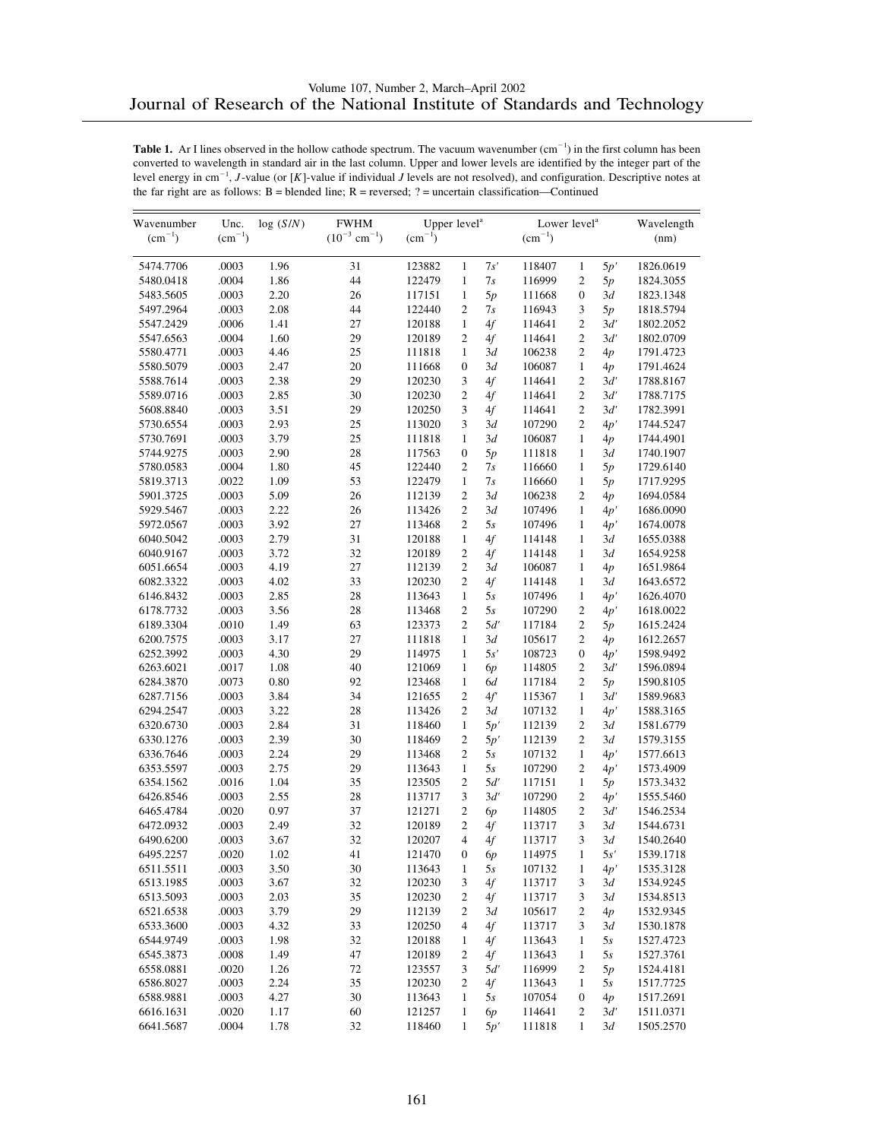| 5474.7706<br>.0003<br>1.96<br>123882<br>$\mathbf{1}$<br>7s'<br>118407<br>1826.0619<br>31<br>$\mathbf{1}$<br>5p'<br>1.86<br>.0004<br>44<br>122479<br>$\mathbf{1}$<br>7s<br>$\mathfrak{2}$<br>5480.0418<br>116999<br>5p<br>1824.3055<br>.0003<br>2.20<br>26<br>117151<br>$\mathbf{1}$<br>5p<br>$\boldsymbol{0}$<br>5483.5605<br>111668<br>3d<br>1823.1348<br>5497.2964<br>.0003<br>2.08<br>44<br>122440<br>$\overline{2}$<br>3<br>1818.5794<br>7s<br>116943<br>5p<br>$\overline{c}$<br>.0006<br>1.41<br>27<br>$\mathbf{1}$<br>4f<br>5547.2429<br>120188<br>114641<br>3d'<br>1802.2052<br>$\overline{c}$<br>$\overline{c}$<br>.0004<br>1.60<br>29<br>120189<br>4f<br>3d'<br>1802.0709<br>5547.6563<br>114641<br>.0003<br>4.46<br>25<br>111818<br>$\mathfrak{2}$<br>5580.4771<br>1<br>3d<br>106238<br>4p<br>1791.4723<br>$\mathbf{1}$<br>.0003<br>2.47<br>20<br>$\mathbf{0}$<br>3d<br>1791.4624<br>5580.5079<br>111668<br>106087<br>4p<br>.0003<br>2.38<br>29<br>120230<br>3<br>4f<br>$\mathfrak{2}$<br>3d'<br>1788.8167<br>5588.7614<br>114641<br>$\overline{c}$<br>$\overline{c}$<br>.0003<br>2.85<br>30<br>120230<br>4f<br>3d'<br>1788.7175<br>5589.0716<br>114641<br>3<br>$\overline{c}$<br>.0003<br>3.51<br>29<br>120250<br>4f<br>3d'<br>5608.8840<br>114641<br>1782.3991<br>.0003<br>2.93<br>25<br>113020<br>3<br>107290<br>$\overline{c}$<br>1744.5247<br>5730.6554<br>3d<br>4p'<br>.0003<br>3.79<br>25<br>111818<br>3d<br>$\mathbf{1}$<br>5730.7691<br>1<br>106087<br>1744.4901<br>4p<br>28<br>.0003<br>2.90<br>117563<br>5p<br>$\mathbf{1}$<br>5744.9275<br>$\boldsymbol{0}$<br>111818<br>3d<br>1740.1907<br>$\overline{c}$<br>.0004<br>1.80<br>45<br>122440<br>$\mathbf{1}$<br>1729.6140<br>5780.0583<br>7s<br>116660<br>5p<br>.0022<br>1.09<br>53<br>122479<br>$\mathbf{1}$<br>7s<br>$\mathbf{1}$<br>5819.3713<br>116660<br>1717.9295<br>5p<br>$\overline{c}$<br>$\overline{c}$<br>.0003<br>5.09<br>26<br>112139<br>3d<br>5901.3725<br>106238<br>1694.0584<br>4p<br>.0003<br>2.22<br>26<br>$\overline{c}$<br>3d<br>$\mathbf{1}$<br>5929.5467<br>113426<br>107496<br>4p'<br>1686.0090<br>$\overline{c}$<br>.0003<br>3.92<br>27<br>113468<br>5s<br>$\mathbf{1}$<br>5972.0567<br>107496<br>4p'<br>1674.0078<br>2.79<br>.0003<br>31<br>120188<br>$\mathbf{1}$<br>4f<br>$\mathbf{1}$<br>6040.5042<br>114148<br>3d<br>1655.0388<br>.0003<br>3.72<br>32<br>$\overline{c}$<br>4f<br>$\mathbf{1}$<br>6040.9167<br>120189<br>114148<br>3d<br>1654.9258<br>$\overline{c}$<br>4.19<br>27<br>112139<br>3d<br>$\mathbf{1}$<br>6051.6654<br>.0003<br>106087<br>4p<br>1651.9864<br>$\overline{c}$<br>.0003<br>4.02<br>33<br>120230<br>4f<br>$\mathbf{1}$<br>6082.3322<br>114148<br>3d<br>1643.6572<br>.0003<br>2.85<br>28<br>113643<br>$\mathbf{1}$<br>1626.4070<br>6146.8432<br>1<br>5s<br>107496<br>4p'<br>$\overline{c}$<br>$\overline{c}$<br>.0003<br>3.56<br>28<br>5s<br>1618.0022<br>6178.7732<br>113468<br>107290<br>4p'<br>1.49<br>$\overline{2}$<br>$\overline{c}$<br>6189.3304<br>.0010<br>63<br>123373<br>5d'<br>1615.2424<br>117184<br>5p<br>3.17<br>27<br>$\mathfrak{2}$<br>6200.7575<br>.0003<br>111818<br>1<br>3d<br>105617<br>1612.2657<br>4p<br>.0003<br>4.30<br>29<br>114975<br>$\mathbf{1}$<br>5s'<br>$\boldsymbol{0}$<br>6252.3992<br>108723<br>1598.9492<br>4p'<br>1.08<br>$\overline{c}$<br>6263.6021<br>.0017<br>40<br>121069<br>1596.0894<br>1<br>114805<br>3d'<br>6р<br>.0073<br>0.80<br>92<br>$\overline{c}$<br>6284.3870<br>123468<br>$\mathbf{1}$<br>6d<br>117184<br>5p<br>1590.8105<br>$\overline{c}$<br>.0003<br>3.84<br>34<br>4f'<br>$\mathbf{1}$<br>3d'<br>1589.9683<br>6287.7156<br>121655<br>115367<br>$\overline{c}$<br>.0003<br>3.22<br>28<br>113426<br>$\mathbf{1}$<br>6294.2547<br>3d<br>107132<br>4p'<br>1588.3165<br>2.84<br>31<br>$\mathbf{1}$<br>$\mathfrak{2}$<br>6320.6730<br>.0003<br>118460<br>5p'<br>112139<br>3d<br>1581.6779<br>$\overline{c}$<br>.0003<br>2.39<br>30<br>$\overline{2}$<br>3d<br>6330.1276<br>118469<br>5p'<br>112139<br>1579.3155<br>$\overline{c}$<br>.0003<br>2.24<br>29<br>113468<br>5s<br>$\mathbf{1}$<br>6336.7646<br>107132<br>4p'<br>1577.6613<br>.0003<br>2.75<br>29<br>$\mathbf{1}$<br>5s<br>$\mathfrak{2}$<br>6353.5597<br>113643<br>107290<br>4p'<br>1573.4909<br>.0016<br>1.04<br>35<br>123505<br>$\overline{2}$<br>5d'<br>$\mathbf{1}$<br>6354.1562<br>117151<br>1573.3432<br>5p<br>3<br>$\overline{c}$<br>.0003<br>2.55<br>28<br>113717<br>3d'<br>107290<br>1555.5460<br>6426.8546<br>4p'<br>0.97<br>37<br>$\overline{c}$<br>$\mathfrak{2}$<br>6465.4784<br>.0020<br>121271<br>3d'<br>1546.2534<br>6р<br>114805<br>$\overline{c}$<br>3<br>.0003<br>2.49<br>32<br>4f<br>3d<br>6472.0932<br>120189<br>1544.6731<br>113717<br>$\overline{4}$<br>3<br>3.67<br>32<br>6490.6200<br>.0003<br>120207<br>4f<br>113717<br>3d<br>1540.2640<br>6495.2257<br>.0020<br>1.02<br>41<br>121470<br>$\boldsymbol{0}$<br>6р<br>114975<br>1<br>5s'<br>1539.1718<br>.0003<br>3.50<br>30<br>6511.5511<br>113643<br>5s<br>107132<br>$\mathbf{1}$<br>1535.3128<br>1<br>4p'<br>.0003<br>3.67<br>32<br>120230<br>$4f$<br>6513.1985<br>3<br>113717<br>3<br>3d<br>1534.9245<br>.0003<br>2.03<br>35<br>6513.5093<br>120230<br>$\overline{\mathbf{c}}$<br>4f<br>113717<br>3<br>3d<br>1534.8513<br>.0003<br>3.79<br>29<br>112139<br>$\mathbf{2}$<br>6521.6538<br>2<br>3d<br>105617<br>4p<br>1532.9345<br>.0003<br>4.32<br>33<br>120250<br>$4f$<br>3<br>6533.3600<br>4<br>113717<br>3d<br>1530.1878<br>.0003<br>1.98<br>32<br>120188<br>6544.9749<br>4f<br>113643<br>$\mathbf{1}$<br>5s<br>1527.4723<br>1<br>.0008<br>1.49<br>47<br>120189<br>$\mathbf{1}$<br>6545.3873<br>$\overline{\mathbf{c}}$<br>4f<br>113643<br>5s<br>1527.3761<br>1.26<br>72<br>123557<br>$\boldsymbol{2}$<br>6558.0881<br>.0020<br>3<br>5d'<br>116999<br>5p<br>1524.4181<br>.0003<br>2.24<br>35<br>120230<br>4f<br>6586.8027<br>2<br>113643<br>$\mathbf{1}$<br>5s<br>1517.7725<br>4.27<br>30<br>6588.9881<br>.0003<br>113643<br>$\mathbf{1}$<br>5s<br>107054<br>$\boldsymbol{0}$<br>4p<br>1517.2691<br>6616.1631<br>.0020<br>1.17<br>60<br>121257<br>114641<br>$\sqrt{2}$<br>3d'<br>1511.0371<br>$\mathbf{1}$<br>6p | Wavenumber  | Unc.        | log(S/N) | <b>FWHM</b>                   | Upper level <sup>a</sup> |   |     | Lower level <sup>a</sup> |              |    | Wavelength |
|-----------------------------------------------------------------------------------------------------------------------------------------------------------------------------------------------------------------------------------------------------------------------------------------------------------------------------------------------------------------------------------------------------------------------------------------------------------------------------------------------------------------------------------------------------------------------------------------------------------------------------------------------------------------------------------------------------------------------------------------------------------------------------------------------------------------------------------------------------------------------------------------------------------------------------------------------------------------------------------------------------------------------------------------------------------------------------------------------------------------------------------------------------------------------------------------------------------------------------------------------------------------------------------------------------------------------------------------------------------------------------------------------------------------------------------------------------------------------------------------------------------------------------------------------------------------------------------------------------------------------------------------------------------------------------------------------------------------------------------------------------------------------------------------------------------------------------------------------------------------------------------------------------------------------------------------------------------------------------------------------------------------------------------------------------------------------------------------------------------------------------------------------------------------------------------------------------------------------------------------------------------------------------------------------------------------------------------------------------------------------------------------------------------------------------------------------------------------------------------------------------------------------------------------------------------------------------------------------------------------------------------------------------------------------------------------------------------------------------------------------------------------------------------------------------------------------------------------------------------------------------------------------------------------------------------------------------------------------------------------------------------------------------------------------------------------------------------------------------------------------------------------------------------------------------------------------------------------------------------------------------------------------------------------------------------------------------------------------------------------------------------------------------------------------------------------------------------------------------------------------------------------------------------------------------------------------------------------------------------------------------------------------------------------------------------------------------------------------------------------------------------------------------------------------------------------------------------------------------------------------------------------------------------------------------------------------------------------------------------------------------------------------------------------------------------------------------------------------------------------------------------------------------------------------------------------------------------------------------------------------------------------------------------------------------------------------------------------------------------------------------------------------------------------------------------------------------------------------------------------------------------------------------------------------------------------------------------------------------------------------------------------------------------------------------------------------------------------------------------------------------------------------------------------------------------------------------------------------------------------------------------------------------------------------------------------------------------------------------------------------------------------------------------------------------------------------------------------------------------------------------------------------------------------------------------------------------------------------------------------------------------------------------------------------------------------------------------------------------------------------------------------------------------------------------------------------------------------------------------------------------------------------------------------------------------------------------------------------------------------------------------------------------------------------------------------------------------------------------------------------------------------------------------------------------------------------------------------------------------------------------------------------------------------------------------------------------------------------------------------------------------------------------------------------------------------------------------------------------------------------------------|-------------|-------------|----------|-------------------------------|--------------------------|---|-----|--------------------------|--------------|----|------------|
|                                                                                                                                                                                                                                                                                                                                                                                                                                                                                                                                                                                                                                                                                                                                                                                                                                                                                                                                                                                                                                                                                                                                                                                                                                                                                                                                                                                                                                                                                                                                                                                                                                                                                                                                                                                                                                                                                                                                                                                                                                                                                                                                                                                                                                                                                                                                                                                                                                                                                                                                                                                                                                                                                                                                                                                                                                                                                                                                                                                                                                                                                                                                                                                                                                                                                                                                                                                                                                                                                                                                                                                                                                                                                                                                                                                                                                                                                                                                                                                                                                                                                                                                                                                                                                                                                                                                                                                                                                                                                                                                                                                                                                                                                                                                                                                                                                                                                                                                                                                                                                                                                                                                                                                                                                                                                                                                                                                                                                                                                                                                                                                                                                                                                                                                                                                                                                                                                                                                                                                                                                                                                                                                   | $(cm^{-1})$ | $(cm^{-1})$ |          | $(10^{-3}$ cm <sup>-1</sup> ) | $(cm^{-1})$              |   |     | $(cm^{-1})$              |              |    | (nm)       |
|                                                                                                                                                                                                                                                                                                                                                                                                                                                                                                                                                                                                                                                                                                                                                                                                                                                                                                                                                                                                                                                                                                                                                                                                                                                                                                                                                                                                                                                                                                                                                                                                                                                                                                                                                                                                                                                                                                                                                                                                                                                                                                                                                                                                                                                                                                                                                                                                                                                                                                                                                                                                                                                                                                                                                                                                                                                                                                                                                                                                                                                                                                                                                                                                                                                                                                                                                                                                                                                                                                                                                                                                                                                                                                                                                                                                                                                                                                                                                                                                                                                                                                                                                                                                                                                                                                                                                                                                                                                                                                                                                                                                                                                                                                                                                                                                                                                                                                                                                                                                                                                                                                                                                                                                                                                                                                                                                                                                                                                                                                                                                                                                                                                                                                                                                                                                                                                                                                                                                                                                                                                                                                                                   |             |             |          |                               |                          |   |     |                          |              |    |            |
|                                                                                                                                                                                                                                                                                                                                                                                                                                                                                                                                                                                                                                                                                                                                                                                                                                                                                                                                                                                                                                                                                                                                                                                                                                                                                                                                                                                                                                                                                                                                                                                                                                                                                                                                                                                                                                                                                                                                                                                                                                                                                                                                                                                                                                                                                                                                                                                                                                                                                                                                                                                                                                                                                                                                                                                                                                                                                                                                                                                                                                                                                                                                                                                                                                                                                                                                                                                                                                                                                                                                                                                                                                                                                                                                                                                                                                                                                                                                                                                                                                                                                                                                                                                                                                                                                                                                                                                                                                                                                                                                                                                                                                                                                                                                                                                                                                                                                                                                                                                                                                                                                                                                                                                                                                                                                                                                                                                                                                                                                                                                                                                                                                                                                                                                                                                                                                                                                                                                                                                                                                                                                                                                   |             |             |          |                               |                          |   |     |                          |              |    |            |
|                                                                                                                                                                                                                                                                                                                                                                                                                                                                                                                                                                                                                                                                                                                                                                                                                                                                                                                                                                                                                                                                                                                                                                                                                                                                                                                                                                                                                                                                                                                                                                                                                                                                                                                                                                                                                                                                                                                                                                                                                                                                                                                                                                                                                                                                                                                                                                                                                                                                                                                                                                                                                                                                                                                                                                                                                                                                                                                                                                                                                                                                                                                                                                                                                                                                                                                                                                                                                                                                                                                                                                                                                                                                                                                                                                                                                                                                                                                                                                                                                                                                                                                                                                                                                                                                                                                                                                                                                                                                                                                                                                                                                                                                                                                                                                                                                                                                                                                                                                                                                                                                                                                                                                                                                                                                                                                                                                                                                                                                                                                                                                                                                                                                                                                                                                                                                                                                                                                                                                                                                                                                                                                                   |             |             |          |                               |                          |   |     |                          |              |    |            |
|                                                                                                                                                                                                                                                                                                                                                                                                                                                                                                                                                                                                                                                                                                                                                                                                                                                                                                                                                                                                                                                                                                                                                                                                                                                                                                                                                                                                                                                                                                                                                                                                                                                                                                                                                                                                                                                                                                                                                                                                                                                                                                                                                                                                                                                                                                                                                                                                                                                                                                                                                                                                                                                                                                                                                                                                                                                                                                                                                                                                                                                                                                                                                                                                                                                                                                                                                                                                                                                                                                                                                                                                                                                                                                                                                                                                                                                                                                                                                                                                                                                                                                                                                                                                                                                                                                                                                                                                                                                                                                                                                                                                                                                                                                                                                                                                                                                                                                                                                                                                                                                                                                                                                                                                                                                                                                                                                                                                                                                                                                                                                                                                                                                                                                                                                                                                                                                                                                                                                                                                                                                                                                                                   |             |             |          |                               |                          |   |     |                          |              |    |            |
|                                                                                                                                                                                                                                                                                                                                                                                                                                                                                                                                                                                                                                                                                                                                                                                                                                                                                                                                                                                                                                                                                                                                                                                                                                                                                                                                                                                                                                                                                                                                                                                                                                                                                                                                                                                                                                                                                                                                                                                                                                                                                                                                                                                                                                                                                                                                                                                                                                                                                                                                                                                                                                                                                                                                                                                                                                                                                                                                                                                                                                                                                                                                                                                                                                                                                                                                                                                                                                                                                                                                                                                                                                                                                                                                                                                                                                                                                                                                                                                                                                                                                                                                                                                                                                                                                                                                                                                                                                                                                                                                                                                                                                                                                                                                                                                                                                                                                                                                                                                                                                                                                                                                                                                                                                                                                                                                                                                                                                                                                                                                                                                                                                                                                                                                                                                                                                                                                                                                                                                                                                                                                                                                   |             |             |          |                               |                          |   |     |                          |              |    |            |
|                                                                                                                                                                                                                                                                                                                                                                                                                                                                                                                                                                                                                                                                                                                                                                                                                                                                                                                                                                                                                                                                                                                                                                                                                                                                                                                                                                                                                                                                                                                                                                                                                                                                                                                                                                                                                                                                                                                                                                                                                                                                                                                                                                                                                                                                                                                                                                                                                                                                                                                                                                                                                                                                                                                                                                                                                                                                                                                                                                                                                                                                                                                                                                                                                                                                                                                                                                                                                                                                                                                                                                                                                                                                                                                                                                                                                                                                                                                                                                                                                                                                                                                                                                                                                                                                                                                                                                                                                                                                                                                                                                                                                                                                                                                                                                                                                                                                                                                                                                                                                                                                                                                                                                                                                                                                                                                                                                                                                                                                                                                                                                                                                                                                                                                                                                                                                                                                                                                                                                                                                                                                                                                                   |             |             |          |                               |                          |   |     |                          |              |    |            |
|                                                                                                                                                                                                                                                                                                                                                                                                                                                                                                                                                                                                                                                                                                                                                                                                                                                                                                                                                                                                                                                                                                                                                                                                                                                                                                                                                                                                                                                                                                                                                                                                                                                                                                                                                                                                                                                                                                                                                                                                                                                                                                                                                                                                                                                                                                                                                                                                                                                                                                                                                                                                                                                                                                                                                                                                                                                                                                                                                                                                                                                                                                                                                                                                                                                                                                                                                                                                                                                                                                                                                                                                                                                                                                                                                                                                                                                                                                                                                                                                                                                                                                                                                                                                                                                                                                                                                                                                                                                                                                                                                                                                                                                                                                                                                                                                                                                                                                                                                                                                                                                                                                                                                                                                                                                                                                                                                                                                                                                                                                                                                                                                                                                                                                                                                                                                                                                                                                                                                                                                                                                                                                                                   |             |             |          |                               |                          |   |     |                          |              |    |            |
|                                                                                                                                                                                                                                                                                                                                                                                                                                                                                                                                                                                                                                                                                                                                                                                                                                                                                                                                                                                                                                                                                                                                                                                                                                                                                                                                                                                                                                                                                                                                                                                                                                                                                                                                                                                                                                                                                                                                                                                                                                                                                                                                                                                                                                                                                                                                                                                                                                                                                                                                                                                                                                                                                                                                                                                                                                                                                                                                                                                                                                                                                                                                                                                                                                                                                                                                                                                                                                                                                                                                                                                                                                                                                                                                                                                                                                                                                                                                                                                                                                                                                                                                                                                                                                                                                                                                                                                                                                                                                                                                                                                                                                                                                                                                                                                                                                                                                                                                                                                                                                                                                                                                                                                                                                                                                                                                                                                                                                                                                                                                                                                                                                                                                                                                                                                                                                                                                                                                                                                                                                                                                                                                   |             |             |          |                               |                          |   |     |                          |              |    |            |
|                                                                                                                                                                                                                                                                                                                                                                                                                                                                                                                                                                                                                                                                                                                                                                                                                                                                                                                                                                                                                                                                                                                                                                                                                                                                                                                                                                                                                                                                                                                                                                                                                                                                                                                                                                                                                                                                                                                                                                                                                                                                                                                                                                                                                                                                                                                                                                                                                                                                                                                                                                                                                                                                                                                                                                                                                                                                                                                                                                                                                                                                                                                                                                                                                                                                                                                                                                                                                                                                                                                                                                                                                                                                                                                                                                                                                                                                                                                                                                                                                                                                                                                                                                                                                                                                                                                                                                                                                                                                                                                                                                                                                                                                                                                                                                                                                                                                                                                                                                                                                                                                                                                                                                                                                                                                                                                                                                                                                                                                                                                                                                                                                                                                                                                                                                                                                                                                                                                                                                                                                                                                                                                                   |             |             |          |                               |                          |   |     |                          |              |    |            |
|                                                                                                                                                                                                                                                                                                                                                                                                                                                                                                                                                                                                                                                                                                                                                                                                                                                                                                                                                                                                                                                                                                                                                                                                                                                                                                                                                                                                                                                                                                                                                                                                                                                                                                                                                                                                                                                                                                                                                                                                                                                                                                                                                                                                                                                                                                                                                                                                                                                                                                                                                                                                                                                                                                                                                                                                                                                                                                                                                                                                                                                                                                                                                                                                                                                                                                                                                                                                                                                                                                                                                                                                                                                                                                                                                                                                                                                                                                                                                                                                                                                                                                                                                                                                                                                                                                                                                                                                                                                                                                                                                                                                                                                                                                                                                                                                                                                                                                                                                                                                                                                                                                                                                                                                                                                                                                                                                                                                                                                                                                                                                                                                                                                                                                                                                                                                                                                                                                                                                                                                                                                                                                                                   |             |             |          |                               |                          |   |     |                          |              |    |            |
|                                                                                                                                                                                                                                                                                                                                                                                                                                                                                                                                                                                                                                                                                                                                                                                                                                                                                                                                                                                                                                                                                                                                                                                                                                                                                                                                                                                                                                                                                                                                                                                                                                                                                                                                                                                                                                                                                                                                                                                                                                                                                                                                                                                                                                                                                                                                                                                                                                                                                                                                                                                                                                                                                                                                                                                                                                                                                                                                                                                                                                                                                                                                                                                                                                                                                                                                                                                                                                                                                                                                                                                                                                                                                                                                                                                                                                                                                                                                                                                                                                                                                                                                                                                                                                                                                                                                                                                                                                                                                                                                                                                                                                                                                                                                                                                                                                                                                                                                                                                                                                                                                                                                                                                                                                                                                                                                                                                                                                                                                                                                                                                                                                                                                                                                                                                                                                                                                                                                                                                                                                                                                                                                   |             |             |          |                               |                          |   |     |                          |              |    |            |
|                                                                                                                                                                                                                                                                                                                                                                                                                                                                                                                                                                                                                                                                                                                                                                                                                                                                                                                                                                                                                                                                                                                                                                                                                                                                                                                                                                                                                                                                                                                                                                                                                                                                                                                                                                                                                                                                                                                                                                                                                                                                                                                                                                                                                                                                                                                                                                                                                                                                                                                                                                                                                                                                                                                                                                                                                                                                                                                                                                                                                                                                                                                                                                                                                                                                                                                                                                                                                                                                                                                                                                                                                                                                                                                                                                                                                                                                                                                                                                                                                                                                                                                                                                                                                                                                                                                                                                                                                                                                                                                                                                                                                                                                                                                                                                                                                                                                                                                                                                                                                                                                                                                                                                                                                                                                                                                                                                                                                                                                                                                                                                                                                                                                                                                                                                                                                                                                                                                                                                                                                                                                                                                                   |             |             |          |                               |                          |   |     |                          |              |    |            |
|                                                                                                                                                                                                                                                                                                                                                                                                                                                                                                                                                                                                                                                                                                                                                                                                                                                                                                                                                                                                                                                                                                                                                                                                                                                                                                                                                                                                                                                                                                                                                                                                                                                                                                                                                                                                                                                                                                                                                                                                                                                                                                                                                                                                                                                                                                                                                                                                                                                                                                                                                                                                                                                                                                                                                                                                                                                                                                                                                                                                                                                                                                                                                                                                                                                                                                                                                                                                                                                                                                                                                                                                                                                                                                                                                                                                                                                                                                                                                                                                                                                                                                                                                                                                                                                                                                                                                                                                                                                                                                                                                                                                                                                                                                                                                                                                                                                                                                                                                                                                                                                                                                                                                                                                                                                                                                                                                                                                                                                                                                                                                                                                                                                                                                                                                                                                                                                                                                                                                                                                                                                                                                                                   |             |             |          |                               |                          |   |     |                          |              |    |            |
|                                                                                                                                                                                                                                                                                                                                                                                                                                                                                                                                                                                                                                                                                                                                                                                                                                                                                                                                                                                                                                                                                                                                                                                                                                                                                                                                                                                                                                                                                                                                                                                                                                                                                                                                                                                                                                                                                                                                                                                                                                                                                                                                                                                                                                                                                                                                                                                                                                                                                                                                                                                                                                                                                                                                                                                                                                                                                                                                                                                                                                                                                                                                                                                                                                                                                                                                                                                                                                                                                                                                                                                                                                                                                                                                                                                                                                                                                                                                                                                                                                                                                                                                                                                                                                                                                                                                                                                                                                                                                                                                                                                                                                                                                                                                                                                                                                                                                                                                                                                                                                                                                                                                                                                                                                                                                                                                                                                                                                                                                                                                                                                                                                                                                                                                                                                                                                                                                                                                                                                                                                                                                                                                   |             |             |          |                               |                          |   |     |                          |              |    |            |
|                                                                                                                                                                                                                                                                                                                                                                                                                                                                                                                                                                                                                                                                                                                                                                                                                                                                                                                                                                                                                                                                                                                                                                                                                                                                                                                                                                                                                                                                                                                                                                                                                                                                                                                                                                                                                                                                                                                                                                                                                                                                                                                                                                                                                                                                                                                                                                                                                                                                                                                                                                                                                                                                                                                                                                                                                                                                                                                                                                                                                                                                                                                                                                                                                                                                                                                                                                                                                                                                                                                                                                                                                                                                                                                                                                                                                                                                                                                                                                                                                                                                                                                                                                                                                                                                                                                                                                                                                                                                                                                                                                                                                                                                                                                                                                                                                                                                                                                                                                                                                                                                                                                                                                                                                                                                                                                                                                                                                                                                                                                                                                                                                                                                                                                                                                                                                                                                                                                                                                                                                                                                                                                                   |             |             |          |                               |                          |   |     |                          |              |    |            |
|                                                                                                                                                                                                                                                                                                                                                                                                                                                                                                                                                                                                                                                                                                                                                                                                                                                                                                                                                                                                                                                                                                                                                                                                                                                                                                                                                                                                                                                                                                                                                                                                                                                                                                                                                                                                                                                                                                                                                                                                                                                                                                                                                                                                                                                                                                                                                                                                                                                                                                                                                                                                                                                                                                                                                                                                                                                                                                                                                                                                                                                                                                                                                                                                                                                                                                                                                                                                                                                                                                                                                                                                                                                                                                                                                                                                                                                                                                                                                                                                                                                                                                                                                                                                                                                                                                                                                                                                                                                                                                                                                                                                                                                                                                                                                                                                                                                                                                                                                                                                                                                                                                                                                                                                                                                                                                                                                                                                                                                                                                                                                                                                                                                                                                                                                                                                                                                                                                                                                                                                                                                                                                                                   |             |             |          |                               |                          |   |     |                          |              |    |            |
|                                                                                                                                                                                                                                                                                                                                                                                                                                                                                                                                                                                                                                                                                                                                                                                                                                                                                                                                                                                                                                                                                                                                                                                                                                                                                                                                                                                                                                                                                                                                                                                                                                                                                                                                                                                                                                                                                                                                                                                                                                                                                                                                                                                                                                                                                                                                                                                                                                                                                                                                                                                                                                                                                                                                                                                                                                                                                                                                                                                                                                                                                                                                                                                                                                                                                                                                                                                                                                                                                                                                                                                                                                                                                                                                                                                                                                                                                                                                                                                                                                                                                                                                                                                                                                                                                                                                                                                                                                                                                                                                                                                                                                                                                                                                                                                                                                                                                                                                                                                                                                                                                                                                                                                                                                                                                                                                                                                                                                                                                                                                                                                                                                                                                                                                                                                                                                                                                                                                                                                                                                                                                                                                   |             |             |          |                               |                          |   |     |                          |              |    |            |
|                                                                                                                                                                                                                                                                                                                                                                                                                                                                                                                                                                                                                                                                                                                                                                                                                                                                                                                                                                                                                                                                                                                                                                                                                                                                                                                                                                                                                                                                                                                                                                                                                                                                                                                                                                                                                                                                                                                                                                                                                                                                                                                                                                                                                                                                                                                                                                                                                                                                                                                                                                                                                                                                                                                                                                                                                                                                                                                                                                                                                                                                                                                                                                                                                                                                                                                                                                                                                                                                                                                                                                                                                                                                                                                                                                                                                                                                                                                                                                                                                                                                                                                                                                                                                                                                                                                                                                                                                                                                                                                                                                                                                                                                                                                                                                                                                                                                                                                                                                                                                                                                                                                                                                                                                                                                                                                                                                                                                                                                                                                                                                                                                                                                                                                                                                                                                                                                                                                                                                                                                                                                                                                                   |             |             |          |                               |                          |   |     |                          |              |    |            |
|                                                                                                                                                                                                                                                                                                                                                                                                                                                                                                                                                                                                                                                                                                                                                                                                                                                                                                                                                                                                                                                                                                                                                                                                                                                                                                                                                                                                                                                                                                                                                                                                                                                                                                                                                                                                                                                                                                                                                                                                                                                                                                                                                                                                                                                                                                                                                                                                                                                                                                                                                                                                                                                                                                                                                                                                                                                                                                                                                                                                                                                                                                                                                                                                                                                                                                                                                                                                                                                                                                                                                                                                                                                                                                                                                                                                                                                                                                                                                                                                                                                                                                                                                                                                                                                                                                                                                                                                                                                                                                                                                                                                                                                                                                                                                                                                                                                                                                                                                                                                                                                                                                                                                                                                                                                                                                                                                                                                                                                                                                                                                                                                                                                                                                                                                                                                                                                                                                                                                                                                                                                                                                                                   |             |             |          |                               |                          |   |     |                          |              |    |            |
|                                                                                                                                                                                                                                                                                                                                                                                                                                                                                                                                                                                                                                                                                                                                                                                                                                                                                                                                                                                                                                                                                                                                                                                                                                                                                                                                                                                                                                                                                                                                                                                                                                                                                                                                                                                                                                                                                                                                                                                                                                                                                                                                                                                                                                                                                                                                                                                                                                                                                                                                                                                                                                                                                                                                                                                                                                                                                                                                                                                                                                                                                                                                                                                                                                                                                                                                                                                                                                                                                                                                                                                                                                                                                                                                                                                                                                                                                                                                                                                                                                                                                                                                                                                                                                                                                                                                                                                                                                                                                                                                                                                                                                                                                                                                                                                                                                                                                                                                                                                                                                                                                                                                                                                                                                                                                                                                                                                                                                                                                                                                                                                                                                                                                                                                                                                                                                                                                                                                                                                                                                                                                                                                   |             |             |          |                               |                          |   |     |                          |              |    |            |
|                                                                                                                                                                                                                                                                                                                                                                                                                                                                                                                                                                                                                                                                                                                                                                                                                                                                                                                                                                                                                                                                                                                                                                                                                                                                                                                                                                                                                                                                                                                                                                                                                                                                                                                                                                                                                                                                                                                                                                                                                                                                                                                                                                                                                                                                                                                                                                                                                                                                                                                                                                                                                                                                                                                                                                                                                                                                                                                                                                                                                                                                                                                                                                                                                                                                                                                                                                                                                                                                                                                                                                                                                                                                                                                                                                                                                                                                                                                                                                                                                                                                                                                                                                                                                                                                                                                                                                                                                                                                                                                                                                                                                                                                                                                                                                                                                                                                                                                                                                                                                                                                                                                                                                                                                                                                                                                                                                                                                                                                                                                                                                                                                                                                                                                                                                                                                                                                                                                                                                                                                                                                                                                                   |             |             |          |                               |                          |   |     |                          |              |    |            |
|                                                                                                                                                                                                                                                                                                                                                                                                                                                                                                                                                                                                                                                                                                                                                                                                                                                                                                                                                                                                                                                                                                                                                                                                                                                                                                                                                                                                                                                                                                                                                                                                                                                                                                                                                                                                                                                                                                                                                                                                                                                                                                                                                                                                                                                                                                                                                                                                                                                                                                                                                                                                                                                                                                                                                                                                                                                                                                                                                                                                                                                                                                                                                                                                                                                                                                                                                                                                                                                                                                                                                                                                                                                                                                                                                                                                                                                                                                                                                                                                                                                                                                                                                                                                                                                                                                                                                                                                                                                                                                                                                                                                                                                                                                                                                                                                                                                                                                                                                                                                                                                                                                                                                                                                                                                                                                                                                                                                                                                                                                                                                                                                                                                                                                                                                                                                                                                                                                                                                                                                                                                                                                                                   |             |             |          |                               |                          |   |     |                          |              |    |            |
|                                                                                                                                                                                                                                                                                                                                                                                                                                                                                                                                                                                                                                                                                                                                                                                                                                                                                                                                                                                                                                                                                                                                                                                                                                                                                                                                                                                                                                                                                                                                                                                                                                                                                                                                                                                                                                                                                                                                                                                                                                                                                                                                                                                                                                                                                                                                                                                                                                                                                                                                                                                                                                                                                                                                                                                                                                                                                                                                                                                                                                                                                                                                                                                                                                                                                                                                                                                                                                                                                                                                                                                                                                                                                                                                                                                                                                                                                                                                                                                                                                                                                                                                                                                                                                                                                                                                                                                                                                                                                                                                                                                                                                                                                                                                                                                                                                                                                                                                                                                                                                                                                                                                                                                                                                                                                                                                                                                                                                                                                                                                                                                                                                                                                                                                                                                                                                                                                                                                                                                                                                                                                                                                   |             |             |          |                               |                          |   |     |                          |              |    |            |
|                                                                                                                                                                                                                                                                                                                                                                                                                                                                                                                                                                                                                                                                                                                                                                                                                                                                                                                                                                                                                                                                                                                                                                                                                                                                                                                                                                                                                                                                                                                                                                                                                                                                                                                                                                                                                                                                                                                                                                                                                                                                                                                                                                                                                                                                                                                                                                                                                                                                                                                                                                                                                                                                                                                                                                                                                                                                                                                                                                                                                                                                                                                                                                                                                                                                                                                                                                                                                                                                                                                                                                                                                                                                                                                                                                                                                                                                                                                                                                                                                                                                                                                                                                                                                                                                                                                                                                                                                                                                                                                                                                                                                                                                                                                                                                                                                                                                                                                                                                                                                                                                                                                                                                                                                                                                                                                                                                                                                                                                                                                                                                                                                                                                                                                                                                                                                                                                                                                                                                                                                                                                                                                                   |             |             |          |                               |                          |   |     |                          |              |    |            |
|                                                                                                                                                                                                                                                                                                                                                                                                                                                                                                                                                                                                                                                                                                                                                                                                                                                                                                                                                                                                                                                                                                                                                                                                                                                                                                                                                                                                                                                                                                                                                                                                                                                                                                                                                                                                                                                                                                                                                                                                                                                                                                                                                                                                                                                                                                                                                                                                                                                                                                                                                                                                                                                                                                                                                                                                                                                                                                                                                                                                                                                                                                                                                                                                                                                                                                                                                                                                                                                                                                                                                                                                                                                                                                                                                                                                                                                                                                                                                                                                                                                                                                                                                                                                                                                                                                                                                                                                                                                                                                                                                                                                                                                                                                                                                                                                                                                                                                                                                                                                                                                                                                                                                                                                                                                                                                                                                                                                                                                                                                                                                                                                                                                                                                                                                                                                                                                                                                                                                                                                                                                                                                                                   |             |             |          |                               |                          |   |     |                          |              |    |            |
|                                                                                                                                                                                                                                                                                                                                                                                                                                                                                                                                                                                                                                                                                                                                                                                                                                                                                                                                                                                                                                                                                                                                                                                                                                                                                                                                                                                                                                                                                                                                                                                                                                                                                                                                                                                                                                                                                                                                                                                                                                                                                                                                                                                                                                                                                                                                                                                                                                                                                                                                                                                                                                                                                                                                                                                                                                                                                                                                                                                                                                                                                                                                                                                                                                                                                                                                                                                                                                                                                                                                                                                                                                                                                                                                                                                                                                                                                                                                                                                                                                                                                                                                                                                                                                                                                                                                                                                                                                                                                                                                                                                                                                                                                                                                                                                                                                                                                                                                                                                                                                                                                                                                                                                                                                                                                                                                                                                                                                                                                                                                                                                                                                                                                                                                                                                                                                                                                                                                                                                                                                                                                                                                   |             |             |          |                               |                          |   |     |                          |              |    |            |
|                                                                                                                                                                                                                                                                                                                                                                                                                                                                                                                                                                                                                                                                                                                                                                                                                                                                                                                                                                                                                                                                                                                                                                                                                                                                                                                                                                                                                                                                                                                                                                                                                                                                                                                                                                                                                                                                                                                                                                                                                                                                                                                                                                                                                                                                                                                                                                                                                                                                                                                                                                                                                                                                                                                                                                                                                                                                                                                                                                                                                                                                                                                                                                                                                                                                                                                                                                                                                                                                                                                                                                                                                                                                                                                                                                                                                                                                                                                                                                                                                                                                                                                                                                                                                                                                                                                                                                                                                                                                                                                                                                                                                                                                                                                                                                                                                                                                                                                                                                                                                                                                                                                                                                                                                                                                                                                                                                                                                                                                                                                                                                                                                                                                                                                                                                                                                                                                                                                                                                                                                                                                                                                                   |             |             |          |                               |                          |   |     |                          |              |    |            |
|                                                                                                                                                                                                                                                                                                                                                                                                                                                                                                                                                                                                                                                                                                                                                                                                                                                                                                                                                                                                                                                                                                                                                                                                                                                                                                                                                                                                                                                                                                                                                                                                                                                                                                                                                                                                                                                                                                                                                                                                                                                                                                                                                                                                                                                                                                                                                                                                                                                                                                                                                                                                                                                                                                                                                                                                                                                                                                                                                                                                                                                                                                                                                                                                                                                                                                                                                                                                                                                                                                                                                                                                                                                                                                                                                                                                                                                                                                                                                                                                                                                                                                                                                                                                                                                                                                                                                                                                                                                                                                                                                                                                                                                                                                                                                                                                                                                                                                                                                                                                                                                                                                                                                                                                                                                                                                                                                                                                                                                                                                                                                                                                                                                                                                                                                                                                                                                                                                                                                                                                                                                                                                                                   |             |             |          |                               |                          |   |     |                          |              |    |            |
|                                                                                                                                                                                                                                                                                                                                                                                                                                                                                                                                                                                                                                                                                                                                                                                                                                                                                                                                                                                                                                                                                                                                                                                                                                                                                                                                                                                                                                                                                                                                                                                                                                                                                                                                                                                                                                                                                                                                                                                                                                                                                                                                                                                                                                                                                                                                                                                                                                                                                                                                                                                                                                                                                                                                                                                                                                                                                                                                                                                                                                                                                                                                                                                                                                                                                                                                                                                                                                                                                                                                                                                                                                                                                                                                                                                                                                                                                                                                                                                                                                                                                                                                                                                                                                                                                                                                                                                                                                                                                                                                                                                                                                                                                                                                                                                                                                                                                                                                                                                                                                                                                                                                                                                                                                                                                                                                                                                                                                                                                                                                                                                                                                                                                                                                                                                                                                                                                                                                                                                                                                                                                                                                   |             |             |          |                               |                          |   |     |                          |              |    |            |
|                                                                                                                                                                                                                                                                                                                                                                                                                                                                                                                                                                                                                                                                                                                                                                                                                                                                                                                                                                                                                                                                                                                                                                                                                                                                                                                                                                                                                                                                                                                                                                                                                                                                                                                                                                                                                                                                                                                                                                                                                                                                                                                                                                                                                                                                                                                                                                                                                                                                                                                                                                                                                                                                                                                                                                                                                                                                                                                                                                                                                                                                                                                                                                                                                                                                                                                                                                                                                                                                                                                                                                                                                                                                                                                                                                                                                                                                                                                                                                                                                                                                                                                                                                                                                                                                                                                                                                                                                                                                                                                                                                                                                                                                                                                                                                                                                                                                                                                                                                                                                                                                                                                                                                                                                                                                                                                                                                                                                                                                                                                                                                                                                                                                                                                                                                                                                                                                                                                                                                                                                                                                                                                                   |             |             |          |                               |                          |   |     |                          |              |    |            |
|                                                                                                                                                                                                                                                                                                                                                                                                                                                                                                                                                                                                                                                                                                                                                                                                                                                                                                                                                                                                                                                                                                                                                                                                                                                                                                                                                                                                                                                                                                                                                                                                                                                                                                                                                                                                                                                                                                                                                                                                                                                                                                                                                                                                                                                                                                                                                                                                                                                                                                                                                                                                                                                                                                                                                                                                                                                                                                                                                                                                                                                                                                                                                                                                                                                                                                                                                                                                                                                                                                                                                                                                                                                                                                                                                                                                                                                                                                                                                                                                                                                                                                                                                                                                                                                                                                                                                                                                                                                                                                                                                                                                                                                                                                                                                                                                                                                                                                                                                                                                                                                                                                                                                                                                                                                                                                                                                                                                                                                                                                                                                                                                                                                                                                                                                                                                                                                                                                                                                                                                                                                                                                                                   |             |             |          |                               |                          |   |     |                          |              |    |            |
|                                                                                                                                                                                                                                                                                                                                                                                                                                                                                                                                                                                                                                                                                                                                                                                                                                                                                                                                                                                                                                                                                                                                                                                                                                                                                                                                                                                                                                                                                                                                                                                                                                                                                                                                                                                                                                                                                                                                                                                                                                                                                                                                                                                                                                                                                                                                                                                                                                                                                                                                                                                                                                                                                                                                                                                                                                                                                                                                                                                                                                                                                                                                                                                                                                                                                                                                                                                                                                                                                                                                                                                                                                                                                                                                                                                                                                                                                                                                                                                                                                                                                                                                                                                                                                                                                                                                                                                                                                                                                                                                                                                                                                                                                                                                                                                                                                                                                                                                                                                                                                                                                                                                                                                                                                                                                                                                                                                                                                                                                                                                                                                                                                                                                                                                                                                                                                                                                                                                                                                                                                                                                                                                   |             |             |          |                               |                          |   |     |                          |              |    |            |
|                                                                                                                                                                                                                                                                                                                                                                                                                                                                                                                                                                                                                                                                                                                                                                                                                                                                                                                                                                                                                                                                                                                                                                                                                                                                                                                                                                                                                                                                                                                                                                                                                                                                                                                                                                                                                                                                                                                                                                                                                                                                                                                                                                                                                                                                                                                                                                                                                                                                                                                                                                                                                                                                                                                                                                                                                                                                                                                                                                                                                                                                                                                                                                                                                                                                                                                                                                                                                                                                                                                                                                                                                                                                                                                                                                                                                                                                                                                                                                                                                                                                                                                                                                                                                                                                                                                                                                                                                                                                                                                                                                                                                                                                                                                                                                                                                                                                                                                                                                                                                                                                                                                                                                                                                                                                                                                                                                                                                                                                                                                                                                                                                                                                                                                                                                                                                                                                                                                                                                                                                                                                                                                                   |             |             |          |                               |                          |   |     |                          |              |    |            |
|                                                                                                                                                                                                                                                                                                                                                                                                                                                                                                                                                                                                                                                                                                                                                                                                                                                                                                                                                                                                                                                                                                                                                                                                                                                                                                                                                                                                                                                                                                                                                                                                                                                                                                                                                                                                                                                                                                                                                                                                                                                                                                                                                                                                                                                                                                                                                                                                                                                                                                                                                                                                                                                                                                                                                                                                                                                                                                                                                                                                                                                                                                                                                                                                                                                                                                                                                                                                                                                                                                                                                                                                                                                                                                                                                                                                                                                                                                                                                                                                                                                                                                                                                                                                                                                                                                                                                                                                                                                                                                                                                                                                                                                                                                                                                                                                                                                                                                                                                                                                                                                                                                                                                                                                                                                                                                                                                                                                                                                                                                                                                                                                                                                                                                                                                                                                                                                                                                                                                                                                                                                                                                                                   |             |             |          |                               |                          |   |     |                          |              |    |            |
|                                                                                                                                                                                                                                                                                                                                                                                                                                                                                                                                                                                                                                                                                                                                                                                                                                                                                                                                                                                                                                                                                                                                                                                                                                                                                                                                                                                                                                                                                                                                                                                                                                                                                                                                                                                                                                                                                                                                                                                                                                                                                                                                                                                                                                                                                                                                                                                                                                                                                                                                                                                                                                                                                                                                                                                                                                                                                                                                                                                                                                                                                                                                                                                                                                                                                                                                                                                                                                                                                                                                                                                                                                                                                                                                                                                                                                                                                                                                                                                                                                                                                                                                                                                                                                                                                                                                                                                                                                                                                                                                                                                                                                                                                                                                                                                                                                                                                                                                                                                                                                                                                                                                                                                                                                                                                                                                                                                                                                                                                                                                                                                                                                                                                                                                                                                                                                                                                                                                                                                                                                                                                                                                   |             |             |          |                               |                          |   |     |                          |              |    |            |
|                                                                                                                                                                                                                                                                                                                                                                                                                                                                                                                                                                                                                                                                                                                                                                                                                                                                                                                                                                                                                                                                                                                                                                                                                                                                                                                                                                                                                                                                                                                                                                                                                                                                                                                                                                                                                                                                                                                                                                                                                                                                                                                                                                                                                                                                                                                                                                                                                                                                                                                                                                                                                                                                                                                                                                                                                                                                                                                                                                                                                                                                                                                                                                                                                                                                                                                                                                                                                                                                                                                                                                                                                                                                                                                                                                                                                                                                                                                                                                                                                                                                                                                                                                                                                                                                                                                                                                                                                                                                                                                                                                                                                                                                                                                                                                                                                                                                                                                                                                                                                                                                                                                                                                                                                                                                                                                                                                                                                                                                                                                                                                                                                                                                                                                                                                                                                                                                                                                                                                                                                                                                                                                                   |             |             |          |                               |                          |   |     |                          |              |    |            |
|                                                                                                                                                                                                                                                                                                                                                                                                                                                                                                                                                                                                                                                                                                                                                                                                                                                                                                                                                                                                                                                                                                                                                                                                                                                                                                                                                                                                                                                                                                                                                                                                                                                                                                                                                                                                                                                                                                                                                                                                                                                                                                                                                                                                                                                                                                                                                                                                                                                                                                                                                                                                                                                                                                                                                                                                                                                                                                                                                                                                                                                                                                                                                                                                                                                                                                                                                                                                                                                                                                                                                                                                                                                                                                                                                                                                                                                                                                                                                                                                                                                                                                                                                                                                                                                                                                                                                                                                                                                                                                                                                                                                                                                                                                                                                                                                                                                                                                                                                                                                                                                                                                                                                                                                                                                                                                                                                                                                                                                                                                                                                                                                                                                                                                                                                                                                                                                                                                                                                                                                                                                                                                                                   |             |             |          |                               |                          |   |     |                          |              |    |            |
|                                                                                                                                                                                                                                                                                                                                                                                                                                                                                                                                                                                                                                                                                                                                                                                                                                                                                                                                                                                                                                                                                                                                                                                                                                                                                                                                                                                                                                                                                                                                                                                                                                                                                                                                                                                                                                                                                                                                                                                                                                                                                                                                                                                                                                                                                                                                                                                                                                                                                                                                                                                                                                                                                                                                                                                                                                                                                                                                                                                                                                                                                                                                                                                                                                                                                                                                                                                                                                                                                                                                                                                                                                                                                                                                                                                                                                                                                                                                                                                                                                                                                                                                                                                                                                                                                                                                                                                                                                                                                                                                                                                                                                                                                                                                                                                                                                                                                                                                                                                                                                                                                                                                                                                                                                                                                                                                                                                                                                                                                                                                                                                                                                                                                                                                                                                                                                                                                                                                                                                                                                                                                                                                   |             |             |          |                               |                          |   |     |                          |              |    |            |
|                                                                                                                                                                                                                                                                                                                                                                                                                                                                                                                                                                                                                                                                                                                                                                                                                                                                                                                                                                                                                                                                                                                                                                                                                                                                                                                                                                                                                                                                                                                                                                                                                                                                                                                                                                                                                                                                                                                                                                                                                                                                                                                                                                                                                                                                                                                                                                                                                                                                                                                                                                                                                                                                                                                                                                                                                                                                                                                                                                                                                                                                                                                                                                                                                                                                                                                                                                                                                                                                                                                                                                                                                                                                                                                                                                                                                                                                                                                                                                                                                                                                                                                                                                                                                                                                                                                                                                                                                                                                                                                                                                                                                                                                                                                                                                                                                                                                                                                                                                                                                                                                                                                                                                                                                                                                                                                                                                                                                                                                                                                                                                                                                                                                                                                                                                                                                                                                                                                                                                                                                                                                                                                                   |             |             |          |                               |                          |   |     |                          |              |    |            |
|                                                                                                                                                                                                                                                                                                                                                                                                                                                                                                                                                                                                                                                                                                                                                                                                                                                                                                                                                                                                                                                                                                                                                                                                                                                                                                                                                                                                                                                                                                                                                                                                                                                                                                                                                                                                                                                                                                                                                                                                                                                                                                                                                                                                                                                                                                                                                                                                                                                                                                                                                                                                                                                                                                                                                                                                                                                                                                                                                                                                                                                                                                                                                                                                                                                                                                                                                                                                                                                                                                                                                                                                                                                                                                                                                                                                                                                                                                                                                                                                                                                                                                                                                                                                                                                                                                                                                                                                                                                                                                                                                                                                                                                                                                                                                                                                                                                                                                                                                                                                                                                                                                                                                                                                                                                                                                                                                                                                                                                                                                                                                                                                                                                                                                                                                                                                                                                                                                                                                                                                                                                                                                                                   |             |             |          |                               |                          |   |     |                          |              |    |            |
|                                                                                                                                                                                                                                                                                                                                                                                                                                                                                                                                                                                                                                                                                                                                                                                                                                                                                                                                                                                                                                                                                                                                                                                                                                                                                                                                                                                                                                                                                                                                                                                                                                                                                                                                                                                                                                                                                                                                                                                                                                                                                                                                                                                                                                                                                                                                                                                                                                                                                                                                                                                                                                                                                                                                                                                                                                                                                                                                                                                                                                                                                                                                                                                                                                                                                                                                                                                                                                                                                                                                                                                                                                                                                                                                                                                                                                                                                                                                                                                                                                                                                                                                                                                                                                                                                                                                                                                                                                                                                                                                                                                                                                                                                                                                                                                                                                                                                                                                                                                                                                                                                                                                                                                                                                                                                                                                                                                                                                                                                                                                                                                                                                                                                                                                                                                                                                                                                                                                                                                                                                                                                                                                   |             |             |          |                               |                          |   |     |                          |              |    |            |
|                                                                                                                                                                                                                                                                                                                                                                                                                                                                                                                                                                                                                                                                                                                                                                                                                                                                                                                                                                                                                                                                                                                                                                                                                                                                                                                                                                                                                                                                                                                                                                                                                                                                                                                                                                                                                                                                                                                                                                                                                                                                                                                                                                                                                                                                                                                                                                                                                                                                                                                                                                                                                                                                                                                                                                                                                                                                                                                                                                                                                                                                                                                                                                                                                                                                                                                                                                                                                                                                                                                                                                                                                                                                                                                                                                                                                                                                                                                                                                                                                                                                                                                                                                                                                                                                                                                                                                                                                                                                                                                                                                                                                                                                                                                                                                                                                                                                                                                                                                                                                                                                                                                                                                                                                                                                                                                                                                                                                                                                                                                                                                                                                                                                                                                                                                                                                                                                                                                                                                                                                                                                                                                                   |             |             |          |                               |                          |   |     |                          |              |    |            |
|                                                                                                                                                                                                                                                                                                                                                                                                                                                                                                                                                                                                                                                                                                                                                                                                                                                                                                                                                                                                                                                                                                                                                                                                                                                                                                                                                                                                                                                                                                                                                                                                                                                                                                                                                                                                                                                                                                                                                                                                                                                                                                                                                                                                                                                                                                                                                                                                                                                                                                                                                                                                                                                                                                                                                                                                                                                                                                                                                                                                                                                                                                                                                                                                                                                                                                                                                                                                                                                                                                                                                                                                                                                                                                                                                                                                                                                                                                                                                                                                                                                                                                                                                                                                                                                                                                                                                                                                                                                                                                                                                                                                                                                                                                                                                                                                                                                                                                                                                                                                                                                                                                                                                                                                                                                                                                                                                                                                                                                                                                                                                                                                                                                                                                                                                                                                                                                                                                                                                                                                                                                                                                                                   |             |             |          |                               |                          |   |     |                          |              |    |            |
|                                                                                                                                                                                                                                                                                                                                                                                                                                                                                                                                                                                                                                                                                                                                                                                                                                                                                                                                                                                                                                                                                                                                                                                                                                                                                                                                                                                                                                                                                                                                                                                                                                                                                                                                                                                                                                                                                                                                                                                                                                                                                                                                                                                                                                                                                                                                                                                                                                                                                                                                                                                                                                                                                                                                                                                                                                                                                                                                                                                                                                                                                                                                                                                                                                                                                                                                                                                                                                                                                                                                                                                                                                                                                                                                                                                                                                                                                                                                                                                                                                                                                                                                                                                                                                                                                                                                                                                                                                                                                                                                                                                                                                                                                                                                                                                                                                                                                                                                                                                                                                                                                                                                                                                                                                                                                                                                                                                                                                                                                                                                                                                                                                                                                                                                                                                                                                                                                                                                                                                                                                                                                                                                   |             |             |          |                               |                          |   |     |                          |              |    |            |
|                                                                                                                                                                                                                                                                                                                                                                                                                                                                                                                                                                                                                                                                                                                                                                                                                                                                                                                                                                                                                                                                                                                                                                                                                                                                                                                                                                                                                                                                                                                                                                                                                                                                                                                                                                                                                                                                                                                                                                                                                                                                                                                                                                                                                                                                                                                                                                                                                                                                                                                                                                                                                                                                                                                                                                                                                                                                                                                                                                                                                                                                                                                                                                                                                                                                                                                                                                                                                                                                                                                                                                                                                                                                                                                                                                                                                                                                                                                                                                                                                                                                                                                                                                                                                                                                                                                                                                                                                                                                                                                                                                                                                                                                                                                                                                                                                                                                                                                                                                                                                                                                                                                                                                                                                                                                                                                                                                                                                                                                                                                                                                                                                                                                                                                                                                                                                                                                                                                                                                                                                                                                                                                                   |             |             |          |                               |                          |   |     |                          |              |    |            |
|                                                                                                                                                                                                                                                                                                                                                                                                                                                                                                                                                                                                                                                                                                                                                                                                                                                                                                                                                                                                                                                                                                                                                                                                                                                                                                                                                                                                                                                                                                                                                                                                                                                                                                                                                                                                                                                                                                                                                                                                                                                                                                                                                                                                                                                                                                                                                                                                                                                                                                                                                                                                                                                                                                                                                                                                                                                                                                                                                                                                                                                                                                                                                                                                                                                                                                                                                                                                                                                                                                                                                                                                                                                                                                                                                                                                                                                                                                                                                                                                                                                                                                                                                                                                                                                                                                                                                                                                                                                                                                                                                                                                                                                                                                                                                                                                                                                                                                                                                                                                                                                                                                                                                                                                                                                                                                                                                                                                                                                                                                                                                                                                                                                                                                                                                                                                                                                                                                                                                                                                                                                                                                                                   |             |             |          |                               |                          |   |     |                          |              |    |            |
|                                                                                                                                                                                                                                                                                                                                                                                                                                                                                                                                                                                                                                                                                                                                                                                                                                                                                                                                                                                                                                                                                                                                                                                                                                                                                                                                                                                                                                                                                                                                                                                                                                                                                                                                                                                                                                                                                                                                                                                                                                                                                                                                                                                                                                                                                                                                                                                                                                                                                                                                                                                                                                                                                                                                                                                                                                                                                                                                                                                                                                                                                                                                                                                                                                                                                                                                                                                                                                                                                                                                                                                                                                                                                                                                                                                                                                                                                                                                                                                                                                                                                                                                                                                                                                                                                                                                                                                                                                                                                                                                                                                                                                                                                                                                                                                                                                                                                                                                                                                                                                                                                                                                                                                                                                                                                                                                                                                                                                                                                                                                                                                                                                                                                                                                                                                                                                                                                                                                                                                                                                                                                                                                   |             |             |          |                               |                          |   |     |                          |              |    |            |
|                                                                                                                                                                                                                                                                                                                                                                                                                                                                                                                                                                                                                                                                                                                                                                                                                                                                                                                                                                                                                                                                                                                                                                                                                                                                                                                                                                                                                                                                                                                                                                                                                                                                                                                                                                                                                                                                                                                                                                                                                                                                                                                                                                                                                                                                                                                                                                                                                                                                                                                                                                                                                                                                                                                                                                                                                                                                                                                                                                                                                                                                                                                                                                                                                                                                                                                                                                                                                                                                                                                                                                                                                                                                                                                                                                                                                                                                                                                                                                                                                                                                                                                                                                                                                                                                                                                                                                                                                                                                                                                                                                                                                                                                                                                                                                                                                                                                                                                                                                                                                                                                                                                                                                                                                                                                                                                                                                                                                                                                                                                                                                                                                                                                                                                                                                                                                                                                                                                                                                                                                                                                                                                                   |             |             |          |                               |                          |   |     |                          |              |    |            |
|                                                                                                                                                                                                                                                                                                                                                                                                                                                                                                                                                                                                                                                                                                                                                                                                                                                                                                                                                                                                                                                                                                                                                                                                                                                                                                                                                                                                                                                                                                                                                                                                                                                                                                                                                                                                                                                                                                                                                                                                                                                                                                                                                                                                                                                                                                                                                                                                                                                                                                                                                                                                                                                                                                                                                                                                                                                                                                                                                                                                                                                                                                                                                                                                                                                                                                                                                                                                                                                                                                                                                                                                                                                                                                                                                                                                                                                                                                                                                                                                                                                                                                                                                                                                                                                                                                                                                                                                                                                                                                                                                                                                                                                                                                                                                                                                                                                                                                                                                                                                                                                                                                                                                                                                                                                                                                                                                                                                                                                                                                                                                                                                                                                                                                                                                                                                                                                                                                                                                                                                                                                                                                                                   |             |             |          |                               |                          |   |     |                          |              |    |            |
|                                                                                                                                                                                                                                                                                                                                                                                                                                                                                                                                                                                                                                                                                                                                                                                                                                                                                                                                                                                                                                                                                                                                                                                                                                                                                                                                                                                                                                                                                                                                                                                                                                                                                                                                                                                                                                                                                                                                                                                                                                                                                                                                                                                                                                                                                                                                                                                                                                                                                                                                                                                                                                                                                                                                                                                                                                                                                                                                                                                                                                                                                                                                                                                                                                                                                                                                                                                                                                                                                                                                                                                                                                                                                                                                                                                                                                                                                                                                                                                                                                                                                                                                                                                                                                                                                                                                                                                                                                                                                                                                                                                                                                                                                                                                                                                                                                                                                                                                                                                                                                                                                                                                                                                                                                                                                                                                                                                                                                                                                                                                                                                                                                                                                                                                                                                                                                                                                                                                                                                                                                                                                                                                   |             |             |          |                               |                          |   |     |                          |              |    |            |
|                                                                                                                                                                                                                                                                                                                                                                                                                                                                                                                                                                                                                                                                                                                                                                                                                                                                                                                                                                                                                                                                                                                                                                                                                                                                                                                                                                                                                                                                                                                                                                                                                                                                                                                                                                                                                                                                                                                                                                                                                                                                                                                                                                                                                                                                                                                                                                                                                                                                                                                                                                                                                                                                                                                                                                                                                                                                                                                                                                                                                                                                                                                                                                                                                                                                                                                                                                                                                                                                                                                                                                                                                                                                                                                                                                                                                                                                                                                                                                                                                                                                                                                                                                                                                                                                                                                                                                                                                                                                                                                                                                                                                                                                                                                                                                                                                                                                                                                                                                                                                                                                                                                                                                                                                                                                                                                                                                                                                                                                                                                                                                                                                                                                                                                                                                                                                                                                                                                                                                                                                                                                                                                                   |             |             |          |                               |                          |   |     |                          |              |    |            |
|                                                                                                                                                                                                                                                                                                                                                                                                                                                                                                                                                                                                                                                                                                                                                                                                                                                                                                                                                                                                                                                                                                                                                                                                                                                                                                                                                                                                                                                                                                                                                                                                                                                                                                                                                                                                                                                                                                                                                                                                                                                                                                                                                                                                                                                                                                                                                                                                                                                                                                                                                                                                                                                                                                                                                                                                                                                                                                                                                                                                                                                                                                                                                                                                                                                                                                                                                                                                                                                                                                                                                                                                                                                                                                                                                                                                                                                                                                                                                                                                                                                                                                                                                                                                                                                                                                                                                                                                                                                                                                                                                                                                                                                                                                                                                                                                                                                                                                                                                                                                                                                                                                                                                                                                                                                                                                                                                                                                                                                                                                                                                                                                                                                                                                                                                                                                                                                                                                                                                                                                                                                                                                                                   |             |             |          |                               |                          |   |     |                          |              |    |            |
|                                                                                                                                                                                                                                                                                                                                                                                                                                                                                                                                                                                                                                                                                                                                                                                                                                                                                                                                                                                                                                                                                                                                                                                                                                                                                                                                                                                                                                                                                                                                                                                                                                                                                                                                                                                                                                                                                                                                                                                                                                                                                                                                                                                                                                                                                                                                                                                                                                                                                                                                                                                                                                                                                                                                                                                                                                                                                                                                                                                                                                                                                                                                                                                                                                                                                                                                                                                                                                                                                                                                                                                                                                                                                                                                                                                                                                                                                                                                                                                                                                                                                                                                                                                                                                                                                                                                                                                                                                                                                                                                                                                                                                                                                                                                                                                                                                                                                                                                                                                                                                                                                                                                                                                                                                                                                                                                                                                                                                                                                                                                                                                                                                                                                                                                                                                                                                                                                                                                                                                                                                                                                                                                   |             |             |          |                               |                          |   |     |                          |              |    |            |
|                                                                                                                                                                                                                                                                                                                                                                                                                                                                                                                                                                                                                                                                                                                                                                                                                                                                                                                                                                                                                                                                                                                                                                                                                                                                                                                                                                                                                                                                                                                                                                                                                                                                                                                                                                                                                                                                                                                                                                                                                                                                                                                                                                                                                                                                                                                                                                                                                                                                                                                                                                                                                                                                                                                                                                                                                                                                                                                                                                                                                                                                                                                                                                                                                                                                                                                                                                                                                                                                                                                                                                                                                                                                                                                                                                                                                                                                                                                                                                                                                                                                                                                                                                                                                                                                                                                                                                                                                                                                                                                                                                                                                                                                                                                                                                                                                                                                                                                                                                                                                                                                                                                                                                                                                                                                                                                                                                                                                                                                                                                                                                                                                                                                                                                                                                                                                                                                                                                                                                                                                                                                                                                                   | 6641.5687   | .0004       | 1.78     | 32                            | 118460                   | 1 | 5p' | 111818                   | $\mathbf{1}$ | 3d | 1505.2570  |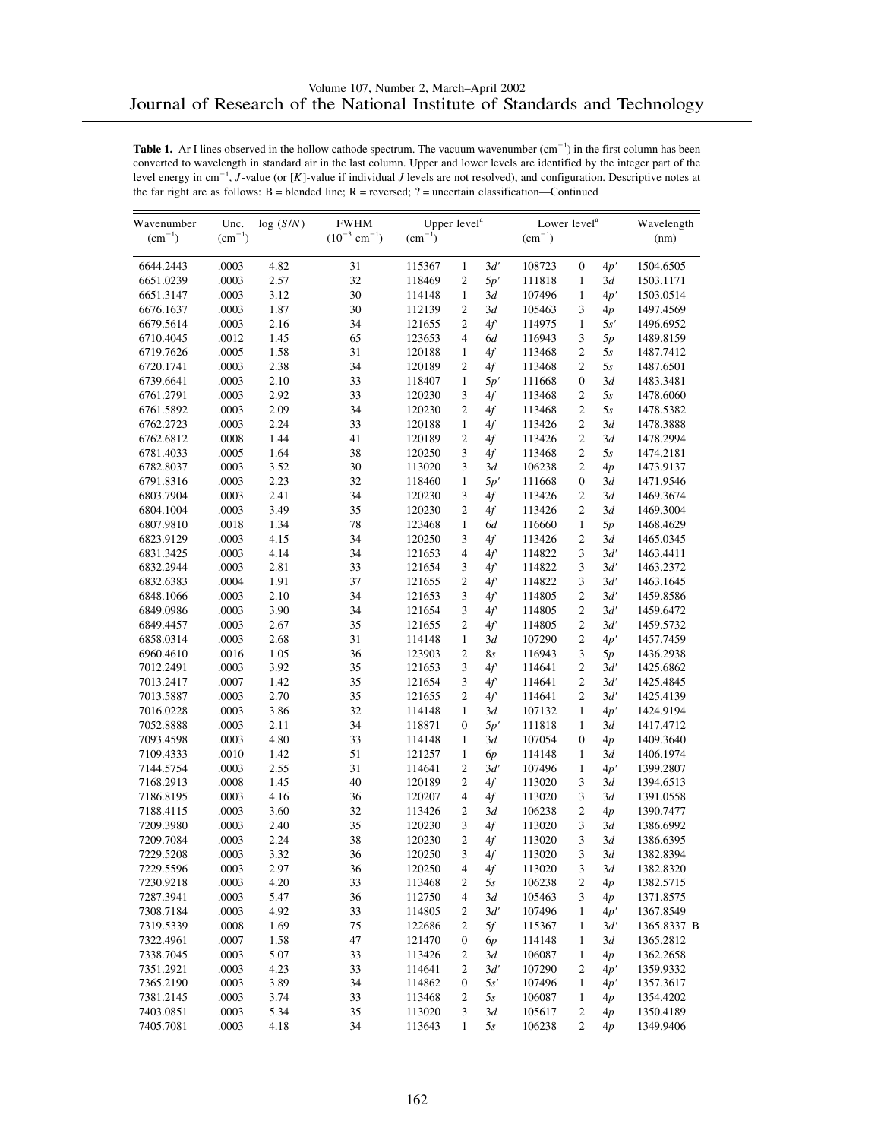| Wavenumber  | Unc.            | log(S/N) | ${\rm FWHM}$                  | Upper level <sup>a</sup> |                |        | Lower level <sup>a</sup> |                  |     | Wavelength  |
|-------------|-----------------|----------|-------------------------------|--------------------------|----------------|--------|--------------------------|------------------|-----|-------------|
| $(cm^{-1})$ | $\rm (cm^{-1})$ |          | $(10^{-3}$ cm <sup>-1</sup> ) | $(cm^{-1})$              |                |        | $(cm^{-1})$              |                  |     | (nm)        |
| 6644.2443   | .0003           | 4.82     | 31                            | 115367                   | $\mathbf{1}$   | 3d'    | 108723                   | $\mathbf{0}$     | 4p' | 1504.6505   |
| 6651.0239   | .0003           | 2.57     | 32                            | 118469                   | 2              | 5p'    | 111818                   | 1                | 3d  | 1503.1171   |
| 6651.3147   | .0003           | 3.12     | 30                            | 114148                   | $\mathbf{1}$   | 3d     | 107496                   | 1                | 4p' | 1503.0514   |
| 6676.1637   | .0003           | 1.87     | 30                            | 112139                   | 2              | 3d     | 105463                   | 3                | 4p  | 1497.4569   |
| 6679.5614   | .0003           | 2.16     | 34                            | 121655                   | $\overline{c}$ | 4f     | 114975                   | $\mathbf{1}$     | 5s' | 1496.6952   |
| 6710.4045   | .0012           | 1.45     | 65                            | 123653                   | 4              | 6d     | 116943                   | 3                | 5p  | 1489.8159   |
| 6719.7626   | .0005           | 1.58     | 31                            | 120188                   | $\mathbf{1}$   | 4f     | 113468                   | $\overline{2}$   | 5s  | 1487.7412   |
| 6720.1741   | .0003           | 2.38     | 34                            | 120189                   | $\overline{c}$ | 4f     | 113468                   | 2                | 5s  | 1487.6501   |
| 6739.6641   | .0003           | 2.10     | 33                            | 118407                   | $\mathbf{1}$   | 5p'    | 111668                   | $\boldsymbol{0}$ | 3d  | 1483.3481   |
| 6761.2791   | .0003           | 2.92     | 33                            | 120230                   | 3              | 4f     | 113468                   | $\overline{2}$   | 5s  | 1478.6060   |
| 6761.5892   | .0003           | 2.09     | 34                            | 120230                   | $\overline{c}$ | 4f     | 113468                   | $\overline{c}$   | 5s  | 1478.5382   |
| 6762.2723   | .0003           | 2.24     | 33                            | 120188                   | $\mathbf{1}$   | 4f     | 113426                   | $\overline{c}$   | 3d  | 1478.3888   |
| 6762.6812   | .0008           | 1.44     | 41                            | 120189                   | $\overline{c}$ | 4f     | 113426                   | $\overline{2}$   | 3d  | 1478.2994   |
| 6781.4033   | .0005           | 1.64     | 38                            | 120250                   | 3              | 4f     | 113468                   | 2                | 5s  | 1474.2181   |
| 6782.8037   | .0003           | 3.52     | 30                            | 113020                   | 3              | 3d     | 106238                   | 2                | 4p  | 1473.9137   |
| 6791.8316   | .0003           | 2.23     | 32                            | 118460                   | $\mathbf{1}$   | 5p'    | 111668                   | $\boldsymbol{0}$ | 3d  | 1471.9546   |
| 6803.7904   | .0003           | 2.41     | 34                            | 120230                   | 3              | 4f     | 113426                   | 2                | 3d  | 1469.3674   |
| 6804.1004   | .0003           | 3.49     | 35                            | 120230                   | $\overline{c}$ | 4f     | 113426                   | $\overline{c}$   | 3d  | 1469.3004   |
| 6807.9810   | .0018           | 1.34     | 78                            | 123468                   | $\mathbf{1}$   | 6d     | 116660                   | $\mathbf{1}$     | 5p  | 1468.4629   |
| 6823.9129   | .0003           | 4.15     | 34                            | 120250                   | 3              | 4f     | 113426                   | 2                | 3d  | 1465.0345   |
| 6831.3425   | .0003           | 4.14     | 34                            | 121653                   | $\overline{4}$ | 4f'    | 114822                   | 3                | 3d' | 1463.4411   |
| 6832.2944   | .0003           | 2.81     | 33                            | 121654                   | 3              | 4f     | 114822                   | 3                | 3d' | 1463.2372   |
| 6832.6383   | .0004           | 1.91     | 37                            | 121655                   | 2              | 4f'    | 114822                   | 3                | 3d' | 1463.1645   |
| 6848.1066   | .0003           | 2.10     | 34                            | 121653                   | 3              |        |                          | $\overline{c}$   | 3d' |             |
|             | .0003           | 3.90     | 34                            | 121654                   | 3              | 4f'    | 114805                   | $\overline{c}$   | 3d' | 1459.8586   |
| 6849.0986   |                 |          |                               |                          |                | 4f     | 114805                   |                  |     | 1459.6472   |
| 6849.4457   | .0003           | 2.67     | 35                            | 121655                   | 2              | 4f     | 114805                   | 2                | 3d' | 1459.5732   |
| 6858.0314   | .0003           | 2.68     | 31                            | 114148                   | $\mathbf{1}$   | 3d     | 107290                   | 2                | 4p' | 1457.7459   |
| 6960.4610   | .0016           | 1.05     | 36                            | 123903                   | $\overline{c}$ | 8s     | 116943                   | 3                | 5p  | 1436.2938   |
| 7012.2491   | .0003           | 3.92     | 35                            | 121653                   | 3              | 4f     | 114641                   | $\overline{c}$   | 3d' | 1425.6862   |
| 7013.2417   | .0007           | 1.42     | 35                            | 121654                   | 3              | 4f'    | 114641                   | $\overline{c}$   | 3d' | 1425.4845   |
| 7013.5887   | .0003           | 2.70     | 35                            | 121655                   | 2              | 4f     | 114641                   | $\overline{2}$   | 3d' | 1425.4139   |
| 7016.0228   | .0003           | 3.86     | 32                            | 114148                   | $\mathbf{1}$   | 3d     | 107132                   | 1                | 4p' | 1424.9194   |
| 7052.8888   | .0003           | 2.11     | 34                            | 118871                   | $\overline{0}$ | 5p'    | 111818                   | $\mathbf{1}$     | 3d  | 1417.4712   |
| 7093.4598   | .0003           | 4.80     | 33                            | 114148                   | $\mathbf{1}$   | 3d     | 107054                   | 0                | 4p  | 1409.3640   |
| 7109.4333   | .0010           | 1.42     | 51                            | 121257                   | $\mathbf{1}$   | 6p     | 114148                   | 1                | 3d  | 1406.1974   |
| 7144.5754   | .0003           | 2.55     | 31                            | 114641                   | 2              | 3d'    | 107496                   | $\mathbf{1}$     | 4p' | 1399.2807   |
| 7168.2913   | .0008           | 1.45     | 40                            | 120189                   | 2              | 4f     | 113020                   | 3                | 3d  | 1394.6513   |
| 7186.8195   | .0003           | 4.16     | 36                            | 120207                   | $\overline{4}$ | 4f     | 113020                   | 3                | 3d  | 1391.0558   |
| 7188.4115   | .0003           | 3.60     | 32                            | 113426                   | 2              | 3d     | 106238                   | 2                | 4p  | 1390.7477   |
| 7209.3980   | .0003           | 2.40     | 35                            | 120230                   | 3              | 4f     | 113020                   | 3                | 3d  | 1386.6992   |
| 7209.7084   | .0003           | 2.24     | 38                            | 120230                   | 2              | 4f     | 113020                   | 3                | 3d  | 1386.6395   |
| 7229.5208   | .0003           | 3.32     | 36                            | 120250                   | 3              | $4\!f$ | 113020                   | 3                | 3d  | 1382.8394   |
| 7229.5596   | .0003           | 2.97     | 36                            | 120250                   | 4              | 4f     | 113020                   | 3                | 3d  | 1382.8320   |
| 7230.9218   | .0003           | 4.20     | 33                            | 113468                   | 2              | 5s     | 106238                   | 2                | 4p  | 1382.5715   |
| 7287.3941   | .0003           | 5.47     | 36                            | 112750                   | 4              | 3d     | 105463                   | 3                | 4p  | 1371.8575   |
| 7308.7184   | .0003           | 4.92     | 33                            | 114805                   | 2              | 3d'    | 107496                   | $\mathbf{1}$     | 4p' | 1367.8549   |
| 7319.5339   | .0008           | 1.69     | 75                            | 122686                   | 2              | 5f     | 115367                   | 1                | 3d' | 1365.8337 B |
| 7322.4961   | .0007           | 1.58     | 47                            | 121470                   | 0              | 6р     | 114148                   | $\mathbf{1}$     | 3d  | 1365.2812   |
| 7338.7045   | .0003           | 5.07     | 33                            | 113426                   | 2              | 3d     | 106087                   | 1                | 4p  | 1362.2658   |
| 7351.2921   | .0003           | 4.23     | 33                            | 114641                   | 2              | 3d'    | 107290                   | 2                | 4p' | 1359.9332   |
| 7365.2190   | .0003           | 3.89     | 34                            | 114862                   | 0              | 5s'    | 107496                   | 1                | 4p' | 1357.3617   |
| 7381.2145   | .0003           | 3.74     | 33                            | 113468                   | 2              | 5s     | 106087                   | 1                | 4p  | 1354.4202   |
| 7403.0851   | .0003           | 5.34     | 35                            | 113020                   | 3              | 3d     | 105617                   | 2                | 4p  | 1350.4189   |
| 7405.7081   | .0003           | 4.18     | 34                            | 113643                   | $\mathbf{1}$   | 5s     | 106238                   | 2                | 4p  | 1349.9406   |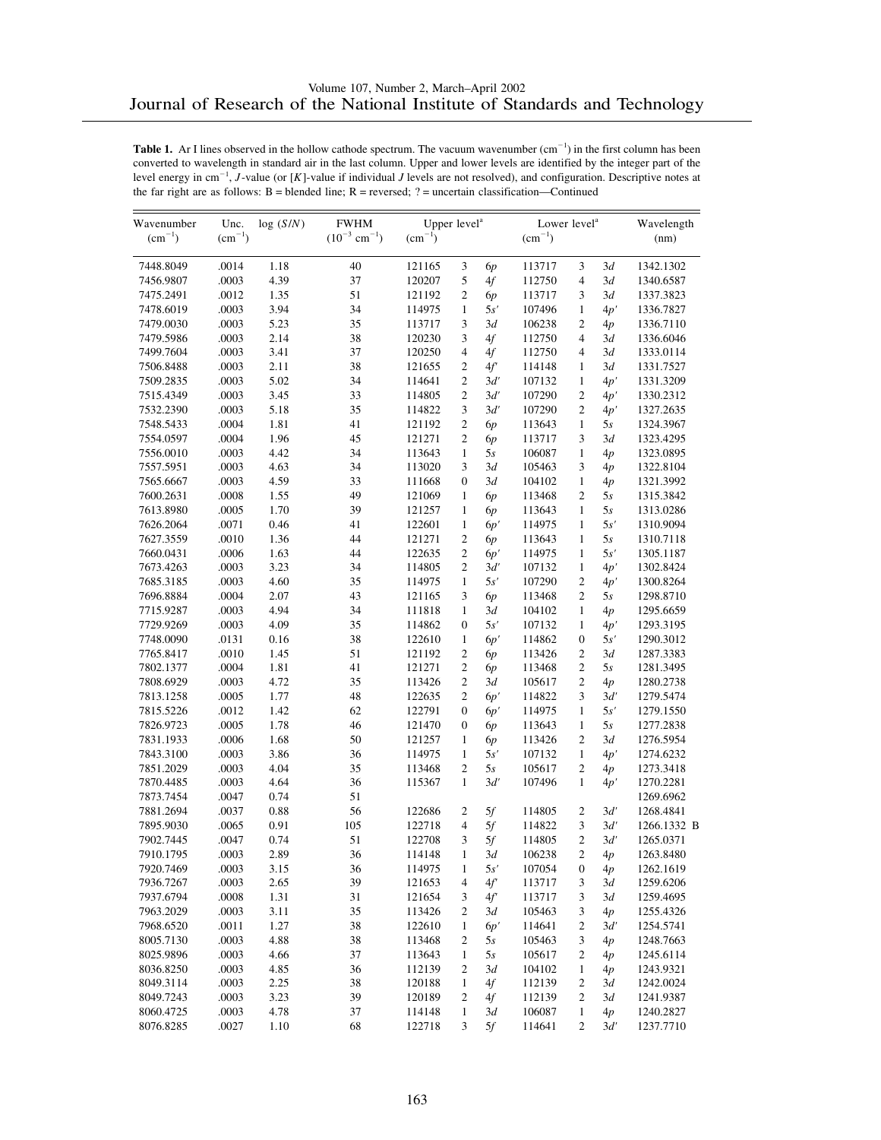| Wavenumber  | Unc.        | log(S/N) | Upper level <sup>a</sup><br><b>FWHM</b> |             |                  |            | Lower level <sup>a</sup> | Wavelength     |     |             |
|-------------|-------------|----------|-----------------------------------------|-------------|------------------|------------|--------------------------|----------------|-----|-------------|
| $(cm^{-1})$ | $(cm^{-1})$ |          | $(10^{-3}$ cm <sup>-1</sup> )           | $(cm^{-1})$ |                  |            | $(cm^{-1})$              |                |     | (nm)        |
| 7448.8049   | .0014       | 1.18     | 40                                      | 121165      | 3                | 6p         | 113717                   | 3              | 3d  | 1342.1302   |
| 7456.9807   | .0003       | 4.39     | 37                                      | 120207      | 5                | 4f         | 112750                   | 4              | 3d  | 1340.6587   |
| 7475.2491   | .0012       | 1.35     | 51                                      | 121192      | $\mathfrak{2}$   | 6р         | 113717                   | 3              | 3d  | 1337.3823   |
| 7478.6019   | .0003       | 3.94     | 34                                      | 114975      | $\mathbf{1}$     | 5s'        | 107496                   | $\mathbf{1}$   | 4p' | 1336.7827   |
| 7479.0030   | .0003       | 5.23     | 35                                      | 113717      | 3                | 3d         | 106238                   | 2              | 4p  | 1336.7110   |
| 7479.5986   | .0003       | 2.14     | 38                                      | 120230      | 3                | 4f         | 112750                   | 4              | 3d  | 1336.6046   |
| 7499.7604   | .0003       | 3.41     | 37                                      | 120250      | $\overline{4}$   | 4f         | 112750                   | 4              | 3d  | 1333.0114   |
| 7506.8488   | .0003       | 2.11     | 38                                      | 121655      | 2                | 4f         | 114148                   | $\mathbf{1}$   | 3d  | 1331.7527   |
| 7509.2835   | .0003       | 5.02     | 34                                      | 114641      | 2                | 3d'        | 107132                   | $\mathbf{1}$   | 4p' | 1331.3209   |
| 7515.4349   | .0003       | 3.45     | 33                                      | 114805      | $\mathfrak{2}$   | 3d'        | 107290                   | $\mathfrak{2}$ | 4p' | 1330.2312   |
| 7532.2390   | .0003       | 5.18     | 35                                      | 114822      | 3                | 3d'        | 107290                   | $\overline{c}$ | 4p' | 1327.2635   |
| 7548.5433   | .0004       | 1.81     | 41                                      | 121192      | 2                | 6p         | 113643                   | $\mathbf{1}$   | 5s  | 1324.3967   |
| 7554.0597   | .0004       | 1.96     | 45                                      | 121271      | $\mathfrak{2}$   | 6p         | 113717                   | 3              | 3d  | 1323.4295   |
| 7556.0010   | .0003       | 4.42     | 34                                      | 113643      | $\mathbf{1}$     | 5s         | 106087                   | $\mathbf{1}$   | 4p  | 1323.0895   |
| 7557.5951   | .0003       | 4.63     | 34                                      | 113020      | 3                | 3d         | 105463                   | 3              | 4p  | 1322.8104   |
| 7565.6667   | .0003       | 4.59     | 33                                      | 111668      | $\mathbf{0}$     | 3d         | 104102                   | $\mathbf{1}$   | 4p  | 1321.3992   |
| 7600.2631   | .0008       | 1.55     | 49                                      | 121069      | $\mathbf{1}$     | 6p         | 113468                   | $\overline{c}$ | 5s  | 1315.3842   |
| 7613.8980   | .0005       | 1.70     | 39                                      | 121257      | $\mathbf{1}$     | 6 <i>p</i> | 113643                   | 1              | 5s  | 1313.0286   |
| 7626.2064   | .0071       | 0.46     | 41                                      | 122601      | $\mathbf{1}$     | 6p'        | 114975                   | $\mathbf{1}$   | 5s' | 1310.9094   |
| 7627.3559   | .0010       | 1.36     | 44                                      | 121271      | $\mathfrak{2}$   | 6p         | 113643                   | $\mathbf{1}$   | 5s  | 1310.7118   |
| 7660.0431   | .0006       | 1.63     | 44                                      | 122635      | 2                | 6p'        | 114975                   | $\mathbf{1}$   | 5s' | 1305.1187   |
| 7673.4263   | .0003       | 3.23     | 34                                      | 114805      | $\overline{c}$   | 3d'        | 107132                   | $\mathbf{1}$   | 4p' | 1302.8424   |
| 7685.3185   | .0003       | 4.60     | 35                                      | 114975      | $\mathbf{1}$     | 5s'        | 107290                   | 2              | 4p' | 1300.8264   |
| 7696.8884   | .0004       | 2.07     | 43                                      | 121165      | 3                | 6p         | 113468                   | 2              | 5s  | 1298.8710   |
| 7715.9287   | .0003       | 4.94     | 34                                      | 111818      | $\mathbf{1}$     | 3d         | 104102                   | $\mathbf{1}$   | 4p  | 1295.6659   |
| 7729.9269   | .0003       | 4.09     | 35                                      | 114862      | $\mathbf{0}$     | 5s'        | 107132                   | 1              | 4p' | 1293.3195   |
| 7748.0090   | .0131       | 0.16     | 38                                      | 122610      | $\mathbf{1}$     | 6p'        | 114862                   | 0              | 5s' | 1290.3012   |
| 7765.8417   | .0010       | 1.45     | 51                                      | 121192      | $\mathfrak{2}$   | 6р         | 113426                   | $\overline{c}$ | 3d  | 1287.3383   |
| 7802.1377   | .0004       | 1.81     | 41                                      | 121271      | 2                | 6p         | 113468                   | 2              | 5s  | 1281.3495   |
| 7808.6929   | .0003       | 4.72     | 35                                      | 113426      | $\overline{c}$   | 3d         | 105617                   | $\overline{c}$ | 4p  | 1280.2738   |
| 7813.1258   | .0005       | 1.77     | 48                                      | 122635      | $\overline{c}$   | 6p'        | 114822                   | 3              | 3d' | 1279.5474   |
| 7815.5226   | .0012       | 1.42     | 62                                      | 122791      | $\boldsymbol{0}$ | 6p'        | 114975                   | $\mathbf{1}$   | 5s' | 1279.1550   |
| 7826.9723   | .0005       | 1.78     | 46                                      | 121470      | $\mathbf{0}$     | 6p         | 113643                   | $\mathbf{1}$   | 5s  | 1277.2838   |
| 7831.1933   | .0006       | 1.68     | 50                                      | 121257      | $\mathbf{1}$     | 6p         | 113426                   | $\overline{c}$ | 3d  | 1276.5954   |
| 7843.3100   | .0003       | 3.86     | 36                                      | 114975      | 1                | 5s'        | 107132                   | 1              | 4p' | 1274.6232   |
| 7851.2029   | .0003       | 4.04     | 35                                      | 113468      | $\overline{c}$   | 5s         | 105617                   | $\overline{c}$ | 4p  | 1273.3418   |
| 7870.4485   | .0003       | 4.64     | 36                                      | 115367      | 1                | 3d'        | 107496                   | $\mathbf{1}$   | 4p' | 1270.2281   |
| 7873.7454   | .0047       | 0.74     | 51                                      |             |                  |            |                          |                |     | 1269.6962   |
| 7881.2694   | .0037       | 0.88     | 56                                      | 122686      | 2                | 5f         | 114805                   | $\overline{c}$ | 3d' | 1268.4841   |
| 7895.9030   | .0065       | 0.91     | 105                                     | 122718      | 4                | 5f         | 114822                   | 3              | 3d' | 1266.1332 B |
| 7902.7445   | .0047       | 0.74     | 51                                      | 122708      | 3                | 5f         | 114805                   | 2              | 3d' | 1265.0371   |
| 7910.1795   | .0003       | 2.89     | 36                                      | 114148      | $\mathbf{1}$     | $3d$       | 106238                   | $\overline{c}$ |     | 1263.8480   |
| 7920.7469   | .0003       |          | 36                                      | 114975      | 1                | 5s'        | 107054                   |                | 4p  | 1262.1619   |
|             |             | 3.15     | 39                                      |             | 4                |            |                          | 0              | 4p  |             |
| 7936.7267   | .0003       | 2.65     |                                         | 121653      |                  | 4f'        | 113717                   | 3              | 3d  | 1259.6206   |
| 7937.6794   | .0008       | 1.31     | 31                                      | 121654      | 3                | 4f'        | 113717                   | 3              | 3d  | 1259.4695   |
| 7963.2029   | .0003       | 3.11     | 35                                      | 113426      | 2                | 3d         | 105463                   | 3              | 4p  | 1255.4326   |
| 7968.6520   | .0011       | 1.27     | 38                                      | 122610      | $\mathbf{1}$     | 6p'        | 114641                   | 2              | 3d' | 1254.5741   |
| 8005.7130   | .0003       | 4.88     | 38                                      | 113468      | 2                | 5s         | 105463                   | 3              | 4p  | 1248.7663   |
| 8025.9896   | .0003       | 4.66     | 37                                      | 113643      | 1                | 5s         | 105617                   | 2              | 4p  | 1245.6114   |
| 8036.8250   | .0003       | 4.85     | 36                                      | 112139      | 2                | 3d         | 104102                   | 1              | 4p  | 1243.9321   |
| 8049.3114   | .0003       | 2.25     | 38                                      | 120188      | $\mathbf{1}$     | 4f         | 112139                   | 2              | 3d  | 1242.0024   |
| 8049.7243   | .0003       | 3.23     | 39                                      | 120189      | 2                | 4f         | 112139                   | 2              | 3d  | 1241.9387   |
| 8060.4725   | .0003       | 4.78     | 37                                      | 114148      | 1                | 3d         | 106087                   | 1              | 4p  | 1240.2827   |
| 8076.8285   | .0027       | 1.10     | 68                                      | 122718      | 3                | 5f         | 114641                   | $\overline{c}$ | 3d' | 1237.7710   |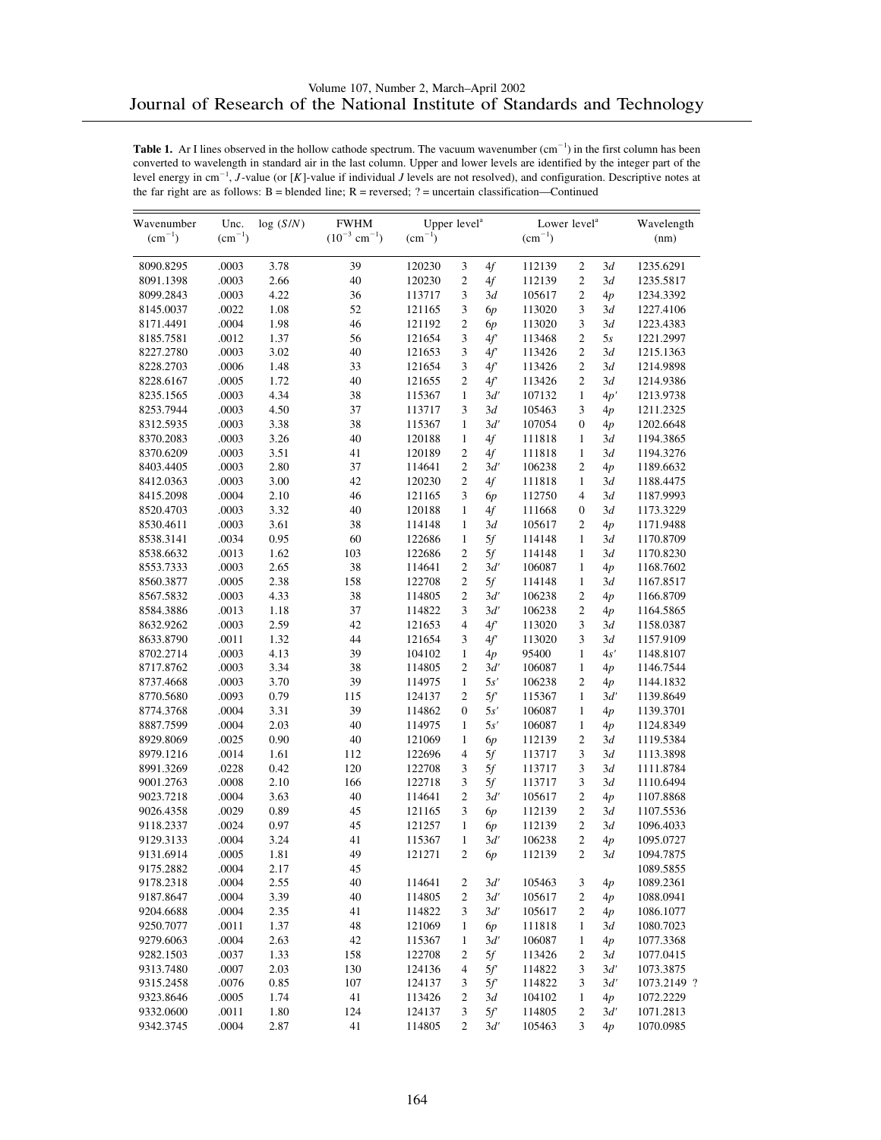| Wavenumber  | Unc.            | log(S/N) | Upper level <sup>a</sup><br><b>FWHM</b> |             |                  |            | Lower level <sup>a</sup> | Wavelength     |     |             |
|-------------|-----------------|----------|-----------------------------------------|-------------|------------------|------------|--------------------------|----------------|-----|-------------|
| $(cm^{-1})$ | $\rm (cm^{-1})$ |          | $(10^{-3}$ cm <sup>-1</sup> )           | $(cm^{-1})$ |                  |            | $(cm^{-1})$              |                |     | (nm)        |
| 8090.8295   | .0003           | 3.78     | 39                                      | 120230      | 3                | 4f         | 112139                   | $\overline{c}$ | 3d  | 1235.6291   |
| 8091.1398   | .0003           | 2.66     | 40                                      | 120230      | 2                | 4f         | 112139                   | 2              | 3d  | 1235.5817   |
| 8099.2843   | .0003           | 4.22     | 36                                      | 113717      | 3                | 3d         | 105617                   | 2              | 4p  | 1234.3392   |
| 8145.0037   | .0022           | 1.08     | 52                                      | 121165      | 3                | 6p         | 113020                   | 3              | 3d  | 1227.4106   |
| 8171.4491   | .0004           | 1.98     | 46                                      | 121192      | 2                | 6р         | 113020                   | 3              | 3d  | 1223.4383   |
| 8185.7581   | .0012           | 1.37     | 56                                      | 121654      | 3                | 4f         | 113468                   | $\overline{c}$ | 5s  | 1221.2997   |
| 8227.2780   | .0003           | 3.02     | 40                                      | 121653      | 3                | 4f'        | 113426                   | $\overline{c}$ | 3d  | 1215.1363   |
| 8228.2703   | .0006           | 1.48     | 33                                      | 121654      | 3                | 4f         | 113426                   | $\overline{c}$ | 3d  | 1214.9898   |
| 8228.6167   | .0005           | 1.72     | 40                                      | 121655      | 2                | 4f         | 113426                   | 2              | 3d  | 1214.9386   |
| 8235.1565   | .0003           | 4.34     | 38                                      | 115367      | $\mathbf{1}$     | 3d'        | 107132                   | $\mathbf{1}$   | 4p' | 1213.9738   |
| 8253.7944   | .0003           | 4.50     | 37                                      | 113717      | 3                | 3d         | 105463                   | 3              | 4p  | 1211.2325   |
| 8312.5935   | .0003           | 3.38     | 38                                      | 115367      | $\mathbf{1}$     | 3d'        | 107054                   | 0              | 4p  | 1202.6648   |
| 8370.2083   | .0003           | 3.26     | 40                                      | 120188      | $\mathbf{1}$     | 4f         | 111818                   | 1              | 3d  | 1194.3865   |
| 8370.6209   | .0003           | 3.51     | 41                                      | 120189      | 2                | 4f         | 111818                   | $\mathbf{1}$   | 3d  | 1194.3276   |
| 8403.4405   | .0003           | 2.80     | 37                                      | 114641      | 2                | 3d'        | 106238                   | $\overline{c}$ | 4p  | 1189.6632   |
| 8412.0363   | .0003           | 3.00     | 42                                      | 120230      | $\overline{c}$   | 4f         | 111818                   | $\mathbf{1}$   | 3d  | 1188.4475   |
| 8415.2098   | .0004           | 2.10     | 46                                      | 121165      | 3                | 6р         | 112750                   | 4              | 3d  | 1187.9993   |
| 8520.4703   | .0003           | 3.32     | 40                                      | 120188      | $\mathbf{1}$     | 4f         | 111668                   | 0              | 3d  | 1173.3229   |
| 8530.4611   | .0003           | 3.61     | 38                                      | 114148      | $\mathbf{1}$     | 3d         | 105617                   | $\overline{2}$ | 4p  | 1171.9488   |
| 8538.3141   | .0034           | 0.95     | 60                                      | 122686      | $\mathbf{1}$     | 5f         | 114148                   | $\mathbf{1}$   | 3d  | 1170.8709   |
| 8538.6632   | .0013           | 1.62     | 103                                     | 122686      | 2                | 5f         | 114148                   | 1              | 3d  | 1170.8230   |
| 8553.7333   | .0003           | 2.65     | 38                                      | 114641      | $\overline{c}$   | 3d'        | 106087                   | $\mathbf{1}$   | 4p  | 1168.7602   |
| 8560.3877   | .0005           | 2.38     | 158                                     | 122708      | 2                | 5f         | 114148                   | 1              | 3d  | 1167.8517   |
| 8567.5832   | .0003           | 4.33     | 38                                      | 114805      | $\overline{c}$   | 3d'        | 106238                   | 2              | 4p  | 1166.8709   |
| 8584.3886   | .0013           | 1.18     | 37                                      | 114822      | 3                | 3d'        | 106238                   | $\overline{c}$ | 4p  | 1164.5865   |
| 8632.9262   | .0003           | 2.59     | 42                                      | 121653      | $\overline{4}$   | 4f'        | 113020                   | 3              | 3d  | 1158.0387   |
| 8633.8790   | .0011           | 1.32     | 44                                      | 121654      | 3                | 4f'        | 113020                   | 3              | 3d  | 1157.9109   |
| 8702.2714   | .0003           | 4.13     | 39                                      | 104102      | $\mathbf{1}$     | 4p         | 95400                    | $\mathbf{1}$   | 4s' | 1148.8107   |
| 8717.8762   | .0003           | 3.34     | 38                                      | 114805      | 2                | 3d'        | 106087                   | 1              | 4p  | 1146.7544   |
| 8737.4668   | .0003           | 3.70     | 39                                      | 114975      | $\mathbf{1}$     | 5s'        | 106238                   | $\overline{c}$ | 4p  | 1144.1832   |
| 8770.5680   | .0093           | 0.79     | 115                                     | 124137      | $\overline{c}$   | 5f         | 115367                   | $\mathbf{1}$   | 3d' | 1139.8649   |
| 8774.3768   | .0004           | 3.31     | 39                                      | 114862      | $\boldsymbol{0}$ | 5s'        | 106087                   | 1              | 4p  | 1139.3701   |
| 8887.7599   | .0004           | 2.03     | 40                                      | 114975      | $\mathbf{1}$     | 5s'        | 106087                   | $\mathbf{1}$   | 4p  | 1124.8349   |
| 8929.8069   | .0025           | 0.90     | 40                                      | 121069      | $\mathbf{1}$     | 6р         | 112139                   | 2              | 3d  | 1119.5384   |
| 8979.1216   | .0014           | 1.61     | 112                                     | 122696      | 4                | 5f         | 113717                   | 3              | 3d  | 1113.3898   |
| 8991.3269   | .0228           | 0.42     | 120                                     | 122708      | 3                | 5f         | 113717                   | 3              | 3d  | 1111.8784   |
| 9001.2763   | .0008           | 2.10     | 166                                     | 122718      | 3                | 5f         | 113717                   | 3              | 3d  | 1110.6494   |
| 9023.7218   | .0004           | 3.63     | 40                                      | 114641      | 2                | 3d'        | 105617                   | 2              | 4p  | 1107.8868   |
| 9026.4358   | .0029           | 0.89     | 45                                      | 121165      | 3                | 6p         | 112139                   | $\mathfrak{2}$ | 3d  | 1107.5536   |
| 9118.2337   | .0024           | 0.97     | 45                                      | 121257      | $\mathbf{1}$     | 6 <i>p</i> | 112139                   | $\overline{c}$ | 3d  | 1096.4033   |
| 9129.3133   | .0004           | 3.24     | 41                                      | 115367      | $\mathbf{1}$     | 3d'        | 106238                   | $\overline{c}$ | 4p  | 1095.0727   |
| 9131.6914   | .0005           | 1.81     | 49                                      | 121271      | $\overline{c}$   | 6p         | 112139                   | $\overline{c}$ | 3d  | 1094.7875   |
| 9175.2882   | .0004           | 2.17     | 45                                      |             |                  |            |                          |                |     | 1089.5855   |
| 9178.2318   | .0004           | 2.55     | 40                                      | 114641      | 2                | 3d'        | 105463                   | 3              | 4p  | 1089.2361   |
| 9187.8647   | .0004           | 3.39     | 40                                      | 114805      | $\mathfrak{2}$   | 3d'        | 105617                   | 2              | 4p  | 1088.0941   |
| 9204.6688   | .0004           | 2.35     | 41                                      | 114822      | 3                | 3d'        | 105617                   | $\overline{c}$ |     | 1086.1077   |
|             | .0011           |          |                                         | 121069      |                  |            |                          |                | 4p  | 1080.7023   |
| 9250.7077   | .0004           | 1.37     | 48                                      |             | 1                | 6p         | 111818                   | 1              | 3d  |             |
| 9279.6063   |                 | 2.63     | 42                                      | 115367      | 1                | 3d'        | 106087                   | $\mathbf{1}$   | 4p  | 1077.3368   |
| 9282.1503   | .0037           | 1.33     | 158                                     | 122708      | 2                | 5f         | 113426                   | 2              | 3d  | 1077.0415   |
| 9313.7480   | .0007           | 2.03     | 130                                     | 124136      | 4                | 5f         | 114822                   | 3              | 3d' | 1073.3875   |
| 9315.2458   | .0076           | 0.85     | 107                                     | 124137      | 3                | 5f         | 114822                   | 3              | 3d' | 1073.2149 ? |
| 9323.8646   | .0005           | 1.74     | 41                                      | 113426      | 2                | 3d         | 104102                   | $\mathbf{1}$   | 4p  | 1072.2229   |
| 9332.0600   | .0011           | 1.80     | 124                                     | 124137      | 3                | 5f         | 114805                   | 2              | 3d' | 1071.2813   |
| 9342.3745   | .0004           | 2.87     | 41                                      | 114805      | $\overline{c}$   | 3d'        | 105463                   | 3              | 4p  | 1070.0985   |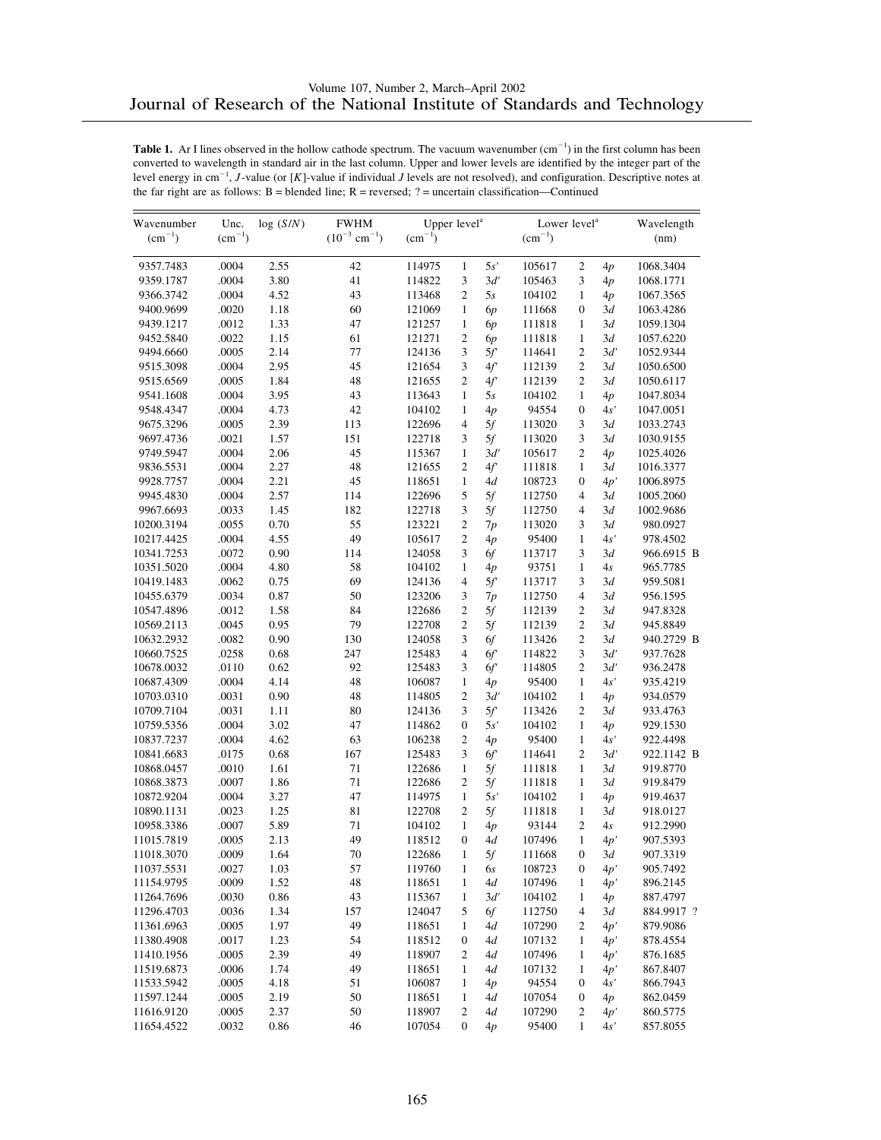| Wavenumber  |             | Unc.<br>log(S/N) | <b>FWHM</b>                   | Upper level <sup>a</sup> |                  |      | Lower level <sup>a</sup> | Wavelength       |     |            |
|-------------|-------------|------------------|-------------------------------|--------------------------|------------------|------|--------------------------|------------------|-----|------------|
| $(cm^{-1})$ | $(cm^{-1})$ |                  | $(10^{-3}$ cm <sup>-1</sup> ) | $\rm (cm^{-1})$          |                  |      | $(cm^{-1})$              |                  |     | (nm)       |
| 9357.7483   | .0004       | 2.55             | 42                            | 114975                   | $\mathbf{1}$     | 5s'  | 105617                   | $\mathfrak{2}$   | 4p  | 1068.3404  |
| 9359.1787   | .0004       | 3.80             | 41                            | 114822                   | 3                | 3d'  | 105463                   | 3                | 4p  | 1068.1771  |
| 9366.3742   | .0004       | 4.52             | 43                            | 113468                   | $\overline{c}$   | 5s   | 104102                   | $\mathbf{1}$     | 4p  | 1067.3565  |
| 9400.9699   | .0020       | 1.18             | 60                            | 121069                   | $\mathbf{1}$     | 6p   | 111668                   | $\overline{0}$   | 3d  | 1063.4286  |
| 9439.1217   | .0012       | 1.33             | 47                            | 121257                   | $\mathbf{1}$     | 6p   | 111818                   | $\mathbf{1}$     | 3d  | 1059.1304  |
| 9452.5840   | .0022       | 1.15             | 61                            | 121271                   | $\overline{c}$   | 6p   | 111818                   | $\mathbf{1}$     | 3d  | 1057.6220  |
| 9494.6660   | .0005       | 2.14             | 77                            | 124136                   | 3                | 5f   | 114641                   | $\mathfrak{2}$   | 3d' | 1052.9344  |
| 9515.3098   | .0004       | 2.95             | 45                            | 121654                   | 3                | 4f'  | 112139                   | $\overline{c}$   | 3d  | 1050.6500  |
| 9515.6569   | .0005       | 1.84             | 48                            | 121655                   | 2                | 4f'  | 112139                   | $\overline{c}$   | 3d  | 1050.6117  |
| 9541.1608   | .0004       | 3.95             | 43                            | 113643                   | $\mathbf{1}$     | 5s   | 104102                   | $\mathbf{1}$     | 4p  | 1047.8034  |
| 9548.4347   | .0004       | 4.73             | 42                            | 104102                   | $\mathbf{1}$     | 4p   | 94554                    | $\boldsymbol{0}$ | 4s' | 1047.0051  |
| 9675.3296   | .0005       | 2.39             | 113                           | 122696                   | 4                | 5f   | 113020                   | 3                | 3d  | 1033.2743  |
| 9697.4736   | .0021       | 1.57             | 151                           | 122718                   | 3                | 5f   | 113020                   | 3                | 3d  | 1030.9155  |
| 9749.5947   | .0004       | 2.06             | 45                            | 115367                   | $\mathbf{1}$     | 3d'  | 105617                   | $\mathfrak{2}$   | 4p  | 1025.4026  |
| 9836.5531   | .0004       | 2.27             | 48                            | 121655                   | 2                | 4f'  | 111818                   | $\mathbf{1}$     | 3d  | 1016.3377  |
| 9928.7757   | .0004       | 2.21             | 45                            | 118651                   | $\mathbf{1}$     | 4d   | 108723                   | $\boldsymbol{0}$ | 4p' | 1006.8975  |
| 9945.4830   | .0004       | 2.57             | 114                           | 122696                   | 5                | 5f   | 112750                   | $\overline{4}$   | 3d  | 1005.2060  |
| 9967.6693   | .0033       | 1.45             | 182                           | 122718                   | 3                | 5f   | 112750                   | $\overline{4}$   | 3d  | 1002.9686  |
| 10200.3194  | .0055       | 0.70             | 55                            | 123221                   | $\overline{c}$   | 7p   | 113020                   | 3                | 3d  | 980.0927   |
| 10217.4425  | .0004       | 4.55             | 49                            | 105617                   | 2                | 4p   | 95400                    | $\mathbf{1}$     | 4s' | 978.4502   |
| 10341.7253  | .0072       | 0.90             | 114                           | 124058                   | 3                | 6f   | 113717                   | 3                | 3d  | 966.6915 B |
| 10351.5020  | .0004       | 4.80             | 58                            | 104102                   | $\mathbf{1}$     | 4p   | 93751                    | $\mathbf{1}$     | 4s  | 965.7785   |
| 10419.1483  | .0062       | 0.75             | 69                            | 124136                   | $\overline{4}$   | 5f   | 113717                   | 3                | 3d  | 959.5081   |
| 10455.6379  | .0034       | 0.87             | 50                            | 123206                   | 3                | 7p   | 112750                   | $\overline{4}$   | 3d  | 956.1595   |
| 10547.4896  | .0012       | 1.58             | 84                            | 122686                   | $\overline{c}$   | 5f   | 112139                   | $\overline{c}$   | 3d  | 947.8328   |
| 10569.2113  | .0045       | 0.95             | 79                            | 122708                   | $\overline{c}$   | 5f   | 112139                   | $\mathfrak{2}$   | 3d  | 945.8849   |
| 10632.2932  | .0082       | 0.90             | 130                           | 124058                   | 3                | 6f   | 113426                   | $\overline{c}$   | 3d  | 940.2729 B |
| 10660.7525  | .0258       | 0.68             | 247                           | 125483                   | $\overline{4}$   | 6f   | 114822                   | 3                | 3d' | 937.7628   |
| 10678.0032  | .0110       | 0.62             | 92                            | 125483                   | 3                | 6f   | 114805                   | $\mathfrak{2}$   | 3d' | 936.2478   |
| 10687.4309  | .0004       | 4.14             | 48                            | 106087                   | $\mathbf{1}$     | 4p   | 95400                    | $\mathbf{1}$     | 4s' | 935.4219   |
| 10703.0310  | .0031       | 0.90             | 48                            | 114805                   | $\overline{c}$   | 3d'  | 104102                   | $\mathbf{1}$     | 4p  | 934.0579   |
| 10709.7104  | .0031       | 1.11             | 80                            | 124136                   | 3                | 5f   | 113426                   | $\mathfrak{2}$   | 3d  | 933.4763   |
| 10759.5356  | .0004       | 3.02             | 47                            | 114862                   | $\boldsymbol{0}$ | 5s'  | 104102                   | 1                | 4p  | 929.1530   |
| 10837.7237  | .0004       | 4.62             | 63                            | 106238                   | 2                | 4p   | 95400                    | $\mathbf{1}$     | 4s' | 922.4498   |
| 10841.6683  | .0175       | 0.68             | 167                           | 125483                   | 3                | 6f   | 114641                   | $\mathfrak{2}$   | 3d' | 922.1142 B |
| 10868.0457  | .0010       | 1.61             | 71                            | 122686                   | $\mathbf{1}$     | 5f   | 111818                   | $\mathbf{1}$     | 3d  | 919.8770   |
| 10868.3873  | .0007       | 1.86             | 71                            | 122686                   | 2                | 5f   | 111818                   | $\mathbf{1}$     | 3d  | 919.8479   |
| 10872.9204  | .0004       | 3.27             | 47                            | 114975                   | $\mathbf{1}$     | 5s'  | 104102                   | $\mathbf{1}$     | 4p  | 919.4637   |
| 10890.1131  | .0023       | 1.25             | 81                            | 122708                   | $\overline{c}$   | 5f   | 111818                   | $\mathbf{1}$     | 3d  | 918.0127   |
| 10958.3386  | .0007       | 5.89             | 71                            | 104102                   | $\mathbf{1}$     | 4p   | 93144                    | $\overline{c}$   | 4s  | 912.2990   |
| 11015.7819  | .0005       | 2.13             | 49                            | 118512                   | $\boldsymbol{0}$ | 4d   | 107496                   | $\mathbf{1}$     | 4p' | 907.5393   |
| 11018.3070  | .0009       | 1.64             | $70\,$                        | 122686                   | $\mathbf{1}$     | $5f$ | 111668                   | $\boldsymbol{0}$ | 3d  | 907.3319   |
| 11037.5531  | .0027       | 1.03             | 57                            | 119760                   | 1                | 6s   | 108723                   | $\boldsymbol{0}$ | 4p' | 905.7492   |
| 11154.9795  | .0009       | 1.52             | 48                            | 118651                   | 1                | 4d   | 107496                   | 1                | 4p' | 896.2145   |
| 11264.7696  | .0030       | 0.86             | 43                            | 115367                   | $\,1$            | 3d'  | 104102                   | $\mathbf{1}$     | 4p  | 887.4797   |
| 11296.4703  | .0036       | 1.34             | 157                           | 124047                   | 5                | 6f   | 112750                   | 4                | 3d  | 884.9917?  |
| 11361.6963  | .0005       | 1.97             | 49                            | 118651                   | 1                | 4d   | 107290                   | 2                | 4p' | 879.9086   |
| 11380.4908  | .0017       | 1.23             | 54                            | 118512                   | 0                | 4d   | 107132                   | $\mathbf{1}$     | 4p' | 878.4554   |
| 11410.1956  | .0005       | 2.39             | 49                            | 118907                   | 2                | 4d   | 107496                   | $\mathbf{1}$     | 4p' | 876.1685   |
| 11519.6873  | .0006       | 1.74             | 49                            | 118651                   | 1                | 4d   | 107132                   | 1                | 4p' | 867.8407   |
| 11533.5942  | .0005       | 4.18             | 51                            | 106087                   | 1                | 4p   | 94554                    | $\boldsymbol{0}$ | 4s' | 866.7943   |
| 11597.1244  | .0005       | 2.19             | 50                            | 118651                   | $\mathbf{1}$     | 4d   | 107054                   | 0                | 4p  | 862.0459   |
| 11616.9120  | .0005       | 2.37             | 50                            | 118907                   | 2                | 4d   | 107290                   | 2                | 4p' | 860.5775   |
| 11654.4522  | .0032       | 0.86             | 46                            | 107054                   | 0                | 4p   | 95400                    | $\mathbf{1}$     | 4s' | 857.8055   |
|             |             |                  |                               |                          |                  |      |                          |                  |     |            |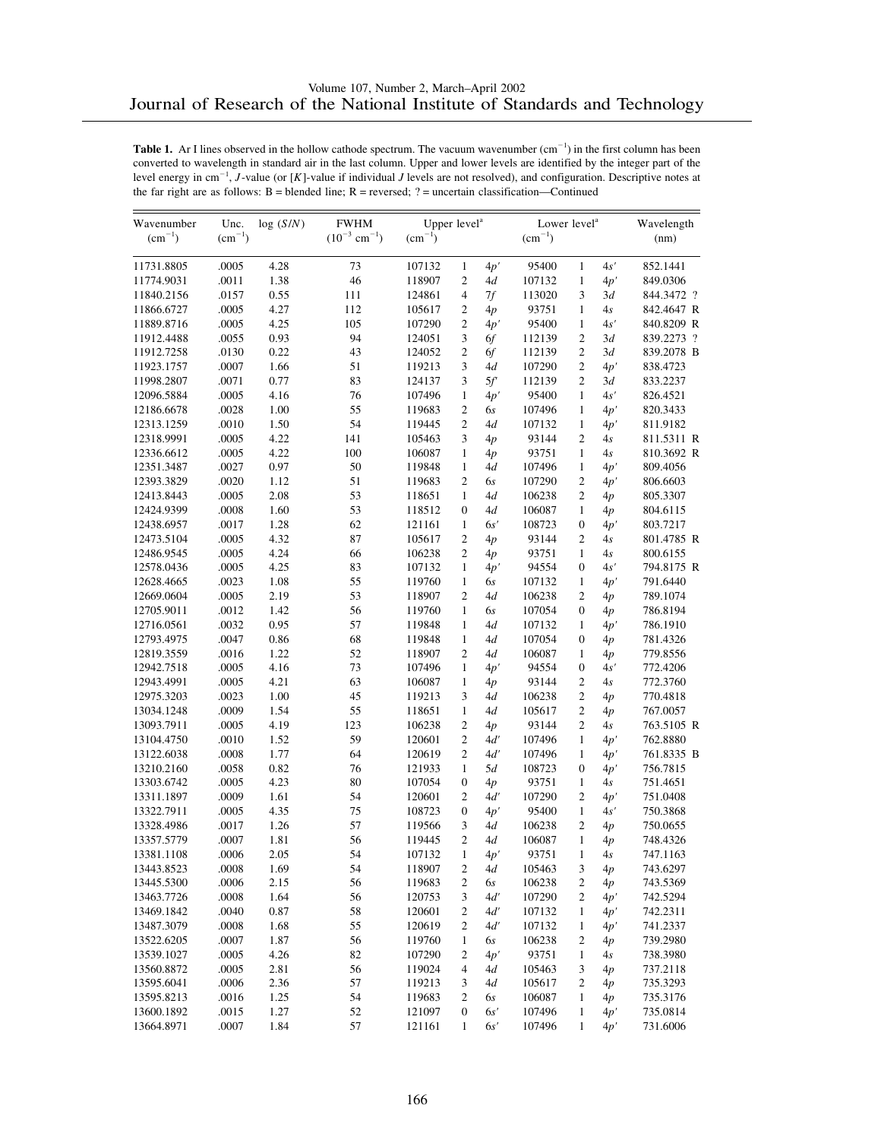| Wavenumber  | Unc.        | log(S/N) | <b>FWHM</b>                   |             | Upper level <sup>a</sup> |     |             | Lower level <sup>a</sup> |     |            |  |
|-------------|-------------|----------|-------------------------------|-------------|--------------------------|-----|-------------|--------------------------|-----|------------|--|
| $(cm^{-1})$ | $(cm^{-1})$ |          | $(10^{-3}$ cm <sup>-1</sup> ) | $(cm^{-1})$ |                          |     | $(cm^{-1})$ |                          |     | (nm)       |  |
| 11731.8805  | .0005       | 4.28     | 73                            | 107132      | $\mathbf{1}$             | 4p' | 95400       | $\mathbf{1}$             | 4s' | 852.1441   |  |
| 11774.9031  | .0011       | 1.38     | 46                            | 118907      | $\overline{c}$           | 4d  | 107132      | $\mathbf{1}$             | 4p' | 849.0306   |  |
| 11840.2156  | .0157       | 0.55     | 111                           | 124861      | $\overline{4}$           | 7f  | 113020      | 3                        | 3d  | 844.3472 ? |  |
| 11866.6727  | .0005       | 4.27     | 112                           | 105617      | 2                        | 4p  | 93751       | $\mathbf{1}$             | 4s  | 842.4647 R |  |
| 11889.8716  | .0005       | 4.25     | 105                           | 107290      | $\overline{c}$           | 4p' | 95400       | 1                        | 4s' | 840.8209 R |  |
| 11912.4488  | .0055       | 0.93     | 94                            | 124051      | 3                        | 6f  | 112139      | $\overline{c}$           | 3d  | 839.2273 ? |  |
| 11912.7258  | .0130       | 0.22     | 43                            | 124052      | $\overline{c}$           | 6f  | 112139      | $\overline{c}$           | 3d  | 839.2078 B |  |
| 11923.1757  | .0007       | 1.66     | 51                            | 119213      | 3                        | 4d  | 107290      | 2                        | 4p' | 838.4723   |  |
| 11998.2807  | .0071       | 0.77     | 83                            | 124137      | 3                        | 5f  | 112139      | $\overline{2}$           | 3d  | 833.2237   |  |
| 12096.5884  | .0005       | 4.16     | 76                            | 107496      | $\mathbf{1}$             | 4p' | 95400       | $\mathbf{1}$             | 4s' | 826.4521   |  |
| 12186.6678  | .0028       | 1.00     | 55                            | 119683      | $\overline{c}$           | 6s  | 107496      | 1                        | 4p' | 820.3433   |  |
| 12313.1259  | .0010       | 1.50     | 54                            | 119445      | $\overline{c}$           | 4d  | 107132      | 1                        | 4p' | 811.9182   |  |
| 12318.9991  | .0005       | 4.22     | 141                           | 105463      | 3                        | 4p  | 93144       | 2                        | 4s  | 811.5311 R |  |
| 12336.6612  | .0005       | 4.22     | 100                           | 106087      | $\mathbf{1}$             | 4p  | 93751       | 1                        | 4s  | 810.3692 R |  |
| 12351.3487  | .0027       | 0.97     | 50                            | 119848      | $\mathbf{1}$             | 4d  | 107496      | 1                        | 4p' | 809.4056   |  |
| 12393.3829  | .0020       | 1.12     | 51                            | 119683      | $\overline{c}$           | 6s  | 107290      | 2                        | 4p' | 806.6603   |  |
| 12413.8443  | .0005       | 2.08     | 53                            | 118651      | $\mathbf{1}$             | 4d  | 106238      | 2                        | 4p  | 805.3307   |  |
| 12424.9399  | .0008       | 1.60     | 53                            | 118512      | $\boldsymbol{0}$         | 4d  | 106087      | 1                        | 4p  | 804.6115   |  |
| 12438.6957  | .0017       | 1.28     | 62                            | 121161      | $\mathbf{1}$             | 6s' | 108723      | $\boldsymbol{0}$         | 4p' | 803.7217   |  |
| 12473.5104  | .0005       | 4.32     | 87                            | 105617      | $\mathbf{2}$             | 4p  | 93144       | $\overline{c}$           | 4s  | 801.4785 R |  |
| 12486.9545  | .0005       | 4.24     | 66                            | 106238      | 2                        | 4p  | 93751       | $\mathbf{1}$             | 4s  | 800.6155   |  |
| 12578.0436  | .0005       | 4.25     | 83                            | 107132      | $\mathbf{1}$             | 4p' | 94554       | $\overline{0}$           | 4s' | 794.8175 R |  |
| 12628.4665  | .0023       | 1.08     | 55                            | 119760      | $\mathbf{1}$             | 6s  | 107132      | $\mathbf{1}$             | 4p' | 791.6440   |  |
| 12669.0604  | .0005       | 2.19     | 53                            | 118907      | $\overline{c}$           | 4d  | 106238      | 2                        | 4p  | 789.1074   |  |
| 12705.9011  | .0012       | 1.42     | 56                            | 119760      | $\mathbf{1}$             | 6s  | 107054      | $\overline{0}$           | 4p  | 786.8194   |  |
| 12716.0561  | .0032       | 0.95     | 57                            | 119848      | 1                        | 4d  | 107132      | $\mathbf{1}$             | 4p' | 786.1910   |  |
| 12793.4975  | .0047       | 0.86     | 68                            | 119848      | $\mathbf{1}$             | 4d  | 107054      | $\boldsymbol{0}$         | 4p  | 781.4326   |  |
| 12819.3559  | .0016       | 1.22     | 52                            | 118907      | $\overline{c}$           | 4d  | 106087      | 1                        | 4p  | 779.8556   |  |
| 12942.7518  | .0005       | 4.16     | 73                            | 107496      | 1                        | 4p' | 94554       | $\overline{0}$           | 4s' | 772.4206   |  |
| 12943.4991  | .0005       | 4.21     | 63                            | 106087      | $\mathbf{1}$             | 4p  | 93144       | $\overline{c}$           | 4s  | 772.3760   |  |
| 12975.3203  | .0023       | 1.00     | 45                            | 119213      | 3                        | 4d  | 106238      | 2                        | 4p  | 770.4818   |  |
| 13034.1248  | .0009       | 1.54     | 55                            | 118651      | 1                        | 4d  | 105617      | 2                        | 4p  | 767.0057   |  |
| 13093.7911  | .0005       | 4.19     | 123                           | 106238      | $\overline{c}$           | 4p  | 93144       | $\overline{c}$           | 4s  | 763.5105 R |  |
| 13104.4750  | .0010       | 1.52     | 59                            | 120601      | $\overline{c}$           | 4d' | 107496      | $\mathbf{1}$             | 4p' | 762.8880   |  |
| 13122.6038  | .0008       | 1.77     | 64                            | 120619      | $\overline{c}$           | 4d' | 107496      | 1                        | 4p' | 761.8335 B |  |
| 13210.2160  | .0058       | 0.82     | 76                            | 121933      | $\mathbf{1}$             | 5d  | 108723      | $\overline{0}$           | 4p' | 756.7815   |  |
| 13303.6742  | .0005       | 4.23     | 80                            | 107054      | $\boldsymbol{0}$         | 4p  | 93751       | $\mathbf{1}$             | 4s  | 751.4651   |  |
| 13311.1897  | .0009       | 1.61     | 54                            | 120601      | 2                        | 4d' | 107290      | 2                        | 4p' | 751.0408   |  |
| 13322.7911  | .0005       | 4.35     | 75                            | 108723      | $\mathbf{0}$             | 4p' | 95400       | $\mathbf{1}$             | 4s' | 750.3868   |  |
| 13328.4986  | .0017       | 1.26     | 57                            | 119566      | 3                        | 4d  | 106238      | $\overline{c}$           | 4p  | 750.0655   |  |
| 13357.5779  | .0007       | 1.81     | 56                            | 119445      | $\overline{c}$           | 4d  | 106087      | $\mathbf{1}$             | 4p  | 748.4326   |  |
| 13381.1108  | .0006       | 2.05     | 54                            | 107132      | $\mathbf{1}$             | 4p' | 93751       | $\mathbf{1}$             | 4s  | 747.1163   |  |
| 13443.8523  | .0008       | 1.69     | 54                            | 118907      | $\overline{c}$           | 4d  | 105463      | 3                        | 4p  | 743.6297   |  |
| 13445.5300  | .0006       | 2.15     | 56                            | 119683      | 2                        | 6s  | 106238      | 2                        | 4p  | 743.5369   |  |
| 13463.7726  | .0008       | 1.64     | 56                            | 120753      | 3                        | 4d' | 107290      | 2                        | 4p' | 742.5294   |  |
| 13469.1842  | .0040       | 0.87     | 58                            | 120601      | 2                        | 4d' | 107132      | $\mathbf{1}$             | 4p' | 742.2311   |  |
| 13487.3079  | .0008       | 1.68     | 55                            | 120619      | 2                        | 4d' | 107132      | 1                        | 4p' | 741.2337   |  |
| 13522.6205  | .0007       | 1.87     | 56                            | 119760      | $\mathbf{1}$             | 6s  | 106238      | 2                        | 4p  | 739.2980   |  |
| 13539.1027  | .0005       | 4.26     | 82                            | 107290      | 2                        | 4p' | 93751       | 1                        | 4s  | 738.3980   |  |
| 13560.8872  | .0005       | 2.81     | 56                            | 119024      | 4                        | 4d  | 105463      | 3                        | 4p  | 737.2118   |  |
| 13595.6041  | .0006       | 2.36     | 57                            | 119213      | 3                        | 4d  | 105617      | 2                        | 4p  | 735.3293   |  |
| 13595.8213  | .0016       | 1.25     | 54                            | 119683      | 2                        | 6s  | 106087      | $\mathbf{1}$             |     | 735.3176   |  |
|             |             |          | 52                            |             |                          | 6s' |             |                          | 4p  |            |  |
| 13600.1892  | .0015       | 1.27     |                               | 121097      | $\boldsymbol{0}$         |     | 107496      | 1                        | 4p' | 735.0814   |  |
| 13664.8971  | .0007       | 1.84     | 57                            | 121161      | $\mathbf{1}$             | 6s' | 107496      | $\mathbf{1}$             | 4p' | 731.6006   |  |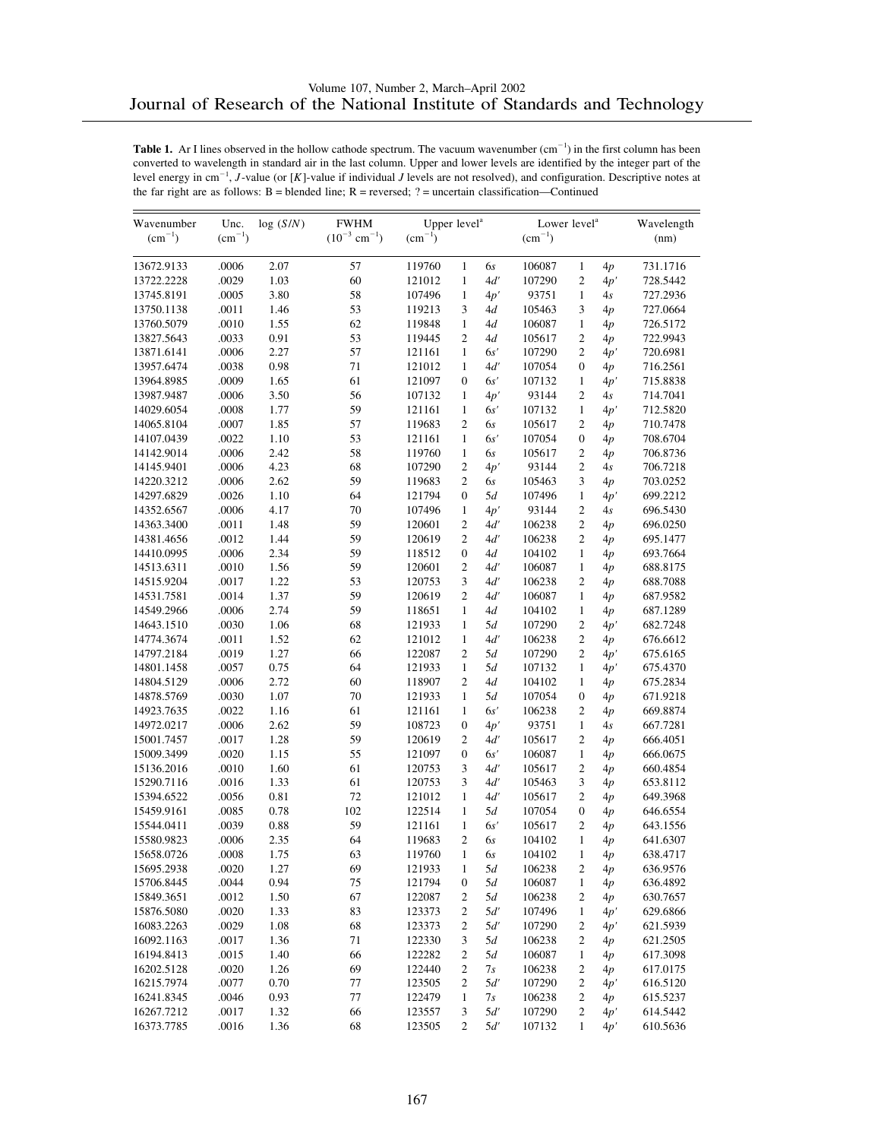| Wavenumber<br>$(cm^{-1})$ | Unc.<br>$(cm^{-1})$ | log(S/N) | <b>FWHM</b><br>$(10^{-3}$ cm <sup>-1</sup> ) | Upper level <sup>a</sup> |                  |     | Lower level <sup>a</sup><br>$(cm^{-1})$ |                  |     | Wavelength |
|---------------------------|---------------------|----------|----------------------------------------------|--------------------------|------------------|-----|-----------------------------------------|------------------|-----|------------|
|                           |                     |          |                                              | $(cm^{-1})$              |                  |     |                                         |                  |     | (nm)       |
| 13672.9133                | .0006               | 2.07     | 57                                           | 119760                   | $\mathbf{1}$     | 6s  | 106087                                  | $\mathbf{1}$     | 4p  | 731.1716   |
| 13722.2228                | .0029               | 1.03     | 60                                           | 121012                   | $\mathbf{1}$     | 4d' | 107290                                  | $\mathfrak{2}$   | 4p' | 728.5442   |
| 13745.8191                | .0005               | 3.80     | 58                                           | 107496                   | $\mathbf{1}$     | 4p' | 93751                                   | $\mathbf{1}$     | 4s  | 727.2936   |
| 13750.1138                | .0011               | 1.46     | 53                                           | 119213                   | 3                | 4d  | 105463                                  | 3                | 4p  | 727.0664   |
| 13760.5079                | .0010               | 1.55     | 62                                           | 119848                   | $\mathbf{1}$     | 4d  | 106087                                  | $\mathbf{1}$     | 4p  | 726.5172   |
| 13827.5643                | .0033               | 0.91     | 53                                           | 119445                   | $\overline{c}$   | 4d  | 105617                                  | $\mathfrak{2}$   | 4p  | 722.9943   |
| 13871.6141                | .0006               | 2.27     | 57                                           | 121161                   | $\mathbf{1}$     | 6s' | 107290                                  | $\overline{c}$   | 4p' | 720.6981   |
| 13957.6474                | .0038               | 0.98     | 71                                           | 121012                   | $\mathbf{1}$     | 4d' | 107054                                  | $\boldsymbol{0}$ | 4p  | 716.2561   |
| 13964.8985                | .0009               | 1.65     | 61                                           | 121097                   | $\mathbf{0}$     | 6s' | 107132                                  | $\mathbf{1}$     | 4p' | 715.8838   |
| 13987.9487                | .0006               | 3.50     | 56                                           | 107132                   | $\mathbf{1}$     | 4p' | 93144                                   | $\overline{2}$   | 4s  | 714.7041   |
| 14029.6054                | .0008               | 1.77     | 59                                           | 121161                   | $\mathbf{1}$     | 6s' | 107132                                  | $\mathbf{1}$     | 4p' | 712.5820   |
| 14065.8104                | .0007               | 1.85     | 57                                           | 119683                   | $\overline{c}$   | 6s  | 105617                                  | $\overline{2}$   | 4p  | 710.7478   |
| 14107.0439                | .0022               | 1.10     | 53                                           | 121161                   | $\mathbf{1}$     | 6s' | 107054                                  | $\boldsymbol{0}$ | 4p  | 708.6704   |
| 14142.9014                | .0006               | 2.42     | 58                                           | 119760                   | $\mathbf{1}$     | 6s  | 105617                                  | $\mathfrak{2}$   | 4p  | 706.8736   |
| 14145.9401                | .0006               | 4.23     | 68                                           | 107290                   | $\overline{2}$   | 4p' | 93144                                   | $\overline{c}$   | 4s  | 706.7218   |
| 14220.3212                | .0006               | 2.62     | 59                                           | 119683                   | $\mathfrak{2}$   | 6s  | 105463                                  | 3                | 4p  | 703.0252   |
| 14297.6829                | .0026               | 1.10     | 64                                           | 121794                   | $\boldsymbol{0}$ | 5d  | 107496                                  | $\mathbf{1}$     | 4p' | 699.2212   |
| 14352.6567                | .0006               | 4.17     | 70                                           | 107496                   | $\mathbf{1}$     | 4p' | 93144                                   | $\mathfrak{2}$   | 4s  | 696.5430   |
| 14363.3400                | .0011               | 1.48     | 59                                           | 120601                   | $\mathfrak{2}$   | 4d' | 106238                                  | $\overline{c}$   | 4p  | 696.0250   |
| 14381.4656                | .0012               | 1.44     | 59                                           | 120619                   | $\mathfrak{2}$   | 4d' | 106238                                  | $\overline{c}$   | 4p  | 695.1477   |
| 14410.0995                | .0006               | 2.34     | 59                                           | 118512                   | $\mathbf{0}$     | 4d  | 104102                                  | $\mathbf{1}$     | 4p  | 693.7664   |
| 14513.6311                | .0010               | 1.56     | 59                                           | 120601                   | $\mathfrak{2}$   | 4d' | 106087                                  | $\mathbf{1}$     | 4p  | 688.8175   |
| 14515.9204                | .0017               | 1.22     | 53                                           | 120753                   | 3                | 4d' | 106238                                  | $\overline{c}$   | 4p  | 688.7088   |
| 14531.7581                | .0014               | 1.37     | 59                                           | 120619                   | $\mathfrak{2}$   | 4d' | 106087                                  | $\mathbf{1}$     | 4p  | 687.9582   |
| 14549.2966                | .0006               | 2.74     | 59                                           | 118651                   | $\mathbf{1}$     | 4d  | 104102                                  | $\mathbf{1}$     | 4p  | 687.1289   |
| 14643.1510                | .0030               | 1.06     | 68                                           | 121933                   | $\mathbf{1}$     | 5d  | 107290                                  | $\overline{c}$   | 4p' | 682.7248   |
| 14774.3674                | .0011               | 1.52     | 62                                           | 121012                   | $\mathbf{1}$     | 4d' | 106238                                  | $\overline{c}$   | 4p  | 676.6612   |
| 14797.2184                | .0019               | 1.27     | 66                                           | 122087                   | $\mathfrak{2}$   | 5d  | 107290                                  | $\overline{c}$   | 4p' | 675.6165   |
| 14801.1458                | .0057               | 0.75     | 64                                           | 121933                   | $\mathbf{1}$     | 5d  | 107132                                  | $\mathbf{1}$     | 4p' | 675.4370   |
| 14804.5129                | .0006               | 2.72     | 60                                           | 118907                   | $\mathfrak{2}$   | 4d  | 104102                                  | 1                | 4p  | 675.2834   |
| 14878.5769                | .0030               | 1.07     | 70                                           | 121933                   | $\mathbf{1}$     | 5d  | 107054                                  | $\boldsymbol{0}$ | 4p  | 671.9218   |
| 14923.7635                | .0022               | 1.16     | 61                                           | 121161                   | $\mathbf{1}$     | 6s' | 106238                                  | $\overline{c}$   | 4p  | 669.8874   |
| 14972.0217                | .0006               | 2.62     | 59                                           | 108723                   | $\boldsymbol{0}$ | 4p' | 93751                                   | $\mathbf{1}$     | 4s  | 667.7281   |
| 15001.7457                | .0017               | 1.28     | 59                                           | 120619                   | $\mathfrak{2}$   | 4d' | 105617                                  | $\overline{c}$   | 4p  | 666.4051   |
| 15009.3499                | .0020               | 1.15     | 55                                           | 121097                   | $\mathbf{0}$     | 6s' | 106087                                  | $\mathbf{1}$     | 4p  | 666.0675   |
| 15136.2016                | .0010               | 1.60     | 61                                           | 120753                   | 3                | 4d' | 105617                                  | $\overline{c}$   | 4p  | 660.4854   |
| 15290.7116                | .0016               | 1.33     | 61                                           | 120753                   | 3                | 4d' | 105463                                  | 3                | 4p  | 653.8112   |
| 15394.6522                | .0056               | 0.81     | 72                                           | 121012                   | $\mathbf{1}$     | 4d' | 105617                                  | $\overline{c}$   | 4p  | 649.3968   |
| 15459.9161                | .0085               | 0.78     | 102                                          | 122514                   | $\mathbf{1}$     | 5d  | 107054                                  | $\boldsymbol{0}$ | 4p  | 646.6554   |
| 15544.0411                | .0039               | 0.88     | 59                                           | 121161                   | $\mathbf{1}$     | 6s' | 105617                                  | $\overline{2}$   | 4p  | 643.1556   |
| 15580.9823                | .0006               | 2.35     | 64                                           | 119683                   | $\overline{c}$   | 6s  | 104102                                  | $\mathbf{1}$     | 4p  | 641.6307   |
| 15658.0726                | .0008               | 1.75     | 63                                           | 119760                   | 1                | 65  | 104102                                  | 1                | 4p  | 638.4717   |
| 15695.2938                | .0020               | 1.27     | 69                                           | 121933                   | $\mathbf{1}$     | 5d  | 106238                                  | 2                | 4p  | 636.9576   |
| 15706.8445                | .0044               | 0.94     | 75                                           | 121794                   | $\boldsymbol{0}$ | 5d  | 106087                                  | $\mathbf{1}$     | 4p  | 636.4892   |
| 15849.3651                | .0012               | 1.50     | 67                                           | 122087                   | $\overline{c}$   | 5d  | 106238                                  | 2                | 4p  | 630.7657   |
| 15876.5080                | .0020               | 1.33     | 83                                           | 123373                   | $\boldsymbol{2}$ | 5d' | 107496                                  | $\mathbf{1}$     | 4p' | 629.6866   |
| 16083.2263                | .0029               | 1.08     | 68                                           | 123373                   | $\sqrt{2}$       | 5d' | 107290                                  | 2                | 4p' | 621.5939   |
| 16092.1163                | .0017               | 1.36     | 71                                           | 122330                   | 3                | 5d  | 106238                                  | 2                | 4p  | 621.2505   |
| 16194.8413                | .0015               | 1.40     | 66                                           | 122282                   | $\overline{c}$   | 5d  | 106087                                  | $\mathbf{1}$     | 4p  | 617.3098   |
| 16202.5128                | .0020               | 1.26     | 69                                           | 122440                   | $\sqrt{2}$       | 7s  | 106238                                  | 2                | 4p  | 617.0175   |
| 16215.7974                | .0077               | 0.70     | 77                                           | 123505                   | $\mathfrak{2}$   | 5d' | 107290                                  | $\sqrt{2}$       | 4p' | 616.5120   |
| 16241.8345                | .0046               | 0.93     | 77                                           | 122479                   | $\mathbf{1}$     | 7s  | 106238                                  | 2                | 4p  | 615.5237   |
| 16267.7212                | .0017               | 1.32     | 66                                           | 123557                   | 3                | 5d' | 107290                                  | $\sqrt{2}$       | 4p' | 614.5442   |
| 16373.7785                | .0016               | 1.36     | 68                                           | 123505                   | $\mathfrak{2}$   | 5d' | 107132                                  | $\mathbf{1}$     | 4p' | 610.5636   |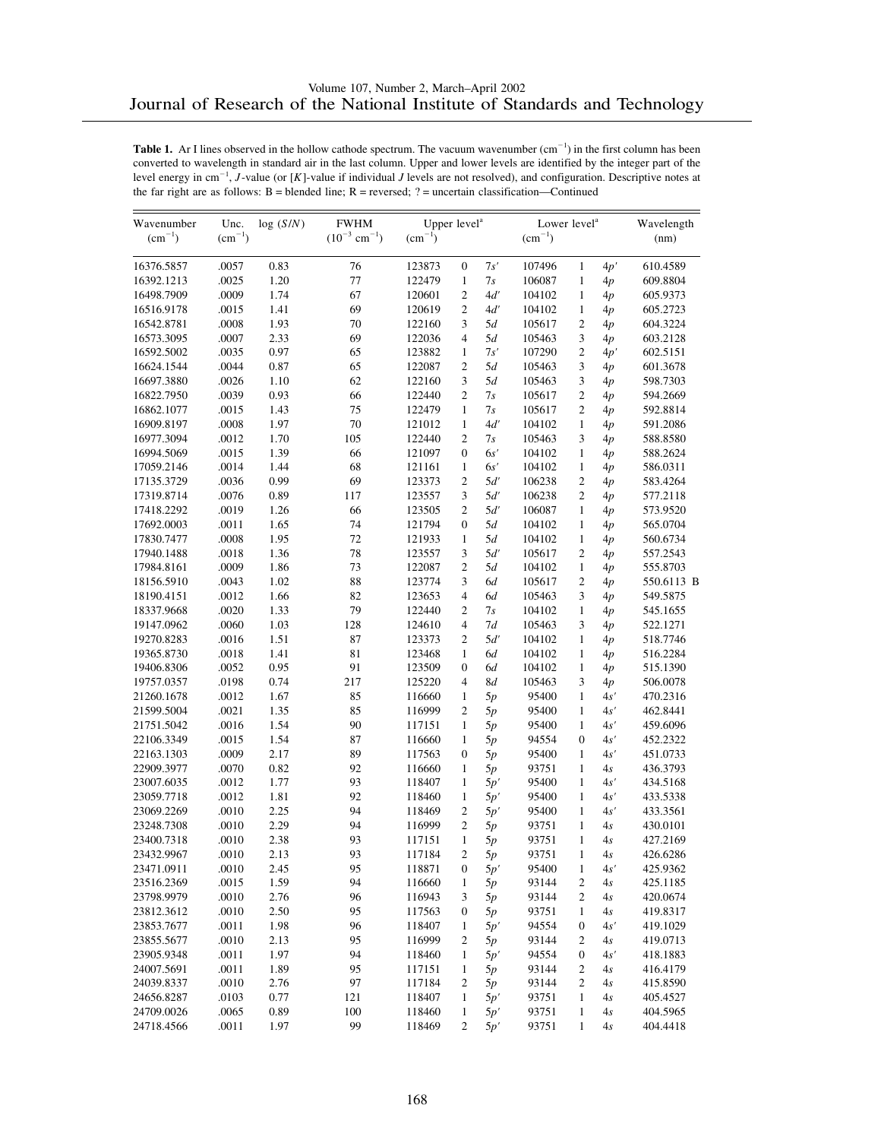| $(cm^{-1})$<br>$(10^{-3}$ cm <sup>-1</sup> )<br>$(cm^{-1})$<br>$(cm^{-1})$<br>$\rm (cm^{-1})$<br>(nm)<br>0.83<br>7s'<br>16376.5857<br>.0057<br>76<br>123873<br>$\mathbf{0}$<br>107496<br>$\mathbf{1}$<br>4p'<br>610.4589<br>.0025<br>16392.1213<br>1.20<br>77<br>122479<br>$\mathbf{1}$<br>7s<br>106087<br>$\mathbf{1}$<br>609.8804<br>4p<br>16498.7909<br>.0009<br>1.74<br>67<br>120601<br>$\mathfrak{2}$<br>4d'<br>104102<br>1<br>4p<br>605.9373<br>$\overline{c}$<br>16516.9178<br>.0015<br>1.41<br>69<br>120619<br>4d'<br>$\mathbf{1}$<br>605.2723<br>104102<br>4p<br>$\overline{c}$<br>.0008<br>1.93<br>70<br>3<br>5d<br>105617<br>16542.8781<br>122160<br>604.3224<br>4p<br>.0007<br>2.33<br>69<br>122036<br>$\overline{4}$<br>5d<br>105463<br>$\mathfrak{Z}$<br>603.2128<br>16573.3095<br>4p<br>$\overline{c}$<br>.0035<br>0.97<br>65<br>$\mathbf{1}$<br>7s'<br>107290<br>4p'<br>16592.5002<br>123882<br>602.5151<br>$\overline{2}$<br>3<br>16624.1544<br>.0044<br>0.87<br>65<br>122087<br>5d<br>105463<br>601.3678<br>4p<br>.0026<br>1.10<br>62<br>122160<br>3<br>5d<br>3<br>16697.3880<br>105463<br>4p<br>598.7303<br>$\overline{c}$<br>.0039<br>0.93<br>66<br>$\overline{c}$<br>7s<br>16822.7950<br>122440<br>105617<br>4p<br>594.2669<br>$\overline{c}$<br>.0015<br>1.43<br>75<br>122479<br>7s<br>105617<br>16862.1077<br>$\mathbf{1}$<br>4p<br>592.8814<br>16909.8197<br>.0008<br>1.97<br>70<br>121012<br>4d'<br>591.2086<br>$\mathbf{1}$<br>104102<br>1<br>4p<br>16977.3094<br>.0012<br>1.70<br>105<br>122440<br>$\overline{c}$<br>7s<br>105463<br>3<br>4p<br>588.8580<br>16994.5069<br>.0015<br>1.39<br>66<br>121097<br>6s'<br>$\mathbf{1}$<br>588.2624<br>$\mathbf{0}$<br>104102<br>4p<br>.0014<br>1.44<br>68<br>6s'<br>17059.2146<br>121161<br>$\mathbf{1}$<br>104102<br>$\mathbf{1}$<br>586.0311<br>4p<br>69<br>$\overline{2}$<br>$\overline{c}$<br>.0036<br>0.99<br>5d'<br>17135.3729<br>123373<br>106238<br>4p<br>583.4264<br>$\overline{c}$<br>17319.8714<br>.0076<br>0.89<br>117<br>123557<br>3<br>5d'<br>106238<br>577.2118<br>4p<br>66<br>.0019<br>1.26<br>123505<br>$\mathfrak{2}$<br>5d'<br>106087<br>17418.2292<br>1<br>573.9520<br>4p<br>74<br>.0011<br>1.65<br>121794<br>$\boldsymbol{0}$<br>5d<br>565.0704<br>17692.0003<br>104102<br>1<br>4p<br>17830.7477<br>.0008<br>1.95<br>72<br>121933<br>5d<br>104102<br>$\mathbf{1}$<br>560.6734<br>$\mathbf{1}$<br>4p<br>.0018<br>1.36<br>78<br>3<br>5d'<br>105617<br>$\mathfrak{2}$<br>17940.1488<br>123557<br>557.2543<br>4p<br>73<br>$\overline{2}$<br>.0009<br>1.86<br>5d<br>17984.8161<br>122087<br>104102<br>$\mathbf{1}$<br>4p<br>555.8703<br>.0043<br>1.02<br>88<br>123774<br>3<br>$\mathfrak{2}$<br>18156.5910<br>6d<br>105617<br>550.6113 B<br>4p<br>1.66<br>$\overline{4}$<br>.0012<br>82<br>123653<br>6d<br>105463<br>3<br>549.5875<br>18190.4151<br>4p<br>.0020<br>79<br>18337.9668<br>1.33<br>122440<br>$\overline{c}$<br>7s<br>104102<br>$\mathbf{1}$<br>4p<br>545.1655<br>19147.0962<br>.0060<br>1.03<br>128<br>124610<br>$\overline{4}$<br>7d<br>3<br>522.1271<br>105463<br>4p<br>.0016<br>1.51<br>87<br>123373<br>$\mathfrak{2}$<br>5d'<br>19270.8283<br>104102<br>$\mathbf{1}$<br>518.7746<br>4p<br>81<br>.0018<br>1.41<br>123468<br>$\mathbf{1}$<br>6d<br>104102<br>$\mathbf{1}$<br>516.2284<br>19365.8730<br>4p<br>91<br>.0052<br>0.95<br>123509<br>104102<br>$\mathbf{1}$<br>515.1390<br>19406.8306<br>$\mathbf{0}$<br>6d<br>4p<br>.0198<br>0.74<br>217<br>125220<br>$\overline{4}$<br>8d<br>105463<br>3<br>19757.0357<br>506.0078<br>4p<br>.0012<br>21260.1678<br>1.67<br>85<br>116660<br>95400<br>$\mathbf{1}$<br>4s'<br>470.2316<br>$\mathbf{1}$<br>5p<br>1.35<br>85<br>21599.5004<br>.0021<br>116999<br>2<br>5p<br>95400<br>$\mathbf{1}$<br>4s'<br>462.8441<br>21751.5042<br>.0016<br>1.54<br>90<br>95400<br>4s'<br>117151<br>$\mathbf{1}$<br>5p<br>1<br>459.6096<br>22106.3349<br>.0015<br>1.54<br>87<br>94554<br>$\overline{0}$<br>116660<br>$\mathbf{1}$<br>5p<br>4s'<br>452.2322<br>.0009<br>2.17<br>89<br>22163.1303<br>117563<br>$\mathbf{0}$<br>5p<br>95400<br>1<br>4s'<br>451.0733<br>22909.3977<br>.0070<br>0.82<br>92<br>93751<br>436.3793<br>116660<br>$\mathbf{1}$<br>5p<br>$\mathbf{1}$<br>4s<br>23007.6035<br>.0012<br>1.77<br>93<br>118407<br>95400<br>434.5168<br>$\mathbf{1}$<br>5p'<br>$\mathbf{1}$<br>4s'<br>1.81<br>92<br>23059.7718<br>.0012<br>118460<br>$\mathbf{1}$<br>5p'<br>95400<br>$\mathbf{1}$<br>4s'<br>433.5338<br>.0010<br>2.25<br>94<br>$\overline{c}$<br>$\mathbf{1}$<br>4s'<br>23069.2269<br>118469<br>5p'<br>95400<br>433.3561<br>2.29<br>$\overline{c}$<br>.0010<br>94<br>116999<br>93751<br>$\mathbf{1}$<br>23248.7308<br>5p<br>4s<br>430.0101<br>2.38<br>93<br>23400.7318<br>.0010<br>117151<br>$\mathbf{1}$<br>5p<br>93751<br>$\mathbf{1}$<br>4s<br>427.2169<br>.0010<br>93<br>$\sqrt{2}$<br>23432.9967<br>2.13<br>117184<br>5p<br>93751<br>$\mathbf{1}$<br>4s<br>426.6286<br>23471.0911<br>.0010<br>95<br>118871<br>95400<br>425.9362<br>2.45<br>0<br>5p'<br>$\mathbf{1}$<br>4s'<br>.0015<br>1.59<br>94<br>116660<br>93144<br>23516.2369<br>2<br>425.1185<br>1<br>5p<br>4s<br>23798.9979<br>.0010<br>2.76<br>96<br>116943<br>420.0674<br>3<br>5p<br>93144<br>2<br>4s<br>.0010<br>2.50<br>95<br>23812.3612<br>117563<br>$\boldsymbol{0}$<br>93751<br>$\mathbf{1}$<br>4s<br>419.8317<br>5p<br>94554<br>23853.7677<br>.0011<br>1.98<br>96<br>118407<br>5p'<br>4s'<br>419.1029<br>1<br>0<br>2.13<br>95<br>116999<br>23855.5677<br>.0010<br>2<br>5p<br>93144<br>2<br>4s<br>419.0713<br>.0011<br>1.97<br>94<br>94554<br>23905.9348<br>118460<br>$\mathbf{1}$<br>5p'<br>0<br>4s'<br>418.1883<br>.0011<br>1.89<br>93144<br>24007.5691<br>95<br>117151<br>2<br>416.4179<br>1<br>5p<br>4s<br>.0010<br>2.76<br>97<br>$\sqrt{2}$<br>24039.8337<br>117184<br>5p<br>93144<br>2<br>4s<br>415.8590<br>0.77<br>93751<br>24656.8287<br>.0103<br>121<br>118407<br>$\mathbf{1}$<br>5p'<br>$\mathbf{1}$<br>4s<br>405.4527<br>.0065<br>0.89<br>100<br>24709.0026<br>118460<br>5p'<br>93751<br>4s<br>404.5965<br>1<br>1<br>99<br>$\boldsymbol{2}$<br>24718.4566<br>.0011<br>1.97<br>118469<br>5p'<br>93751<br>$\mathbf{1}$<br>4s<br>404.4418 | Wavenumber | Unc. | log(S/N) | <b>FWHM</b> | Upper level <sup>a</sup> |  | Lower level <sup>a</sup> | Wavelength |  |
|----------------------------------------------------------------------------------------------------------------------------------------------------------------------------------------------------------------------------------------------------------------------------------------------------------------------------------------------------------------------------------------------------------------------------------------------------------------------------------------------------------------------------------------------------------------------------------------------------------------------------------------------------------------------------------------------------------------------------------------------------------------------------------------------------------------------------------------------------------------------------------------------------------------------------------------------------------------------------------------------------------------------------------------------------------------------------------------------------------------------------------------------------------------------------------------------------------------------------------------------------------------------------------------------------------------------------------------------------------------------------------------------------------------------------------------------------------------------------------------------------------------------------------------------------------------------------------------------------------------------------------------------------------------------------------------------------------------------------------------------------------------------------------------------------------------------------------------------------------------------------------------------------------------------------------------------------------------------------------------------------------------------------------------------------------------------------------------------------------------------------------------------------------------------------------------------------------------------------------------------------------------------------------------------------------------------------------------------------------------------------------------------------------------------------------------------------------------------------------------------------------------------------------------------------------------------------------------------------------------------------------------------------------------------------------------------------------------------------------------------------------------------------------------------------------------------------------------------------------------------------------------------------------------------------------------------------------------------------------------------------------------------------------------------------------------------------------------------------------------------------------------------------------------------------------------------------------------------------------------------------------------------------------------------------------------------------------------------------------------------------------------------------------------------------------------------------------------------------------------------------------------------------------------------------------------------------------------------------------------------------------------------------------------------------------------------------------------------------------------------------------------------------------------------------------------------------------------------------------------------------------------------------------------------------------------------------------------------------------------------------------------------------------------------------------------------------------------------------------------------------------------------------------------------------------------------------------------------------------------------------------------------------------------------------------------------------------------------------------------------------------------------------------------------------------------------------------------------------------------------------------------------------------------------------------------------------------------------------------------------------------------------------------------------------------------------------------------------------------------------------------------------------------------------------------------------------------------------------------------------------------------------------------------------------------------------------------------------------------------------------------------------------------------------------------------------------------------------------------------------------------------------------------------------------------------------------------------------------------------------------------------------------------------------------------------------------------------------------------------------------------------------------------------------------------------------------------------------------------------------------------------------------------------------------------------------------------------------------------------------------------------------------------------------------------------------------------------------------------------------------------------------------------------------------------------------------------------------------------------------------------------------------------------------------------------------------------------------------------------------------------------------------------------------------------------------------------------------------------------------------------------------------------------|------------|------|----------|-------------|--------------------------|--|--------------------------|------------|--|
|                                                                                                                                                                                                                                                                                                                                                                                                                                                                                                                                                                                                                                                                                                                                                                                                                                                                                                                                                                                                                                                                                                                                                                                                                                                                                                                                                                                                                                                                                                                                                                                                                                                                                                                                                                                                                                                                                                                                                                                                                                                                                                                                                                                                                                                                                                                                                                                                                                                                                                                                                                                                                                                                                                                                                                                                                                                                                                                                                                                                                                                                                                                                                                                                                                                                                                                                                                                                                                                                                                                                                                                                                                                                                                                                                                                                                                                                                                                                                                                                                                                                                                                                                                                                                                                                                                                                                                                                                                                                                                                                                                                                                                                                                                                                                                                                                                                                                                                                                                                                                                                                                                                                                                                                                                                                                                                                                                                                                                                                                                                                                                                                                                                                                                                                                                                                                                                                                                                                                                                                                                                                                                                                                                |            |      |          |             |                          |  |                          |            |  |
|                                                                                                                                                                                                                                                                                                                                                                                                                                                                                                                                                                                                                                                                                                                                                                                                                                                                                                                                                                                                                                                                                                                                                                                                                                                                                                                                                                                                                                                                                                                                                                                                                                                                                                                                                                                                                                                                                                                                                                                                                                                                                                                                                                                                                                                                                                                                                                                                                                                                                                                                                                                                                                                                                                                                                                                                                                                                                                                                                                                                                                                                                                                                                                                                                                                                                                                                                                                                                                                                                                                                                                                                                                                                                                                                                                                                                                                                                                                                                                                                                                                                                                                                                                                                                                                                                                                                                                                                                                                                                                                                                                                                                                                                                                                                                                                                                                                                                                                                                                                                                                                                                                                                                                                                                                                                                                                                                                                                                                                                                                                                                                                                                                                                                                                                                                                                                                                                                                                                                                                                                                                                                                                                                                |            |      |          |             |                          |  |                          |            |  |
|                                                                                                                                                                                                                                                                                                                                                                                                                                                                                                                                                                                                                                                                                                                                                                                                                                                                                                                                                                                                                                                                                                                                                                                                                                                                                                                                                                                                                                                                                                                                                                                                                                                                                                                                                                                                                                                                                                                                                                                                                                                                                                                                                                                                                                                                                                                                                                                                                                                                                                                                                                                                                                                                                                                                                                                                                                                                                                                                                                                                                                                                                                                                                                                                                                                                                                                                                                                                                                                                                                                                                                                                                                                                                                                                                                                                                                                                                                                                                                                                                                                                                                                                                                                                                                                                                                                                                                                                                                                                                                                                                                                                                                                                                                                                                                                                                                                                                                                                                                                                                                                                                                                                                                                                                                                                                                                                                                                                                                                                                                                                                                                                                                                                                                                                                                                                                                                                                                                                                                                                                                                                                                                                                                |            |      |          |             |                          |  |                          |            |  |
|                                                                                                                                                                                                                                                                                                                                                                                                                                                                                                                                                                                                                                                                                                                                                                                                                                                                                                                                                                                                                                                                                                                                                                                                                                                                                                                                                                                                                                                                                                                                                                                                                                                                                                                                                                                                                                                                                                                                                                                                                                                                                                                                                                                                                                                                                                                                                                                                                                                                                                                                                                                                                                                                                                                                                                                                                                                                                                                                                                                                                                                                                                                                                                                                                                                                                                                                                                                                                                                                                                                                                                                                                                                                                                                                                                                                                                                                                                                                                                                                                                                                                                                                                                                                                                                                                                                                                                                                                                                                                                                                                                                                                                                                                                                                                                                                                                                                                                                                                                                                                                                                                                                                                                                                                                                                                                                                                                                                                                                                                                                                                                                                                                                                                                                                                                                                                                                                                                                                                                                                                                                                                                                                                                |            |      |          |             |                          |  |                          |            |  |
|                                                                                                                                                                                                                                                                                                                                                                                                                                                                                                                                                                                                                                                                                                                                                                                                                                                                                                                                                                                                                                                                                                                                                                                                                                                                                                                                                                                                                                                                                                                                                                                                                                                                                                                                                                                                                                                                                                                                                                                                                                                                                                                                                                                                                                                                                                                                                                                                                                                                                                                                                                                                                                                                                                                                                                                                                                                                                                                                                                                                                                                                                                                                                                                                                                                                                                                                                                                                                                                                                                                                                                                                                                                                                                                                                                                                                                                                                                                                                                                                                                                                                                                                                                                                                                                                                                                                                                                                                                                                                                                                                                                                                                                                                                                                                                                                                                                                                                                                                                                                                                                                                                                                                                                                                                                                                                                                                                                                                                                                                                                                                                                                                                                                                                                                                                                                                                                                                                                                                                                                                                                                                                                                                                |            |      |          |             |                          |  |                          |            |  |
|                                                                                                                                                                                                                                                                                                                                                                                                                                                                                                                                                                                                                                                                                                                                                                                                                                                                                                                                                                                                                                                                                                                                                                                                                                                                                                                                                                                                                                                                                                                                                                                                                                                                                                                                                                                                                                                                                                                                                                                                                                                                                                                                                                                                                                                                                                                                                                                                                                                                                                                                                                                                                                                                                                                                                                                                                                                                                                                                                                                                                                                                                                                                                                                                                                                                                                                                                                                                                                                                                                                                                                                                                                                                                                                                                                                                                                                                                                                                                                                                                                                                                                                                                                                                                                                                                                                                                                                                                                                                                                                                                                                                                                                                                                                                                                                                                                                                                                                                                                                                                                                                                                                                                                                                                                                                                                                                                                                                                                                                                                                                                                                                                                                                                                                                                                                                                                                                                                                                                                                                                                                                                                                                                                |            |      |          |             |                          |  |                          |            |  |
|                                                                                                                                                                                                                                                                                                                                                                                                                                                                                                                                                                                                                                                                                                                                                                                                                                                                                                                                                                                                                                                                                                                                                                                                                                                                                                                                                                                                                                                                                                                                                                                                                                                                                                                                                                                                                                                                                                                                                                                                                                                                                                                                                                                                                                                                                                                                                                                                                                                                                                                                                                                                                                                                                                                                                                                                                                                                                                                                                                                                                                                                                                                                                                                                                                                                                                                                                                                                                                                                                                                                                                                                                                                                                                                                                                                                                                                                                                                                                                                                                                                                                                                                                                                                                                                                                                                                                                                                                                                                                                                                                                                                                                                                                                                                                                                                                                                                                                                                                                                                                                                                                                                                                                                                                                                                                                                                                                                                                                                                                                                                                                                                                                                                                                                                                                                                                                                                                                                                                                                                                                                                                                                                                                |            |      |          |             |                          |  |                          |            |  |
|                                                                                                                                                                                                                                                                                                                                                                                                                                                                                                                                                                                                                                                                                                                                                                                                                                                                                                                                                                                                                                                                                                                                                                                                                                                                                                                                                                                                                                                                                                                                                                                                                                                                                                                                                                                                                                                                                                                                                                                                                                                                                                                                                                                                                                                                                                                                                                                                                                                                                                                                                                                                                                                                                                                                                                                                                                                                                                                                                                                                                                                                                                                                                                                                                                                                                                                                                                                                                                                                                                                                                                                                                                                                                                                                                                                                                                                                                                                                                                                                                                                                                                                                                                                                                                                                                                                                                                                                                                                                                                                                                                                                                                                                                                                                                                                                                                                                                                                                                                                                                                                                                                                                                                                                                                                                                                                                                                                                                                                                                                                                                                                                                                                                                                                                                                                                                                                                                                                                                                                                                                                                                                                                                                |            |      |          |             |                          |  |                          |            |  |
|                                                                                                                                                                                                                                                                                                                                                                                                                                                                                                                                                                                                                                                                                                                                                                                                                                                                                                                                                                                                                                                                                                                                                                                                                                                                                                                                                                                                                                                                                                                                                                                                                                                                                                                                                                                                                                                                                                                                                                                                                                                                                                                                                                                                                                                                                                                                                                                                                                                                                                                                                                                                                                                                                                                                                                                                                                                                                                                                                                                                                                                                                                                                                                                                                                                                                                                                                                                                                                                                                                                                                                                                                                                                                                                                                                                                                                                                                                                                                                                                                                                                                                                                                                                                                                                                                                                                                                                                                                                                                                                                                                                                                                                                                                                                                                                                                                                                                                                                                                                                                                                                                                                                                                                                                                                                                                                                                                                                                                                                                                                                                                                                                                                                                                                                                                                                                                                                                                                                                                                                                                                                                                                                                                |            |      |          |             |                          |  |                          |            |  |
|                                                                                                                                                                                                                                                                                                                                                                                                                                                                                                                                                                                                                                                                                                                                                                                                                                                                                                                                                                                                                                                                                                                                                                                                                                                                                                                                                                                                                                                                                                                                                                                                                                                                                                                                                                                                                                                                                                                                                                                                                                                                                                                                                                                                                                                                                                                                                                                                                                                                                                                                                                                                                                                                                                                                                                                                                                                                                                                                                                                                                                                                                                                                                                                                                                                                                                                                                                                                                                                                                                                                                                                                                                                                                                                                                                                                                                                                                                                                                                                                                                                                                                                                                                                                                                                                                                                                                                                                                                                                                                                                                                                                                                                                                                                                                                                                                                                                                                                                                                                                                                                                                                                                                                                                                                                                                                                                                                                                                                                                                                                                                                                                                                                                                                                                                                                                                                                                                                                                                                                                                                                                                                                                                                |            |      |          |             |                          |  |                          |            |  |
|                                                                                                                                                                                                                                                                                                                                                                                                                                                                                                                                                                                                                                                                                                                                                                                                                                                                                                                                                                                                                                                                                                                                                                                                                                                                                                                                                                                                                                                                                                                                                                                                                                                                                                                                                                                                                                                                                                                                                                                                                                                                                                                                                                                                                                                                                                                                                                                                                                                                                                                                                                                                                                                                                                                                                                                                                                                                                                                                                                                                                                                                                                                                                                                                                                                                                                                                                                                                                                                                                                                                                                                                                                                                                                                                                                                                                                                                                                                                                                                                                                                                                                                                                                                                                                                                                                                                                                                                                                                                                                                                                                                                                                                                                                                                                                                                                                                                                                                                                                                                                                                                                                                                                                                                                                                                                                                                                                                                                                                                                                                                                                                                                                                                                                                                                                                                                                                                                                                                                                                                                                                                                                                                                                |            |      |          |             |                          |  |                          |            |  |
|                                                                                                                                                                                                                                                                                                                                                                                                                                                                                                                                                                                                                                                                                                                                                                                                                                                                                                                                                                                                                                                                                                                                                                                                                                                                                                                                                                                                                                                                                                                                                                                                                                                                                                                                                                                                                                                                                                                                                                                                                                                                                                                                                                                                                                                                                                                                                                                                                                                                                                                                                                                                                                                                                                                                                                                                                                                                                                                                                                                                                                                                                                                                                                                                                                                                                                                                                                                                                                                                                                                                                                                                                                                                                                                                                                                                                                                                                                                                                                                                                                                                                                                                                                                                                                                                                                                                                                                                                                                                                                                                                                                                                                                                                                                                                                                                                                                                                                                                                                                                                                                                                                                                                                                                                                                                                                                                                                                                                                                                                                                                                                                                                                                                                                                                                                                                                                                                                                                                                                                                                                                                                                                                                                |            |      |          |             |                          |  |                          |            |  |
|                                                                                                                                                                                                                                                                                                                                                                                                                                                                                                                                                                                                                                                                                                                                                                                                                                                                                                                                                                                                                                                                                                                                                                                                                                                                                                                                                                                                                                                                                                                                                                                                                                                                                                                                                                                                                                                                                                                                                                                                                                                                                                                                                                                                                                                                                                                                                                                                                                                                                                                                                                                                                                                                                                                                                                                                                                                                                                                                                                                                                                                                                                                                                                                                                                                                                                                                                                                                                                                                                                                                                                                                                                                                                                                                                                                                                                                                                                                                                                                                                                                                                                                                                                                                                                                                                                                                                                                                                                                                                                                                                                                                                                                                                                                                                                                                                                                                                                                                                                                                                                                                                                                                                                                                                                                                                                                                                                                                                                                                                                                                                                                                                                                                                                                                                                                                                                                                                                                                                                                                                                                                                                                                                                |            |      |          |             |                          |  |                          |            |  |
|                                                                                                                                                                                                                                                                                                                                                                                                                                                                                                                                                                                                                                                                                                                                                                                                                                                                                                                                                                                                                                                                                                                                                                                                                                                                                                                                                                                                                                                                                                                                                                                                                                                                                                                                                                                                                                                                                                                                                                                                                                                                                                                                                                                                                                                                                                                                                                                                                                                                                                                                                                                                                                                                                                                                                                                                                                                                                                                                                                                                                                                                                                                                                                                                                                                                                                                                                                                                                                                                                                                                                                                                                                                                                                                                                                                                                                                                                                                                                                                                                                                                                                                                                                                                                                                                                                                                                                                                                                                                                                                                                                                                                                                                                                                                                                                                                                                                                                                                                                                                                                                                                                                                                                                                                                                                                                                                                                                                                                                                                                                                                                                                                                                                                                                                                                                                                                                                                                                                                                                                                                                                                                                                                                |            |      |          |             |                          |  |                          |            |  |
|                                                                                                                                                                                                                                                                                                                                                                                                                                                                                                                                                                                                                                                                                                                                                                                                                                                                                                                                                                                                                                                                                                                                                                                                                                                                                                                                                                                                                                                                                                                                                                                                                                                                                                                                                                                                                                                                                                                                                                                                                                                                                                                                                                                                                                                                                                                                                                                                                                                                                                                                                                                                                                                                                                                                                                                                                                                                                                                                                                                                                                                                                                                                                                                                                                                                                                                                                                                                                                                                                                                                                                                                                                                                                                                                                                                                                                                                                                                                                                                                                                                                                                                                                                                                                                                                                                                                                                                                                                                                                                                                                                                                                                                                                                                                                                                                                                                                                                                                                                                                                                                                                                                                                                                                                                                                                                                                                                                                                                                                                                                                                                                                                                                                                                                                                                                                                                                                                                                                                                                                                                                                                                                                                                |            |      |          |             |                          |  |                          |            |  |
|                                                                                                                                                                                                                                                                                                                                                                                                                                                                                                                                                                                                                                                                                                                                                                                                                                                                                                                                                                                                                                                                                                                                                                                                                                                                                                                                                                                                                                                                                                                                                                                                                                                                                                                                                                                                                                                                                                                                                                                                                                                                                                                                                                                                                                                                                                                                                                                                                                                                                                                                                                                                                                                                                                                                                                                                                                                                                                                                                                                                                                                                                                                                                                                                                                                                                                                                                                                                                                                                                                                                                                                                                                                                                                                                                                                                                                                                                                                                                                                                                                                                                                                                                                                                                                                                                                                                                                                                                                                                                                                                                                                                                                                                                                                                                                                                                                                                                                                                                                                                                                                                                                                                                                                                                                                                                                                                                                                                                                                                                                                                                                                                                                                                                                                                                                                                                                                                                                                                                                                                                                                                                                                                                                |            |      |          |             |                          |  |                          |            |  |
|                                                                                                                                                                                                                                                                                                                                                                                                                                                                                                                                                                                                                                                                                                                                                                                                                                                                                                                                                                                                                                                                                                                                                                                                                                                                                                                                                                                                                                                                                                                                                                                                                                                                                                                                                                                                                                                                                                                                                                                                                                                                                                                                                                                                                                                                                                                                                                                                                                                                                                                                                                                                                                                                                                                                                                                                                                                                                                                                                                                                                                                                                                                                                                                                                                                                                                                                                                                                                                                                                                                                                                                                                                                                                                                                                                                                                                                                                                                                                                                                                                                                                                                                                                                                                                                                                                                                                                                                                                                                                                                                                                                                                                                                                                                                                                                                                                                                                                                                                                                                                                                                                                                                                                                                                                                                                                                                                                                                                                                                                                                                                                                                                                                                                                                                                                                                                                                                                                                                                                                                                                                                                                                                                                |            |      |          |             |                          |  |                          |            |  |
|                                                                                                                                                                                                                                                                                                                                                                                                                                                                                                                                                                                                                                                                                                                                                                                                                                                                                                                                                                                                                                                                                                                                                                                                                                                                                                                                                                                                                                                                                                                                                                                                                                                                                                                                                                                                                                                                                                                                                                                                                                                                                                                                                                                                                                                                                                                                                                                                                                                                                                                                                                                                                                                                                                                                                                                                                                                                                                                                                                                                                                                                                                                                                                                                                                                                                                                                                                                                                                                                                                                                                                                                                                                                                                                                                                                                                                                                                                                                                                                                                                                                                                                                                                                                                                                                                                                                                                                                                                                                                                                                                                                                                                                                                                                                                                                                                                                                                                                                                                                                                                                                                                                                                                                                                                                                                                                                                                                                                                                                                                                                                                                                                                                                                                                                                                                                                                                                                                                                                                                                                                                                                                                                                                |            |      |          |             |                          |  |                          |            |  |
|                                                                                                                                                                                                                                                                                                                                                                                                                                                                                                                                                                                                                                                                                                                                                                                                                                                                                                                                                                                                                                                                                                                                                                                                                                                                                                                                                                                                                                                                                                                                                                                                                                                                                                                                                                                                                                                                                                                                                                                                                                                                                                                                                                                                                                                                                                                                                                                                                                                                                                                                                                                                                                                                                                                                                                                                                                                                                                                                                                                                                                                                                                                                                                                                                                                                                                                                                                                                                                                                                                                                                                                                                                                                                                                                                                                                                                                                                                                                                                                                                                                                                                                                                                                                                                                                                                                                                                                                                                                                                                                                                                                                                                                                                                                                                                                                                                                                                                                                                                                                                                                                                                                                                                                                                                                                                                                                                                                                                                                                                                                                                                                                                                                                                                                                                                                                                                                                                                                                                                                                                                                                                                                                                                |            |      |          |             |                          |  |                          |            |  |
|                                                                                                                                                                                                                                                                                                                                                                                                                                                                                                                                                                                                                                                                                                                                                                                                                                                                                                                                                                                                                                                                                                                                                                                                                                                                                                                                                                                                                                                                                                                                                                                                                                                                                                                                                                                                                                                                                                                                                                                                                                                                                                                                                                                                                                                                                                                                                                                                                                                                                                                                                                                                                                                                                                                                                                                                                                                                                                                                                                                                                                                                                                                                                                                                                                                                                                                                                                                                                                                                                                                                                                                                                                                                                                                                                                                                                                                                                                                                                                                                                                                                                                                                                                                                                                                                                                                                                                                                                                                                                                                                                                                                                                                                                                                                                                                                                                                                                                                                                                                                                                                                                                                                                                                                                                                                                                                                                                                                                                                                                                                                                                                                                                                                                                                                                                                                                                                                                                                                                                                                                                                                                                                                                                |            |      |          |             |                          |  |                          |            |  |
|                                                                                                                                                                                                                                                                                                                                                                                                                                                                                                                                                                                                                                                                                                                                                                                                                                                                                                                                                                                                                                                                                                                                                                                                                                                                                                                                                                                                                                                                                                                                                                                                                                                                                                                                                                                                                                                                                                                                                                                                                                                                                                                                                                                                                                                                                                                                                                                                                                                                                                                                                                                                                                                                                                                                                                                                                                                                                                                                                                                                                                                                                                                                                                                                                                                                                                                                                                                                                                                                                                                                                                                                                                                                                                                                                                                                                                                                                                                                                                                                                                                                                                                                                                                                                                                                                                                                                                                                                                                                                                                                                                                                                                                                                                                                                                                                                                                                                                                                                                                                                                                                                                                                                                                                                                                                                                                                                                                                                                                                                                                                                                                                                                                                                                                                                                                                                                                                                                                                                                                                                                                                                                                                                                |            |      |          |             |                          |  |                          |            |  |
|                                                                                                                                                                                                                                                                                                                                                                                                                                                                                                                                                                                                                                                                                                                                                                                                                                                                                                                                                                                                                                                                                                                                                                                                                                                                                                                                                                                                                                                                                                                                                                                                                                                                                                                                                                                                                                                                                                                                                                                                                                                                                                                                                                                                                                                                                                                                                                                                                                                                                                                                                                                                                                                                                                                                                                                                                                                                                                                                                                                                                                                                                                                                                                                                                                                                                                                                                                                                                                                                                                                                                                                                                                                                                                                                                                                                                                                                                                                                                                                                                                                                                                                                                                                                                                                                                                                                                                                                                                                                                                                                                                                                                                                                                                                                                                                                                                                                                                                                                                                                                                                                                                                                                                                                                                                                                                                                                                                                                                                                                                                                                                                                                                                                                                                                                                                                                                                                                                                                                                                                                                                                                                                                                                |            |      |          |             |                          |  |                          |            |  |
|                                                                                                                                                                                                                                                                                                                                                                                                                                                                                                                                                                                                                                                                                                                                                                                                                                                                                                                                                                                                                                                                                                                                                                                                                                                                                                                                                                                                                                                                                                                                                                                                                                                                                                                                                                                                                                                                                                                                                                                                                                                                                                                                                                                                                                                                                                                                                                                                                                                                                                                                                                                                                                                                                                                                                                                                                                                                                                                                                                                                                                                                                                                                                                                                                                                                                                                                                                                                                                                                                                                                                                                                                                                                                                                                                                                                                                                                                                                                                                                                                                                                                                                                                                                                                                                                                                                                                                                                                                                                                                                                                                                                                                                                                                                                                                                                                                                                                                                                                                                                                                                                                                                                                                                                                                                                                                                                                                                                                                                                                                                                                                                                                                                                                                                                                                                                                                                                                                                                                                                                                                                                                                                                                                |            |      |          |             |                          |  |                          |            |  |
|                                                                                                                                                                                                                                                                                                                                                                                                                                                                                                                                                                                                                                                                                                                                                                                                                                                                                                                                                                                                                                                                                                                                                                                                                                                                                                                                                                                                                                                                                                                                                                                                                                                                                                                                                                                                                                                                                                                                                                                                                                                                                                                                                                                                                                                                                                                                                                                                                                                                                                                                                                                                                                                                                                                                                                                                                                                                                                                                                                                                                                                                                                                                                                                                                                                                                                                                                                                                                                                                                                                                                                                                                                                                                                                                                                                                                                                                                                                                                                                                                                                                                                                                                                                                                                                                                                                                                                                                                                                                                                                                                                                                                                                                                                                                                                                                                                                                                                                                                                                                                                                                                                                                                                                                                                                                                                                                                                                                                                                                                                                                                                                                                                                                                                                                                                                                                                                                                                                                                                                                                                                                                                                                                                |            |      |          |             |                          |  |                          |            |  |
|                                                                                                                                                                                                                                                                                                                                                                                                                                                                                                                                                                                                                                                                                                                                                                                                                                                                                                                                                                                                                                                                                                                                                                                                                                                                                                                                                                                                                                                                                                                                                                                                                                                                                                                                                                                                                                                                                                                                                                                                                                                                                                                                                                                                                                                                                                                                                                                                                                                                                                                                                                                                                                                                                                                                                                                                                                                                                                                                                                                                                                                                                                                                                                                                                                                                                                                                                                                                                                                                                                                                                                                                                                                                                                                                                                                                                                                                                                                                                                                                                                                                                                                                                                                                                                                                                                                                                                                                                                                                                                                                                                                                                                                                                                                                                                                                                                                                                                                                                                                                                                                                                                                                                                                                                                                                                                                                                                                                                                                                                                                                                                                                                                                                                                                                                                                                                                                                                                                                                                                                                                                                                                                                                                |            |      |          |             |                          |  |                          |            |  |
|                                                                                                                                                                                                                                                                                                                                                                                                                                                                                                                                                                                                                                                                                                                                                                                                                                                                                                                                                                                                                                                                                                                                                                                                                                                                                                                                                                                                                                                                                                                                                                                                                                                                                                                                                                                                                                                                                                                                                                                                                                                                                                                                                                                                                                                                                                                                                                                                                                                                                                                                                                                                                                                                                                                                                                                                                                                                                                                                                                                                                                                                                                                                                                                                                                                                                                                                                                                                                                                                                                                                                                                                                                                                                                                                                                                                                                                                                                                                                                                                                                                                                                                                                                                                                                                                                                                                                                                                                                                                                                                                                                                                                                                                                                                                                                                                                                                                                                                                                                                                                                                                                                                                                                                                                                                                                                                                                                                                                                                                                                                                                                                                                                                                                                                                                                                                                                                                                                                                                                                                                                                                                                                                                                |            |      |          |             |                          |  |                          |            |  |
|                                                                                                                                                                                                                                                                                                                                                                                                                                                                                                                                                                                                                                                                                                                                                                                                                                                                                                                                                                                                                                                                                                                                                                                                                                                                                                                                                                                                                                                                                                                                                                                                                                                                                                                                                                                                                                                                                                                                                                                                                                                                                                                                                                                                                                                                                                                                                                                                                                                                                                                                                                                                                                                                                                                                                                                                                                                                                                                                                                                                                                                                                                                                                                                                                                                                                                                                                                                                                                                                                                                                                                                                                                                                                                                                                                                                                                                                                                                                                                                                                                                                                                                                                                                                                                                                                                                                                                                                                                                                                                                                                                                                                                                                                                                                                                                                                                                                                                                                                                                                                                                                                                                                                                                                                                                                                                                                                                                                                                                                                                                                                                                                                                                                                                                                                                                                                                                                                                                                                                                                                                                                                                                                                                |            |      |          |             |                          |  |                          |            |  |
|                                                                                                                                                                                                                                                                                                                                                                                                                                                                                                                                                                                                                                                                                                                                                                                                                                                                                                                                                                                                                                                                                                                                                                                                                                                                                                                                                                                                                                                                                                                                                                                                                                                                                                                                                                                                                                                                                                                                                                                                                                                                                                                                                                                                                                                                                                                                                                                                                                                                                                                                                                                                                                                                                                                                                                                                                                                                                                                                                                                                                                                                                                                                                                                                                                                                                                                                                                                                                                                                                                                                                                                                                                                                                                                                                                                                                                                                                                                                                                                                                                                                                                                                                                                                                                                                                                                                                                                                                                                                                                                                                                                                                                                                                                                                                                                                                                                                                                                                                                                                                                                                                                                                                                                                                                                                                                                                                                                                                                                                                                                                                                                                                                                                                                                                                                                                                                                                                                                                                                                                                                                                                                                                                                |            |      |          |             |                          |  |                          |            |  |
|                                                                                                                                                                                                                                                                                                                                                                                                                                                                                                                                                                                                                                                                                                                                                                                                                                                                                                                                                                                                                                                                                                                                                                                                                                                                                                                                                                                                                                                                                                                                                                                                                                                                                                                                                                                                                                                                                                                                                                                                                                                                                                                                                                                                                                                                                                                                                                                                                                                                                                                                                                                                                                                                                                                                                                                                                                                                                                                                                                                                                                                                                                                                                                                                                                                                                                                                                                                                                                                                                                                                                                                                                                                                                                                                                                                                                                                                                                                                                                                                                                                                                                                                                                                                                                                                                                                                                                                                                                                                                                                                                                                                                                                                                                                                                                                                                                                                                                                                                                                                                                                                                                                                                                                                                                                                                                                                                                                                                                                                                                                                                                                                                                                                                                                                                                                                                                                                                                                                                                                                                                                                                                                                                                |            |      |          |             |                          |  |                          |            |  |
|                                                                                                                                                                                                                                                                                                                                                                                                                                                                                                                                                                                                                                                                                                                                                                                                                                                                                                                                                                                                                                                                                                                                                                                                                                                                                                                                                                                                                                                                                                                                                                                                                                                                                                                                                                                                                                                                                                                                                                                                                                                                                                                                                                                                                                                                                                                                                                                                                                                                                                                                                                                                                                                                                                                                                                                                                                                                                                                                                                                                                                                                                                                                                                                                                                                                                                                                                                                                                                                                                                                                                                                                                                                                                                                                                                                                                                                                                                                                                                                                                                                                                                                                                                                                                                                                                                                                                                                                                                                                                                                                                                                                                                                                                                                                                                                                                                                                                                                                                                                                                                                                                                                                                                                                                                                                                                                                                                                                                                                                                                                                                                                                                                                                                                                                                                                                                                                                                                                                                                                                                                                                                                                                                                |            |      |          |             |                          |  |                          |            |  |
|                                                                                                                                                                                                                                                                                                                                                                                                                                                                                                                                                                                                                                                                                                                                                                                                                                                                                                                                                                                                                                                                                                                                                                                                                                                                                                                                                                                                                                                                                                                                                                                                                                                                                                                                                                                                                                                                                                                                                                                                                                                                                                                                                                                                                                                                                                                                                                                                                                                                                                                                                                                                                                                                                                                                                                                                                                                                                                                                                                                                                                                                                                                                                                                                                                                                                                                                                                                                                                                                                                                                                                                                                                                                                                                                                                                                                                                                                                                                                                                                                                                                                                                                                                                                                                                                                                                                                                                                                                                                                                                                                                                                                                                                                                                                                                                                                                                                                                                                                                                                                                                                                                                                                                                                                                                                                                                                                                                                                                                                                                                                                                                                                                                                                                                                                                                                                                                                                                                                                                                                                                                                                                                                                                |            |      |          |             |                          |  |                          |            |  |
|                                                                                                                                                                                                                                                                                                                                                                                                                                                                                                                                                                                                                                                                                                                                                                                                                                                                                                                                                                                                                                                                                                                                                                                                                                                                                                                                                                                                                                                                                                                                                                                                                                                                                                                                                                                                                                                                                                                                                                                                                                                                                                                                                                                                                                                                                                                                                                                                                                                                                                                                                                                                                                                                                                                                                                                                                                                                                                                                                                                                                                                                                                                                                                                                                                                                                                                                                                                                                                                                                                                                                                                                                                                                                                                                                                                                                                                                                                                                                                                                                                                                                                                                                                                                                                                                                                                                                                                                                                                                                                                                                                                                                                                                                                                                                                                                                                                                                                                                                                                                                                                                                                                                                                                                                                                                                                                                                                                                                                                                                                                                                                                                                                                                                                                                                                                                                                                                                                                                                                                                                                                                                                                                                                |            |      |          |             |                          |  |                          |            |  |
|                                                                                                                                                                                                                                                                                                                                                                                                                                                                                                                                                                                                                                                                                                                                                                                                                                                                                                                                                                                                                                                                                                                                                                                                                                                                                                                                                                                                                                                                                                                                                                                                                                                                                                                                                                                                                                                                                                                                                                                                                                                                                                                                                                                                                                                                                                                                                                                                                                                                                                                                                                                                                                                                                                                                                                                                                                                                                                                                                                                                                                                                                                                                                                                                                                                                                                                                                                                                                                                                                                                                                                                                                                                                                                                                                                                                                                                                                                                                                                                                                                                                                                                                                                                                                                                                                                                                                                                                                                                                                                                                                                                                                                                                                                                                                                                                                                                                                                                                                                                                                                                                                                                                                                                                                                                                                                                                                                                                                                                                                                                                                                                                                                                                                                                                                                                                                                                                                                                                                                                                                                                                                                                                                                |            |      |          |             |                          |  |                          |            |  |
|                                                                                                                                                                                                                                                                                                                                                                                                                                                                                                                                                                                                                                                                                                                                                                                                                                                                                                                                                                                                                                                                                                                                                                                                                                                                                                                                                                                                                                                                                                                                                                                                                                                                                                                                                                                                                                                                                                                                                                                                                                                                                                                                                                                                                                                                                                                                                                                                                                                                                                                                                                                                                                                                                                                                                                                                                                                                                                                                                                                                                                                                                                                                                                                                                                                                                                                                                                                                                                                                                                                                                                                                                                                                                                                                                                                                                                                                                                                                                                                                                                                                                                                                                                                                                                                                                                                                                                                                                                                                                                                                                                                                                                                                                                                                                                                                                                                                                                                                                                                                                                                                                                                                                                                                                                                                                                                                                                                                                                                                                                                                                                                                                                                                                                                                                                                                                                                                                                                                                                                                                                                                                                                                                                |            |      |          |             |                          |  |                          |            |  |
|                                                                                                                                                                                                                                                                                                                                                                                                                                                                                                                                                                                                                                                                                                                                                                                                                                                                                                                                                                                                                                                                                                                                                                                                                                                                                                                                                                                                                                                                                                                                                                                                                                                                                                                                                                                                                                                                                                                                                                                                                                                                                                                                                                                                                                                                                                                                                                                                                                                                                                                                                                                                                                                                                                                                                                                                                                                                                                                                                                                                                                                                                                                                                                                                                                                                                                                                                                                                                                                                                                                                                                                                                                                                                                                                                                                                                                                                                                                                                                                                                                                                                                                                                                                                                                                                                                                                                                                                                                                                                                                                                                                                                                                                                                                                                                                                                                                                                                                                                                                                                                                                                                                                                                                                                                                                                                                                                                                                                                                                                                                                                                                                                                                                                                                                                                                                                                                                                                                                                                                                                                                                                                                                                                |            |      |          |             |                          |  |                          |            |  |
|                                                                                                                                                                                                                                                                                                                                                                                                                                                                                                                                                                                                                                                                                                                                                                                                                                                                                                                                                                                                                                                                                                                                                                                                                                                                                                                                                                                                                                                                                                                                                                                                                                                                                                                                                                                                                                                                                                                                                                                                                                                                                                                                                                                                                                                                                                                                                                                                                                                                                                                                                                                                                                                                                                                                                                                                                                                                                                                                                                                                                                                                                                                                                                                                                                                                                                                                                                                                                                                                                                                                                                                                                                                                                                                                                                                                                                                                                                                                                                                                                                                                                                                                                                                                                                                                                                                                                                                                                                                                                                                                                                                                                                                                                                                                                                                                                                                                                                                                                                                                                                                                                                                                                                                                                                                                                                                                                                                                                                                                                                                                                                                                                                                                                                                                                                                                                                                                                                                                                                                                                                                                                                                                                                |            |      |          |             |                          |  |                          |            |  |
|                                                                                                                                                                                                                                                                                                                                                                                                                                                                                                                                                                                                                                                                                                                                                                                                                                                                                                                                                                                                                                                                                                                                                                                                                                                                                                                                                                                                                                                                                                                                                                                                                                                                                                                                                                                                                                                                                                                                                                                                                                                                                                                                                                                                                                                                                                                                                                                                                                                                                                                                                                                                                                                                                                                                                                                                                                                                                                                                                                                                                                                                                                                                                                                                                                                                                                                                                                                                                                                                                                                                                                                                                                                                                                                                                                                                                                                                                                                                                                                                                                                                                                                                                                                                                                                                                                                                                                                                                                                                                                                                                                                                                                                                                                                                                                                                                                                                                                                                                                                                                                                                                                                                                                                                                                                                                                                                                                                                                                                                                                                                                                                                                                                                                                                                                                                                                                                                                                                                                                                                                                                                                                                                                                |            |      |          |             |                          |  |                          |            |  |
|                                                                                                                                                                                                                                                                                                                                                                                                                                                                                                                                                                                                                                                                                                                                                                                                                                                                                                                                                                                                                                                                                                                                                                                                                                                                                                                                                                                                                                                                                                                                                                                                                                                                                                                                                                                                                                                                                                                                                                                                                                                                                                                                                                                                                                                                                                                                                                                                                                                                                                                                                                                                                                                                                                                                                                                                                                                                                                                                                                                                                                                                                                                                                                                                                                                                                                                                                                                                                                                                                                                                                                                                                                                                                                                                                                                                                                                                                                                                                                                                                                                                                                                                                                                                                                                                                                                                                                                                                                                                                                                                                                                                                                                                                                                                                                                                                                                                                                                                                                                                                                                                                                                                                                                                                                                                                                                                                                                                                                                                                                                                                                                                                                                                                                                                                                                                                                                                                                                                                                                                                                                                                                                                                                |            |      |          |             |                          |  |                          |            |  |
|                                                                                                                                                                                                                                                                                                                                                                                                                                                                                                                                                                                                                                                                                                                                                                                                                                                                                                                                                                                                                                                                                                                                                                                                                                                                                                                                                                                                                                                                                                                                                                                                                                                                                                                                                                                                                                                                                                                                                                                                                                                                                                                                                                                                                                                                                                                                                                                                                                                                                                                                                                                                                                                                                                                                                                                                                                                                                                                                                                                                                                                                                                                                                                                                                                                                                                                                                                                                                                                                                                                                                                                                                                                                                                                                                                                                                                                                                                                                                                                                                                                                                                                                                                                                                                                                                                                                                                                                                                                                                                                                                                                                                                                                                                                                                                                                                                                                                                                                                                                                                                                                                                                                                                                                                                                                                                                                                                                                                                                                                                                                                                                                                                                                                                                                                                                                                                                                                                                                                                                                                                                                                                                                                                |            |      |          |             |                          |  |                          |            |  |
|                                                                                                                                                                                                                                                                                                                                                                                                                                                                                                                                                                                                                                                                                                                                                                                                                                                                                                                                                                                                                                                                                                                                                                                                                                                                                                                                                                                                                                                                                                                                                                                                                                                                                                                                                                                                                                                                                                                                                                                                                                                                                                                                                                                                                                                                                                                                                                                                                                                                                                                                                                                                                                                                                                                                                                                                                                                                                                                                                                                                                                                                                                                                                                                                                                                                                                                                                                                                                                                                                                                                                                                                                                                                                                                                                                                                                                                                                                                                                                                                                                                                                                                                                                                                                                                                                                                                                                                                                                                                                                                                                                                                                                                                                                                                                                                                                                                                                                                                                                                                                                                                                                                                                                                                                                                                                                                                                                                                                                                                                                                                                                                                                                                                                                                                                                                                                                                                                                                                                                                                                                                                                                                                                                |            |      |          |             |                          |  |                          |            |  |
|                                                                                                                                                                                                                                                                                                                                                                                                                                                                                                                                                                                                                                                                                                                                                                                                                                                                                                                                                                                                                                                                                                                                                                                                                                                                                                                                                                                                                                                                                                                                                                                                                                                                                                                                                                                                                                                                                                                                                                                                                                                                                                                                                                                                                                                                                                                                                                                                                                                                                                                                                                                                                                                                                                                                                                                                                                                                                                                                                                                                                                                                                                                                                                                                                                                                                                                                                                                                                                                                                                                                                                                                                                                                                                                                                                                                                                                                                                                                                                                                                                                                                                                                                                                                                                                                                                                                                                                                                                                                                                                                                                                                                                                                                                                                                                                                                                                                                                                                                                                                                                                                                                                                                                                                                                                                                                                                                                                                                                                                                                                                                                                                                                                                                                                                                                                                                                                                                                                                                                                                                                                                                                                                                                |            |      |          |             |                          |  |                          |            |  |
|                                                                                                                                                                                                                                                                                                                                                                                                                                                                                                                                                                                                                                                                                                                                                                                                                                                                                                                                                                                                                                                                                                                                                                                                                                                                                                                                                                                                                                                                                                                                                                                                                                                                                                                                                                                                                                                                                                                                                                                                                                                                                                                                                                                                                                                                                                                                                                                                                                                                                                                                                                                                                                                                                                                                                                                                                                                                                                                                                                                                                                                                                                                                                                                                                                                                                                                                                                                                                                                                                                                                                                                                                                                                                                                                                                                                                                                                                                                                                                                                                                                                                                                                                                                                                                                                                                                                                                                                                                                                                                                                                                                                                                                                                                                                                                                                                                                                                                                                                                                                                                                                                                                                                                                                                                                                                                                                                                                                                                                                                                                                                                                                                                                                                                                                                                                                                                                                                                                                                                                                                                                                                                                                                                |            |      |          |             |                          |  |                          |            |  |
|                                                                                                                                                                                                                                                                                                                                                                                                                                                                                                                                                                                                                                                                                                                                                                                                                                                                                                                                                                                                                                                                                                                                                                                                                                                                                                                                                                                                                                                                                                                                                                                                                                                                                                                                                                                                                                                                                                                                                                                                                                                                                                                                                                                                                                                                                                                                                                                                                                                                                                                                                                                                                                                                                                                                                                                                                                                                                                                                                                                                                                                                                                                                                                                                                                                                                                                                                                                                                                                                                                                                                                                                                                                                                                                                                                                                                                                                                                                                                                                                                                                                                                                                                                                                                                                                                                                                                                                                                                                                                                                                                                                                                                                                                                                                                                                                                                                                                                                                                                                                                                                                                                                                                                                                                                                                                                                                                                                                                                                                                                                                                                                                                                                                                                                                                                                                                                                                                                                                                                                                                                                                                                                                                                |            |      |          |             |                          |  |                          |            |  |
|                                                                                                                                                                                                                                                                                                                                                                                                                                                                                                                                                                                                                                                                                                                                                                                                                                                                                                                                                                                                                                                                                                                                                                                                                                                                                                                                                                                                                                                                                                                                                                                                                                                                                                                                                                                                                                                                                                                                                                                                                                                                                                                                                                                                                                                                                                                                                                                                                                                                                                                                                                                                                                                                                                                                                                                                                                                                                                                                                                                                                                                                                                                                                                                                                                                                                                                                                                                                                                                                                                                                                                                                                                                                                                                                                                                                                                                                                                                                                                                                                                                                                                                                                                                                                                                                                                                                                                                                                                                                                                                                                                                                                                                                                                                                                                                                                                                                                                                                                                                                                                                                                                                                                                                                                                                                                                                                                                                                                                                                                                                                                                                                                                                                                                                                                                                                                                                                                                                                                                                                                                                                                                                                                                |            |      |          |             |                          |  |                          |            |  |
|                                                                                                                                                                                                                                                                                                                                                                                                                                                                                                                                                                                                                                                                                                                                                                                                                                                                                                                                                                                                                                                                                                                                                                                                                                                                                                                                                                                                                                                                                                                                                                                                                                                                                                                                                                                                                                                                                                                                                                                                                                                                                                                                                                                                                                                                                                                                                                                                                                                                                                                                                                                                                                                                                                                                                                                                                                                                                                                                                                                                                                                                                                                                                                                                                                                                                                                                                                                                                                                                                                                                                                                                                                                                                                                                                                                                                                                                                                                                                                                                                                                                                                                                                                                                                                                                                                                                                                                                                                                                                                                                                                                                                                                                                                                                                                                                                                                                                                                                                                                                                                                                                                                                                                                                                                                                                                                                                                                                                                                                                                                                                                                                                                                                                                                                                                                                                                                                                                                                                                                                                                                                                                                                                                |            |      |          |             |                          |  |                          |            |  |
|                                                                                                                                                                                                                                                                                                                                                                                                                                                                                                                                                                                                                                                                                                                                                                                                                                                                                                                                                                                                                                                                                                                                                                                                                                                                                                                                                                                                                                                                                                                                                                                                                                                                                                                                                                                                                                                                                                                                                                                                                                                                                                                                                                                                                                                                                                                                                                                                                                                                                                                                                                                                                                                                                                                                                                                                                                                                                                                                                                                                                                                                                                                                                                                                                                                                                                                                                                                                                                                                                                                                                                                                                                                                                                                                                                                                                                                                                                                                                                                                                                                                                                                                                                                                                                                                                                                                                                                                                                                                                                                                                                                                                                                                                                                                                                                                                                                                                                                                                                                                                                                                                                                                                                                                                                                                                                                                                                                                                                                                                                                                                                                                                                                                                                                                                                                                                                                                                                                                                                                                                                                                                                                                                                |            |      |          |             |                          |  |                          |            |  |
|                                                                                                                                                                                                                                                                                                                                                                                                                                                                                                                                                                                                                                                                                                                                                                                                                                                                                                                                                                                                                                                                                                                                                                                                                                                                                                                                                                                                                                                                                                                                                                                                                                                                                                                                                                                                                                                                                                                                                                                                                                                                                                                                                                                                                                                                                                                                                                                                                                                                                                                                                                                                                                                                                                                                                                                                                                                                                                                                                                                                                                                                                                                                                                                                                                                                                                                                                                                                                                                                                                                                                                                                                                                                                                                                                                                                                                                                                                                                                                                                                                                                                                                                                                                                                                                                                                                                                                                                                                                                                                                                                                                                                                                                                                                                                                                                                                                                                                                                                                                                                                                                                                                                                                                                                                                                                                                                                                                                                                                                                                                                                                                                                                                                                                                                                                                                                                                                                                                                                                                                                                                                                                                                                                |            |      |          |             |                          |  |                          |            |  |
|                                                                                                                                                                                                                                                                                                                                                                                                                                                                                                                                                                                                                                                                                                                                                                                                                                                                                                                                                                                                                                                                                                                                                                                                                                                                                                                                                                                                                                                                                                                                                                                                                                                                                                                                                                                                                                                                                                                                                                                                                                                                                                                                                                                                                                                                                                                                                                                                                                                                                                                                                                                                                                                                                                                                                                                                                                                                                                                                                                                                                                                                                                                                                                                                                                                                                                                                                                                                                                                                                                                                                                                                                                                                                                                                                                                                                                                                                                                                                                                                                                                                                                                                                                                                                                                                                                                                                                                                                                                                                                                                                                                                                                                                                                                                                                                                                                                                                                                                                                                                                                                                                                                                                                                                                                                                                                                                                                                                                                                                                                                                                                                                                                                                                                                                                                                                                                                                                                                                                                                                                                                                                                                                                                |            |      |          |             |                          |  |                          |            |  |
|                                                                                                                                                                                                                                                                                                                                                                                                                                                                                                                                                                                                                                                                                                                                                                                                                                                                                                                                                                                                                                                                                                                                                                                                                                                                                                                                                                                                                                                                                                                                                                                                                                                                                                                                                                                                                                                                                                                                                                                                                                                                                                                                                                                                                                                                                                                                                                                                                                                                                                                                                                                                                                                                                                                                                                                                                                                                                                                                                                                                                                                                                                                                                                                                                                                                                                                                                                                                                                                                                                                                                                                                                                                                                                                                                                                                                                                                                                                                                                                                                                                                                                                                                                                                                                                                                                                                                                                                                                                                                                                                                                                                                                                                                                                                                                                                                                                                                                                                                                                                                                                                                                                                                                                                                                                                                                                                                                                                                                                                                                                                                                                                                                                                                                                                                                                                                                                                                                                                                                                                                                                                                                                                                                |            |      |          |             |                          |  |                          |            |  |
|                                                                                                                                                                                                                                                                                                                                                                                                                                                                                                                                                                                                                                                                                                                                                                                                                                                                                                                                                                                                                                                                                                                                                                                                                                                                                                                                                                                                                                                                                                                                                                                                                                                                                                                                                                                                                                                                                                                                                                                                                                                                                                                                                                                                                                                                                                                                                                                                                                                                                                                                                                                                                                                                                                                                                                                                                                                                                                                                                                                                                                                                                                                                                                                                                                                                                                                                                                                                                                                                                                                                                                                                                                                                                                                                                                                                                                                                                                                                                                                                                                                                                                                                                                                                                                                                                                                                                                                                                                                                                                                                                                                                                                                                                                                                                                                                                                                                                                                                                                                                                                                                                                                                                                                                                                                                                                                                                                                                                                                                                                                                                                                                                                                                                                                                                                                                                                                                                                                                                                                                                                                                                                                                                                |            |      |          |             |                          |  |                          |            |  |
|                                                                                                                                                                                                                                                                                                                                                                                                                                                                                                                                                                                                                                                                                                                                                                                                                                                                                                                                                                                                                                                                                                                                                                                                                                                                                                                                                                                                                                                                                                                                                                                                                                                                                                                                                                                                                                                                                                                                                                                                                                                                                                                                                                                                                                                                                                                                                                                                                                                                                                                                                                                                                                                                                                                                                                                                                                                                                                                                                                                                                                                                                                                                                                                                                                                                                                                                                                                                                                                                                                                                                                                                                                                                                                                                                                                                                                                                                                                                                                                                                                                                                                                                                                                                                                                                                                                                                                                                                                                                                                                                                                                                                                                                                                                                                                                                                                                                                                                                                                                                                                                                                                                                                                                                                                                                                                                                                                                                                                                                                                                                                                                                                                                                                                                                                                                                                                                                                                                                                                                                                                                                                                                                                                |            |      |          |             |                          |  |                          |            |  |
|                                                                                                                                                                                                                                                                                                                                                                                                                                                                                                                                                                                                                                                                                                                                                                                                                                                                                                                                                                                                                                                                                                                                                                                                                                                                                                                                                                                                                                                                                                                                                                                                                                                                                                                                                                                                                                                                                                                                                                                                                                                                                                                                                                                                                                                                                                                                                                                                                                                                                                                                                                                                                                                                                                                                                                                                                                                                                                                                                                                                                                                                                                                                                                                                                                                                                                                                                                                                                                                                                                                                                                                                                                                                                                                                                                                                                                                                                                                                                                                                                                                                                                                                                                                                                                                                                                                                                                                                                                                                                                                                                                                                                                                                                                                                                                                                                                                                                                                                                                                                                                                                                                                                                                                                                                                                                                                                                                                                                                                                                                                                                                                                                                                                                                                                                                                                                                                                                                                                                                                                                                                                                                                                                                |            |      |          |             |                          |  |                          |            |  |
|                                                                                                                                                                                                                                                                                                                                                                                                                                                                                                                                                                                                                                                                                                                                                                                                                                                                                                                                                                                                                                                                                                                                                                                                                                                                                                                                                                                                                                                                                                                                                                                                                                                                                                                                                                                                                                                                                                                                                                                                                                                                                                                                                                                                                                                                                                                                                                                                                                                                                                                                                                                                                                                                                                                                                                                                                                                                                                                                                                                                                                                                                                                                                                                                                                                                                                                                                                                                                                                                                                                                                                                                                                                                                                                                                                                                                                                                                                                                                                                                                                                                                                                                                                                                                                                                                                                                                                                                                                                                                                                                                                                                                                                                                                                                                                                                                                                                                                                                                                                                                                                                                                                                                                                                                                                                                                                                                                                                                                                                                                                                                                                                                                                                                                                                                                                                                                                                                                                                                                                                                                                                                                                                                                |            |      |          |             |                          |  |                          |            |  |
|                                                                                                                                                                                                                                                                                                                                                                                                                                                                                                                                                                                                                                                                                                                                                                                                                                                                                                                                                                                                                                                                                                                                                                                                                                                                                                                                                                                                                                                                                                                                                                                                                                                                                                                                                                                                                                                                                                                                                                                                                                                                                                                                                                                                                                                                                                                                                                                                                                                                                                                                                                                                                                                                                                                                                                                                                                                                                                                                                                                                                                                                                                                                                                                                                                                                                                                                                                                                                                                                                                                                                                                                                                                                                                                                                                                                                                                                                                                                                                                                                                                                                                                                                                                                                                                                                                                                                                                                                                                                                                                                                                                                                                                                                                                                                                                                                                                                                                                                                                                                                                                                                                                                                                                                                                                                                                                                                                                                                                                                                                                                                                                                                                                                                                                                                                                                                                                                                                                                                                                                                                                                                                                                                                |            |      |          |             |                          |  |                          |            |  |
|                                                                                                                                                                                                                                                                                                                                                                                                                                                                                                                                                                                                                                                                                                                                                                                                                                                                                                                                                                                                                                                                                                                                                                                                                                                                                                                                                                                                                                                                                                                                                                                                                                                                                                                                                                                                                                                                                                                                                                                                                                                                                                                                                                                                                                                                                                                                                                                                                                                                                                                                                                                                                                                                                                                                                                                                                                                                                                                                                                                                                                                                                                                                                                                                                                                                                                                                                                                                                                                                                                                                                                                                                                                                                                                                                                                                                                                                                                                                                                                                                                                                                                                                                                                                                                                                                                                                                                                                                                                                                                                                                                                                                                                                                                                                                                                                                                                                                                                                                                                                                                                                                                                                                                                                                                                                                                                                                                                                                                                                                                                                                                                                                                                                                                                                                                                                                                                                                                                                                                                                                                                                                                                                                                |            |      |          |             |                          |  |                          |            |  |